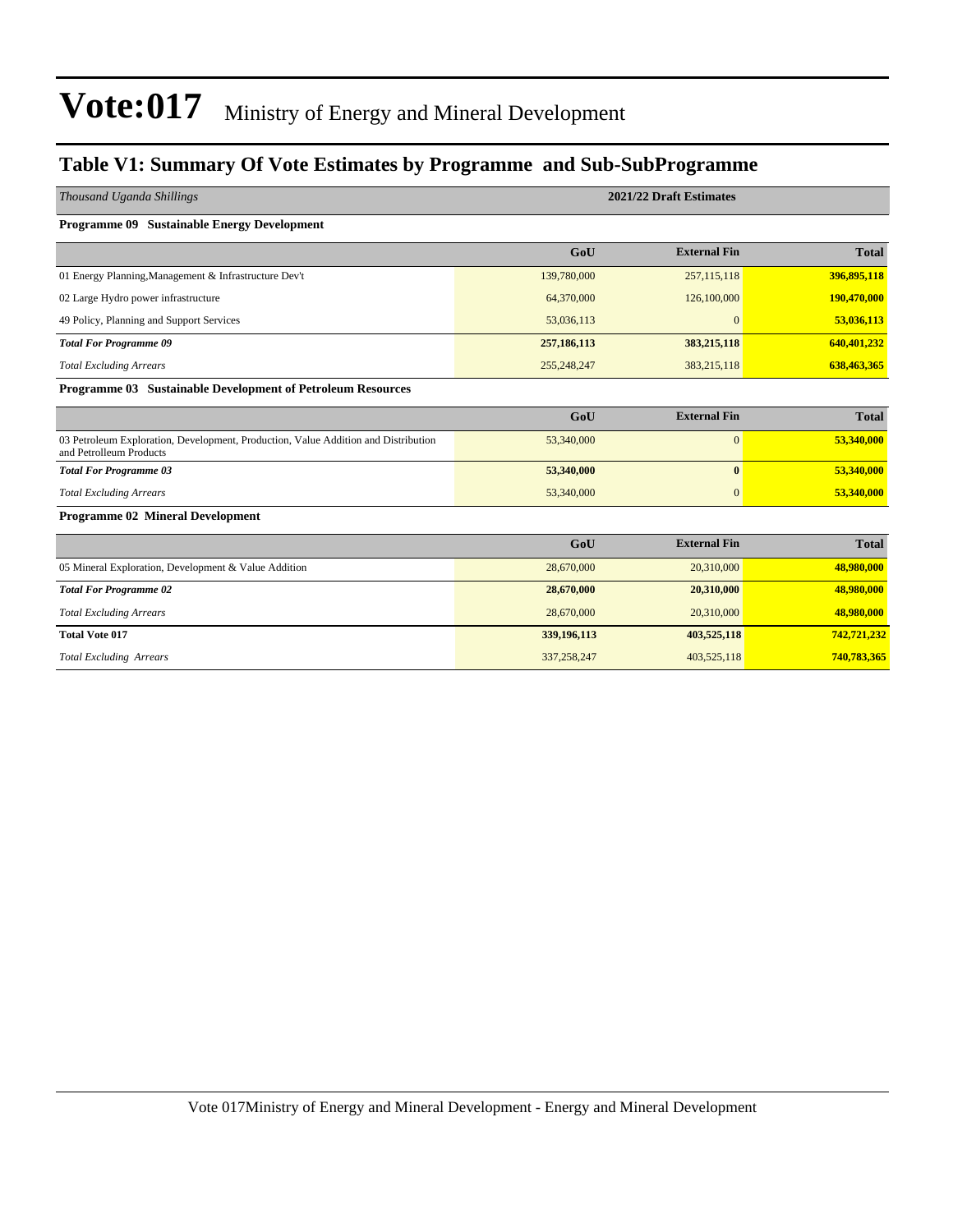#### **Table V1: Summary Of Vote Estimates by Programme and Sub-SubProgramme**

| Thousand Uganda Shillings                                                                                     |               | 2021/22 Draft Estimates |              |
|---------------------------------------------------------------------------------------------------------------|---------------|-------------------------|--------------|
| <b>Programme 09 Sustainable Energy Development</b>                                                            |               |                         |              |
|                                                                                                               | GoU           | <b>External Fin</b>     | <b>Total</b> |
| 01 Energy Planning, Management & Infrastructure Dev't                                                         | 139,780,000   | 257, 115, 118           | 396,895,118  |
| 02 Large Hydro power infrastructure                                                                           | 64,370,000    | 126,100,000             | 190,470,000  |
| 49 Policy, Planning and Support Services                                                                      | 53,036,113    | $\mathbf{0}$            | 53,036,113   |
| <b>Total For Programme 09</b>                                                                                 | 257,186,113   | 383,215,118             | 640,401,232  |
| <b>Total Excluding Arrears</b>                                                                                | 255, 248, 247 | 383,215,118             | 638,463,365  |
| Programme 03 Sustainable Development of Petroleum Resources                                                   |               |                         |              |
|                                                                                                               | GoU           | <b>External Fin</b>     | <b>Total</b> |
| 03 Petroleum Exploration, Development, Production, Value Addition and Distribution<br>and Petrolleum Products | 53,340,000    | $\mathbf{0}$            | 53,340,000   |
| <b>Total For Programme 03</b>                                                                                 | 53,340,000    | $\bf{0}$                | 53,340,000   |
| <b>Total Excluding Arrears</b>                                                                                | 53,340,000    | $\mathbf{0}$            | 53,340,000   |
| <b>Programme 02 Mineral Development</b>                                                                       |               |                         |              |
|                                                                                                               | GoU           | <b>External Fin</b>     | <b>Total</b> |
| 05 Mineral Exploration, Development & Value Addition                                                          | 28,670,000    | 20,310,000              | 48,980,000   |
| <b>Total For Programme 02</b>                                                                                 | 28,670,000    | 20,310,000              | 48,980,000   |
| <b>Total Excluding Arrears</b>                                                                                | 28,670,000    | 20,310,000              | 48,980,000   |
| <b>Total Vote 017</b>                                                                                         | 339,196,113   | 403,525,118             | 742,721,232  |
| <b>Total Excluding Arrears</b>                                                                                | 337,258,247   | 403,525,118             | 740,783,365  |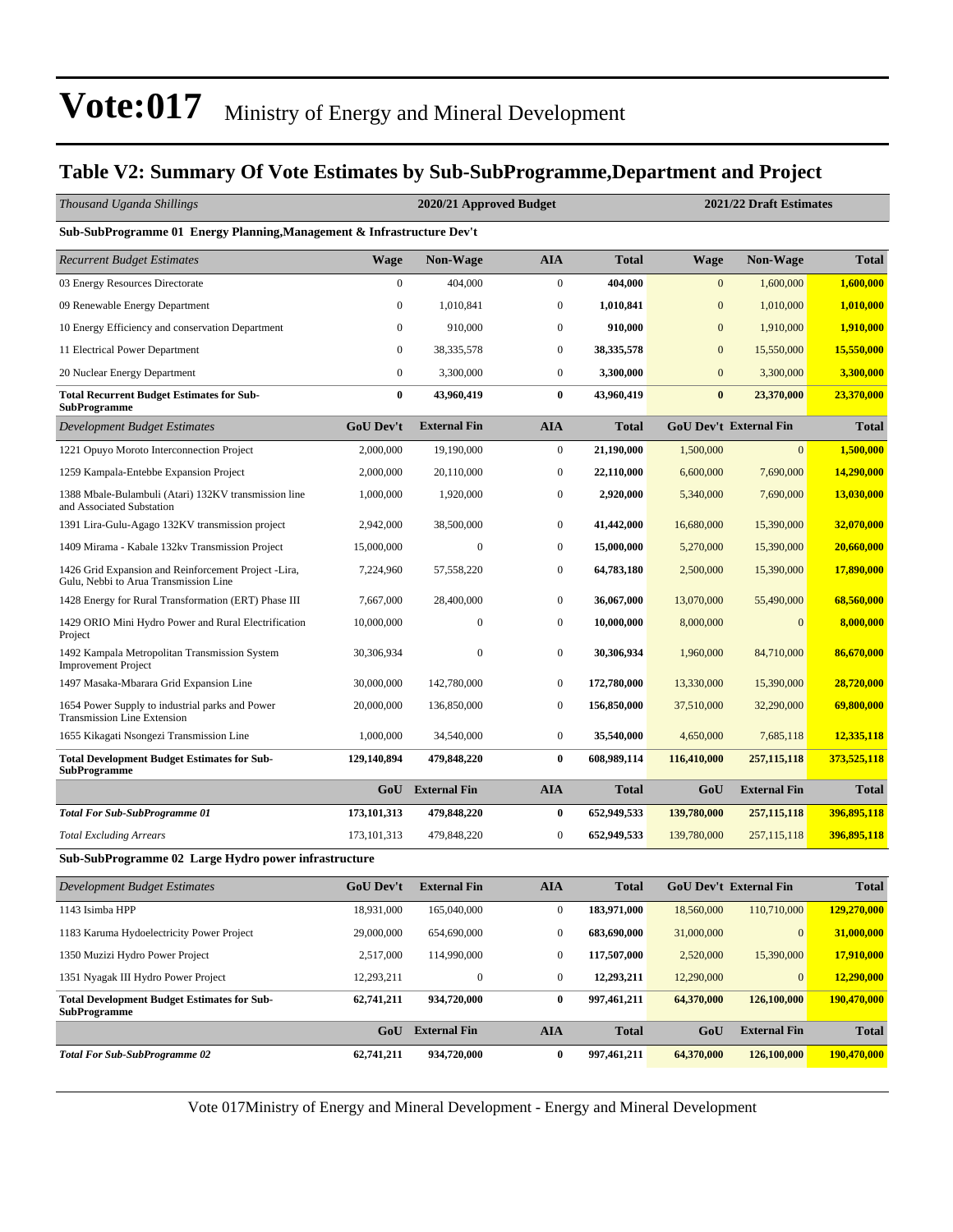#### **Table V2: Summary Of Vote Estimates by Sub-SubProgramme,Department and Project**

| Thousand Uganda Shillings                                                                     |                  | 2020/21 Approved Budget |                  | 2021/22 Draft Estimates |              |                               |              |  |
|-----------------------------------------------------------------------------------------------|------------------|-------------------------|------------------|-------------------------|--------------|-------------------------------|--------------|--|
| Sub-SubProgramme 01 Energy Planning, Management & Infrastructure Dev't                        |                  |                         |                  |                         |              |                               |              |  |
| <b>Recurrent Budget Estimates</b>                                                             | <b>Wage</b>      | <b>Non-Wage</b>         | <b>AIA</b>       | <b>Total</b>            | <b>Wage</b>  | <b>Non-Wage</b>               | <b>Total</b> |  |
| 03 Energy Resources Directorate                                                               | $\boldsymbol{0}$ | 404,000                 | $\boldsymbol{0}$ | 404,000                 | $\mathbf{0}$ | 1,600,000                     | 1,600,000    |  |
| 09 Renewable Energy Department                                                                | $\boldsymbol{0}$ | 1,010,841               | $\boldsymbol{0}$ | 1,010,841               | $\mathbf{0}$ | 1,010,000                     | 1,010,000    |  |
| 10 Energy Efficiency and conservation Department                                              | $\mathbf{0}$     | 910,000                 | $\boldsymbol{0}$ | 910,000                 | $\mathbf{0}$ | 1,910,000                     | 1,910,000    |  |
| 11 Electrical Power Department                                                                | $\boldsymbol{0}$ | 38, 335, 578            | $\boldsymbol{0}$ | 38,335,578              | $\mathbf{0}$ | 15,550,000                    | 15,550,000   |  |
| 20 Nuclear Energy Department                                                                  | $\boldsymbol{0}$ | 3,300,000               | $\boldsymbol{0}$ | 3,300,000               | $\mathbf{0}$ | 3,300,000                     | 3,300,000    |  |
| <b>Total Recurrent Budget Estimates for Sub-</b><br><b>SubProgramme</b>                       | $\bf{0}$         | 43,960,419              | $\bf{0}$         | 43,960,419              | $\bf{0}$     | 23,370,000                    | 23,370,000   |  |
| Development Budget Estimates                                                                  | <b>GoU Dev't</b> | <b>External Fin</b>     | <b>AIA</b>       | <b>Total</b>            |              | GoU Dev't External Fin        | <b>Total</b> |  |
| 1221 Opuyo Moroto Interconnection Project                                                     | 2,000,000        | 19,190,000              | $\boldsymbol{0}$ | 21,190,000              | 1,500,000    | $\overline{0}$                | 1,500,000    |  |
| 1259 Kampala-Entebbe Expansion Project                                                        | 2,000,000        | 20,110,000              | $\bf{0}$         | 22,110,000              | 6,600,000    | 7,690,000                     | 14,290,000   |  |
| 1388 Mbale-Bulambuli (Atari) 132KV transmission line<br>and Associated Substation             | 1,000,000        | 1,920,000               | $\boldsymbol{0}$ | 2,920,000               | 5,340,000    | 7,690,000                     | 13,030,000   |  |
| 1391 Lira-Gulu-Agago 132KV transmission project                                               | 2,942,000        | 38,500,000              | $\bf{0}$         | 41,442,000              | 16,680,000   | 15,390,000                    | 32,070,000   |  |
| 1409 Mirama - Kabale 132kv Transmission Project                                               | 15,000,000       | $\boldsymbol{0}$        | $\bf{0}$         | 15,000,000              | 5,270,000    | 15,390,000                    | 20,660,000   |  |
| 1426 Grid Expansion and Reinforcement Project -Lira,<br>Gulu, Nebbi to Arua Transmission Line | 7,224,960        | 57,558,220              | $\boldsymbol{0}$ | 64,783,180              | 2,500,000    | 15,390,000                    | 17,890,000   |  |
| 1428 Energy for Rural Transformation (ERT) Phase III                                          | 7,667,000        | 28,400,000              | $\boldsymbol{0}$ | 36,067,000              | 13,070,000   | 55,490,000                    | 68,560,000   |  |
| 1429 ORIO Mini Hydro Power and Rural Electrification<br>Project                               | 10,000,000       | $\boldsymbol{0}$        | $\boldsymbol{0}$ | 10,000,000              | 8,000,000    | $\mathbf{0}$                  | 8,000,000    |  |
| 1492 Kampala Metropolitan Transmission System<br><b>Improvement Project</b>                   | 30,306,934       | $\boldsymbol{0}$        | $\boldsymbol{0}$ | 30,306,934              | 1,960,000    | 84,710,000                    | 86,670,000   |  |
| 1497 Masaka-Mbarara Grid Expansion Line                                                       | 30,000,000       | 142,780,000             | $\bf{0}$         | 172,780,000             | 13,330,000   | 15,390,000                    | 28,720,000   |  |
| 1654 Power Supply to industrial parks and Power<br><b>Transmission Line Extension</b>         | 20,000,000       | 136,850,000             | $\boldsymbol{0}$ | 156,850,000             | 37,510,000   | 32,290,000                    | 69,800,000   |  |
| 1655 Kikagati Nsongezi Transmission Line                                                      | 1,000,000        | 34,540,000              | $\boldsymbol{0}$ | 35,540,000              | 4,650,000    | 7,685,118                     | 12,335,118   |  |
| <b>Total Development Budget Estimates for Sub-</b><br><b>SubProgramme</b>                     | 129,140,894      | 479,848,220             | $\bf{0}$         | 608,989,114             | 116,410,000  | 257, 115, 118                 | 373,525,118  |  |
|                                                                                               | GoU              | <b>External Fin</b>     | <b>AIA</b>       | <b>Total</b>            | GoU          | <b>External Fin</b>           | <b>Total</b> |  |
| <b>Total For Sub-SubProgramme 01</b>                                                          | 173,101,313      | 479,848,220             | $\bf{0}$         | 652,949,533             | 139,780,000  | 257, 115, 118                 | 396,895,118  |  |
| <b>Total Excluding Arrears</b>                                                                | 173, 101, 313    | 479,848,220             | $\boldsymbol{0}$ | 652,949,533             | 139,780,000  | 257, 115, 118                 | 396,895,118  |  |
| Sub-SubProgramme 02 Large Hydro power infrastructure                                          |                  |                         |                  |                         |              |                               |              |  |
| <b>Development Budget Estimates</b>                                                           | GoU Dev't        | <b>External Fin</b>     | <b>AIA</b>       | <b>Total</b>            |              | <b>GoU Dev't External Fin</b> | <b>Total</b> |  |
| 1143 Isimba HPP                                                                               | 18,931,000       | 165,040,000             | $\boldsymbol{0}$ | 183,971,000             | 18,560,000   | 110,710,000                   | 129,270,000  |  |
| 1183 Karuma Hydoelectricity Power Project                                                     | 29,000,000       | 654,690,000             | $\boldsymbol{0}$ | 683,690,000             | 31,000,000   | $\boldsymbol{0}$              | 31,000,000   |  |
| 1350 Muzizi Hydro Power Project                                                               | 2,517,000        | 114,990,000             | $\boldsymbol{0}$ | 117,507,000             | 2,520,000    | 15,390,000                    | 17,910,000   |  |
| 1351 Nyagak III Hydro Power Project                                                           | 12,293,211       | $\boldsymbol{0}$        | $\mathbf{0}$     | 12,293,211              | 12,290,000   | $\mathbf{0}$                  | 12,290,000   |  |
| <b>Total Development Budget Estimates for Sub-</b><br><b>SubProgramme</b>                     | 62,741,211       | 934,720,000             | $\bf{0}$         | 997,461,211             | 64,370,000   | 126,100,000                   | 190,470,000  |  |
|                                                                                               | GoU              | <b>External Fin</b>     | <b>AIA</b>       | <b>Total</b>            | GoU          | <b>External Fin</b>           | <b>Total</b> |  |
| <b>Total For Sub-SubProgramme 02</b>                                                          | 62,741,211       | 934,720,000             | $\bf{0}$         | 997,461,211             | 64,370,000   | 126,100,000                   | 190,470,000  |  |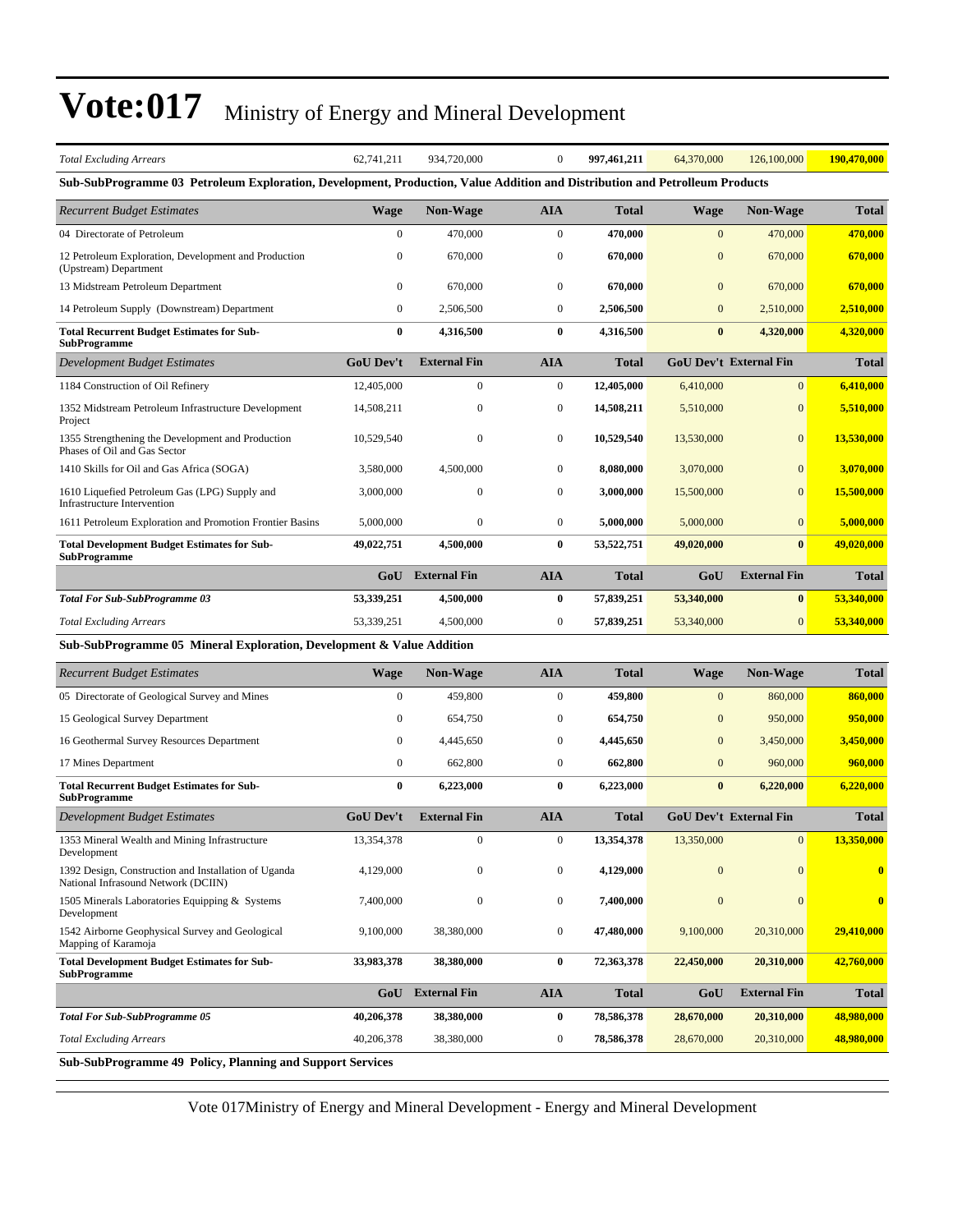| <b>Total Excluding Arrears</b>                                                                                              | 62,741,211       | 934,720,000             | $\mathbf{0}$     | 997,461,211  | 64,370,000       | 126,100,000                   | 190,470,000  |
|-----------------------------------------------------------------------------------------------------------------------------|------------------|-------------------------|------------------|--------------|------------------|-------------------------------|--------------|
| Sub-SubProgramme 03 Petroleum Exploration, Development, Production, Value Addition and Distribution and Petrolleum Products |                  |                         |                  |              |                  |                               |              |
| <b>Recurrent Budget Estimates</b>                                                                                           | <b>Wage</b>      | <b>Non-Wage</b>         | <b>AIA</b>       | <b>Total</b> | Wage             | <b>Non-Wage</b>               | <b>Total</b> |
| 04 Directorate of Petroleum                                                                                                 | $\mathbf{0}$     | 470,000                 | $\boldsymbol{0}$ | 470,000      | $\mathbf{0}$     | 470,000                       | 470,000      |
| 12 Petroleum Exploration, Development and Production<br>(Upstream) Department                                               | $\mathbf{0}$     | 670,000                 | $\boldsymbol{0}$ | 670,000      | $\mathbf{0}$     | 670,000                       | 670,000      |
| 13 Midstream Petroleum Department                                                                                           | 0                | 670,000                 | $\boldsymbol{0}$ | 670,000      | $\overline{0}$   | 670,000                       | 670,000      |
| 14 Petroleum Supply (Downstream) Department                                                                                 | $\boldsymbol{0}$ | 2,506,500               | $\boldsymbol{0}$ | 2,506,500    | $\mathbf{0}$     | 2,510,000                     | 2,510,000    |
| <b>Total Recurrent Budget Estimates for Sub-</b><br><b>SubProgramme</b>                                                     | $\bf{0}$         | 4,316,500               | $\bf{0}$         | 4,316,500    | $\bf{0}$         | 4,320,000                     | 4,320,000    |
| Development Budget Estimates                                                                                                | <b>GoU Dev't</b> | <b>External Fin</b>     | <b>AIA</b>       | <b>Total</b> |                  | <b>GoU Dev't External Fin</b> | <b>Total</b> |
| 1184 Construction of Oil Refinery                                                                                           | 12,405,000       | $\boldsymbol{0}$        | $\boldsymbol{0}$ | 12,405,000   | 6,410,000        | $\overline{0}$                | 6,410,000    |
| 1352 Midstream Petroleum Infrastructure Development<br>Project                                                              | 14,508,211       | 0                       | $\boldsymbol{0}$ | 14,508,211   | 5,510,000        | $\mathbf{0}$                  | 5,510,000    |
| 1355 Strengthening the Development and Production<br>Phases of Oil and Gas Sector                                           | 10,529,540       | $\boldsymbol{0}$        | $\boldsymbol{0}$ | 10,529,540   | 13,530,000       | $\mathbf{0}$                  | 13,530,000   |
| 1410 Skills for Oil and Gas Africa (SOGA)                                                                                   | 3,580,000        | 4,500,000               | $\mathbf{0}$     | 8,080,000    | 3,070,000        | $\mathbf{0}$                  | 3,070,000    |
| 1610 Liquefied Petroleum Gas (LPG) Supply and<br>Infrastructure Intervention                                                | 3,000,000        | $\mathbf{0}$            | $\mathbf{0}$     | 3,000,000    | 15,500,000       | $\overline{0}$                | 15,500,000   |
| 1611 Petroleum Exploration and Promotion Frontier Basins                                                                    | 5,000,000        | $\boldsymbol{0}$        | $\boldsymbol{0}$ | 5,000,000    | 5,000,000        | $\overline{0}$                | 5,000,000    |
| <b>Total Development Budget Estimates for Sub-</b><br><b>SubProgramme</b>                                                   | 49,022,751       | 4,500,000               | 0                | 53,522,751   | 49,020,000       | $\bf{0}$                      | 49,020,000   |
|                                                                                                                             | GoU              | <b>External Fin</b>     | <b>AIA</b>       | <b>Total</b> | GoU              | <b>External Fin</b>           | <b>Total</b> |
| <b>Total For Sub-SubProgramme 03</b>                                                                                        | 53,339,251       | 4,500,000               | $\bf{0}$         | 57,839,251   | 53,340,000       | $\bf{0}$                      | 53,340,000   |
| <b>Total Excluding Arrears</b>                                                                                              | 53,339,251       | 4,500,000               | $\boldsymbol{0}$ | 57,839,251   | 53,340,000       | $\overline{0}$                | 53,340,000   |
| Sub-SubProgramme 05 Mineral Exploration, Development & Value Addition                                                       |                  |                         |                  |              |                  |                               |              |
| <b>Recurrent Budget Estimates</b>                                                                                           | <b>Wage</b>      | <b>Non-Wage</b>         | <b>AIA</b>       | <b>Total</b> | Wage             | <b>Non-Wage</b>               | <b>Total</b> |
| 05 Directorate of Geological Survey and Mines                                                                               | $\mathbf{0}$     | 459,800                 | $\boldsymbol{0}$ | 459,800      | $\mathbf{0}$     | 860,000                       | 860,000      |
| 15 Geological Survey Department                                                                                             | 0                | 654,750                 | $\boldsymbol{0}$ | 654,750      | $\mathbf{0}$     | 950,000                       | 950,000      |
| 16 Geothermal Survey Resources Department                                                                                   | $\mathbf{0}$     | 4,445,650               | $\boldsymbol{0}$ | 4,445,650    | $\mathbf{0}$     | 3,450,000                     | 3,450,000    |
| 17 Mines Department                                                                                                         | $\boldsymbol{0}$ | 662,800                 | $\boldsymbol{0}$ | 662,800      | $\mathbf{0}$     | 960,000                       | 960,000      |
| <b>Total Recurrent Budget Estimates for Sub-</b><br><b>SubProgramme</b>                                                     | $\bf{0}$         | 6,223,000               | $\bf{0}$         | 6,223,000    | $\bf{0}$         | 6,220,000                     | 6,220,000    |
| Development Budget Estimates                                                                                                | <b>GoU Dev't</b> | <b>External Fin</b>     | <b>AIA</b>       | <b>Total</b> |                  | <b>GoU Dev't External Fin</b> | <b>Total</b> |
| 1353 Mineral Wealth and Mining Infrastructure<br>Development                                                                | 13,354,378       |                         | $\overline{0}$   | 13,354,378   | 13,350,000       | $\vert 0 \vert$               | 13,350,000   |
| 1392 Design, Construction and Installation of Uganda<br>National Infrasound Network (DCIIN)                                 | 4,129,000        | $\boldsymbol{0}$        | $\boldsymbol{0}$ | 4,129,000    | $\mathbf{0}$     | $\mathbf{0}$                  | $\bf{0}$     |
| 1505 Minerals Laboratories Equipping & Systems<br>Development                                                               | 7,400,000        | $\boldsymbol{0}$        | $\boldsymbol{0}$ | 7,400,000    | $\boldsymbol{0}$ | $\mathbf{0}$                  | $\bf{0}$     |
| 1542 Airborne Geophysical Survey and Geological<br>Mapping of Karamoja                                                      | 9,100,000        | 38,380,000              | $\boldsymbol{0}$ | 47,480,000   | 9,100,000        | 20,310,000                    | 29,410,000   |
| <b>Total Development Budget Estimates for Sub-</b><br><b>SubProgramme</b>                                                   | 33,983,378       | 38,380,000              | $\bf{0}$         | 72,363,378   | 22,450,000       | 20,310,000                    | 42,760,000   |
|                                                                                                                             |                  | <b>GoU</b> External Fin | <b>AIA</b>       | <b>Total</b> | GoU              | <b>External Fin</b>           | <b>Total</b> |
| <b>Total For Sub-SubProgramme 05</b>                                                                                        | 40,206,378       | 38,380,000              | $\bf{0}$         | 78,586,378   | 28,670,000       | 20,310,000                    | 48,980,000   |
| <b>Total Excluding Arrears</b>                                                                                              | 40,206,378       | 38,380,000              | $\boldsymbol{0}$ | 78,586,378   | 28,670,000       | 20,310,000                    | 48,980,000   |
| Sub-SubProgramme 49 Policy, Planning and Support Services                                                                   |                  |                         |                  |              |                  |                               |              |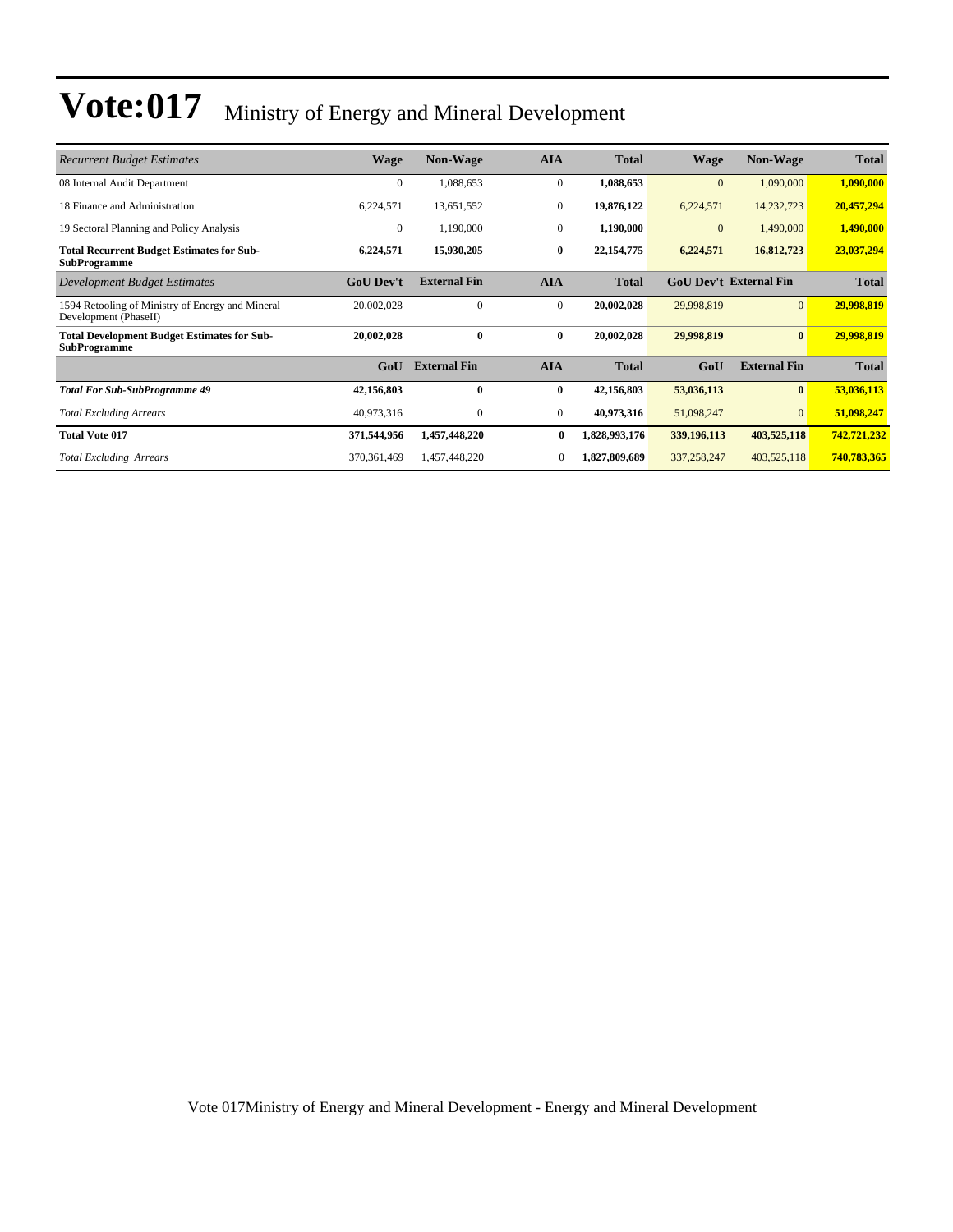| <b>Recurrent Budget Estimates</b>                                         | <b>Wage</b>      | <b>Non-Wage</b>     | <b>AIA</b>       | <b>Total</b>  | Wage         | <b>Non-Wage</b>               | <b>Total</b> |
|---------------------------------------------------------------------------|------------------|---------------------|------------------|---------------|--------------|-------------------------------|--------------|
| 08 Internal Audit Department                                              | $\mathbf{0}$     | 1,088,653           | $\mathbf{0}$     | 1,088,653     | $\mathbf{0}$ | 1,090,000                     | 1,090,000    |
| 18 Finance and Administration                                             | 6,224,571        | 13,651,552          | $\mathbf{0}$     | 19,876,122    | 6,224,571    | 14,232,723                    | 20,457,294   |
| 19 Sectoral Planning and Policy Analysis                                  | $\mathbf{0}$     | 1,190,000           | $\mathbf{0}$     | 1,190,000     | $\mathbf{0}$ | 1,490,000                     | 1,490,000    |
| <b>Total Recurrent Budget Estimates for Sub-</b><br><b>SubProgramme</b>   | 6,224,571        | 15,930,205          | $\bf{0}$         | 22, 154, 775  | 6,224,571    | 16,812,723                    | 23,037,294   |
| Development Budget Estimates                                              | <b>GoU Dev't</b> | <b>External Fin</b> | <b>AIA</b>       | <b>Total</b>  |              | <b>GoU Dev't External Fin</b> | <b>Total</b> |
| 1594 Retooling of Ministry of Energy and Mineral<br>Development (PhaseII) | 20,002,028       | 0                   | $\mathbf{0}$     | 20,002,028    | 29,998,819   | $\Omega$                      | 29,998,819   |
| <b>Total Development Budget Estimates for Sub-</b><br><b>SubProgramme</b> | 20,002,028       | $\mathbf{0}$        | $\bf{0}$         | 20,002,028    | 29,998,819   | $\mathbf{0}$                  | 29,998,819   |
|                                                                           | GoU              | <b>External Fin</b> | <b>AIA</b>       | <b>Total</b>  | GoU          | <b>External Fin</b>           | <b>Total</b> |
| <b>Total For Sub-SubProgramme 49</b>                                      | 42,156,803       | $\mathbf{0}$        | $\bf{0}$         | 42,156,803    | 53,036,113   | $\bf{0}$                      | 53,036,113   |
| <b>Total Excluding Arrears</b>                                            | 40,973,316       | 0                   | $\boldsymbol{0}$ | 40,973,316    | 51,098,247   | $\Omega$                      | 51,098,247   |
| <b>Total Vote 017</b>                                                     | 371,544,956      | 1,457,448,220       | $\bf{0}$         | 1,828,993,176 | 339,196,113  | 403,525,118                   | 742,721,232  |
| <b>Total Excluding Arrears</b>                                            | 370, 361, 469    | 1,457,448,220       | $\mathbf{0}$     | 1,827,809,689 | 337,258,247  | 403,525,118                   | 740,783,365  |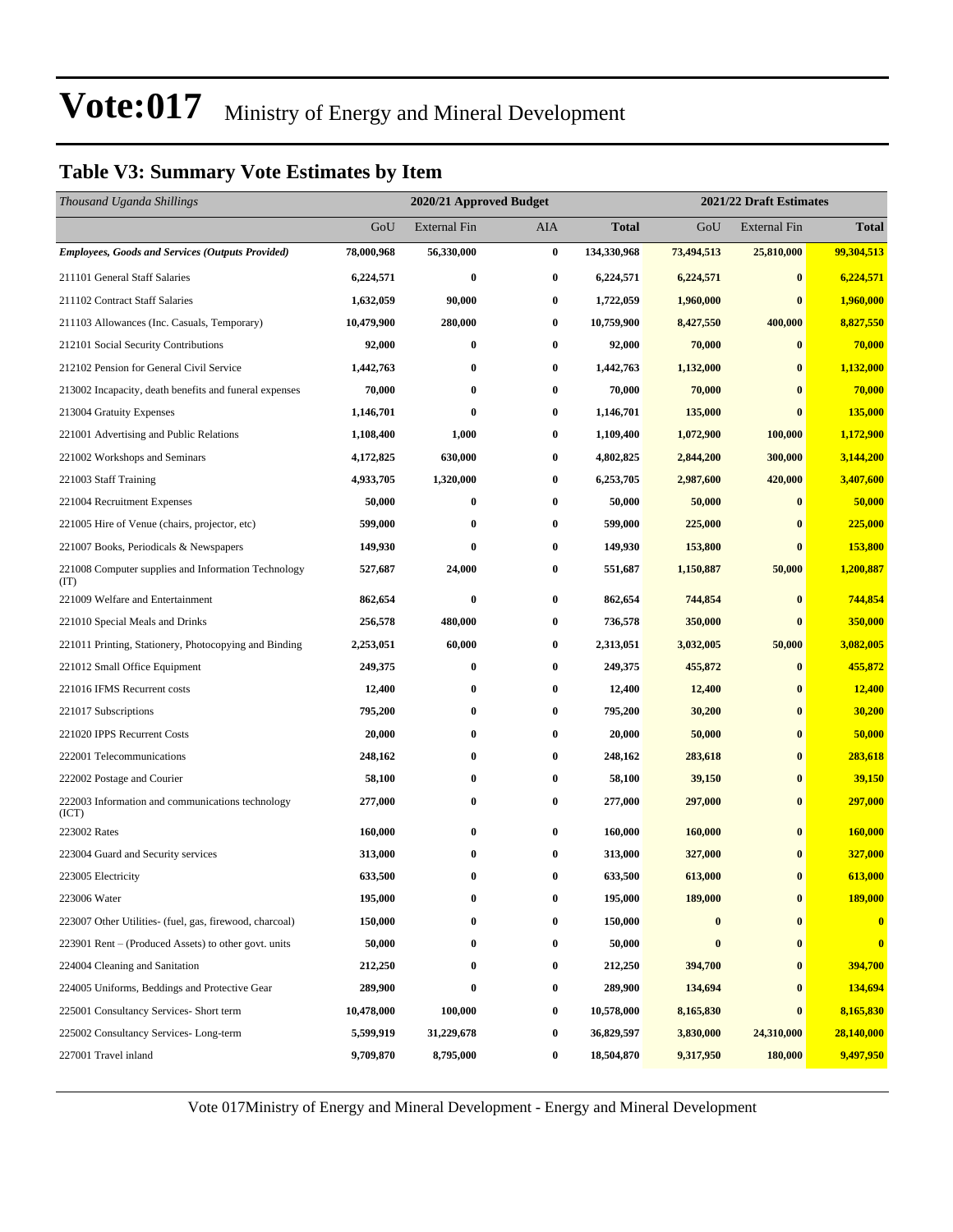#### **Table V3: Summary Vote Estimates by Item**

| Thousand Uganda Shillings                                   |            |                     | 2020/21 Approved Budget<br>2021/22 Draft Estimates |              |            |                     |                |
|-------------------------------------------------------------|------------|---------------------|----------------------------------------------------|--------------|------------|---------------------|----------------|
|                                                             | GoU        | <b>External Fin</b> | AIA                                                | <b>Total</b> | GoU        | <b>External Fin</b> | <b>Total</b>   |
| <b>Employees, Goods and Services (Outputs Provided)</b>     | 78,000,968 | 56,330,000          | $\bf{0}$                                           | 134,330,968  | 73,494,513 | 25,810,000          | 99,304,513     |
| 211101 General Staff Salaries                               | 6,224,571  | $\bf{0}$            | 0                                                  | 6,224,571    | 6,224,571  | $\bf{0}$            | 6,224,571      |
| 211102 Contract Staff Salaries                              | 1,632,059  | 90,000              | 0                                                  | 1,722,059    | 1,960,000  | $\bf{0}$            | 1,960,000      |
| 211103 Allowances (Inc. Casuals, Temporary)                 | 10,479,900 | 280,000             | 0                                                  | 10,759,900   | 8,427,550  | 400,000             | 8,827,550      |
| 212101 Social Security Contributions                        | 92,000     | $\bf{0}$            | 0                                                  | 92,000       | 70,000     | $\bf{0}$            | 70,000         |
| 212102 Pension for General Civil Service                    | 1,442,763  | $\bf{0}$            | 0                                                  | 1,442,763    | 1,132,000  | $\bf{0}$            | 1,132,000      |
| 213002 Incapacity, death benefits and funeral expenses      | 70,000     | $\bf{0}$            | 0                                                  | 70,000       | 70,000     | $\bf{0}$            | 70,000         |
| 213004 Gratuity Expenses                                    | 1,146,701  | $\bf{0}$            | $\boldsymbol{0}$                                   | 1,146,701    | 135,000    | $\bf{0}$            | <b>135,000</b> |
| 221001 Advertising and Public Relations                     | 1,108,400  | 1,000               | 0                                                  | 1,109,400    | 1,072,900  | 100,000             | 1,172,900      |
| 221002 Workshops and Seminars                               | 4,172,825  | 630,000             | 0                                                  | 4,802,825    | 2,844,200  | 300,000             | 3,144,200      |
| 221003 Staff Training                                       | 4,933,705  | 1,320,000           | 0                                                  | 6,253,705    | 2,987,600  | 420,000             | 3,407,600      |
| 221004 Recruitment Expenses                                 | 50,000     | $\bf{0}$            | 0                                                  | 50,000       | 50,000     | $\bf{0}$            | 50,000         |
| 221005 Hire of Venue (chairs, projector, etc)               | 599,000    | $\bf{0}$            | 0                                                  | 599,000      | 225,000    | $\bf{0}$            | 225,000        |
| 221007 Books, Periodicals & Newspapers                      | 149,930    | $\bf{0}$            | 0                                                  | 149,930      | 153,800    | $\bf{0}$            | 153,800        |
| 221008 Computer supplies and Information Technology<br>(TT) | 527,687    | 24,000              | 0                                                  | 551,687      | 1,150,887  | 50,000              | 1,200,887      |
| 221009 Welfare and Entertainment                            | 862,654    | $\bf{0}$            | $\bf{0}$                                           | 862,654      | 744,854    | $\bf{0}$            | 744,854        |
| 221010 Special Meals and Drinks                             | 256,578    | 480,000             | 0                                                  | 736,578      | 350,000    | $\bf{0}$            | 350,000        |
| 221011 Printing, Stationery, Photocopying and Binding       | 2,253,051  | 60,000              | $\bf{0}$                                           | 2,313,051    | 3,032,005  | 50,000              | 3,082,005      |
| 221012 Small Office Equipment                               | 249,375    | $\bf{0}$            | 0                                                  | 249,375      | 455,872    | $\bf{0}$            | 455,872        |
| 221016 IFMS Recurrent costs                                 | 12,400     | $\bf{0}$            | $\bf{0}$                                           | 12,400       | 12,400     | $\bf{0}$            | 12,400         |
| 221017 Subscriptions                                        | 795,200    | $\bf{0}$            | 0                                                  | 795,200      | 30,200     | $\bf{0}$            | 30,200         |
| 221020 IPPS Recurrent Costs                                 | 20,000     | $\bf{0}$            | 0                                                  | 20,000       | 50,000     | $\bf{0}$            | 50,000         |
| 222001 Telecommunications                                   | 248,162    | $\bf{0}$            | $\bf{0}$                                           | 248,162      | 283,618    | $\bf{0}$            | 283,618        |
| 222002 Postage and Courier                                  | 58,100     | $\bf{0}$            | 0                                                  | 58,100       | 39,150     | $\bf{0}$            | 39,150         |
| 222003 Information and communications technology<br>(ICT)   | 277,000    | $\bf{0}$            | 0                                                  | 277,000      | 297,000    | $\bf{0}$            | 297,000        |
| 223002 Rates                                                | 160,000    | $\bf{0}$            | $\boldsymbol{0}$                                   | 160,000      | 160,000    | $\bf{0}$            | 160,000        |
| 223004 Guard and Security services                          | 313,000    | $\bf{0}$            | 0                                                  | 313,000      | 327,000    | $\bf{0}$            | 327,000        |
| 223005 Electricity                                          | 633,500    | $\bf{0}$            | 0                                                  | 633,500      | 613,000    | $\bf{0}$            | 613,000        |
| 223006 Water                                                | 195,000    | $\bf{0}$            | $\bf{0}$                                           | 195,000      | 189,000    | $\bf{0}$            | 189,000        |
| 223007 Other Utilities- (fuel, gas, firewood, charcoal)     | 150,000    | $\bf{0}$            | 0                                                  | 150,000      | $\bf{0}$   | $\bf{0}$            | $\mathbf{0}$   |
| 223901 Rent – (Produced Assets) to other govt. units        | 50,000     | $\bf{0}$            | 0                                                  | 50,000       | $\bf{0}$   | $\bf{0}$            | $\bf{0}$       |
| 224004 Cleaning and Sanitation                              | 212,250    | $\bf{0}$            | 0                                                  | 212,250      | 394,700    | $\bf{0}$            | 394,700        |
| 224005 Uniforms, Beddings and Protective Gear               | 289,900    | $\bf{0}$            | 0                                                  | 289,900      | 134,694    | $\bf{0}$            | 134,694        |
| 225001 Consultancy Services- Short term                     | 10,478,000 | 100,000             | 0                                                  | 10,578,000   | 8,165,830  | $\bf{0}$            | 8,165,830      |
| 225002 Consultancy Services-Long-term                       | 5,599,919  | 31,229,678          | 0                                                  | 36,829,597   | 3,830,000  | 24,310,000          | 28,140,000     |
| 227001 Travel inland                                        | 9,709,870  | 8,795,000           | 0                                                  | 18,504,870   | 9,317,950  | 180,000             | 9,497,950      |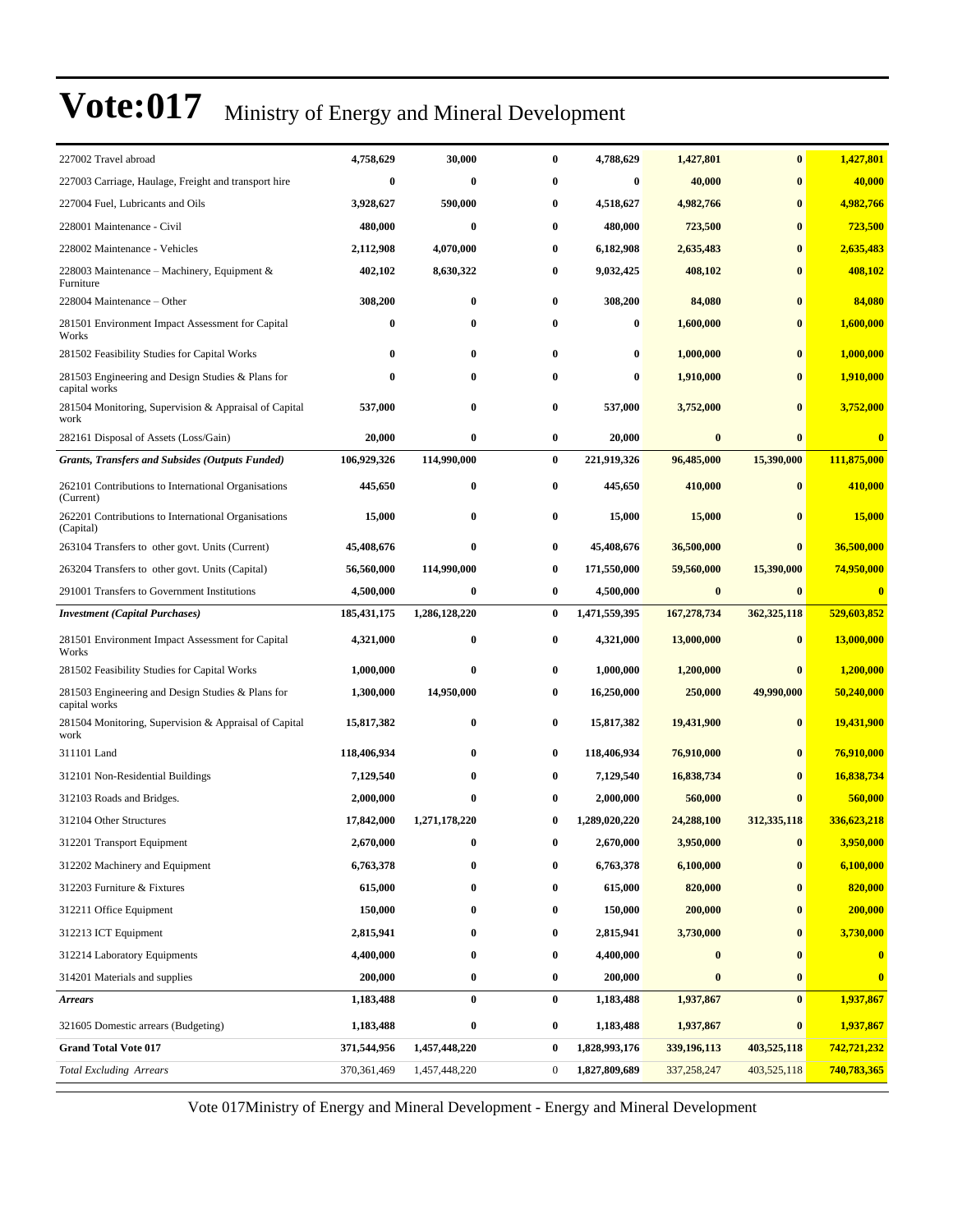| 227002 Travel abroad                                               | 4,758,629        | 30,000        | $\bf{0}$         | 4,788,629     | 1,427,801        | $\bf{0}$      | 1,427,801    |
|--------------------------------------------------------------------|------------------|---------------|------------------|---------------|------------------|---------------|--------------|
| 227003 Carriage, Haulage, Freight and transport hire               | $\boldsymbol{0}$ | $\bf{0}$      | 0                | $\bf{0}$      | 40,000           | $\bf{0}$      | 40,000       |
| 227004 Fuel, Lubricants and Oils                                   | 3,928,627        | 590,000       | $\bf{0}$         | 4,518,627     | 4,982,766        | $\bf{0}$      | 4,982,766    |
| 228001 Maintenance - Civil                                         | 480,000          | $\bf{0}$      | $\bf{0}$         | 480,000       | 723,500          | $\bf{0}$      | 723,500      |
| 228002 Maintenance - Vehicles                                      | 2,112,908        | 4,070,000     | $\bf{0}$         | 6,182,908     | 2,635,483        | $\bf{0}$      | 2,635,483    |
| 228003 Maintenance - Machinery, Equipment &<br>Furniture           | 402,102          | 8,630,322     | $\bf{0}$         | 9,032,425     | 408,102          | $\mathbf{0}$  | 408,102      |
| 228004 Maintenance - Other                                         | 308,200          | $\bf{0}$      | $\bf{0}$         | 308,200       | 84,080           | $\bf{0}$      | 84,080       |
| 281501 Environment Impact Assessment for Capital<br>Works          | $\bf{0}$         | $\bf{0}$      | $\bf{0}$         | $\bf{0}$      | 1,600,000        | $\bf{0}$      | 1,600,000    |
| 281502 Feasibility Studies for Capital Works                       | 0                | $\bf{0}$      | $\bf{0}$         | $\bf{0}$      | 1,000,000        | $\bf{0}$      | 1,000,000    |
| 281503 Engineering and Design Studies & Plans for<br>capital works | 0                | 0             | 0                | $\bf{0}$      | 1,910,000        | 0             | 1,910,000    |
| 281504 Monitoring, Supervision & Appraisal of Capital<br>work      | 537,000          | $\bf{0}$      | $\bf{0}$         | 537,000       | 3,752,000        | $\bf{0}$      | 3,752,000    |
| 282161 Disposal of Assets (Loss/Gain)                              | 20,000           | $\bf{0}$      | $\bf{0}$         | 20,000        | $\bf{0}$         | $\bf{0}$      | $\mathbf{0}$ |
| <b>Grants, Transfers and Subsides (Outputs Funded)</b>             | 106,929,326      | 114,990,000   | $\bf{0}$         | 221,919,326   | 96,485,000       | 15,390,000    | 111,875,000  |
| 262101 Contributions to International Organisations<br>(Current)   | 445,650          | $\bf{0}$      | 0                | 445,650       | 410,000          | $\bf{0}$      | 410,000      |
| 262201 Contributions to International Organisations<br>(Capital)   | 15,000           | $\bf{0}$      | 0                | 15,000        | 15,000           | $\mathbf{0}$  | 15,000       |
| 263104 Transfers to other govt. Units (Current)                    | 45,408,676       | $\bf{0}$      | $\bf{0}$         | 45,408,676    | 36,500,000       | $\bf{0}$      | 36,500,000   |
| 263204 Transfers to other govt. Units (Capital)                    | 56,560,000       | 114,990,000   | $\bf{0}$         | 171,550,000   | 59,560,000       | 15,390,000    | 74,950,000   |
| 291001 Transfers to Government Institutions                        | 4,500,000        | $\bf{0}$      | 0                | 4,500,000     | $\bf{0}$         | $\bf{0}$      | $\mathbf{0}$ |
| <b>Investment (Capital Purchases)</b>                              | 185, 431, 175    | 1,286,128,220 | $\bf{0}$         | 1,471,559,395 | 167,278,734      | 362, 325, 118 | 529,603,852  |
| 281501 Environment Impact Assessment for Capital<br>Works          | 4,321,000        | $\bf{0}$      | 0                | 4,321,000     | 13,000,000       | $\bf{0}$      | 13,000,000   |
| 281502 Feasibility Studies for Capital Works                       | 1,000,000        | $\bf{0}$      | $\bf{0}$         | 1,000,000     | 1,200,000        | $\bf{0}$      | 1,200,000    |
| 281503 Engineering and Design Studies & Plans for<br>capital works | 1,300,000        | 14,950,000    | $\bf{0}$         | 16,250,000    | 250,000          | 49,990,000    | 50,240,000   |
| 281504 Monitoring, Supervision & Appraisal of Capital<br>work      | 15,817,382       | $\bf{0}$      | $\bf{0}$         | 15,817,382    | 19,431,900       | $\bf{0}$      | 19,431,900   |
| 311101 Land                                                        | 118,406,934      | $\bf{0}$      | $\bf{0}$         | 118,406,934   | 76,910,000       | $\bf{0}$      | 76,910,000   |
| 312101 Non-Residential Buildings                                   | 7,129,540        | $\bf{0}$      | $\bf{0}$         | 7,129,540     | 16,838,734       | $\mathbf{0}$  | 16,838,734   |
| 312103 Roads and Bridges.                                          | 2,000,000        | 0             | 0                | 2,000,000     | 560,000          |               | 560,000      |
| 312104 Other Structures                                            | 17,842,000       | 1,271,178,220 | 0                | 1,289,020,220 | 24,288,100       | 312, 335, 118 | 336,623,218  |
| 312201 Transport Equipment                                         | 2,670,000        |               |                  | 2,670,000     | 3,950,000        |               | 3,950,000    |
| 312202 Machinery and Equipment                                     | 6,763,378        | $\bf{0}$      | $\bf{0}$         | 6,763,378     | 6,100,000        | $\bf{0}$      | 6,100,000    |
| 312203 Furniture & Fixtures                                        | 615,000          | 0             | $\bf{0}$         | 615,000       | 820,000          | $\bf{0}$      | 820,000      |
| 312211 Office Equipment                                            | 150,000          | 0             | 0                | 150,000       | 200,000          |               | 200,000      |
| 312213 ICT Equipment                                               | 2,815,941        | 0             | $\bf{0}$         | 2,815,941     | 3,730,000        | $\bf{0}$      | 3,730,000    |
| 312214 Laboratory Equipments                                       | 4,400,000        | 0             | $\bf{0}$         | 4,400,000     | $\bf{0}$         |               | $\bf{0}$     |
| 314201 Materials and supplies                                      | 200,000          | $\bf{0}$      | $\bf{0}$         | 200,000       | $\boldsymbol{0}$ | $\bf{0}$      | $\bf{0}$     |
| Arrears                                                            | 1,183,488        | $\bf{0}$      | $\bf{0}$         | 1,183,488     | 1,937,867        | $\bf{0}$      | 1,937,867    |
| 321605 Domestic arrears (Budgeting)                                | 1,183,488        | $\bf{0}$      | 0                | 1,183,488     | 1,937,867        | $\bf{0}$      | 1,937,867    |
| <b>Grand Total Vote 017</b>                                        | 371,544,956      | 1,457,448,220 | $\bf{0}$         | 1,828,993,176 | 339,196,113      | 403,525,118   | 742,721,232  |
| <b>Total Excluding Arrears</b>                                     | 370, 361, 469    | 1,457,448,220 | $\boldsymbol{0}$ | 1,827,809,689 | 337,258,247      | 403,525,118   | 740,783,365  |
|                                                                    |                  |               |                  |               |                  |               |              |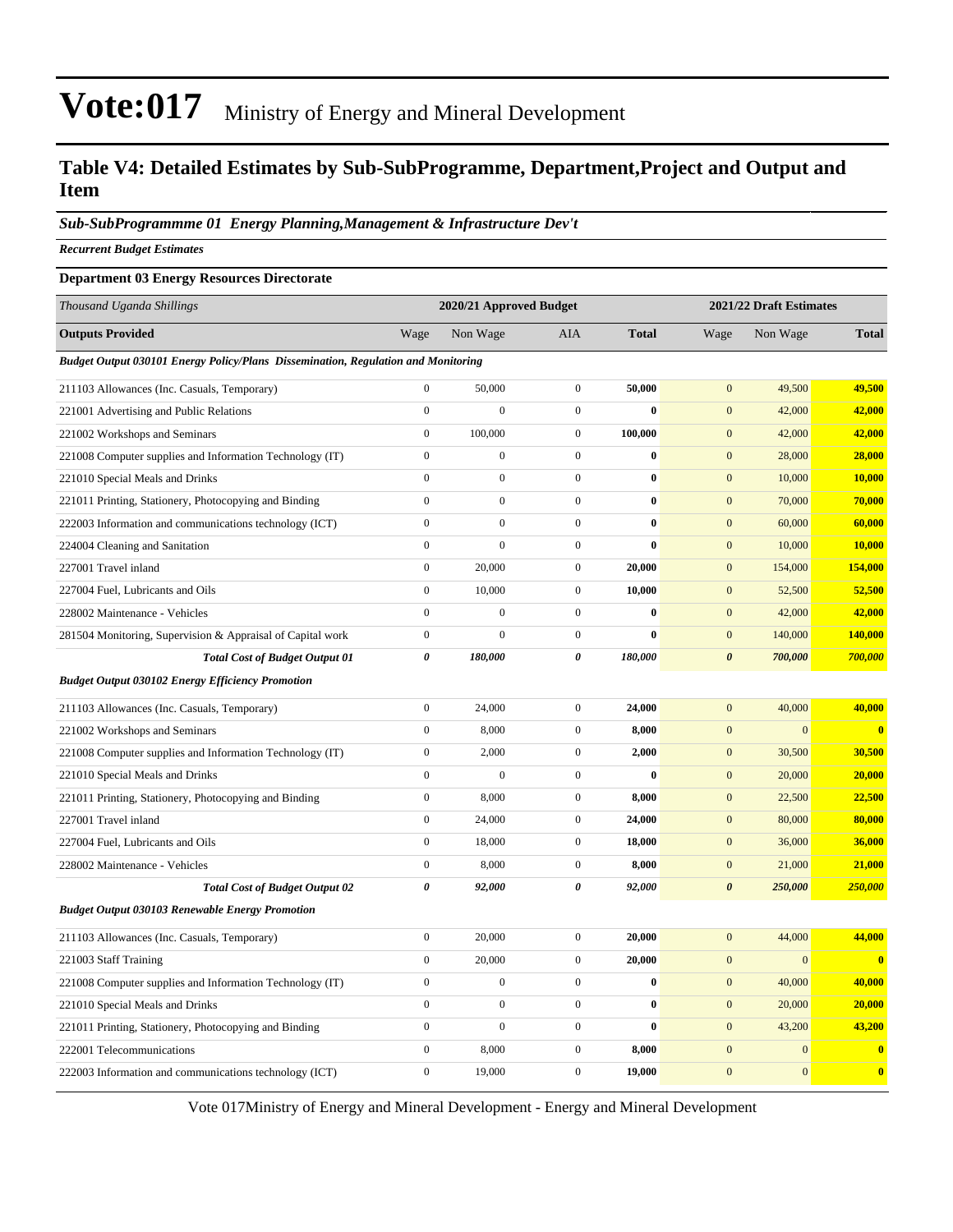#### **Table V4: Detailed Estimates by Sub-SubProgramme, Department,Project and Output and Item**

*Sub-SubProgrammme 01 Energy Planning,Management & Infrastructure Dev't*

*Recurrent Budget Estimates*

#### **Department 03 Energy Resources Directorate**

| Thousand Uganda Shillings                                                         |                  | 2020/21 Approved Budget |                  |              | 2021/22 Draft Estimates |                |               |
|-----------------------------------------------------------------------------------|------------------|-------------------------|------------------|--------------|-------------------------|----------------|---------------|
| <b>Outputs Provided</b>                                                           | Wage             | Non Wage                | <b>AIA</b>       | <b>Total</b> | Wage                    | Non Wage       | <b>Total</b>  |
| Budget Output 030101 Energy Policy/Plans Dissemination, Regulation and Monitoring |                  |                         |                  |              |                         |                |               |
| 211103 Allowances (Inc. Casuals, Temporary)                                       | $\boldsymbol{0}$ | 50,000                  | $\boldsymbol{0}$ | 50,000       | $\mathbf{0}$            | 49,500         | 49,500        |
| 221001 Advertising and Public Relations                                           | $\overline{0}$   | $\overline{0}$          | $\boldsymbol{0}$ | $\bf{0}$     | $\mathbf{0}$            | 42,000         | 42,000        |
| 221002 Workshops and Seminars                                                     | $\mathbf{0}$     | 100,000                 | $\boldsymbol{0}$ | 100,000      | $\mathbf{0}$            | 42,000         | 42,000        |
| 221008 Computer supplies and Information Technology (IT)                          | $\boldsymbol{0}$ | $\boldsymbol{0}$        | $\boldsymbol{0}$ | $\bf{0}$     | $\mathbf{0}$            | 28,000         | 28,000        |
| 221010 Special Meals and Drinks                                                   | $\boldsymbol{0}$ | $\boldsymbol{0}$        | $\boldsymbol{0}$ | $\bf{0}$     | $\mathbf{0}$            | 10,000         | 10,000        |
| 221011 Printing, Stationery, Photocopying and Binding                             | $\mathbf{0}$     | $\boldsymbol{0}$        | $\boldsymbol{0}$ | $\bf{0}$     | $\boldsymbol{0}$        | 70,000         | 70,000        |
| 222003 Information and communications technology (ICT)                            | $\mathbf{0}$     | $\boldsymbol{0}$        | $\boldsymbol{0}$ | $\bf{0}$     | $\mathbf{0}$            | 60,000         | 60,000        |
| 224004 Cleaning and Sanitation                                                    | $\mathbf{0}$     | $\boldsymbol{0}$        | $\boldsymbol{0}$ | $\bf{0}$     | $\mathbf{0}$            | 10,000         | <b>10,000</b> |
| 227001 Travel inland                                                              | $\boldsymbol{0}$ | 20,000                  | $\boldsymbol{0}$ | 20,000       | $\boldsymbol{0}$        | 154,000        | 154,000       |
| 227004 Fuel, Lubricants and Oils                                                  | $\boldsymbol{0}$ | 10,000                  | $\boldsymbol{0}$ | 10,000       | $\boldsymbol{0}$        | 52,500         | 52,500        |
| 228002 Maintenance - Vehicles                                                     | $\overline{0}$   | $\mathbf{0}$            | $\boldsymbol{0}$ | $\bf{0}$     | $\mathbf{0}$            | 42,000         | 42,000        |
| 281504 Monitoring, Supervision & Appraisal of Capital work                        | $\boldsymbol{0}$ | $\mathbf{0}$            | $\boldsymbol{0}$ | $\bf{0}$     | $\mathbf{0}$            | 140,000        | 140,000       |
| <b>Total Cost of Budget Output 01</b>                                             | $\pmb{\theta}$   | 180,000                 | 0                | 180,000      | $\boldsymbol{\theta}$   | 700,000        | 700,000       |
| <b>Budget Output 030102 Energy Efficiency Promotion</b>                           |                  |                         |                  |              |                         |                |               |
| 211103 Allowances (Inc. Casuals, Temporary)                                       | $\overline{0}$   | 24,000                  | $\boldsymbol{0}$ | 24,000       | $\mathbf{0}$            | 40,000         | 40,000        |
| 221002 Workshops and Seminars                                                     | $\mathbf{0}$     | 8,000                   | $\boldsymbol{0}$ | 8,000        | $\mathbf{0}$            | $\overline{0}$ | $\mathbf{0}$  |
| 221008 Computer supplies and Information Technology (IT)                          | $\boldsymbol{0}$ | 2,000                   | $\boldsymbol{0}$ | 2,000        | $\mathbf{0}$            | 30,500         | 30,500        |
| 221010 Special Meals and Drinks                                                   | $\boldsymbol{0}$ | $\mathbf{0}$            | $\boldsymbol{0}$ | $\bf{0}$     | $\mathbf{0}$            | 20,000         | 20,000        |
| 221011 Printing, Stationery, Photocopying and Binding                             | $\mathbf{0}$     | 8,000                   | $\boldsymbol{0}$ | 8,000        | $\mathbf{0}$            | 22,500         | 22,500        |
| 227001 Travel inland                                                              | $\boldsymbol{0}$ | 24,000                  | $\boldsymbol{0}$ | 24,000       | $\mathbf{0}$            | 80,000         | 80,000        |
| 227004 Fuel, Lubricants and Oils                                                  | $\boldsymbol{0}$ | 18,000                  | $\boldsymbol{0}$ | 18,000       | $\mathbf{0}$            | 36,000         | 36,000        |
| 228002 Maintenance - Vehicles                                                     | $\boldsymbol{0}$ | 8,000                   | $\boldsymbol{0}$ | 8,000        | $\boldsymbol{0}$        | 21,000         | 21,000        |
| <b>Total Cost of Budget Output 02</b>                                             | $\pmb{\theta}$   | 92,000                  | 0                | 92,000       | $\boldsymbol{\theta}$   | 250,000        | 250,000       |
| <b>Budget Output 030103 Renewable Energy Promotion</b>                            |                  |                         |                  |              |                         |                |               |
| 211103 Allowances (Inc. Casuals, Temporary)                                       | $\boldsymbol{0}$ | 20,000                  | $\boldsymbol{0}$ | 20,000       | $\mathbf{0}$            | 44,000         | 44,000        |
| 221003 Staff Training                                                             | $\boldsymbol{0}$ | 20,000                  | $\boldsymbol{0}$ | 20,000       | $\mathbf{0}$            | $\overline{0}$ | $\bf{0}$      |
| 221008 Computer supplies and Information Technology (IT)                          | $\boldsymbol{0}$ | $\boldsymbol{0}$        | $\boldsymbol{0}$ | $\bf{0}$     | $\boldsymbol{0}$        | 40,000         | 40,000        |
| 221010 Special Meals and Drinks                                                   | $\boldsymbol{0}$ | $\boldsymbol{0}$        | $\boldsymbol{0}$ | $\bf{0}$     | $\boldsymbol{0}$        | 20,000         | 20,000        |
| 221011 Printing, Stationery, Photocopying and Binding                             | $\overline{0}$   | $\boldsymbol{0}$        | $\boldsymbol{0}$ | $\bf{0}$     | $\mathbf{0}$            | 43,200         | 43,200        |
| 222001 Telecommunications                                                         | $\boldsymbol{0}$ | 8,000                   | $\boldsymbol{0}$ | 8,000        | $\mathbf{0}$            | $\mathbf{0}$   | $\bf{0}$      |
| 222003 Information and communications technology (ICT)                            | $\mathbf{0}$     | 19,000                  | $\mathbf{0}$     | 19,000       | $\mathbf{0}$            | $\mathbf{0}$   | $\bf{0}$      |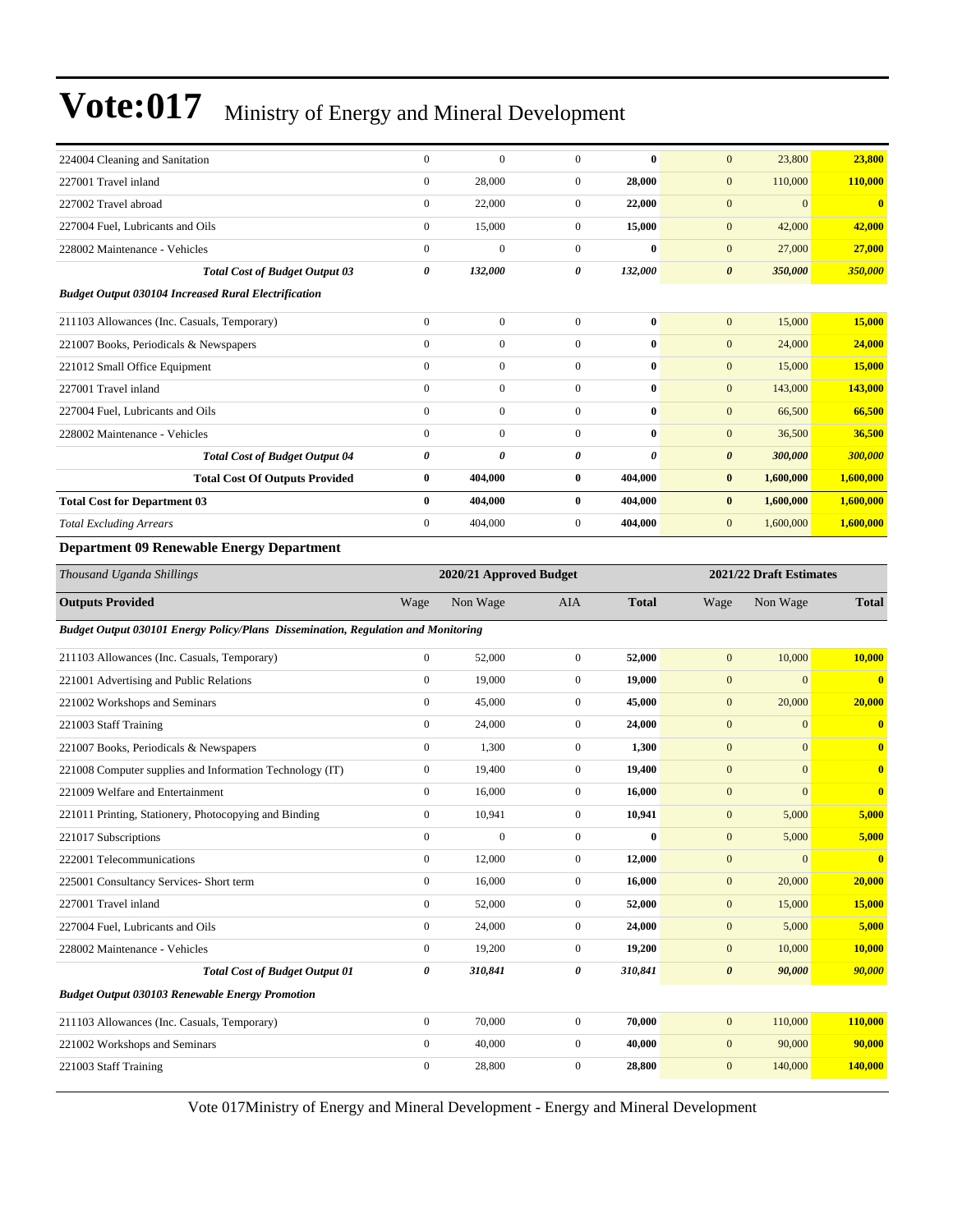| 224004 Cleaning and Sanitation                                                    | $\boldsymbol{0}$ | $\mathbf{0}$     | $\mathbf{0}$     | $\bf{0}$              | $\mathbf{0}$          | 23,800           | 23,800       |  |
|-----------------------------------------------------------------------------------|------------------|------------------|------------------|-----------------------|-----------------------|------------------|--------------|--|
| 227001 Travel inland                                                              | $\boldsymbol{0}$ | 28,000           | $\boldsymbol{0}$ | 28,000                | $\mathbf{0}$          | 110,000          | 110,000      |  |
| 227002 Travel abroad                                                              | $\boldsymbol{0}$ | 22,000           | $\mathbf{0}$     | 22,000                | $\mathbf{0}$          | $\boldsymbol{0}$ | $\bf{0}$     |  |
| 227004 Fuel, Lubricants and Oils                                                  | $\boldsymbol{0}$ | 15,000           | $\boldsymbol{0}$ | 15,000                | $\mathbf{0}$          | 42,000           | 42,000       |  |
| 228002 Maintenance - Vehicles                                                     | $\boldsymbol{0}$ | $\mathbf{0}$     | $\boldsymbol{0}$ | $\bf{0}$              | $\mathbf{0}$          | 27,000           | 27,000       |  |
| <b>Total Cost of Budget Output 03</b>                                             | 0                | 132,000          | 0                | 132,000               | $\boldsymbol{\theta}$ | 350,000          | 350,000      |  |
| <b>Budget Output 030104 Increased Rural Electrification</b>                       |                  |                  |                  |                       |                       |                  |              |  |
| 211103 Allowances (Inc. Casuals, Temporary)                                       | $\boldsymbol{0}$ | $\overline{0}$   | $\mathbf{0}$     | $\bf{0}$              | $\mathbf{0}$          | 15,000           | 15,000       |  |
| 221007 Books, Periodicals & Newspapers                                            | $\boldsymbol{0}$ | $\overline{0}$   | $\boldsymbol{0}$ | $\bf{0}$              | $\mathbf{0}$          | 24,000           | 24,000       |  |
| 221012 Small Office Equipment                                                     | $\mathbf{0}$     | $\boldsymbol{0}$ | $\boldsymbol{0}$ | $\bf{0}$              | $\mathbf{0}$          | 15,000           | 15,000       |  |
| 227001 Travel inland                                                              | $\boldsymbol{0}$ | $\mathbf{0}$     | $\boldsymbol{0}$ | $\bf{0}$              | $\mathbf{0}$          | 143,000          | 143,000      |  |
| 227004 Fuel, Lubricants and Oils                                                  | $\boldsymbol{0}$ | $\mathbf{0}$     | $\boldsymbol{0}$ | $\bf{0}$              | $\mathbf{0}$          | 66,500           | 66,500       |  |
| 228002 Maintenance - Vehicles                                                     | $\boldsymbol{0}$ | $\boldsymbol{0}$ | $\boldsymbol{0}$ | $\bf{0}$              | $\mathbf{0}$          | 36,500           | 36,500       |  |
| <b>Total Cost of Budget Output 04</b>                                             | 0                | 0                | 0                | $\boldsymbol{\theta}$ | $\boldsymbol{\theta}$ | 300,000          | 300,000      |  |
| <b>Total Cost Of Outputs Provided</b>                                             | $\bf{0}$         | 404,000          | 0                | 404,000               | $\bf{0}$              | 1,600,000        | 1,600,000    |  |
| <b>Total Cost for Department 03</b>                                               | $\bf{0}$         | 404,000          | 0                | 404,000               | $\bf{0}$              | 1,600,000        | 1,600,000    |  |
| <b>Total Excluding Arrears</b>                                                    | $\boldsymbol{0}$ | 404,000          | $\boldsymbol{0}$ | 404,000               | $\mathbf{0}$          | 1,600,000        | 1,600,000    |  |
| <b>Department 09 Renewable Energy Department</b>                                  |                  |                  |                  |                       |                       |                  |              |  |
| 2021/22 Draft Estimates<br>Thousand Uganda Shillings<br>2020/21 Approved Budget   |                  |                  |                  |                       |                       |                  |              |  |
| <b>Outputs Provided</b>                                                           | Wage             | Non Wage         | AIA              | <b>Total</b>          | Wage                  | Non Wage         | <b>Total</b> |  |
| Budget Output 030101 Energy Policy/Plans Dissemination, Regulation and Monitoring |                  |                  |                  |                       |                       |                  |              |  |
| 211103 Allowances (Inc. Casuals, Temporary)                                       | $\boldsymbol{0}$ | 52,000           | $\boldsymbol{0}$ | 52,000                | $\mathbf{0}$          | 10,000           | 10,000       |  |
| 221001 Advertising and Public Relations                                           | $\boldsymbol{0}$ | 19,000           | $\boldsymbol{0}$ | 19,000                | $\mathbf{0}$          | $\overline{0}$   | $\bf{0}$     |  |
| 221002 Workshops and Seminars                                                     | $\boldsymbol{0}$ | 45,000           | $\boldsymbol{0}$ | 45,000                | $\mathbf{0}$          | 20,000           | 20,000       |  |
| 221003 Staff Training                                                             | $\boldsymbol{0}$ | 24,000           | $\mathbf{0}$     | 24,000                | $\mathbf{0}$          | $\mathbf{0}$     | $\bf{0}$     |  |
| 221007 Books, Periodicals & Newspapers                                            | $\boldsymbol{0}$ | 1,300            | $\boldsymbol{0}$ | 1,300                 | $\mathbf{0}$          | $\overline{0}$   | $\bf{0}$     |  |
| 221008 Computer supplies and Information Technology (IT)                          | $\boldsymbol{0}$ | 19,400           | $\boldsymbol{0}$ | 19,400                | $\mathbf{0}$          | $\overline{0}$   | $\bf{0}$     |  |
| 221009 Welfare and Entertainment                                                  | $\boldsymbol{0}$ | 16,000           | $\mathbf{0}$     | 16,000                | $\mathbf{0}$          | $\overline{0}$   | $\bf{0}$     |  |
| 221011 Printing, Stationery, Photocopying and Binding                             | $\boldsymbol{0}$ | 10,941           | $\boldsymbol{0}$ | 10,941                | $\mathbf{0}$          | 5,000            | 5,000        |  |
| 221017 Subscriptions                                                              | $\mathbf{0}$     | $\mathbf{0}$     | $\Omega$         | $\bf{0}$              | $\mathbf{0}$          | 5,000            | 5,000        |  |
| 222001 Telecommunications                                                         | $\boldsymbol{0}$ | 12,000           | $\boldsymbol{0}$ | 12,000                | $\mathbf{0}$          | $\boldsymbol{0}$ | $\bf{0}$     |  |
| 225001 Consultancy Services- Short term                                           | $\boldsymbol{0}$ | 16,000           | $\boldsymbol{0}$ | 16,000                | $\boldsymbol{0}$      | 20,000           | 20,000       |  |
| 227001 Travel inland                                                              | $\boldsymbol{0}$ | 52,000           | $\boldsymbol{0}$ | 52,000                | $\mathbf{0}$          | 15,000           | 15,000       |  |
| 227004 Fuel, Lubricants and Oils                                                  | $\boldsymbol{0}$ | 24,000           | $\boldsymbol{0}$ | 24,000                | $\mathbf{0}$          | 5,000            | 5,000        |  |
| 228002 Maintenance - Vehicles                                                     | $\boldsymbol{0}$ | 19,200           | $\boldsymbol{0}$ | 19,200                | $\mathbf{0}$          | 10,000           | 10,000       |  |
| <b>Total Cost of Budget Output 01</b>                                             |                  |                  |                  |                       |                       |                  |              |  |
|                                                                                   | 0                | 310,841          | 0                | 310,841               | $\boldsymbol{\theta}$ | 90,000           | 90,000       |  |
| <b>Budget Output 030103 Renewable Energy Promotion</b>                            |                  |                  |                  |                       |                       |                  |              |  |
| 211103 Allowances (Inc. Casuals, Temporary)                                       | $\boldsymbol{0}$ | 70,000           | $\boldsymbol{0}$ | 70,000                | $\mathbf{0}$          | 110,000          | 110,000      |  |
| 221002 Workshops and Seminars                                                     | $\boldsymbol{0}$ | 40,000           | $\boldsymbol{0}$ | 40,000                | $\mathbf{0}$          | 90,000           | 90,000       |  |
| 221003 Staff Training                                                             | $\boldsymbol{0}$ | 28,800           | $\boldsymbol{0}$ | 28,800                | $\mathbf{0}$          | 140,000          | 140,000      |  |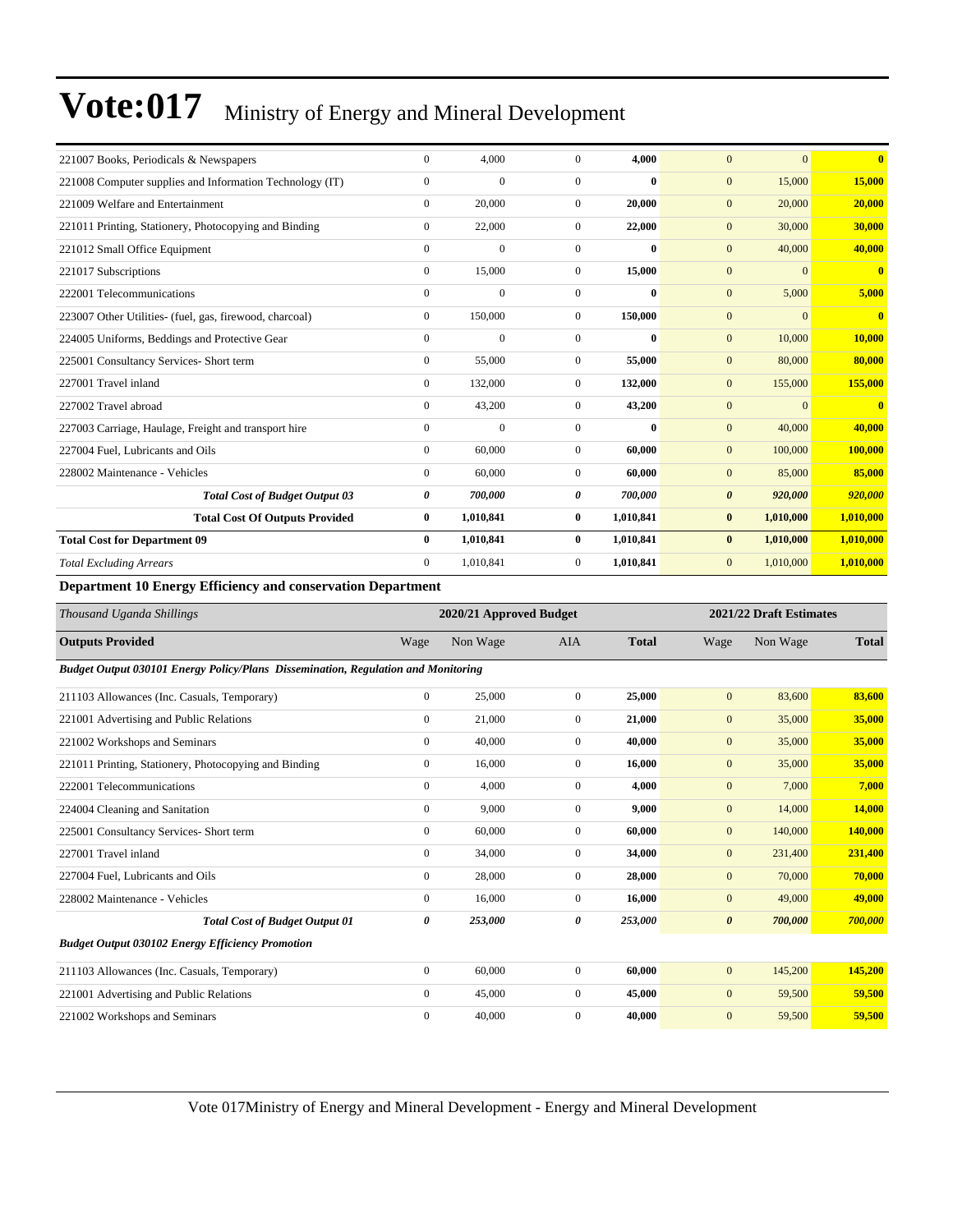| 221007 Books, Periodicals & Newspapers                   | $\mathbf{0}$   | 4,000        | $\Omega$     | 4.000        | $\Omega$<br>$\overline{0}$       | $\bf{0}$                |
|----------------------------------------------------------|----------------|--------------|--------------|--------------|----------------------------------|-------------------------|
| 221008 Computer supplies and Information Technology (IT) | $\Omega$       | $\mathbf{0}$ | $\Omega$     | $\bf{0}$     | $\mathbf{0}$<br>15,000           | 15,000                  |
| 221009 Welfare and Entertainment                         | $\overline{0}$ | 20,000       | $\mathbf{0}$ | 20,000       | $\mathbf{0}$<br>20,000           | 20,000                  |
| 221011 Printing, Stationery, Photocopying and Binding    | $\overline{0}$ | 22,000       | $\mathbf{0}$ | 22,000       | $\mathbf{0}$<br>30,000           | 30,000                  |
| 221012 Small Office Equipment                            | $\overline{0}$ | $\mathbf{0}$ | $\mathbf{0}$ | $\bf{0}$     | $\mathbf{0}$<br>40,000           | 40,000                  |
| 221017 Subscriptions                                     | $\overline{0}$ | 15,000       | $\mathbf{0}$ | 15,000       | $\mathbf{0}$<br>$\boldsymbol{0}$ | $\bf{0}$                |
| 222001 Telecommunications                                | $\Omega$       | $\mathbf{0}$ | $\Omega$     | $\bf{0}$     | $\boldsymbol{0}$<br>5,000        | 5,000                   |
| 223007 Other Utilities- (fuel, gas, firewood, charcoal)  | $\overline{0}$ | 150,000      | $\mathbf{0}$ | 150,000      | $\mathbf{0}$<br>$\Omega$         | $\overline{\mathbf{0}}$ |
| 224005 Uniforms, Beddings and Protective Gear            | $\overline{0}$ | $\mathbf{0}$ | $\mathbf{0}$ | $\mathbf{0}$ | $\mathbf{0}$<br>10,000           | 10,000                  |
| 225001 Consultancy Services- Short term                  | $\overline{0}$ | 55,000       | $\mathbf{0}$ | 55,000       | 80,000<br>$\mathbf{0}$           | 80,000                  |
| 227001 Travel inland                                     | $\overline{0}$ | 132,000      | $\mathbf{0}$ | 132,000      | $\mathbf{0}$<br>155,000          | 155,000                 |
| 227002 Travel abroad                                     | $\overline{0}$ | 43,200       | $\mathbf{0}$ | 43,200       | $\mathbf{0}$<br>$\mathbf{0}$     | $\overline{\mathbf{0}}$ |
| 227003 Carriage, Haulage, Freight and transport hire     | $\theta$       | $\mathbf{0}$ | $\Omega$     | $\mathbf{0}$ | $\mathbf{0}$<br>40,000           | 40,000                  |
| 227004 Fuel. Lubricants and Oils                         | $\overline{0}$ | 60,000       | $\Omega$     | 60,000       | $\mathbf{0}$<br>100,000          | 100,000                 |
| 228002 Maintenance - Vehicles                            | $\overline{0}$ | 60,000       | $\mathbf{0}$ | 60.000       | 85,000<br>$\mathbf{0}$           | 85,000                  |
| <b>Total Cost of Budget Output 03</b>                    | 0              | 700,000      | 0            | 700,000      | $\boldsymbol{\theta}$<br>920,000 | 920,000                 |
| <b>Total Cost Of Outputs Provided</b>                    | $\bf{0}$       | 1,010,841    | $\bf{0}$     | 1,010,841    | $\bf{0}$<br>1,010,000            | 1,010,000               |
| <b>Total Cost for Department 09</b>                      | $\bf{0}$       | 1,010,841    | $\bf{0}$     | 1,010,841    | $\bf{0}$<br>1,010,000            | 1,010,000               |
| <b>Total Excluding Arrears</b>                           | $\Omega$       | 1,010,841    | $\Omega$     | 1,010,841    | $\boldsymbol{0}$<br>1,010,000    | 1,010,000               |
|                                                          |                |              |              |              |                                  |                         |

**Department 10 Energy Efficiency and conservation Department**

| Thousand Uganda Shillings                                                         |                | 2020/21 Approved Budget |                |              |                       | 2021/22 Draft Estimates |              |  |
|-----------------------------------------------------------------------------------|----------------|-------------------------|----------------|--------------|-----------------------|-------------------------|--------------|--|
| <b>Outputs Provided</b>                                                           | Wage           | Non Wage                | <b>AIA</b>     | <b>Total</b> | Wage                  | Non Wage                | <b>Total</b> |  |
| Budget Output 030101 Energy Policy/Plans Dissemination, Regulation and Monitoring |                |                         |                |              |                       |                         |              |  |
| 211103 Allowances (Inc. Casuals, Temporary)                                       | $\overline{0}$ | 25,000                  | $\mathbf{0}$   | 25,000       | $\overline{0}$        | 83,600                  | 83,600       |  |
| 221001 Advertising and Public Relations                                           | $\mathbf{0}$   | 21,000                  | $\overline{0}$ | 21,000       | $\overline{0}$        | 35,000                  | 35,000       |  |
| 221002 Workshops and Seminars                                                     | $\mathbf{0}$   | 40,000                  | $\overline{0}$ | 40,000       | $\mathbf{0}$          | 35,000                  | 35,000       |  |
| 221011 Printing, Stationery, Photocopying and Binding                             | $\mathbf{0}$   | 16,000                  | $\Omega$       | 16.000       | $\overline{0}$        | 35,000                  | 35,000       |  |
| 222001 Telecommunications                                                         | $\mathbf{0}$   | 4,000                   | $\overline{0}$ | 4,000        | $\overline{0}$        | 7,000                   | 7,000        |  |
| 224004 Cleaning and Sanitation                                                    | $\overline{0}$ | 9,000                   | $\overline{0}$ | 9,000        | $\mathbf{0}$          | 14,000                  | 14,000       |  |
| 225001 Consultancy Services- Short term                                           | $\overline{0}$ | 60,000                  | $\overline{0}$ | 60,000       | $\mathbf{0}$          | 140,000                 | 140,000      |  |
| 227001 Travel inland                                                              | $\overline{0}$ | 34,000                  | $\mathbf{0}$   | 34,000       | $\mathbf{0}$          | 231,400                 | 231,400      |  |
| 227004 Fuel, Lubricants and Oils                                                  | $\overline{0}$ | 28,000                  | $\overline{0}$ | 28,000       | $\mathbf{0}$          | 70,000                  | 70,000       |  |
| 228002 Maintenance - Vehicles                                                     | $\overline{0}$ | 16,000                  | $\mathbf{0}$   | 16.000       | $\overline{0}$        | 49,000                  | 49,000       |  |
| <b>Total Cost of Budget Output 01</b>                                             | 0              | 253,000                 | 0              | 253,000      | $\boldsymbol{\theta}$ | 700,000                 | 700,000      |  |
| <b>Budget Output 030102 Energy Efficiency Promotion</b>                           |                |                         |                |              |                       |                         |              |  |
| 211103 Allowances (Inc. Casuals, Temporary)                                       | $\overline{0}$ | 60,000                  | $\mathbf{0}$   | 60,000       | $\overline{0}$        | 145,200                 | 145,200      |  |
| 221001 Advertising and Public Relations                                           | $\overline{0}$ | 45,000                  | $\overline{0}$ | 45,000       | $\overline{0}$        | 59,500                  | 59,500       |  |
| 221002 Workshops and Seminars                                                     | $\mathbf{0}$   | 40,000                  | $\mathbf{0}$   | 40,000       | $\overline{0}$        | 59,500                  | 59,500       |  |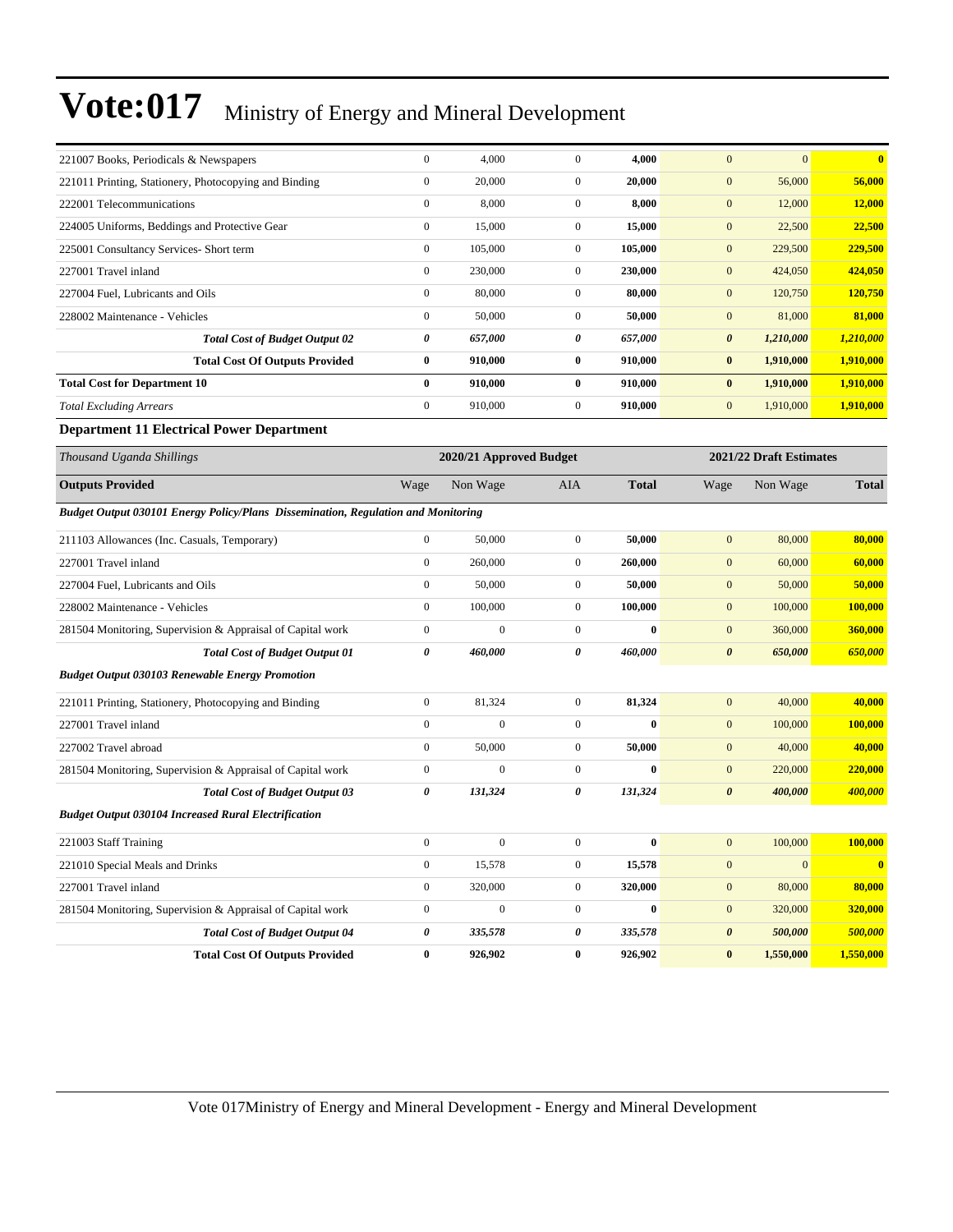| 221007 Books, Periodicals & Newspapers                                            | $\mathbf{0}$          | 4,000                   | $\mathbf{0}$     | 4,000        | $\mathbf{0}$          | $\mathbf{0}$            | $\mathbf{0}$   |
|-----------------------------------------------------------------------------------|-----------------------|-------------------------|------------------|--------------|-----------------------|-------------------------|----------------|
| 221011 Printing, Stationery, Photocopying and Binding                             | $\boldsymbol{0}$      | 20,000                  | $\overline{0}$   | 20,000       | $\mathbf{0}$          | 56,000                  | 56,000         |
| 222001 Telecommunications                                                         | $\mathbf{0}$          | 8,000                   | $\overline{0}$   | 8,000        | $\mathbf{0}$          | 12,000                  | <b>12,000</b>  |
| 224005 Uniforms, Beddings and Protective Gear                                     | $\mathbf{0}$          | 15,000                  | $\mathbf{0}$     | 15,000       | $\mathbf{0}$          | 22,500                  | 22,500         |
| 225001 Consultancy Services- Short term                                           | $\boldsymbol{0}$      | 105,000                 | $\mathbf{0}$     | 105,000      | $\mathbf{0}$          | 229,500                 | 229,500        |
| 227001 Travel inland                                                              | $\boldsymbol{0}$      | 230,000                 | $\mathbf{0}$     | 230,000      | $\mathbf{0}$          | 424,050                 | 424,050        |
| 227004 Fuel, Lubricants and Oils                                                  | $\boldsymbol{0}$      | 80,000                  | $\mathbf{0}$     | 80,000       | $\mathbf{0}$          | 120,750                 | 120,750        |
| 228002 Maintenance - Vehicles                                                     | $\mathbf{0}$          | 50,000                  | $\mathbf{0}$     | 50,000       | $\boldsymbol{0}$      | 81,000                  | 81,000         |
| <b>Total Cost of Budget Output 02</b>                                             | 0                     | 657,000                 | 0                | 657,000      | $\boldsymbol{\theta}$ | 1,210,000               | 1,210,000      |
| <b>Total Cost Of Outputs Provided</b>                                             | $\bf{0}$              | 910,000                 | $\bf{0}$         | 910,000      | $\bf{0}$              | 1,910,000               | 1,910,000      |
| <b>Total Cost for Department 10</b>                                               | $\bf{0}$              | 910,000                 | $\bf{0}$         | 910,000      | $\bf{0}$              | 1,910,000               | 1,910,000      |
| <b>Total Excluding Arrears</b>                                                    | $\boldsymbol{0}$      | 910,000                 | $\mathbf{0}$     | 910,000      | $\mathbf{0}$          | 1,910,000               | 1,910,000      |
| <b>Department 11 Electrical Power Department</b>                                  |                       |                         |                  |              |                       |                         |                |
| Thousand Uganda Shillings                                                         |                       | 2020/21 Approved Budget |                  |              |                       | 2021/22 Draft Estimates |                |
| <b>Outputs Provided</b>                                                           | Wage                  | Non Wage                | AIA              | <b>Total</b> | Wage                  | Non Wage                | <b>Total</b>   |
| Budget Output 030101 Energy Policy/Plans Dissemination, Regulation and Monitoring |                       |                         |                  |              |                       |                         |                |
| 211103 Allowances (Inc. Casuals, Temporary)                                       | $\mathbf{0}$          | 50,000                  | $\overline{0}$   | 50,000       | $\mathbf{0}$          | 80,000                  | 80,000         |
| 227001 Travel inland                                                              | $\mathbf{0}$          | 260,000                 | $\mathbf{0}$     | 260,000      | $\mathbf{0}$          | 60,000                  | 60,000         |
| 227004 Fuel, Lubricants and Oils                                                  | $\boldsymbol{0}$      | 50,000                  | $\mathbf{0}$     | 50,000       | $\mathbf{0}$          | 50,000                  | 50,000         |
| 228002 Maintenance - Vehicles                                                     | $\mathbf{0}$          | 100,000                 | $\mathbf{0}$     | 100,000      | $\mathbf{0}$          | 100,000                 | 100,000        |
| 281504 Monitoring, Supervision & Appraisal of Capital work                        | $\boldsymbol{0}$      | $\boldsymbol{0}$        | $\mathbf{0}$     | $\bf{0}$     | $\mathbf{0}$          | 360,000                 | 360,000        |
| <b>Total Cost of Budget Output 01</b>                                             | $\boldsymbol{\theta}$ | 460,000                 | 0                | 460,000      | $\boldsymbol{\theta}$ | 650,000                 | 650,000        |
| <b>Budget Output 030103 Renewable Energy Promotion</b>                            |                       |                         |                  |              |                       |                         |                |
| 221011 Printing, Stationery, Photocopying and Binding                             | $\boldsymbol{0}$      | 81,324                  | $\overline{0}$   | 81,324       | $\mathbf{0}$          | 40,000                  | 40,000         |
| 227001 Travel inland                                                              | $\boldsymbol{0}$      | $\overline{0}$          | $\overline{0}$   | $\bf{0}$     | $\mathbf{0}$          | 100,000                 | 100,000        |
| 227002 Travel abroad                                                              | $\boldsymbol{0}$      | 50,000                  | $\mathbf{0}$     | 50,000       | $\mathbf{0}$          | 40,000                  | 40,000         |
| 281504 Monitoring, Supervision & Appraisal of Capital work                        | $\boldsymbol{0}$      | $\mathbf{0}$            | $\mathbf{0}$     | $\bf{0}$     | $\mathbf{0}$          | 220,000                 | 220,000        |
| <b>Total Cost of Budget Output 03</b>                                             | $\pmb{\theta}$        | 131,324                 | 0                | 131,324      | $\boldsymbol{\theta}$ | 400,000                 | 400,000        |
| <b>Budget Output 030104 Increased Rural Electrification</b>                       |                       |                         |                  |              |                       |                         |                |
| 221003 Staff Training                                                             | $\boldsymbol{0}$      | $\boldsymbol{0}$        | $\boldsymbol{0}$ | $\bf{0}$     | $\bf{0}$              | 100,000                 | <b>100,000</b> |
| 221010 Special Meals and Drinks                                                   | $\boldsymbol{0}$      | 15,578                  | $\boldsymbol{0}$ | 15,578       | $\boldsymbol{0}$      | $\boldsymbol{0}$        | $\bf{0}$       |
| 227001 Travel inland                                                              | $\boldsymbol{0}$      | 320,000                 | $\boldsymbol{0}$ | 320,000      | $\boldsymbol{0}$      | 80,000                  | 80,000         |
| 281504 Monitoring, Supervision & Appraisal of Capital work                        | $\boldsymbol{0}$      | $\boldsymbol{0}$        | $\boldsymbol{0}$ | $\bf{0}$     | $\mathbf{0}$          | 320,000                 | 320,000        |
| <b>Total Cost of Budget Output 04</b>                                             | $\pmb{\theta}$        | 335,578                 | 0                | 335,578      | $\pmb{\theta}$        | 500,000                 | 500,000        |
| <b>Total Cost Of Outputs Provided</b>                                             | $\bf{0}$              | 926,902                 | $\bf{0}$         | 926,902      | $\bf{0}$              | 1,550,000               | 1,550,000      |
|                                                                                   |                       |                         |                  |              |                       |                         |                |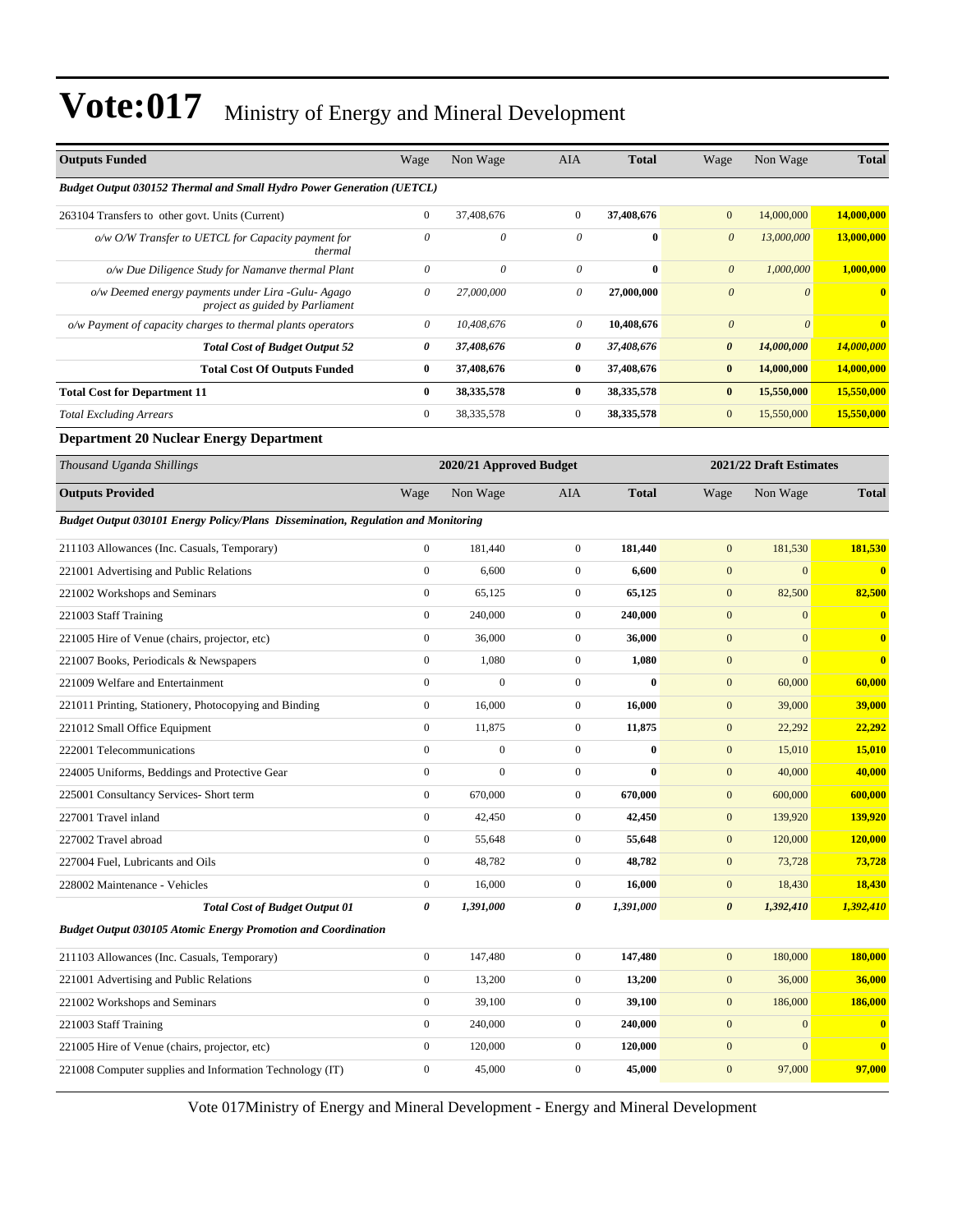| <b>Outputs Funded</b>                                                                  | Wage                  | Non Wage                | AIA              | <b>Total</b> | Wage                      | Non Wage                | <b>Total</b>            |
|----------------------------------------------------------------------------------------|-----------------------|-------------------------|------------------|--------------|---------------------------|-------------------------|-------------------------|
| <b>Budget Output 030152 Thermal and Small Hydro Power Generation (UETCL)</b>           |                       |                         |                  |              |                           |                         |                         |
| 263104 Transfers to other govt. Units (Current)                                        | $\boldsymbol{0}$      | 37,408,676              | $\mathbf{0}$     | 37,408,676   | $\mathbf{0}$              | 14,000,000              | 14,000,000              |
| o/w O/W Transfer to UETCL for Capacity payment for<br>thermal                          | $\theta$              | 0                       | $\theta$         | $\bf{0}$     | $\boldsymbol{\theta}$     | 13,000,000              | 13,000,000              |
| o/w Due Diligence Study for Namanve thermal Plant                                      | 0                     | $\boldsymbol{\theta}$   | $\theta$         | $\bf{0}$     | $\boldsymbol{0}$          | 1,000,000               | 1,000,000               |
| o/w Deemed energy payments under Lira - Gulu- Agago<br>project as guided by Parliament | $\theta$              | 27,000,000              | 0                | 27,000,000   | $\boldsymbol{\mathit{0}}$ | $\theta$                | $\bf{0}$                |
| o/w Payment of capacity charges to thermal plants operators                            | $\boldsymbol{\theta}$ | 10,408,676              | 0                | 10,408,676   | $\boldsymbol{0}$          | $\theta$                | $\overline{\mathbf{0}}$ |
| <b>Total Cost of Budget Output 52</b>                                                  | 0                     | 37,408,676              | 0                | 37,408,676   | 0                         | 14,000,000              | 14,000,000              |
| <b>Total Cost Of Outputs Funded</b>                                                    | $\bf{0}$              | 37,408,676              | $\bf{0}$         | 37,408,676   | $\bf{0}$                  | 14,000,000              | 14,000,000              |
| <b>Total Cost for Department 11</b>                                                    | $\bf{0}$              | 38,335,578              | $\bf{0}$         | 38, 335, 578 | $\bf{0}$                  | 15,550,000              | 15,550,000              |
| <b>Total Excluding Arrears</b>                                                         | $\boldsymbol{0}$      | 38, 335, 578            | $\mathbf{0}$     | 38, 335, 578 | $\boldsymbol{0}$          | 15,550,000              | 15,550,000              |
| <b>Department 20 Nuclear Energy Department</b>                                         |                       |                         |                  |              |                           |                         |                         |
| Thousand Uganda Shillings                                                              |                       | 2020/21 Approved Budget |                  |              |                           | 2021/22 Draft Estimates |                         |
| <b>Outputs Provided</b>                                                                | Wage                  | Non Wage                | AIA              | <b>Total</b> | Wage                      | Non Wage                | <b>Total</b>            |
| Budget Output 030101 Energy Policy/Plans Dissemination, Regulation and Monitoring      |                       |                         |                  |              |                           |                         |                         |
| 211103 Allowances (Inc. Casuals, Temporary)                                            | $\boldsymbol{0}$      | 181.440                 | $\mathbf{0}$     | 181,440      | $\boldsymbol{0}$          | 181,530                 | 181,530                 |
| 221001 Advertising and Public Relations                                                | $\boldsymbol{0}$      | 6,600                   | $\mathbf{0}$     | 6,600        | $\boldsymbol{0}$          | $\boldsymbol{0}$        | $\bf{0}$                |
| 221002 Workshops and Seminars                                                          | $\boldsymbol{0}$      | 65,125                  | $\mathbf{0}$     | 65,125       | $\boldsymbol{0}$          | 82,500                  | 82,500                  |
| 221003 Staff Training                                                                  | $\boldsymbol{0}$      | 240,000                 | $\mathbf{0}$     | 240,000      | $\boldsymbol{0}$          | $\overline{0}$          | $\bf{0}$                |
| 221005 Hire of Venue (chairs, projector, etc)                                          | $\boldsymbol{0}$      | 36,000                  | $\mathbf{0}$     | 36,000       | $\boldsymbol{0}$          | $\mathbf{0}$            | $\mathbf{0}$            |
| 221007 Books, Periodicals & Newspapers                                                 | $\boldsymbol{0}$      | 1,080                   | $\mathbf{0}$     | 1,080        | $\boldsymbol{0}$          | $\overline{0}$          | $\mathbf{0}$            |
| 221009 Welfare and Entertainment                                                       | $\boldsymbol{0}$      | $\boldsymbol{0}$        | $\mathbf{0}$     | $\bf{0}$     | $\boldsymbol{0}$          | 60,000                  | 60,000                  |
| 221011 Printing, Stationery, Photocopying and Binding                                  | $\boldsymbol{0}$      | 16,000                  | $\mathbf{0}$     | 16,000       | $\boldsymbol{0}$          | 39,000                  | 39,000                  |
| 221012 Small Office Equipment                                                          | $\boldsymbol{0}$      | 11,875                  | $\mathbf{0}$     | 11,875       | $\mathbf{0}$              | 22,292                  | 22,292                  |
| 222001 Telecommunications                                                              | $\mathbf{0}$          | $\boldsymbol{0}$        | $\mathbf{0}$     | $\bf{0}$     | $\boldsymbol{0}$          | 15,010                  | 15,010                  |
| 224005 Uniforms, Beddings and Protective Gear                                          | $\boldsymbol{0}$      | $\mathbf{0}$            | $\mathbf{0}$     | $\bf{0}$     | $\boldsymbol{0}$          | 40,000                  | 40,000                  |
| 225001 Consultancy Services- Short term                                                | $\boldsymbol{0}$      | 670,000                 | $\mathbf{0}$     | 670,000      | $\mathbf{0}$              | 600,000                 | 600,000                 |
| 227001 Travel inland                                                                   | $\boldsymbol{0}$      | 42,450                  | $\mathbf{0}$     | 42,450       | $\boldsymbol{0}$          | 139,920                 | 139,920                 |
| 227002 Travel abroad                                                                   | $\boldsymbol{0}$      | 55,648                  | $\boldsymbol{0}$ | 55,648       | $\bf{0}$                  | 120,000                 | 120,000                 |
| 227004 Fuel, Lubricants and Oils                                                       | $\boldsymbol{0}$      | 48,782                  | $\boldsymbol{0}$ | 48,782       | $\boldsymbol{0}$          | 73,728                  | 73,728                  |
| 228002 Maintenance - Vehicles                                                          | $\boldsymbol{0}$      | 16,000                  | $\boldsymbol{0}$ | 16,000       | $\boldsymbol{0}$          | 18,430                  | 18,430                  |
| <b>Total Cost of Budget Output 01</b>                                                  | 0                     | 1,391,000               | 0                | 1,391,000    | $\boldsymbol{\theta}$     | 1,392,410               | 1,392,410               |
| <b>Budget Output 030105 Atomic Energy Promotion and Coordination</b>                   |                       |                         |                  |              |                           |                         |                         |
| 211103 Allowances (Inc. Casuals, Temporary)                                            | $\boldsymbol{0}$      | 147,480                 | $\boldsymbol{0}$ | 147,480      | $\mathbf{0}$              | 180,000                 | 180,000                 |
| 221001 Advertising and Public Relations                                                | $\boldsymbol{0}$      | 13,200                  | $\boldsymbol{0}$ | 13,200       | $\boldsymbol{0}$          | 36,000                  | 36,000                  |
| 221002 Workshops and Seminars                                                          | $\boldsymbol{0}$      | 39,100                  | $\boldsymbol{0}$ | 39,100       | $\boldsymbol{0}$          | 186,000                 | 186,000                 |
| 221003 Staff Training                                                                  | $\boldsymbol{0}$      | 240,000                 | $\boldsymbol{0}$ | 240,000      | $\boldsymbol{0}$          | $\mathbf{0}$            | $\mathbf{0}$            |
| 221005 Hire of Venue (chairs, projector, etc)                                          | $\boldsymbol{0}$      | 120,000                 | $\boldsymbol{0}$ | 120,000      | $\boldsymbol{0}$          | $\boldsymbol{0}$        | $\bf{0}$                |
| 221008 Computer supplies and Information Technology (IT)                               | $\boldsymbol{0}$      | 45,000                  | $\boldsymbol{0}$ | 45,000       | $\boldsymbol{0}$          | 97,000                  | 97,000                  |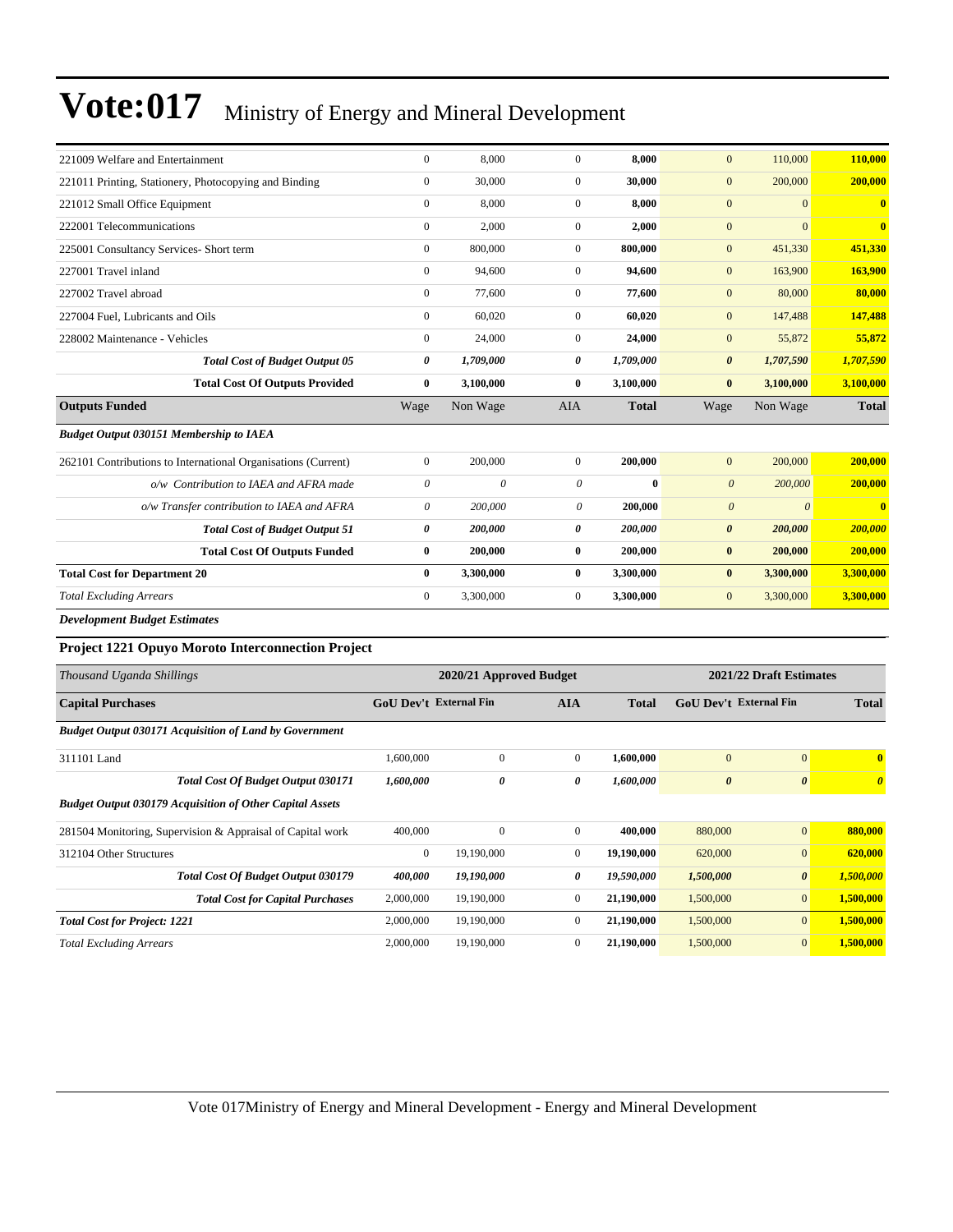| 221009 Welfare and Entertainment                                | $\boldsymbol{0}$          | 8,000                   | $\mathbf{0}$          | 8,000        | $\mathbf{0}$                  | 110,000                 | 110,000               |
|-----------------------------------------------------------------|---------------------------|-------------------------|-----------------------|--------------|-------------------------------|-------------------------|-----------------------|
| 221011 Printing, Stationery, Photocopying and Binding           | $\boldsymbol{0}$          | 30,000                  | $\boldsymbol{0}$      | 30,000       | $\mathbf{0}$                  | 200,000                 | 200,000               |
| 221012 Small Office Equipment                                   | $\boldsymbol{0}$          | 8,000                   | $\boldsymbol{0}$      | 8,000        | $\mathbf{0}$                  | $\boldsymbol{0}$        | $\bf{0}$              |
| 222001 Telecommunications                                       | $\boldsymbol{0}$          | 2,000                   | $\mathbf{0}$          | 2,000        | $\mathbf{0}$                  | $\mathbf{0}$            | $\bf{0}$              |
| 225001 Consultancy Services- Short term                         | $\boldsymbol{0}$          | 800,000                 | $\mathbf{0}$          | 800,000      | $\boldsymbol{0}$              | 451,330                 | 451,330               |
| 227001 Travel inland                                            | $\boldsymbol{0}$          | 94,600                  | $\mathbf{0}$          | 94,600       | $\boldsymbol{0}$              | 163,900                 | 163,900               |
| 227002 Travel abroad                                            | $\boldsymbol{0}$          | 77,600                  | $\mathbf{0}$          | 77,600       | $\boldsymbol{0}$              | 80,000                  | 80,000                |
| 227004 Fuel, Lubricants and Oils                                | $\boldsymbol{0}$          | 60,020                  | $\boldsymbol{0}$      | 60,020       | $\boldsymbol{0}$              | 147,488                 | 147,488               |
| 228002 Maintenance - Vehicles                                   | $\boldsymbol{0}$          | 24,000                  | $\mathbf{0}$          | 24,000       | $\boldsymbol{0}$              | 55,872                  | 55,872                |
| <b>Total Cost of Budget Output 05</b>                           | 0                         | 1,709,000               | 0                     | 1,709,000    | $\boldsymbol{\theta}$         | 1,707,590               | 1,707,590             |
| <b>Total Cost Of Outputs Provided</b>                           | $\bf{0}$                  | 3,100,000               | $\bf{0}$              | 3,100,000    | $\bf{0}$                      | 3,100,000               | 3,100,000             |
| <b>Outputs Funded</b>                                           | Wage                      | Non Wage                | AIA                   | Total        | Wage                          | Non Wage                | <b>Total</b>          |
| <b>Budget Output 030151 Membership to IAEA</b>                  |                           |                         |                       |              |                               |                         |                       |
| 262101 Contributions to International Organisations (Current)   | $\boldsymbol{0}$          | 200,000                 | $\mathbf{0}$          | 200,000      | $\mathbf{0}$                  | 200,000                 | 200,000               |
| o/w Contribution to IAEA and AFRA made                          | $\boldsymbol{\mathit{0}}$ | 0                       | $\boldsymbol{\theta}$ | $\bf{0}$     | $\boldsymbol{\theta}$         | 200,000                 | 200,000               |
| o/w Transfer contribution to IAEA and AFRA                      | 0                         | 200,000                 | 0                     | 200,000      | $\boldsymbol{\theta}$         | $\boldsymbol{\theta}$   | $\bf{0}$              |
| <b>Total Cost of Budget Output 51</b>                           | 0                         | 200,000                 | 0                     | 200,000      | $\boldsymbol{\theta}$         | 200,000                 | 200,000               |
| <b>Total Cost Of Outputs Funded</b>                             | $\bf{0}$                  | 200,000                 | $\bf{0}$              | 200,000      | $\bf{0}$                      | 200,000                 | 200,000               |
| <b>Total Cost for Department 20</b>                             | $\bf{0}$                  | 3,300,000               | $\bf{0}$              | 3,300,000    | $\bf{0}$                      | 3,300,000               | 3,300,000             |
| <b>Total Excluding Arrears</b>                                  | $\mathbf{0}$              | 3,300,000               | $\boldsymbol{0}$      | 3,300,000    | $\boldsymbol{0}$              | 3,300,000               | 3,300,000             |
| <b>Development Budget Estimates</b>                             |                           |                         |                       |              |                               |                         |                       |
| Project 1221 Opuyo Moroto Interconnection Project               |                           |                         |                       |              |                               |                         |                       |
| Thousand Uganda Shillings                                       |                           | 2020/21 Approved Budget |                       |              |                               | 2021/22 Draft Estimates |                       |
| <b>Capital Purchases</b>                                        | GoU Dev't External Fin    |                         | <b>AIA</b>            | <b>Total</b> | <b>GoU Dev't External Fin</b> |                         | <b>Total</b>          |
| <b>Budget Output 030171 Acquisition of Land by Government</b>   |                           |                         |                       |              |                               |                         |                       |
| 311101 Land                                                     | 1,600,000                 | $\boldsymbol{0}$        | $\boldsymbol{0}$      | 1,600,000    | $\mathbf{0}$                  | $\boldsymbol{0}$        | $\bf{0}$              |
| <b>Total Cost Of Budget Output 030171</b>                       | 1,600,000                 | 0                       | 0                     | 1,600,000    | $\boldsymbol{\theta}$         | $\boldsymbol{\theta}$   | $\boldsymbol{\theta}$ |
| <b>Budget Output 030179 Acquisition of Other Capital Assets</b> |                           |                         |                       |              |                               |                         |                       |
| 281504 Monitoring, Supervision & Appraisal of Capital work      | 400,000                   | $\boldsymbol{0}$        | $\boldsymbol{0}$      | 400,000      | 880,000                       | $\mathbf{0}$            | 880,000               |
| 312104 Other Structures                                         | $\boldsymbol{0}$          | 19,190,000              | $\boldsymbol{0}$      | 19,190,000   | 620,000                       | $\bf{0}$                | 620,000               |
| Total Cost Of Budget Output 030179                              | 400,000                   | 19,190,000              | 0                     | 19,590,000   | 1,500,000                     | $\pmb{\theta}$          | 1,500,000             |
| <b>Total Cost for Capital Purchases</b>                         | 2,000,000                 | 19,190,000              | $\boldsymbol{0}$      | 21,190,000   | 1,500,000                     | $\boldsymbol{0}$        | 1,500,000             |
| <b>Total Cost for Project: 1221</b>                             | 2,000,000                 | 19,190,000              | $\boldsymbol{0}$      | 21,190,000   | 1,500,000                     | $\boldsymbol{0}$        | 1,500,000             |
| <b>Total Excluding Arrears</b>                                  | 2,000,000                 | 19,190,000              | $\boldsymbol{0}$      | 21,190,000   | 1,500,000                     | $\mathbf{0}$            | 1,500,000             |
|                                                                 |                           |                         |                       |              |                               |                         |                       |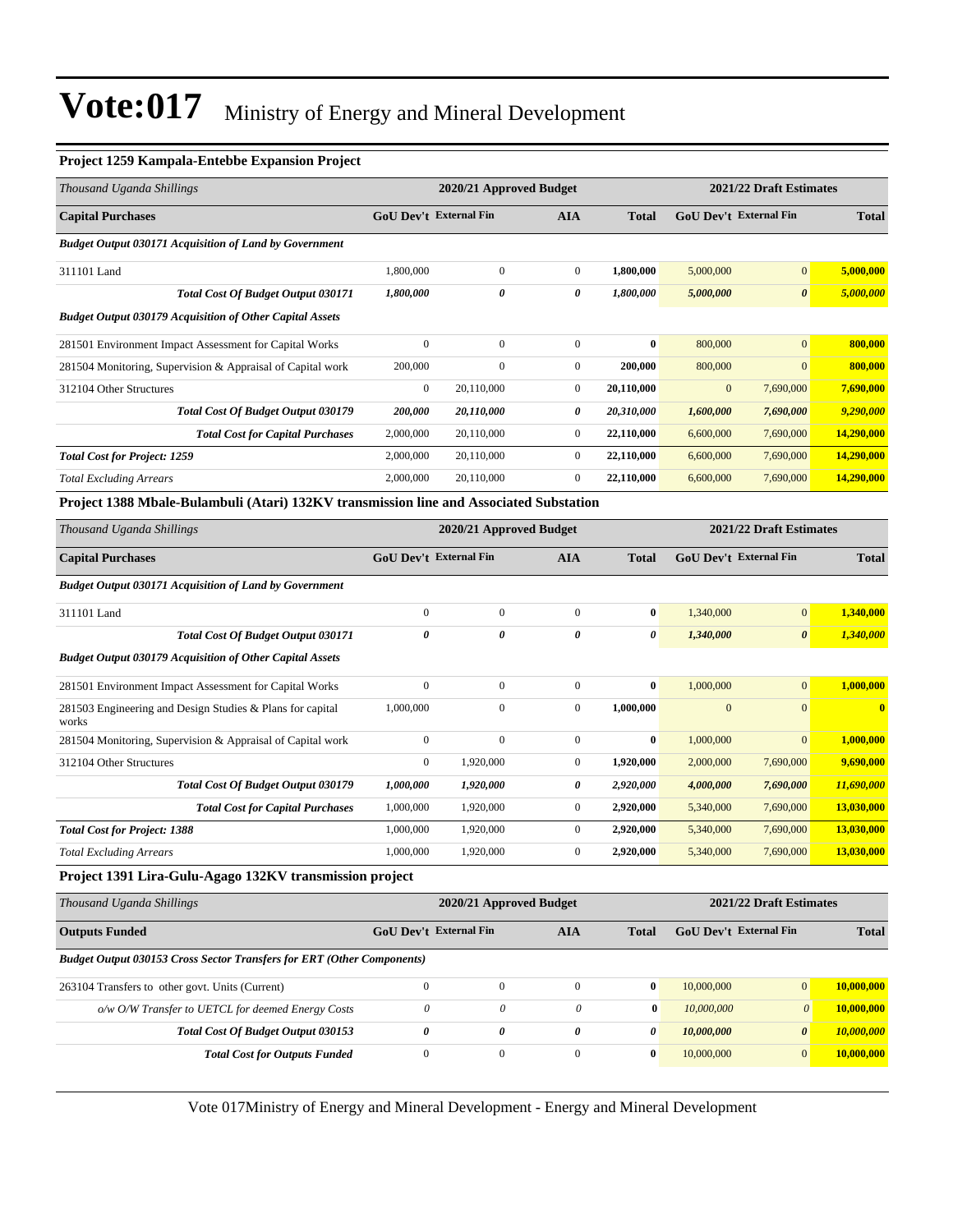#### **Project 1259 Kampala-Entebbe Expansion Project**

| Thousand Uganda Shillings                                                              |                | 2020/21 Approved Budget       |                       |              |                               | 2021/22 Draft Estimates |              |  |  |
|----------------------------------------------------------------------------------------|----------------|-------------------------------|-----------------------|--------------|-------------------------------|-------------------------|--------------|--|--|
| <b>Capital Purchases</b>                                                               |                | <b>GoU Dev't External Fin</b> | <b>AIA</b>            | <b>Total</b> | <b>GoU Dev't External Fin</b> |                         | <b>Total</b> |  |  |
| <b>Budget Output 030171 Acquisition of Land by Government</b>                          |                |                               |                       |              |                               |                         |              |  |  |
| 311101 Land                                                                            | 1,800,000      | $\boldsymbol{0}$              | $\boldsymbol{0}$      | 1,800,000    | 5,000,000                     | $\overline{0}$          | 5,000,000    |  |  |
| <b>Total Cost Of Budget Output 030171</b>                                              | 1,800,000      | 0                             | 0                     | 1,800,000    | 5,000,000                     | $\boldsymbol{\theta}$   | 5,000,000    |  |  |
| <b>Budget Output 030179 Acquisition of Other Capital Assets</b>                        |                |                               |                       |              |                               |                         |              |  |  |
| 281501 Environment Impact Assessment for Capital Works                                 | $\overline{0}$ | $\mathbf{0}$                  | $\boldsymbol{0}$      | $\bf{0}$     | 800,000                       | $\overline{0}$          | 800,000      |  |  |
| 281504 Monitoring, Supervision & Appraisal of Capital work                             | 200,000        | $\Omega$                      | $\boldsymbol{0}$      | 200,000      | 800,000                       | $\Omega$                | 800,000      |  |  |
| 312104 Other Structures                                                                | $\overline{0}$ | 20,110,000                    | $\boldsymbol{0}$      | 20,110,000   | $\boldsymbol{0}$              | 7,690,000               | 7,690,000    |  |  |
| Total Cost Of Budget Output 030179                                                     | 200,000        | 20,110,000                    | 0                     | 20,310,000   | 1,600,000                     | 7,690,000               | 9,290,000    |  |  |
| <b>Total Cost for Capital Purchases</b>                                                | 2,000,000      | 20,110,000                    | $\mathbf{0}$          | 22,110,000   | 6,600,000                     | 7,690,000               | 14,290,000   |  |  |
| <b>Total Cost for Project: 1259</b>                                                    | 2,000,000      | 20,110,000                    | $\mathbf{0}$          | 22,110,000   | 6,600,000                     | 7,690,000               | 14,290,000   |  |  |
| <b>Total Excluding Arrears</b>                                                         | 2,000,000      | 20,110,000                    | $\mathbf{0}$          | 22,110,000   | 6,600,000                     | 7,690,000               | 14,290,000   |  |  |
| Project 1388 Mbale-Bulambuli (Atari) 132KV transmission line and Associated Substation |                |                               |                       |              |                               |                         |              |  |  |
| Thousand Uganda Shillings                                                              |                | 2020/21 Approved Budget       |                       |              |                               | 2021/22 Draft Estimates |              |  |  |
| <b>Capital Purchases</b>                                                               |                | <b>GoU Dev't External Fin</b> | <b>AIA</b>            | <b>Total</b> | <b>GoU Dev't External Fin</b> |                         | <b>Total</b> |  |  |
| <b>Budget Output 030171 Acquisition of Land by Government</b>                          |                |                               |                       |              |                               |                         |              |  |  |
| 311101 Land                                                                            | $\overline{0}$ | $\mathbf{0}$                  | $\mathbf{0}$          | $\bf{0}$     | 1,340,000                     | $\overline{0}$          | 1,340,000    |  |  |
| Total Cost Of Budget Output 030171                                                     | $\theta$       | 0                             | $\boldsymbol{\theta}$ | 0            | 1,340,000                     | $\boldsymbol{\theta}$   | 1,340,000    |  |  |
| <b>Budget Output 030179 Acquisition of Other Capital Assets</b>                        |                |                               |                       |              |                               |                         |              |  |  |
| 281501 Environment Impact Assessment for Capital Works                                 | $\mathbf{0}$   | $\mathbf{0}$                  | $\mathbf{0}$          | $\bf{0}$     | 1,000,000                     | $\overline{0}$          | 1,000,000    |  |  |
| 281503 Engineering and Design Studies & Plans for capital                              | 1.000.000      | $\mathbf{0}$                  | $\mathbf{0}$          | 1,000,000    | $\mathbf{0}$                  | $\overline{0}$          | $\mathbf{0}$ |  |  |

| works                                                      |           |           |           |           |                |            |
|------------------------------------------------------------|-----------|-----------|-----------|-----------|----------------|------------|
| 281504 Monitoring, Supervision & Appraisal of Capital work | $\Omega$  |           | $\bf{0}$  | 1,000,000 | $\overline{0}$ | 1.000.000  |
| 312104 Other Structures                                    | 0         | 1.920.000 | 1.920.000 | 2,000,000 | 7,690,000      | 9,690,000  |
| <b>Total Cost Of Budget Output 030179</b>                  | 1,000,000 | 1,920,000 | 2,920,000 | 4,000,000 | 7,690,000      | 11,690,000 |
| <b>Total Cost for Capital Purchases</b>                    | 1,000,000 | 1.920.000 | 2,920,000 | 5.340,000 | 7.690,000      | 13,030,000 |
| <b>Total Cost for Project: 1388</b>                        | 1,000,000 | 1,920,000 | 2,920,000 | 5,340,000 | 7,690,000      | 13,030,000 |
| <b>Total Excluding Arrears</b>                             | 1,000,000 | 1.920.000 | 2,920,000 | 5,340,000 | 7,690,000      | 13,030,000 |

#### **Project 1391 Lira-Gulu-Agago 132KV transmission project**

| 2021/22 Draft Estimates<br>2020/21 Approved Budget                            |              |                               |              |              |  |                                                                                           |  |
|-------------------------------------------------------------------------------|--------------|-------------------------------|--------------|--------------|--|-------------------------------------------------------------------------------------------|--|
|                                                                               |              | AIA                           | <b>Total</b> |              |  | <b>Total</b>                                                                              |  |
| <b>Budget Output 030153 Cross Sector Transfers for ERT (Other Components)</b> |              |                               |              |              |  |                                                                                           |  |
| $\Omega$                                                                      | $\mathbf{0}$ | $\mathbf{0}$                  | $\bf{0}$     | 10,000,000   |  | 10,000,000                                                                                |  |
| $\theta$                                                                      | $\theta$     | $\theta$                      |              | 10,000,000   |  | 10,000,000                                                                                |  |
| 0                                                                             | 0            | 0                             | 0            | 10,000,000   |  | 10,000,000                                                                                |  |
| $\mathbf{0}$                                                                  | $\mathbf{0}$ | $\overline{0}$                | $\bf{0}$     | 10,000,000   |  | 10,000,000                                                                                |  |
|                                                                               |              | <b>GoU Dev't External Fin</b> |              | $\mathbf{0}$ |  | GoU Dev't External Fin<br>$\overline{0}$<br>$\theta$<br>$\boldsymbol{\theta}$<br>$\Omega$ |  |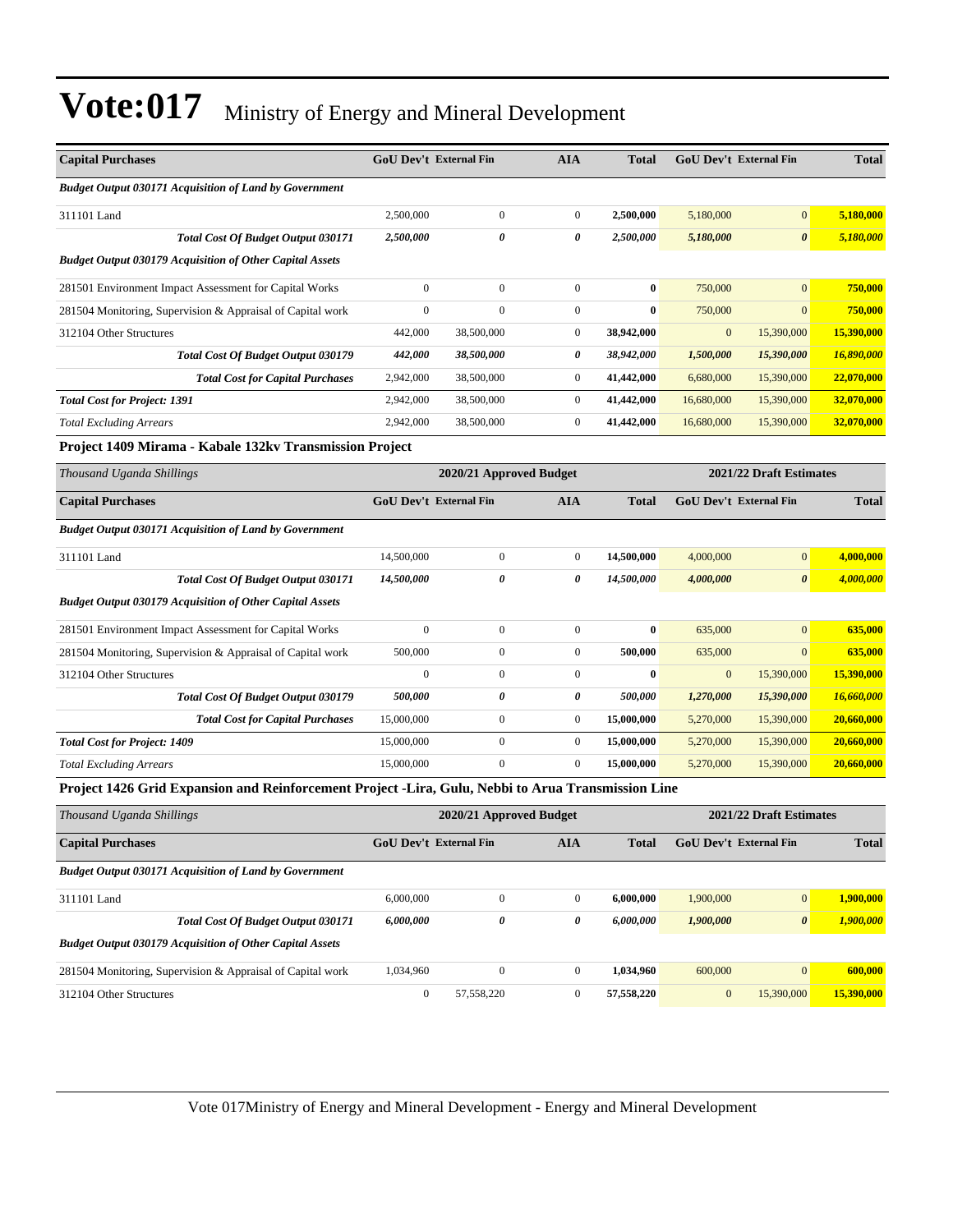| <b>Capital Purchases</b>                                                                           | <b>GoU Dev't External Fin</b>                      |                         | <b>AIA</b>       | <b>Total</b> |              | GoU Dev't External Fin        | <b>Total</b> |
|----------------------------------------------------------------------------------------------------|----------------------------------------------------|-------------------------|------------------|--------------|--------------|-------------------------------|--------------|
| <b>Budget Output 030171 Acquisition of Land by Government</b>                                      |                                                    |                         |                  |              |              |                               |              |
| 311101 Land                                                                                        | 2,500,000                                          | $\overline{0}$          | $\overline{0}$   | 2,500,000    | 5,180,000    | $\overline{0}$                | 5,180,000    |
| Total Cost Of Budget Output 030171                                                                 | 2,500,000                                          | $\theta$                | 0                | 2,500,000    | 5,180,000    | $\boldsymbol{\theta}$         | 5,180,000    |
| <b>Budget Output 030179 Acquisition of Other Capital Assets</b>                                    |                                                    |                         |                  |              |              |                               |              |
| 281501 Environment Impact Assessment for Capital Works                                             | $\boldsymbol{0}$                                   | $\boldsymbol{0}$        | $\boldsymbol{0}$ | $\bf{0}$     | 750,000      | $\mathbf{0}$                  | 750,000      |
| 281504 Monitoring, Supervision & Appraisal of Capital work                                         | $\mathbf{0}$                                       | $\overline{0}$          | $\boldsymbol{0}$ | $\bf{0}$     | 750,000      | $\overline{0}$                | 750,000      |
| 312104 Other Structures                                                                            | 442,000                                            | 38,500,000              | $\boldsymbol{0}$ | 38,942,000   | $\mathbf{0}$ | 15,390,000                    | 15,390,000   |
| Total Cost Of Budget Output 030179                                                                 | 442,000                                            | 38,500,000              | 0                | 38,942,000   | 1,500,000    | 15,390,000                    | 16,890,000   |
| <b>Total Cost for Capital Purchases</b>                                                            | 2,942,000                                          | 38,500,000              | $\boldsymbol{0}$ | 41,442,000   | 6,680,000    | 15,390,000                    | 22,070,000   |
| <b>Total Cost for Project: 1391</b>                                                                | 2,942,000                                          | 38,500,000              | $\overline{0}$   | 41,442,000   | 16,680,000   | 15,390,000                    | 32,070,000   |
| <b>Total Excluding Arrears</b>                                                                     | 2,942,000                                          | 38,500,000              | $\boldsymbol{0}$ | 41,442,000   | 16,680,000   | 15,390,000                    | 32,070,000   |
| Project 1409 Mirama - Kabale 132kv Transmission Project                                            |                                                    |                         |                  |              |              |                               |              |
| Thousand Uganda Shillings                                                                          | 2020/21 Approved Budget<br>2021/22 Draft Estimates |                         |                  |              |              |                               |              |
| <b>Capital Purchases</b>                                                                           | <b>GoU Dev't External Fin</b>                      |                         | <b>AIA</b>       | <b>Total</b> |              | GoU Dev't External Fin        | <b>Total</b> |
| <b>Budget Output 030171 Acquisition of Land by Government</b>                                      |                                                    |                         |                  |              |              |                               |              |
| 311101 Land                                                                                        | 14,500,000                                         | $\boldsymbol{0}$        | $\boldsymbol{0}$ | 14,500,000   | 4,000,000    | $\mathbf{0}$                  | 4,000,000    |
| <b>Total Cost Of Budget Output 030171</b>                                                          | 14,500,000                                         | 0                       | 0                | 14,500,000   | 4,000,000    | $\theta$                      | 4,000,000    |
| <b>Budget Output 030179 Acquisition of Other Capital Assets</b>                                    |                                                    |                         |                  |              |              |                               |              |
| 281501 Environment Impact Assessment for Capital Works                                             | $\overline{0}$                                     | $\boldsymbol{0}$        | $\overline{0}$   | $\bf{0}$     | 635,000      | $\mathbf{0}$                  | 635,000      |
| 281504 Monitoring, Supervision & Appraisal of Capital work                                         | 500,000                                            | $\boldsymbol{0}$        | $\boldsymbol{0}$ | 500,000      | 635,000      | $\mathbf{0}$                  | 635,000      |
| 312104 Other Structures                                                                            | $\mathbf{0}$                                       | $\boldsymbol{0}$        | $\boldsymbol{0}$ | $\bf{0}$     | $\mathbf{0}$ | 15,390,000                    | 15,390,000   |
| Total Cost Of Budget Output 030179                                                                 | 500,000                                            | 0                       | 0                | 500,000      | 1,270,000    | 15,390,000                    | 16,660,000   |
| <b>Total Cost for Capital Purchases</b>                                                            | 15,000,000                                         | $\overline{0}$          | $\overline{0}$   | 15,000,000   | 5,270,000    | 15,390,000                    | 20,660,000   |
| <b>Total Cost for Project: 1409</b>                                                                | 15,000,000                                         | $\boldsymbol{0}$        | $\boldsymbol{0}$ | 15,000,000   | 5,270,000    | 15,390,000                    | 20,660,000   |
| <b>Total Excluding Arrears</b>                                                                     | 15,000,000                                         | $\overline{0}$          | $\Omega$         | 15,000,000   | 5,270,000    | 15,390,000                    | 20,660,000   |
| Project 1426 Grid Expansion and Reinforcement Project -Lira, Gulu, Nebbi to Arua Transmission Line |                                                    |                         |                  |              |              |                               |              |
| Thousand Uganda Shillings                                                                          |                                                    | 2020/21 Approved Budget |                  |              |              | 2021/22 Draft Estimates       |              |
| <b>Capital Purchases</b>                                                                           | <b>GoU Dev't External Fin</b>                      |                         | <b>AIA</b>       | <b>Total</b> |              | <b>GoU Dev't External Fin</b> | <b>Total</b> |
| <b>Budget Output 030171 Acquisition of Land by Government</b>                                      |                                                    |                         |                  |              |              |                               |              |
| 311101 Land                                                                                        | 6,000,000                                          | $\overline{0}$          | $\overline{0}$   | 6,000,000    | 1,900,000    | $\mathbf{0}$                  | 1,900,000    |

|                         | <b>Total Cost Of Budget Output 030171</b>                       | 6.000.000 |            | 6,000,000  | 1,900,000 |            | 1.900.000  |
|-------------------------|-----------------------------------------------------------------|-----------|------------|------------|-----------|------------|------------|
|                         | <b>Budget Output 030179 Acquisition of Other Capital Assets</b> |           |            |            |           |            |            |
|                         | 281504 Monitoring, Supervision & Appraisal of Capital work      | 1.034.960 |            | 1.034.960  | 600,000   |            | 600.000    |
| 312104 Other Structures |                                                                 |           | 57.558.220 | 57.558.220 |           | 15,390,000 | 15,390,000 |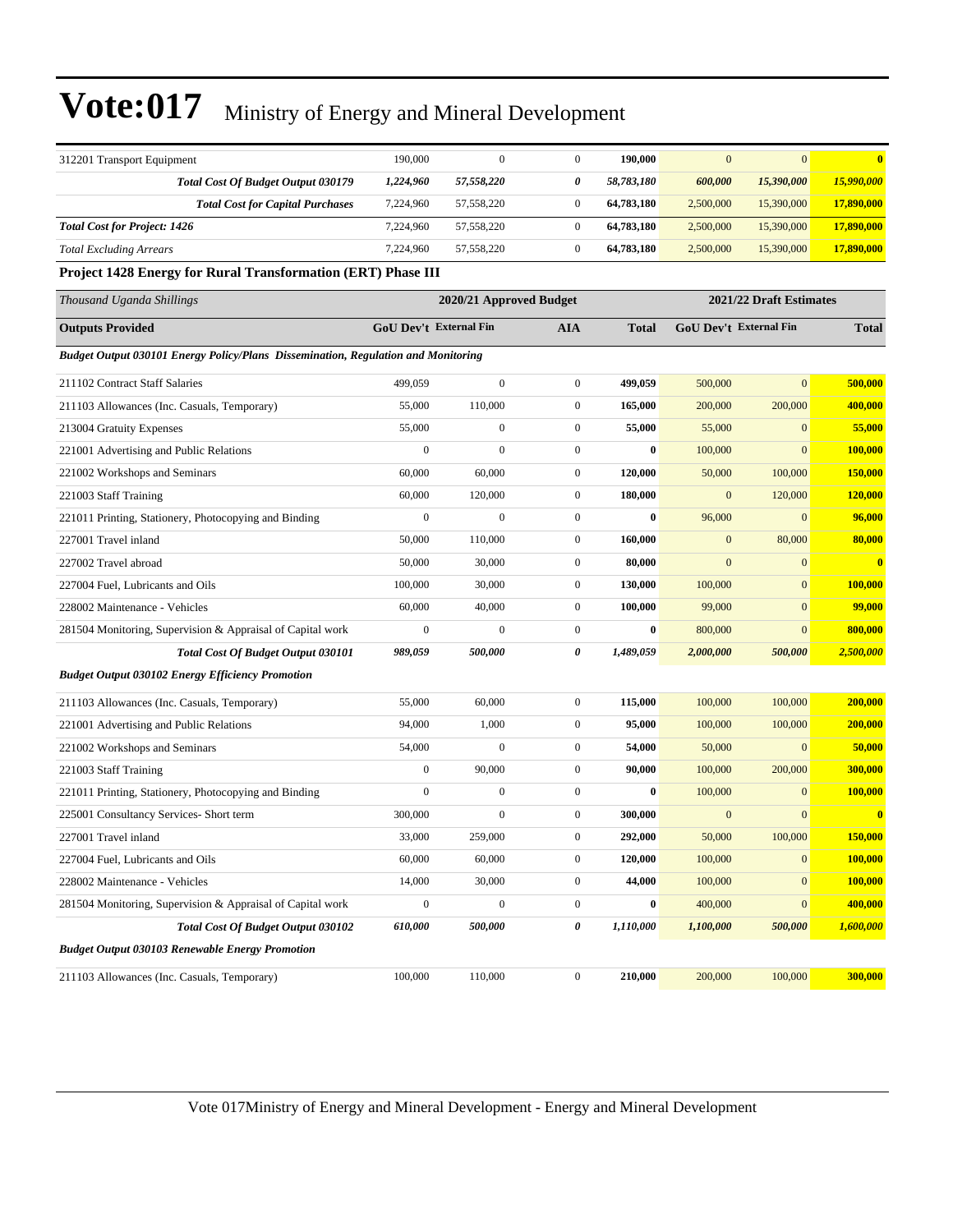| 312201 Transport Equipment                                                               | 190,000                       | $\mathbf{0}$            | $\boldsymbol{0}$ | 190,000    | $\mathbf{0}$ | $\mathbf{0}$            | $\bf{0}$     |
|------------------------------------------------------------------------------------------|-------------------------------|-------------------------|------------------|------------|--------------|-------------------------|--------------|
| Total Cost Of Budget Output 030179                                                       | 1,224,960                     | 57,558,220              | 0                | 58,783,180 | 600,000      | 15,390,000              | 15,990,000   |
| <b>Total Cost for Capital Purchases</b>                                                  | 7,224,960                     | 57,558,220              | $\boldsymbol{0}$ | 64,783,180 | 2,500,000    | 15,390,000              | 17,890,000   |
| <b>Total Cost for Project: 1426</b>                                                      | 7,224,960                     | 57,558,220              | $\boldsymbol{0}$ | 64,783,180 | 2,500,000    | 15,390,000              | 17,890,000   |
| <b>Total Excluding Arrears</b>                                                           | 7,224,960                     | 57,558,220              | $\boldsymbol{0}$ | 64,783,180 | 2,500,000    | 15,390,000              | 17,890,000   |
| Project 1428 Energy for Rural Transformation (ERT) Phase III                             |                               |                         |                  |            |              |                         |              |
| Thousand Uganda Shillings                                                                |                               | 2020/21 Approved Budget |                  |            |              | 2021/22 Draft Estimates |              |
| <b>Outputs Provided</b>                                                                  | <b>GoU Dev't External Fin</b> |                         | AIA              | Total      |              | GoU Dev't External Fin  | <b>Total</b> |
| <b>Budget Output 030101 Energy Policy/Plans Dissemination, Regulation and Monitoring</b> |                               |                         |                  |            |              |                         |              |
| 211102 Contract Staff Salaries                                                           | 499,059                       | $\boldsymbol{0}$        | $\boldsymbol{0}$ | 499,059    | 500,000      | $\mathbf{0}$            | 500,000      |
| 211103 Allowances (Inc. Casuals, Temporary)                                              | 55,000                        | 110,000                 | $\boldsymbol{0}$ | 165,000    | 200,000      | 200,000                 | 400,000      |
| 213004 Gratuity Expenses                                                                 | 55,000                        | $\boldsymbol{0}$        | $\boldsymbol{0}$ | 55,000     | 55,000       | $\boldsymbol{0}$        | 55,000       |
| 221001 Advertising and Public Relations                                                  | $\boldsymbol{0}$              | $\boldsymbol{0}$        | $\boldsymbol{0}$ | $\bf{0}$   | 100,000      | $\mathbf{0}$            | 100,000      |
| 221002 Workshops and Seminars                                                            | 60,000                        | 60,000                  | $\boldsymbol{0}$ | 120,000    | 50,000       | 100,000                 | 150,000      |
| 221003 Staff Training                                                                    | 60,000                        | 120,000                 | $\boldsymbol{0}$ | 180,000    | $\mathbf{0}$ | 120,000                 | 120,000      |
| 221011 Printing, Stationery, Photocopying and Binding                                    | $\boldsymbol{0}$              | $\mathbf{0}$            | $\boldsymbol{0}$ | $\bf{0}$   | 96,000       | $\mathbf{0}$            | 96,000       |
| 227001 Travel inland                                                                     | 50,000                        | 110,000                 | $\boldsymbol{0}$ | 160,000    | $\mathbf{0}$ | 80,000                  | 80,000       |
| 227002 Travel abroad                                                                     | 50,000                        | 30,000                  | $\boldsymbol{0}$ | 80,000     | $\mathbf{0}$ | $\mathbf{0}$            | $\bf{0}$     |
| 227004 Fuel, Lubricants and Oils                                                         | 100,000                       | 30,000                  | $\boldsymbol{0}$ | 130,000    | 100,000      | $\mathbf{0}$            | 100,000      |
| 228002 Maintenance - Vehicles                                                            | 60,000                        | 40,000                  | $\boldsymbol{0}$ | 100,000    | 99,000       | $\mathbf{0}$            | 99,000       |
| 281504 Monitoring, Supervision & Appraisal of Capital work                               | $\boldsymbol{0}$              | $\mathbf{0}$            | $\boldsymbol{0}$ | $\bf{0}$   | 800,000      | $\mathbf{0}$            | 800,000      |
| <b>Total Cost Of Budget Output 030101</b>                                                | 989,059                       | <i><b>500,000</b></i>   | 0                | 1,489,059  | 2,000,000    | 500,000                 | 2,500,000    |
| <b>Budget Output 030102 Energy Efficiency Promotion</b>                                  |                               |                         |                  |            |              |                         |              |
| 211103 Allowances (Inc. Casuals, Temporary)                                              | 55,000                        | 60,000                  | $\boldsymbol{0}$ | 115,000    | 100,000      | 100,000                 | 200,000      |
| 221001 Advertising and Public Relations                                                  | 94,000                        | 1,000                   | $\boldsymbol{0}$ | 95,000     | 100,000      | 100,000                 | 200,000      |
| 221002 Workshops and Seminars                                                            | 54,000                        | $\boldsymbol{0}$        | $\boldsymbol{0}$ | 54,000     | 50,000       | $\boldsymbol{0}$        | 50,000       |
| 221003 Staff Training                                                                    | $\boldsymbol{0}$              | 90,000                  | $\boldsymbol{0}$ | 90,000     | 100,000      | 200,000                 | 300,000      |
| 221011 Printing, Stationery, Photocopying and Binding                                    | $\mathbf{0}$                  | $\boldsymbol{0}$        | $\boldsymbol{0}$ | $\bf{0}$   | 100,000      | $\mathbf{0}$            | 100,000      |
| 225001 Consultancy Services- Short term                                                  | 300,000                       | $\mathbf{0}$            | $\boldsymbol{0}$ | 300,000    | $\mathbf{0}$ | $\mathbf{0}$            | $\bf{0}$     |
| 227001 Travel inland                                                                     | 33,000                        | 259,000                 | $\boldsymbol{0}$ | 292,000    | 50,000       | 100,000                 | 150,000      |
| 227004 Fuel, Lubricants and Oils                                                         | 60,000                        | 60,000                  | $\boldsymbol{0}$ | 120,000    | 100,000      | $\boldsymbol{0}$        | 100,000      |
| 228002 Maintenance - Vehicles                                                            | 14,000                        | 30,000                  | $\boldsymbol{0}$ | 44,000     | 100,000      | $\mathbf{0}$            | 100,000      |
| 281504 Monitoring, Supervision & Appraisal of Capital work                               | $\boldsymbol{0}$              | $\boldsymbol{0}$        | $\boldsymbol{0}$ | $\bf{0}$   | 400,000      | $\mathbf{0}$            | 400,000      |
| <b>Total Cost Of Budget Output 030102</b>                                                | 610,000                       | 500,000                 | 0                | 1,110,000  | 1,100,000    | 500,000                 | 1,600,000    |
| <b>Budget Output 030103 Renewable Energy Promotion</b>                                   |                               |                         |                  |            |              |                         |              |
| 211103 Allowances (Inc. Casuals, Temporary)                                              | 100,000                       | 110,000                 | $\boldsymbol{0}$ | 210,000    | 200,000      | 100,000                 | 300,000      |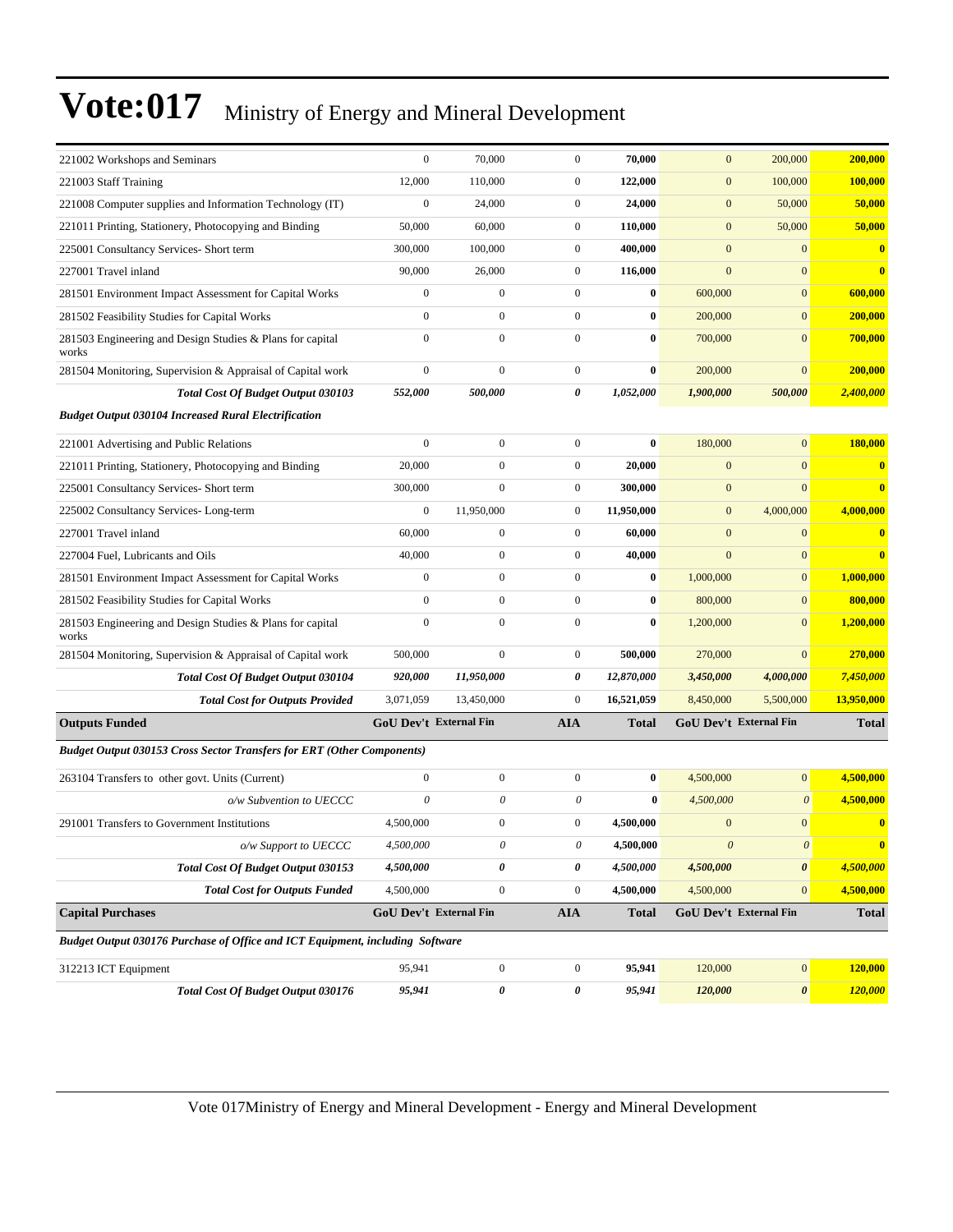| 221002 Workshops and Seminars                                                 | $\boldsymbol{0}$              | 70,000                    | $\overline{0}$   | 70,000       | $\mathbf{0}$ | 200,000                       | 200,000      |
|-------------------------------------------------------------------------------|-------------------------------|---------------------------|------------------|--------------|--------------|-------------------------------|--------------|
| 221003 Staff Training                                                         | 12,000                        | 110,000                   | $\boldsymbol{0}$ | 122,000      | $\mathbf{0}$ | 100,000                       | 100,000      |
| 221008 Computer supplies and Information Technology (IT)                      | $\boldsymbol{0}$              | 24,000                    | $\boldsymbol{0}$ | 24,000       | $\mathbf{0}$ | 50,000                        | 50,000       |
| 221011 Printing, Stationery, Photocopying and Binding                         | 50,000                        | 60,000                    | $\boldsymbol{0}$ | 110,000      | $\mathbf{0}$ | 50,000                        | 50,000       |
| 225001 Consultancy Services- Short term                                       | 300,000                       | 100,000                   | $\mathbf{0}$     | 400,000      | $\mathbf{0}$ | $\mathbf{0}$                  | $\bf{0}$     |
| 227001 Travel inland                                                          | 90,000                        | 26,000                    | $\boldsymbol{0}$ | 116,000      | $\mathbf{0}$ | $\mathbf{0}$                  | $\bf{0}$     |
| 281501 Environment Impact Assessment for Capital Works                        | $\boldsymbol{0}$              | $\boldsymbol{0}$          | $\boldsymbol{0}$ | $\bf{0}$     | 600,000      | $\boldsymbol{0}$              | 600,000      |
| 281502 Feasibility Studies for Capital Works                                  | $\boldsymbol{0}$              | $\mathbf{0}$              | $\boldsymbol{0}$ | $\bf{0}$     | 200,000      | $\mathbf{0}$                  | 200,000      |
| 281503 Engineering and Design Studies & Plans for capital<br>works            | $\boldsymbol{0}$              | $\boldsymbol{0}$          | $\mathbf{0}$     | $\bf{0}$     | 700,000      | $\mathbf{0}$                  | 700,000      |
| 281504 Monitoring, Supervision & Appraisal of Capital work                    | $\boldsymbol{0}$              | $\boldsymbol{0}$          | $\boldsymbol{0}$ | $\bf{0}$     | 200,000      | $\mathbf{0}$                  | 200,000      |
| <b>Total Cost Of Budget Output 030103</b>                                     | 552,000                       | 500,000                   | 0                | 1,052,000    | 1,900,000    | 500,000                       | 2,400,000    |
| <b>Budget Output 030104 Increased Rural Electrification</b>                   |                               |                           |                  |              |              |                               |              |
| 221001 Advertising and Public Relations                                       | $\boldsymbol{0}$              | $\mathbf{0}$              | $\boldsymbol{0}$ | $\bf{0}$     | 180,000      | $\overline{0}$                | 180,000      |
| 221011 Printing, Stationery, Photocopying and Binding                         | 20,000                        | $\mathbf{0}$              | $\boldsymbol{0}$ | 20,000       | $\mathbf{0}$ | $\overline{0}$                | $\bf{0}$     |
| 225001 Consultancy Services- Short term                                       | 300,000                       | $\mathbf{0}$              | $\boldsymbol{0}$ | 300,000      | $\mathbf{0}$ | $\mathbf{0}$                  | $\bf{0}$     |
| 225002 Consultancy Services-Long-term                                         | $\boldsymbol{0}$              | 11,950,000                | $\boldsymbol{0}$ | 11,950,000   | $\mathbf{0}$ | 4,000,000                     | 4,000,000    |
| 227001 Travel inland                                                          | 60,000                        | $\boldsymbol{0}$          | $\boldsymbol{0}$ | 60,000       | $\mathbf{0}$ | $\mathbf{0}$                  | $\bf{0}$     |
| 227004 Fuel, Lubricants and Oils                                              | 40,000                        | $\boldsymbol{0}$          | $\mathbf{0}$     | 40,000       | $\mathbf{0}$ | $\boldsymbol{0}$              | $\bf{0}$     |
| 281501 Environment Impact Assessment for Capital Works                        | $\boldsymbol{0}$              | $\mathbf{0}$              | $\mathbf{0}$     | $\bf{0}$     | 1,000,000    | $\mathbf{0}$                  | 1,000,000    |
| 281502 Feasibility Studies for Capital Works                                  | $\mathbf{0}$                  | $\mathbf{0}$              | $\mathbf{0}$     | $\bf{0}$     | 800,000      | $\mathbf{0}$                  | 800,000      |
| 281503 Engineering and Design Studies & Plans for capital<br>works            | $\mathbf{0}$                  | $\mathbf{0}$              | $\mathbf{0}$     | $\bf{0}$     | 1,200,000    | $\overline{0}$                | 1,200,000    |
| 281504 Monitoring, Supervision & Appraisal of Capital work                    | 500,000                       | $\mathbf{0}$              | $\mathbf{0}$     | 500,000      | 270,000      | $\mathbf{0}$                  | 270,000      |
| Total Cost Of Budget Output 030104                                            | 920,000                       | 11,950,000                | 0                | 12,870,000   | 3,450,000    | 4,000,000                     | 7,450,000    |
| <b>Total Cost for Outputs Provided</b>                                        | 3,071,059                     | 13,450,000                | $\mathbf{0}$     | 16,521,059   | 8,450,000    | 5,500,000                     | 13,950,000   |
| <b>Outputs Funded</b>                                                         | <b>GoU Dev't External Fin</b> |                           | <b>AIA</b>       | <b>Total</b> |              | <b>GoU Dev't External Fin</b> | <b>Total</b> |
| <b>Budget Output 030153 Cross Sector Transfers for ERT (Other Components)</b> |                               |                           |                  |              |              |                               |              |
| 263104 Transfers to other govt. Units (Current)                               | $\boldsymbol{0}$              | $\mathbf{0}$              | $\mathbf{0}$     | $\bf{0}$     | 4,500,000    | $\mathbf{0}$                  | 4,500,000    |
| o/w Subvention to UECCC                                                       | $\theta$                      | $\boldsymbol{\mathit{0}}$ | $\theta$         | $\bf{0}$     | 4,500,000    | $\boldsymbol{\theta}$         | 4,500,000    |
| 291001 Transfers to Government Institutions                                   | 4,500,000                     | $\mathbf{0}$              | $\mathbf{0}$     | 4,500,000    | $\mathbf{0}$ | $\overline{0}$                | $\bf{0}$     |
| o/w Support to UECCC                                                          | 4,500,000                     | 0                         | 0                | 4,500,000    | $\theta$     | $\theta$                      | $\mathbf{0}$ |
| Total Cost Of Budget Output 030153                                            | 4,500,000                     | 0                         | 0                | 4,500,000    | 4,500,000    | $\pmb{\theta}$                | 4,500,000    |
| <b>Total Cost for Outputs Funded</b>                                          | 4,500,000                     | $\boldsymbol{0}$          | $\boldsymbol{0}$ | 4,500,000    | 4,500,000    | $\overline{0}$                | 4,500,000    |
| <b>Capital Purchases</b>                                                      | <b>GoU Dev't External Fin</b> |                           | <b>AIA</b>       | <b>Total</b> |              | GoU Dev't External Fin        | <b>Total</b> |
| Budget Output 030176 Purchase of Office and ICT Equipment, including Software |                               |                           |                  |              |              |                               |              |
| 312213 ICT Equipment                                                          | 95,941                        | $\boldsymbol{0}$          | $\boldsymbol{0}$ | 95,941       | 120,000      | $\boldsymbol{0}$              | 120,000      |
| Total Cost Of Budget Output 030176                                            | 95,941                        | $\pmb{o}$                 | 0                | 95,941       | 120,000      | $\boldsymbol{\theta}$         | 120,000      |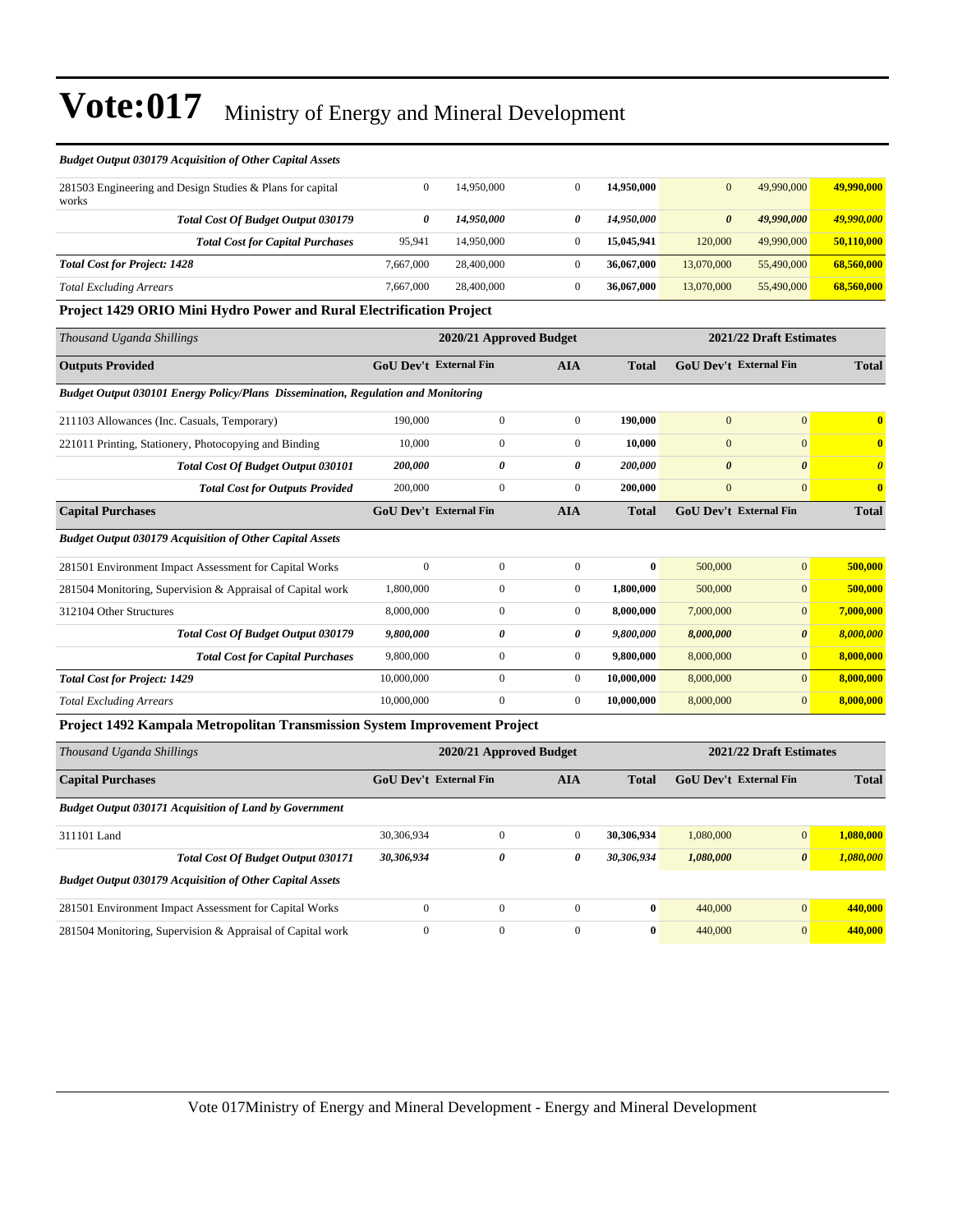| <b>Budget Output 030179 Acquisition of Other Capital Assets</b>                   |                               |                         |                       |              |                       |                               |                         |
|-----------------------------------------------------------------------------------|-------------------------------|-------------------------|-----------------------|--------------|-----------------------|-------------------------------|-------------------------|
| 281503 Engineering and Design Studies & Plans for capital<br>works                | $\mathbf{0}$                  | 14,950,000              | $\overline{0}$        | 14,950,000   | $\mathbf{0}$          | 49,990,000                    | 49,990,000              |
| <b>Total Cost Of Budget Output 030179</b>                                         | $\boldsymbol{\theta}$         | 14,950,000              | 0                     | 14,950,000   | $\boldsymbol{\theta}$ | 49,990,000                    | 49,990,000              |
| <b>Total Cost for Capital Purchases</b>                                           | 95,941                        | 14,950,000              | $\overline{0}$        | 15,045,941   | 120,000               | 49,990,000                    | 50,110,000              |
| <b>Total Cost for Project: 1428</b>                                               | 7,667,000                     | 28,400,000              | $\boldsymbol{0}$      | 36,067,000   | 13,070,000            | 55,490,000                    | 68,560,000              |
| <b>Total Excluding Arrears</b>                                                    | 7,667,000                     | 28,400,000              | $\mathbf{0}$          | 36,067,000   | 13,070,000            | 55,490,000                    | 68,560,000              |
| <b>Project 1429 ORIO Mini Hydro Power and Rural Electrification Project</b>       |                               |                         |                       |              |                       |                               |                         |
| Thousand Uganda Shillings                                                         |                               | 2020/21 Approved Budget |                       |              |                       | 2021/22 Draft Estimates       |                         |
| <b>Outputs Provided</b>                                                           | <b>GoU Dev't External Fin</b> |                         | <b>AIA</b>            | <b>Total</b> |                       | <b>GoU Dev't External Fin</b> | <b>Total</b>            |
| Budget Output 030101 Energy Policy/Plans Dissemination, Regulation and Monitoring |                               |                         |                       |              |                       |                               |                         |
| 211103 Allowances (Inc. Casuals, Temporary)                                       | 190,000                       | $\boldsymbol{0}$        | $\boldsymbol{0}$      | 190,000      | $\mathbf{0}$          | $\mathbf{0}$                  | $\bf{0}$                |
| 221011 Printing, Stationery, Photocopying and Binding                             | 10,000                        | $\overline{0}$          | $\boldsymbol{0}$      | 10,000       | $\mathbf{0}$          | $\mathbf{0}$                  | $\overline{\mathbf{0}}$ |
| <b>Total Cost Of Budget Output 030101</b>                                         | 200,000                       | $\theta$                | $\boldsymbol{\theta}$ | 200,000      | $\boldsymbol{\theta}$ | $\boldsymbol{\theta}$         | $\boldsymbol{\theta}$   |
| <b>Total Cost for Outputs Provided</b>                                            | 200,000                       | $\overline{0}$          | $\overline{0}$        | 200,000      | $\boldsymbol{0}$      | $\mathbf{0}$                  | $\bf{0}$                |
| <b>Capital Purchases</b>                                                          | <b>GoU Dev't External Fin</b> |                         | <b>AIA</b>            | <b>Total</b> |                       | <b>GoU Dev't External Fin</b> | <b>Total</b>            |
| <b>Budget Output 030179 Acquisition of Other Capital Assets</b>                   |                               |                         |                       |              |                       |                               |                         |
| 281501 Environment Impact Assessment for Capital Works                            | $\mathbf{0}$                  | $\overline{0}$          | $\boldsymbol{0}$      | $\bf{0}$     | 500,000               | $\mathbf{0}$                  | 500,000                 |
| 281504 Monitoring, Supervision & Appraisal of Capital work                        | 1,800,000                     | $\boldsymbol{0}$        | $\overline{0}$        | 1,800,000    | 500,000               | $\mathbf{0}$                  | 500,000                 |
| 312104 Other Structures                                                           | 8,000,000                     | $\overline{0}$          | $\boldsymbol{0}$      | 8,000,000    | 7,000,000             | $\mathbf{0}$                  | 7,000,000               |
| Total Cost Of Budget Output 030179                                                | 9,800,000                     | 0                       | 0                     | 9,800,000    | 8,000,000             | $\boldsymbol{\theta}$         | 8,000,000               |
| <b>Total Cost for Capital Purchases</b>                                           | 9,800,000                     | $\boldsymbol{0}$        | $\boldsymbol{0}$      | 9,800,000    | 8,000,000             | $\mathbf{0}$                  | 8,000,000               |
| <b>Total Cost for Project: 1429</b>                                               | 10,000,000                    | $\boldsymbol{0}$        | $\boldsymbol{0}$      | 10,000,000   | 8,000,000             | $\mathbf{0}$                  | 8,000,000               |
| <b>Total Excluding Arrears</b>                                                    | 10,000,000                    | $\overline{0}$          | $\overline{0}$        | 10,000,000   | 8,000,000             | $\mathbf{0}$                  | 8,000,000               |
| <b>Project 1492 Kampala Metropolitan Transmission System Improvement Project</b>  |                               |                         |                       |              |                       |                               |                         |
| Thousand Uganda Shillings                                                         |                               | 2020/21 Approved Budget |                       |              |                       | 2021/22 Draft Estimates       |                         |
| <b>Capital Purchases</b>                                                          | <b>GoU Dev't External Fin</b> |                         | <b>AIA</b>            | <b>Total</b> |                       | GoU Dev't External Fin        | <b>Total</b>            |
| <b>Budget Output 030171 Acquisition of Land by Government</b>                     |                               |                         |                       |              |                       |                               |                         |
| 311101 Land                                                                       | 30,306,934                    | $\boldsymbol{0}$        | $\mathbf{0}$          | 30,306,934   | 1,080,000             | $\boldsymbol{0}$              | 1,080,000               |
| Total Cost Of Budget Output 030171                                                | 30,306,934                    | $\theta$                | 0                     | 30,306,934   | 1,080,000             | $\boldsymbol{\theta}$         | 1,080,000               |
| <b>Budget Output 030179 Acquisition of Other Capital Assets</b>                   |                               |                         |                       |              |                       |                               |                         |
| 281501 Environment Impact Assessment for Capital Works                            | $\boldsymbol{0}$              | $\boldsymbol{0}$        | $\boldsymbol{0}$      | $\bf{0}$     | 440,000               | $\mathbf{0}$                  | 440,000                 |
| 281504 Monitoring, Supervision & Appraisal of Capital work                        | $\mathbf{0}$                  | $\boldsymbol{0}$        | $\boldsymbol{0}$      | $\bf{0}$     | 440,000               | $\mathbf{0}$                  | 440,000                 |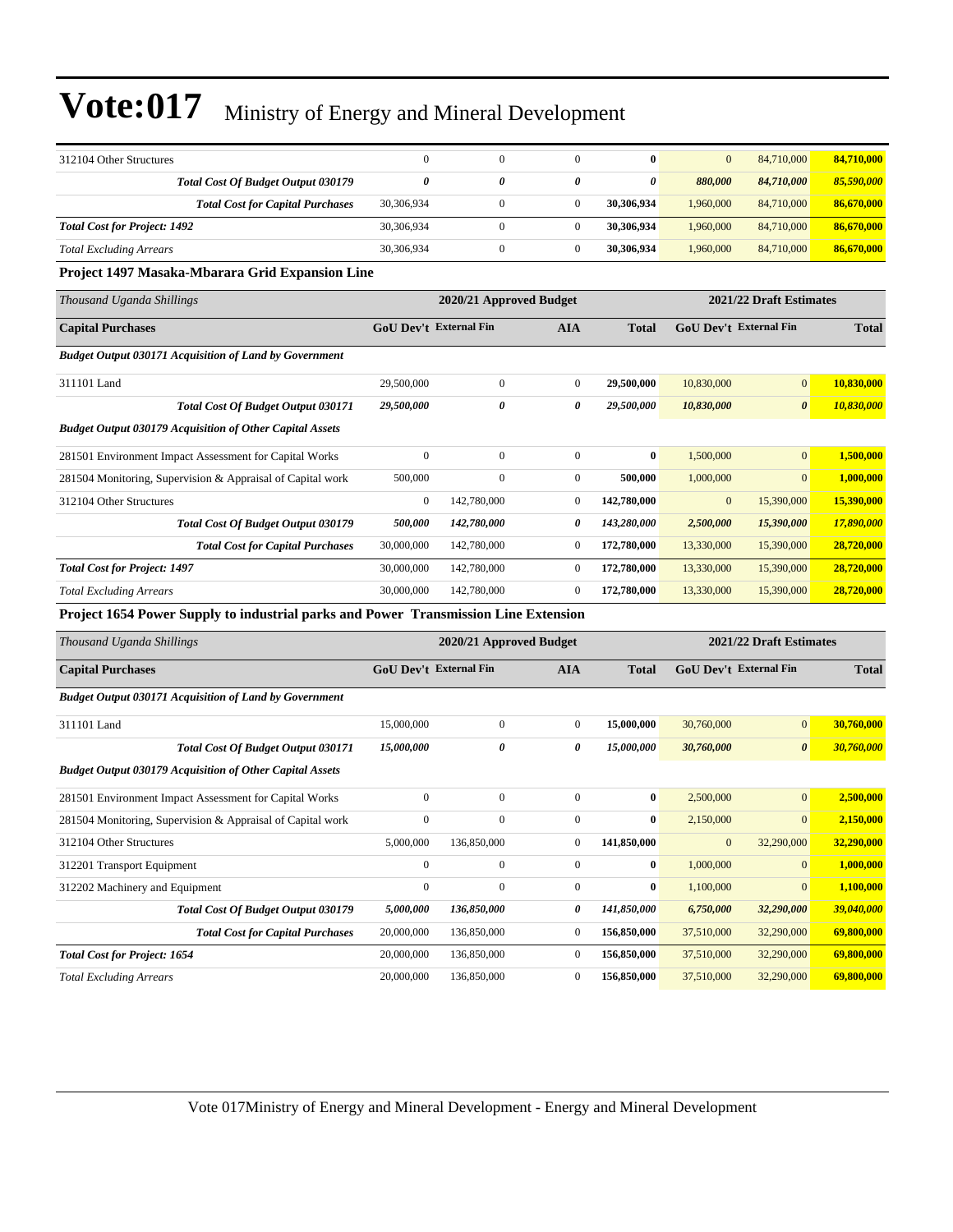| 312104 Other Structures                                                             | $\boldsymbol{0}$       | $\boldsymbol{0}$        | $\mathbf{0}$     | $\bf{0}$     | $\mathbf{0}$ | 84,710,000                    | 84,710,000   |
|-------------------------------------------------------------------------------------|------------------------|-------------------------|------------------|--------------|--------------|-------------------------------|--------------|
| <b>Total Cost Of Budget Output 030179</b>                                           | $\theta$               | 0                       | 0                | 0            | 880,000      | 84,710,000                    | 85,590,000   |
| <b>Total Cost for Capital Purchases</b>                                             | 30,306,934             | $\boldsymbol{0}$        | $\boldsymbol{0}$ | 30,306,934   | 1,960,000    | 84,710,000                    | 86,670,000   |
| <b>Total Cost for Project: 1492</b>                                                 | 30,306,934             | $\boldsymbol{0}$        | $\boldsymbol{0}$ | 30,306,934   | 1,960,000    | 84,710,000                    | 86,670,000   |
| <b>Total Excluding Arrears</b>                                                      | 30,306,934             | $\boldsymbol{0}$        | $\boldsymbol{0}$ | 30,306,934   | 1,960,000    | 84,710,000                    | 86,670,000   |
| Project 1497 Masaka-Mbarara Grid Expansion Line                                     |                        |                         |                  |              |              |                               |              |
| Thousand Uganda Shillings                                                           |                        | 2020/21 Approved Budget |                  |              |              | 2021/22 Draft Estimates       |              |
| <b>Capital Purchases</b>                                                            | GoU Dev't External Fin |                         | <b>AIA</b>       | <b>Total</b> |              | <b>GoU Dev't External Fin</b> | <b>Total</b> |
| <b>Budget Output 030171 Acquisition of Land by Government</b>                       |                        |                         |                  |              |              |                               |              |
| 311101 Land                                                                         | 29,500,000             | $\boldsymbol{0}$        | $\boldsymbol{0}$ | 29,500,000   | 10,830,000   | $\boldsymbol{0}$              | 10,830,000   |
| <b>Total Cost Of Budget Output 030171</b>                                           | 29,500,000             | 0                       | 0                | 29,500,000   | 10,830,000   | $\boldsymbol{\theta}$         | 10,830,000   |
| <b>Budget Output 030179 Acquisition of Other Capital Assets</b>                     |                        |                         |                  |              |              |                               |              |
| 281501 Environment Impact Assessment for Capital Works                              | $\mathbf{0}$           | $\mathbf{0}$            | $\boldsymbol{0}$ | $\bf{0}$     | 1,500,000    | $\mathbf{0}$                  | 1,500,000    |
| 281504 Monitoring, Supervision & Appraisal of Capital work                          | 500,000                | $\mathbf{0}$            | $\boldsymbol{0}$ | 500,000      | 1,000,000    | $\mathbf{0}$                  | 1,000,000    |
| 312104 Other Structures                                                             | $\boldsymbol{0}$       | 142,780,000             | $\boldsymbol{0}$ | 142,780,000  | $\mathbf{0}$ | 15,390,000                    | 15,390,000   |
| Total Cost Of Budget Output 030179                                                  | 500,000                | 142,780,000             | 0                | 143,280,000  | 2,500,000    | 15,390,000                    | 17,890,000   |
| <b>Total Cost for Capital Purchases</b>                                             | 30,000,000             | 142,780,000             | $\boldsymbol{0}$ | 172,780,000  | 13,330,000   | 15,390,000                    | 28,720,000   |
| <b>Total Cost for Project: 1497</b>                                                 | 30,000,000             | 142,780,000             | $\boldsymbol{0}$ | 172,780,000  | 13,330,000   | 15,390,000                    | 28,720,000   |
| <b>Total Excluding Arrears</b>                                                      | 30,000,000             | 142,780,000             | $\boldsymbol{0}$ | 172,780,000  | 13,330,000   | 15,390,000                    | 28,720,000   |
| Project 1654 Power Supply to industrial parks and Power Transmission Line Extension |                        |                         |                  |              |              |                               |              |
| Thousand Uganda Shillings                                                           |                        | 2020/21 Approved Budget |                  |              |              | 2021/22 Draft Estimates       |              |
| <b>Capital Purchases</b>                                                            | GoU Dev't External Fin |                         | <b>AIA</b>       | Total        |              | <b>GoU Dev't External Fin</b> | <b>Total</b> |
| <b>Budget Output 030171 Acquisition of Land by Government</b>                       |                        |                         |                  |              |              |                               |              |
| 311101 Land                                                                         | 15,000,000             | $\boldsymbol{0}$        | $\boldsymbol{0}$ | 15,000,000   | 30,760,000   | $\mathbf{0}$                  | 30,760,000   |
| <b>Total Cost Of Budget Output 030171</b>                                           | 15,000,000             | 0                       | 0                | 15,000,000   | 30,760,000   | $\boldsymbol{\theta}$         | 30,760,000   |
| <b>Budget Output 030179 Acquisition of Other Capital Assets</b>                     |                        |                         |                  |              |              |                               |              |
| 281501 Environment Impact Assessment for Capital Works                              | $\boldsymbol{0}$       | $\boldsymbol{0}$        | $\boldsymbol{0}$ | $\bf{0}$     | 2,500,000    | $\mathbf{0}$                  | 2,500,000    |
| 281504 Monitoring, Supervision & Appraisal of Capital work                          | $\boldsymbol{0}$       | $\boldsymbol{0}$        | $\boldsymbol{0}$ | $\bf{0}$     | 2,150,000    | $\boldsymbol{0}$              | 2,150,000    |
| 312104 Other Structures                                                             | 5,000,000              | 136,850,000             | 0                | 141,850,000  |              | 32,290,000                    | 32,290,000   |
| 312201 Transport Equipment                                                          | $\boldsymbol{0}$       | $\boldsymbol{0}$        | $\boldsymbol{0}$ | $\bf{0}$     | 1,000,000    | $\mathbf{0}$                  | 1,000,000    |
| 312202 Machinery and Equipment                                                      | $\boldsymbol{0}$       | $\boldsymbol{0}$        | $\boldsymbol{0}$ | $\bf{0}$     | 1,100,000    | $\boldsymbol{0}$              | 1,100,000    |
| Total Cost Of Budget Output 030179                                                  | 5,000,000              | 136,850,000             | 0                | 141,850,000  | 6,750,000    | 32,290,000                    | 39,040,000   |
| <b>Total Cost for Capital Purchases</b>                                             | 20,000,000             | 136,850,000             | $\boldsymbol{0}$ | 156,850,000  | 37,510,000   | 32,290,000                    | 69,800,000   |
| <b>Total Cost for Project: 1654</b>                                                 | 20,000,000             | 136,850,000             | $\boldsymbol{0}$ | 156,850,000  | 37,510,000   | 32,290,000                    | 69,800,000   |
| <b>Total Excluding Arrears</b>                                                      | 20,000,000             | 136,850,000             | $\boldsymbol{0}$ | 156,850,000  | 37,510,000   | 32,290,000                    | 69,800,000   |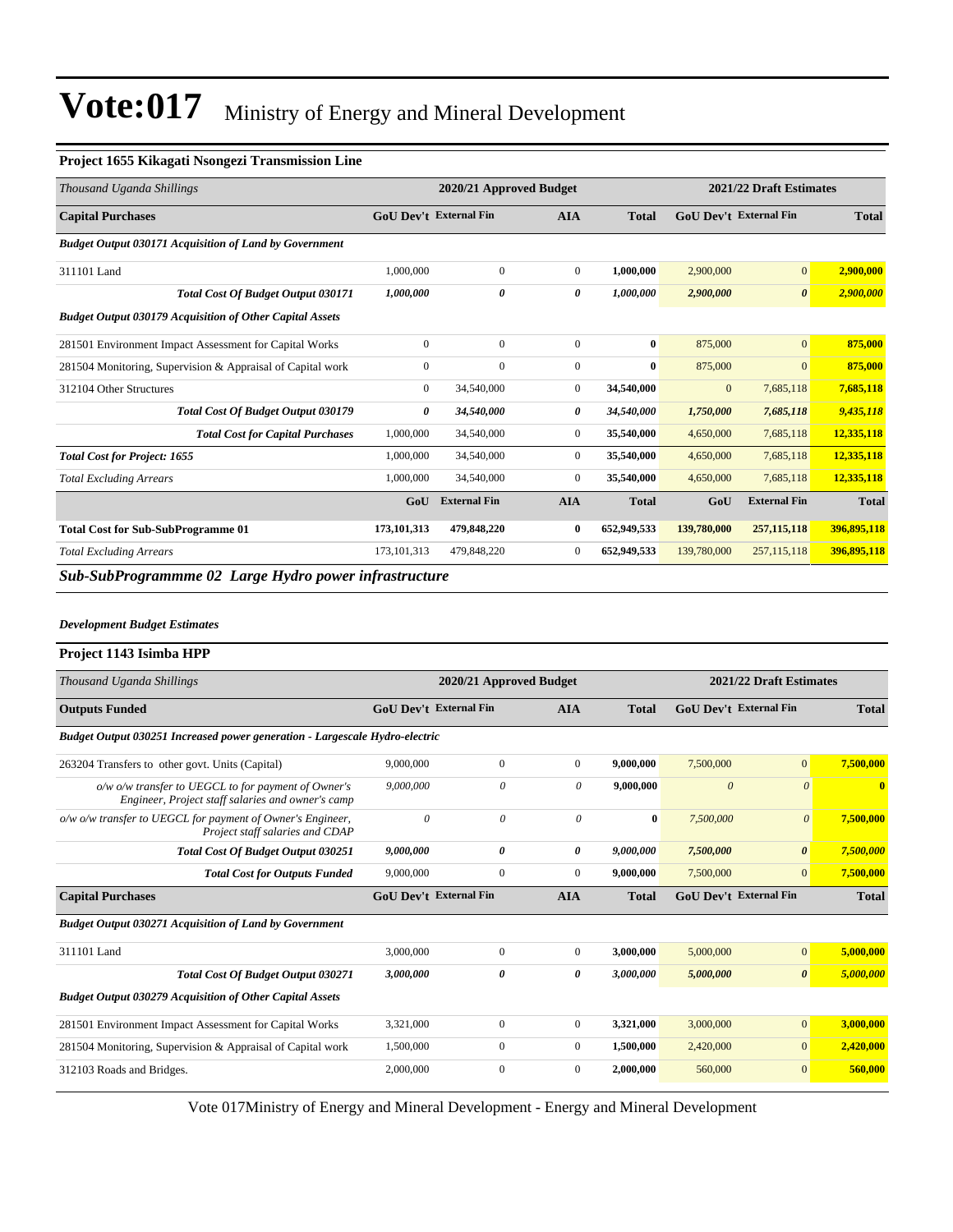#### **Project 1655 Kikagati Nsongezi Transmission Line**

| Thousand Uganda Shillings                                       |                               | 2020/21 Approved Budget |                | 2021/22 Draft Estimates |                               |                       |              |  |
|-----------------------------------------------------------------|-------------------------------|-------------------------|----------------|-------------------------|-------------------------------|-----------------------|--------------|--|
| <b>Capital Purchases</b>                                        | <b>GoU</b> Dev't External Fin |                         | <b>AIA</b>     | <b>Total</b>            | <b>GoU</b> Dev't External Fin |                       | <b>Total</b> |  |
| <b>Budget Output 030171 Acquisition of Land by Government</b>   |                               |                         |                |                         |                               |                       |              |  |
| 311101 Land                                                     | 1,000,000                     | $\mathbf{0}$            | $\mathbf{0}$   | 1,000,000               | 2,900,000                     | $\mathbf{0}$          | 2,900,000    |  |
| <b>Total Cost Of Budget Output 030171</b>                       | 1,000,000                     | 0                       | 0              | 1,000,000               | 2,900,000                     | $\boldsymbol{\theta}$ | 2,900,000    |  |
| <b>Budget Output 030179 Acquisition of Other Capital Assets</b> |                               |                         |                |                         |                               |                       |              |  |
| 281501 Environment Impact Assessment for Capital Works          | $\mathbf{0}$                  | $\mathbf{0}$            | $\mathbf{0}$   | $\bf{0}$                | 875,000                       | $\mathbf{0}$          | 875,000      |  |
| 281504 Monitoring, Supervision & Appraisal of Capital work      | $\mathbf{0}$                  | $\mathbf{0}$            | $\mathbf{0}$   | $\bf{0}$                | 875,000                       | $\mathbf{0}$          | 875,000      |  |
| 312104 Other Structures                                         | $\mathbf{0}$                  | 34,540,000              | $\overline{0}$ | 34,540,000              | $\mathbf{0}$                  | 7,685,118             | 7,685,118    |  |
| <b>Total Cost Of Budget Output 030179</b>                       | 0                             | 34,540,000              | 0              | 34,540,000              | 1,750,000                     | 7,685,118             | 9,435,118    |  |
| <b>Total Cost for Capital Purchases</b>                         | 1,000,000                     | 34,540,000              | $\overline{0}$ | 35,540,000              | 4,650,000                     | 7,685,118             | 12,335,118   |  |
| <b>Total Cost for Project: 1655</b>                             | 1,000,000                     | 34,540,000              | $\overline{0}$ | 35,540,000              | 4,650,000                     | 7,685,118             | 12,335,118   |  |
| <b>Total Excluding Arrears</b>                                  | 1,000,000                     | 34,540,000              | $\mathbf{0}$   | 35,540,000              | 4,650,000                     | 7,685,118             | 12,335,118   |  |
|                                                                 | GoU                           | <b>External Fin</b>     | <b>AIA</b>     | <b>Total</b>            | GoU                           | <b>External Fin</b>   | <b>Total</b> |  |
| <b>Total Cost for Sub-SubProgramme 01</b>                       | 173, 101, 313                 | 479,848,220             | $\bf{0}$       | 652,949,533             | 139,780,000                   | 257, 115, 118         | 396,895,118  |  |
| <b>Total Excluding Arrears</b>                                  | 173, 101, 313                 | 479,848,220             | $\mathbf{0}$   | 652,949,533             | 139,780,000                   | 257, 115, 118         | 396,895,118  |  |
| Sub-SubProgrammme 02 Large Hydro power infrastructure           |                               |                         |                |                         |                               |                       |              |  |

#### *Development Budget Estimates*

#### **Project 1143 Isimba HPP**

| Thousand Uganda Shillings                                                                                |                               | 2020/21 Approved Budget |                |              | 2021/22 Draft Estimates       |                       |                         |  |
|----------------------------------------------------------------------------------------------------------|-------------------------------|-------------------------|----------------|--------------|-------------------------------|-----------------------|-------------------------|--|
| <b>Outputs Funded</b>                                                                                    | <b>GoU</b> Dev't External Fin |                         | <b>AIA</b>     | <b>Total</b> | <b>GoU</b> Dev't External Fin |                       | <b>Total</b>            |  |
| Budget Output 030251 Increased power generation - Largescale Hydro-electric                              |                               |                         |                |              |                               |                       |                         |  |
| 263204 Transfers to other govt. Units (Capital)                                                          | 9,000,000                     | $\mathbf{0}$            | $\overline{0}$ | 9,000,000    | 7,500,000                     | $\overline{0}$        | 7,500,000               |  |
| o/w o/w transfer to UEGCL to for payment of Owner's<br>Engineer, Project staff salaries and owner's camp | 9,000,000                     | $\theta$                | 0              | 9,000,000    | $\theta$                      | $\theta$              | $\overline{\mathbf{0}}$ |  |
| o/w o/w transfer to UEGCL for payment of Owner's Engineer,<br>Project staff salaries and CDAP            | $\theta$                      | $\theta$                | $\theta$       | $\mathbf{0}$ | 7,500,000                     | $\boldsymbol{\theta}$ | 7,500,000               |  |
| Total Cost Of Budget Output 030251                                                                       | 9,000,000                     | $\theta$                | 0              | 9,000,000    | 7,500,000                     | $\boldsymbol{\theta}$ | 7,500,000               |  |
| <b>Total Cost for Outputs Funded</b>                                                                     | 9,000,000                     | $\mathbf{0}$            | $\Omega$       | 9,000,000    | 7,500,000                     | $\overline{0}$        | 7,500,000               |  |
| <b>Capital Purchases</b>                                                                                 | <b>GoU</b> Dev't External Fin |                         | <b>AIA</b>     | <b>Total</b> | <b>GoU</b> Dev't External Fin |                       | <b>Total</b>            |  |
| <b>Budget Output 030271 Acquisition of Land by Government</b>                                            |                               |                         |                |              |                               |                       |                         |  |
| 311101 Land                                                                                              | 3,000,000                     | $\Omega$                | $\Omega$       | 3,000,000    | 5,000,000                     | $\mathbf{0}$          | 5,000,000               |  |
| <b>Total Cost Of Budget Output 030271</b>                                                                | 3,000,000                     | 0                       | 0              | 3,000,000    | 5,000,000                     | $\boldsymbol{\theta}$ | 5,000,000               |  |
| <b>Budget Output 030279 Acquisition of Other Capital Assets</b>                                          |                               |                         |                |              |                               |                       |                         |  |
| 281501 Environment Impact Assessment for Capital Works                                                   | 3,321,000                     | $\boldsymbol{0}$        | $\overline{0}$ | 3,321,000    | 3,000,000                     | $\mathbf{0}$          | 3,000,000               |  |
| 281504 Monitoring, Supervision & Appraisal of Capital work                                               | 1,500,000                     | $\mathbf{0}$            | $\overline{0}$ | 1,500,000    | 2,420,000                     | $\overline{0}$        | 2,420,000               |  |
| 312103 Roads and Bridges.                                                                                | 2,000,000                     | $\mathbf{0}$            | $\Omega$       | 2,000,000    | 560,000                       | $\overline{0}$        | 560,000                 |  |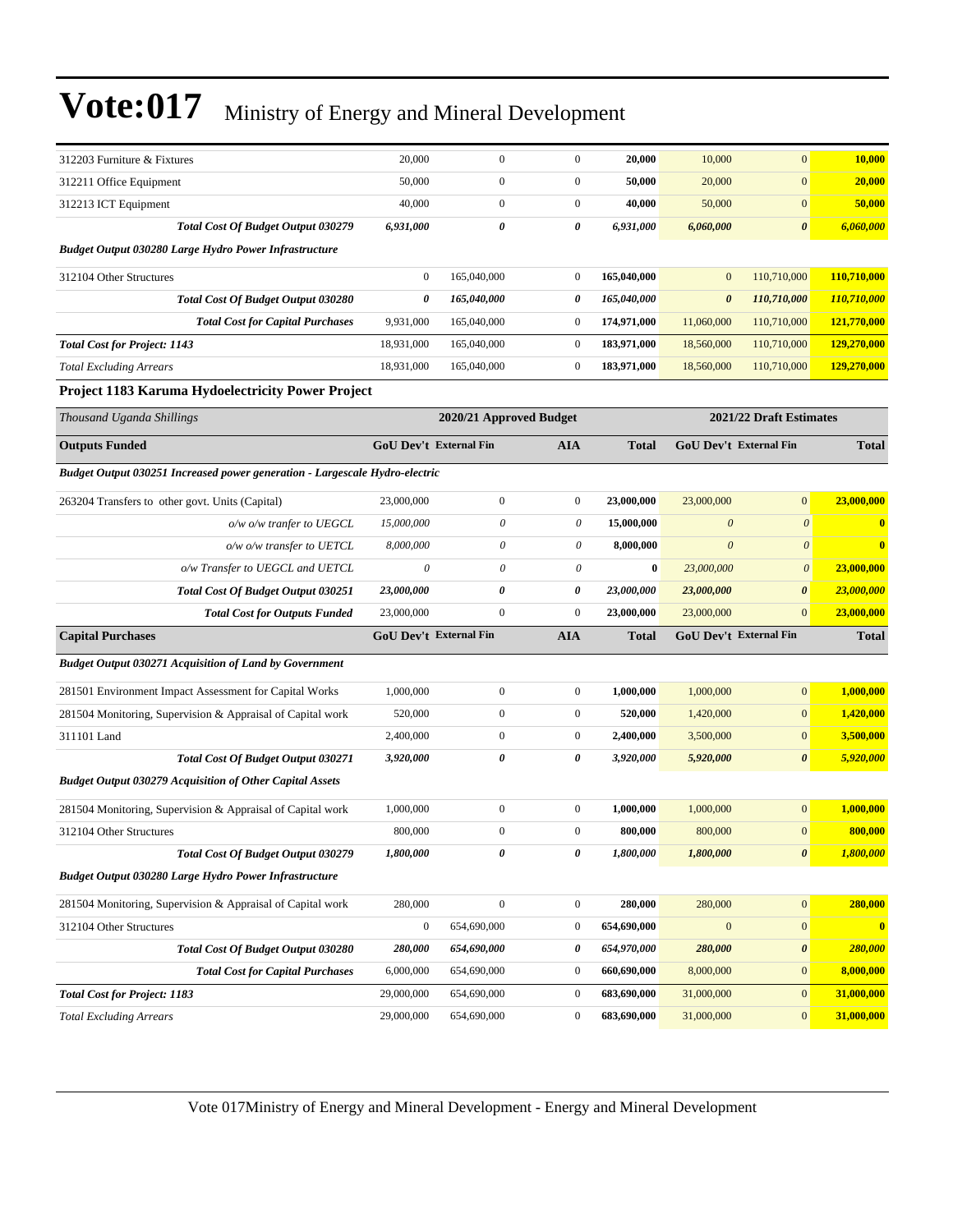| 312203 Furniture & Fixtures                                                 | 20,000           | $\mathbf{0}$              | $\mathbf{0}$     | 20,000       | 10,000                        | $\mathbf{0}$            | 10,000       |
|-----------------------------------------------------------------------------|------------------|---------------------------|------------------|--------------|-------------------------------|-------------------------|--------------|
| 312211 Office Equipment                                                     | 50,000           | $\mathbf{0}$              | $\mathbf{0}$     | 50,000       | 20,000                        | $\mathbf{0}$            | 20,000       |
| 312213 ICT Equipment                                                        | 40,000           | $\mathbf{0}$              | $\mathbf{0}$     | 40,000       | 50,000                        | $\mathbf{0}$            | 50,000       |
| Total Cost Of Budget Output 030279                                          | 6,931,000        | 0                         | 0                | 6,931,000    | 6,060,000                     | $\boldsymbol{\theta}$   | 6,060,000    |
| <b>Budget Output 030280 Large Hydro Power Infrastructure</b>                |                  |                           |                  |              |                               |                         |              |
| 312104 Other Structures                                                     | $\mathbf{0}$     | 165,040,000               | $\mathbf{0}$     | 165,040,000  | $\mathbf{0}$                  | 110,710,000             | 110,710,000  |
| Total Cost Of Budget Output 030280                                          | 0                | 165,040,000               | 0                | 165,040,000  | $\boldsymbol{\theta}$         | 110,710,000             | 110,710,000  |
| <b>Total Cost for Capital Purchases</b>                                     | 9,931,000        | 165,040,000               | $\mathbf{0}$     | 174,971,000  | 11,060,000                    | 110,710,000             | 121,770,000  |
| <b>Total Cost for Project: 1143</b>                                         | 18,931,000       | 165,040,000               | $\mathbf{0}$     | 183,971,000  | 18,560,000                    | 110,710,000             | 129,270,000  |
| <b>Total Excluding Arrears</b>                                              | 18,931,000       | 165,040,000               | $\mathbf{0}$     | 183,971,000  | 18,560,000                    | 110,710,000             | 129,270,000  |
| Project 1183 Karuma Hydoelectricity Power Project                           |                  |                           |                  |              |                               |                         |              |
| Thousand Uganda Shillings                                                   |                  | 2020/21 Approved Budget   |                  |              |                               | 2021/22 Draft Estimates |              |
| <b>Outputs Funded</b>                                                       |                  | GoU Dev't External Fin    | <b>AIA</b>       | <b>Total</b> | GoU Dev't External Fin        |                         | <b>Total</b> |
| Budget Output 030251 Increased power generation - Largescale Hydro-electric |                  |                           |                  |              |                               |                         |              |
| 263204 Transfers to other govt. Units (Capital)                             | 23,000,000       | $\mathbf{0}$              | $\mathbf{0}$     | 23,000,000   | 23,000,000                    | $\boldsymbol{0}$        | 23,000,000   |
| o/w o/w tranfer to UEGCL                                                    | 15,000,000       | $\theta$                  | 0                | 15,000,000   | $\boldsymbol{\theta}$         | $\boldsymbol{\theta}$   | $\bf{0}$     |
| o/w o/w transfer to UETCL                                                   | 8,000,000        | $\boldsymbol{\mathit{0}}$ | 0                | 8,000,000    | $\boldsymbol{\theta}$         | $\theta$                | $\bf{0}$     |
| o/w Transfer to UEGCL and UETCL                                             | $\theta$         | $\boldsymbol{\mathit{0}}$ | 0                | $\bf{0}$     | 23,000,000                    | $\boldsymbol{\theta}$   | 23,000,000   |
| Total Cost Of Budget Output 030251                                          | 23,000,000       | 0                         | 0                | 23,000,000   | 23,000,000                    | $\boldsymbol{\theta}$   | 23,000,000   |
| <b>Total Cost for Outputs Funded</b>                                        | 23,000,000       | $\boldsymbol{0}$          | $\mathbf{0}$     | 23,000,000   | 23,000,000                    | $\mathbf{0}$            | 23,000,000   |
| <b>Capital Purchases</b>                                                    |                  | GoU Dev't External Fin    | <b>AIA</b>       | Total        | <b>GoU Dev't External Fin</b> |                         | <b>Total</b> |
| <b>Budget Output 030271 Acquisition of Land by Government</b>               |                  |                           |                  |              |                               |                         |              |
| 281501 Environment Impact Assessment for Capital Works                      | 1,000,000        | $\boldsymbol{0}$          | $\mathbf{0}$     | 1,000,000    | 1,000,000                     | $\mathbf{0}$            | 1,000,000    |
| 281504 Monitoring, Supervision & Appraisal of Capital work                  | 520,000          | $\boldsymbol{0}$          | $\mathbf{0}$     | 520,000      | 1,420,000                     | $\mathbf{0}$            | 1,420,000    |
| 311101 Land                                                                 | 2,400,000        | $\mathbf{0}$              | $\mathbf{0}$     | 2,400,000    | 3,500,000                     | $\mathbf{0}$            | 3,500,000    |
| <b>Total Cost Of Budget Output 030271</b>                                   | 3,920,000        | 0                         | 0                | 3,920,000    | 5,920,000                     | $\boldsymbol{\theta}$   | 5,920,000    |
| <b>Budget Output 030279 Acquisition of Other Capital Assets</b>             |                  |                           |                  |              |                               |                         |              |
| 281504 Monitoring, Supervision & Appraisal of Capital work                  | 1,000,000        | $\boldsymbol{0}$          | $\mathbf{0}$     | 1,000,000    | 1,000,000                     | $\boldsymbol{0}$        | 1,000,000    |
| 312104 Other Structures                                                     | 800,000          | $\boldsymbol{0}$          | $\mathbf{0}$     | 800,000      | 800,000                       | $\mathbf{0}$            | 800,000      |
| Total Cost Of Budget Output 030279                                          | 1,800,000        | 0                         | 0                | 1,800,000    | 1,800,000                     | 0                       | 1,800,000    |
| Budget Output 030280 Large Hydro Power Infrastructure                       |                  |                           |                  |              |                               |                         |              |
| 281504 Monitoring, Supervision & Appraisal of Capital work                  | 280,000          | $\mathbf{0}$              | $\boldsymbol{0}$ | 280,000      | 280,000                       | $\boldsymbol{0}$        | 280,000      |
| 312104 Other Structures                                                     | $\boldsymbol{0}$ | 654,690,000               | $\boldsymbol{0}$ | 654,690,000  | $\boldsymbol{0}$              | $\boldsymbol{0}$        | $\bf{0}$     |
| Total Cost Of Budget Output 030280                                          | 280,000          | 654,690,000               | 0                | 654,970,000  | 280,000                       | 0                       | 280,000      |
| <b>Total Cost for Capital Purchases</b>                                     | 6,000,000        | 654,690,000               | $\boldsymbol{0}$ | 660,690,000  | 8,000,000                     | $\boldsymbol{0}$        | 8,000,000    |
| <b>Total Cost for Project: 1183</b>                                         | 29,000,000       | 654,690,000               | $\boldsymbol{0}$ | 683,690,000  | 31,000,000                    | $\boldsymbol{0}$        | 31,000,000   |
| <b>Total Excluding Arrears</b>                                              | 29,000,000       | 654,690,000               | $\boldsymbol{0}$ | 683,690,000  | 31,000,000                    | $\mathbf{0}$            | 31,000,000   |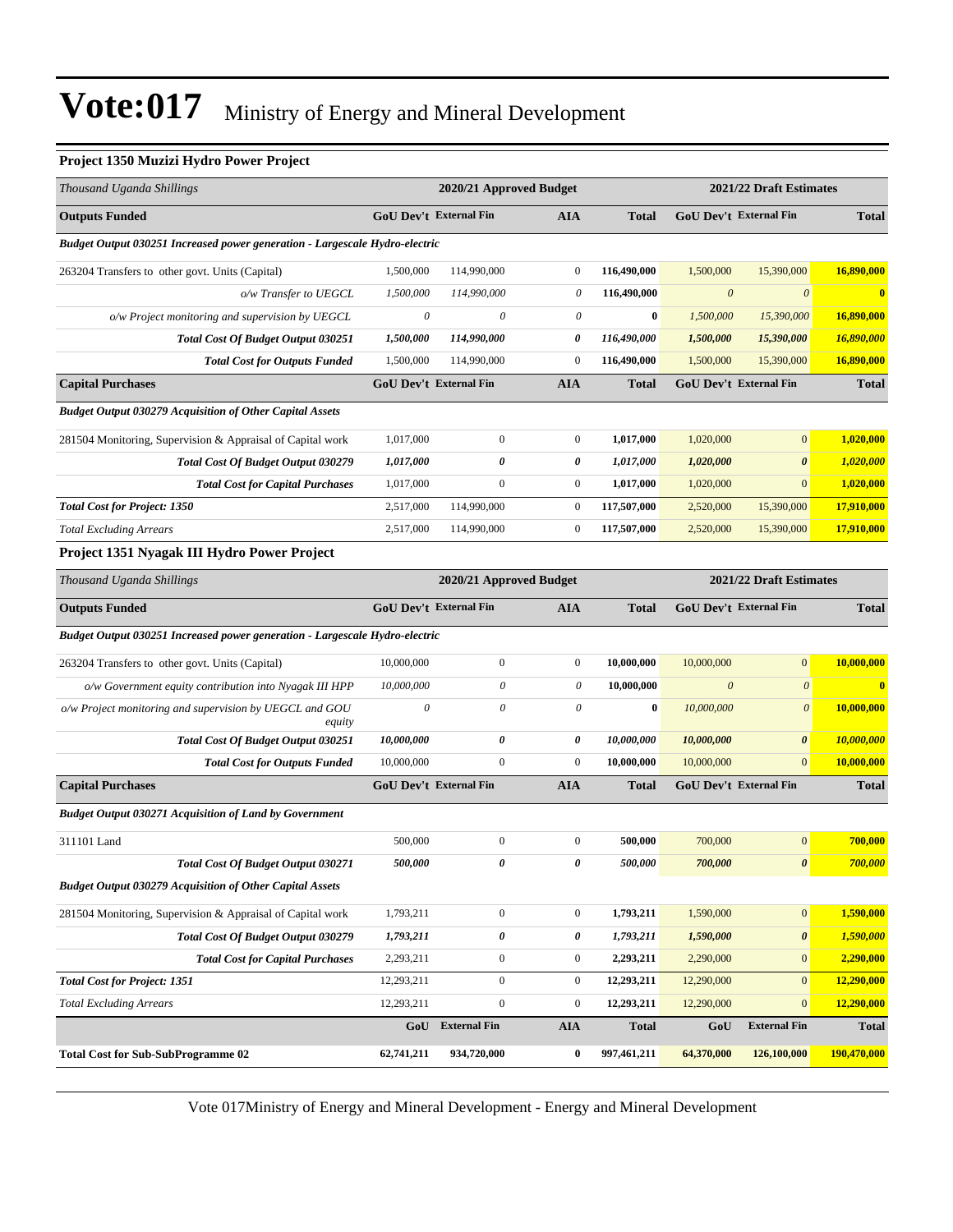#### **Project 1350 Muzizi Hydro Power Project**

| Thousand Uganda Shillings                                                          |                               | 2020/21 Approved Budget   |                       |              |                               | 2021/22 Draft Estimates |              |
|------------------------------------------------------------------------------------|-------------------------------|---------------------------|-----------------------|--------------|-------------------------------|-------------------------|--------------|
| <b>Outputs Funded</b>                                                              | GoU Dev't External Fin        |                           | AIA                   | <b>Total</b> | GoU Dev't External Fin        |                         | <b>Total</b> |
| Budget Output 030251 Increased power generation - Largescale Hydro-electric        |                               |                           |                       |              |                               |                         |              |
| 263204 Transfers to other govt. Units (Capital)                                    | 1,500,000                     | 114,990,000               | $\boldsymbol{0}$      | 116,490,000  | 1,500,000                     | 15,390,000              | 16,890,000   |
| o/w Transfer to UEGCL                                                              | 1,500,000                     | 114,990,000               | $\boldsymbol{\theta}$ | 116,490,000  | $\boldsymbol{\theta}$         | $\boldsymbol{\theta}$   | $\bf{0}$     |
| o/w Project monitoring and supervision by UEGCL                                    | $\theta$                      | 0                         | 0                     | $\bf{0}$     | 1,500,000                     | 15,390,000              | 16,890,000   |
| <b>Total Cost Of Budget Output 030251</b>                                          | 1,500,000                     | 114,990,000               | 0                     | 116,490,000  | 1,500,000                     | 15,390,000              | 16,890,000   |
| <b>Total Cost for Outputs Funded</b>                                               | 1,500,000                     | 114,990,000               | $\boldsymbol{0}$      | 116,490,000  | 1,500,000                     | 15,390,000              | 16,890,000   |
| <b>Capital Purchases</b>                                                           | <b>GoU Dev't External Fin</b> |                           | AIA                   | <b>Total</b> | GoU Dev't External Fin        |                         | <b>Total</b> |
| <b>Budget Output 030279 Acquisition of Other Capital Assets</b>                    |                               |                           |                       |              |                               |                         |              |
| 281504 Monitoring, Supervision & Appraisal of Capital work                         | 1,017,000                     | $\mathbf{0}$              | $\mathbf{0}$          | 1,017,000    | 1,020,000                     | $\boldsymbol{0}$        | 1,020,000    |
| <b>Total Cost Of Budget Output 030279</b>                                          | 1,017,000                     | 0                         | 0                     | 1,017,000    | 1,020,000                     | $\boldsymbol{\theta}$   | 1,020,000    |
| <b>Total Cost for Capital Purchases</b>                                            | 1,017,000                     | $\boldsymbol{0}$          | $\boldsymbol{0}$      | 1,017,000    | 1,020,000                     | $\boldsymbol{0}$        | 1,020,000    |
| <b>Total Cost for Project: 1350</b>                                                | 2,517,000                     | 114,990,000               | $\boldsymbol{0}$      | 117,507,000  | 2,520,000                     | 15,390,000              | 17,910,000   |
| <b>Total Excluding Arrears</b>                                                     | 2,517,000                     | 114,990,000               | $\mathbf{0}$          | 117,507,000  | 2,520,000                     | 15,390,000              | 17,910,000   |
| Project 1351 Nyagak III Hydro Power Project                                        |                               |                           |                       |              |                               |                         |              |
| Thousand Uganda Shillings                                                          |                               | 2020/21 Approved Budget   |                       |              |                               | 2021/22 Draft Estimates |              |
| <b>Outputs Funded</b>                                                              | GoU Dev't External Fin        |                           | AIA                   | <b>Total</b> | GoU Dev't External Fin        |                         | <b>Total</b> |
| <b>Budget Output 030251 Increased power generation - Largescale Hydro-electric</b> |                               |                           |                       |              |                               |                         |              |
| 263204 Transfers to other govt. Units (Capital)                                    | 10,000,000                    | $\mathbf{0}$              | $\mathbf{0}$          | 10,000,000   | 10,000,000                    | $\overline{0}$          | 10,000,000   |
| o/w Government equity contribution into Nyagak III HPP                             | 10,000,000                    | 0                         | 0                     | 10,000,000   | $\boldsymbol{\theta}$         | $\boldsymbol{\theta}$   | $\mathbf{0}$ |
| o/w Project monitoring and supervision by UEGCL and GOU<br>equity                  | $\theta$                      | $\boldsymbol{\mathit{0}}$ | 0                     | $\bf{0}$     | 10,000,000                    | $\boldsymbol{\theta}$   | 10,000,000   |
| Total Cost Of Budget Output 030251                                                 | 10,000,000                    | 0                         | 0                     | 10,000,000   | 10,000,000                    | $\boldsymbol{\theta}$   | 10,000,000   |
| <b>Total Cost for Outputs Funded</b>                                               | 10,000,000                    | $\boldsymbol{0}$          | $\mathbf{0}$          | 10,000,000   | 10,000,000                    | $\mathbf{0}$            | 10,000,000   |
| <b>Capital Purchases</b>                                                           | <b>GoU Dev't External Fin</b> |                           | <b>AIA</b>            | Total        | <b>GoU Dev't External Fin</b> |                         | <b>Total</b> |
| <b>Budget Output 030271 Acquisition of Land by Government</b>                      |                               |                           |                       |              |                               |                         |              |
| 311101 Land                                                                        | 500,000                       | $\mathbf{0}$              | $\boldsymbol{0}$      | 500,000      | 700,000                       | $\mathbf{0}$            | 700,000      |
| Total Cost Of Budget Output 030271                                                 | 500,000                       | 0                         | 0                     | 500,000      | 700,000                       | $\pmb{\theta}$          | 700,000      |
| <b>Budget Output 030279 Acquisition of Other Capital Assets</b>                    |                               |                           |                       |              |                               |                         |              |
| 281504 Monitoring, Supervision & Appraisal of Capital work                         | 1,793,211                     | $\boldsymbol{0}$          | $\boldsymbol{0}$      | 1,793,211    | 1,590,000                     | $\mathbf{0}$            | 1,590,000    |
| Total Cost Of Budget Output 030279                                                 | 1,793,211                     | 0                         | 0                     | 1,793,211    | 1,590,000                     | 0                       | 1,590,000    |
| <b>Total Cost for Capital Purchases</b>                                            | 2,293,211                     | $\boldsymbol{0}$          | $\boldsymbol{0}$      | 2,293,211    | 2,290,000                     | $\boldsymbol{0}$        | 2,290,000    |
| <b>Total Cost for Project: 1351</b>                                                | 12,293,211                    | $\boldsymbol{0}$          | $\boldsymbol{0}$      | 12,293,211   | 12,290,000                    | $\mathbf{0}$            | 12,290,000   |
| <b>Total Excluding Arrears</b>                                                     | 12,293,211                    | $\mathbf{0}$              | $\boldsymbol{0}$      | 12,293,211   | 12,290,000                    | $\mathbf{0}$            | 12,290,000   |
|                                                                                    | GoU                           | <b>External Fin</b>       | AIA                   | <b>Total</b> | GoU                           | <b>External Fin</b>     | <b>Total</b> |
| <b>Total Cost for Sub-SubProgramme 02</b>                                          | 62,741,211                    | 934,720,000               | $\bf{0}$              | 997,461,211  | 64,370,000                    | 126,100,000             | 190,470,000  |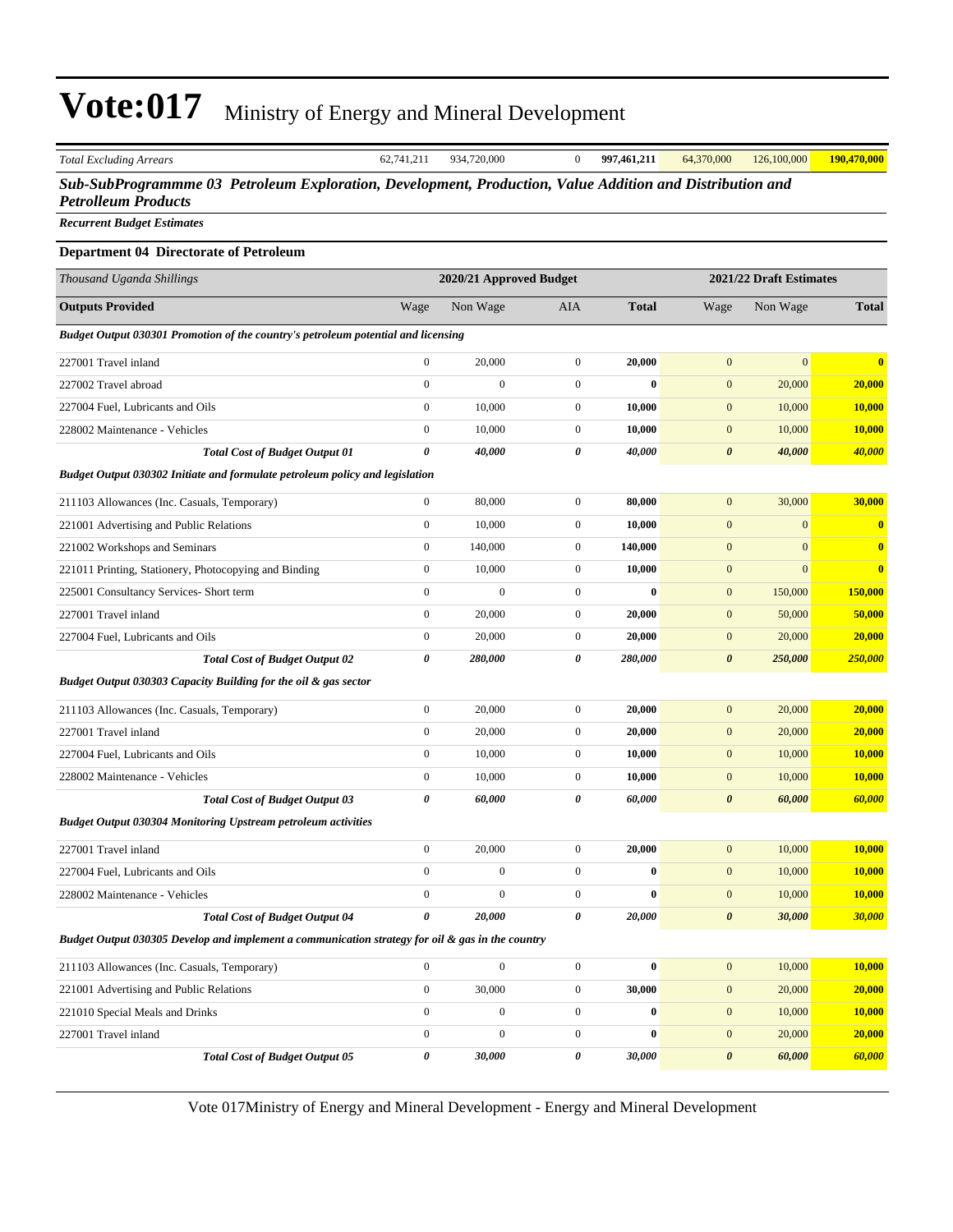|                                                                              |                  |                                                                                   |                                                                                                                             | Sub-SubProgrammme 03 Petroleum Exploration, Development, Production, Value Addition and Distribution and |                  |                         |  |
|------------------------------------------------------------------------------|------------------|-----------------------------------------------------------------------------------|-----------------------------------------------------------------------------------------------------------------------------|----------------------------------------------------------------------------------------------------------|------------------|-------------------------|--|
|                                                                              |                  |                                                                                   |                                                                                                                             |                                                                                                          |                  |                         |  |
|                                                                              |                  |                                                                                   |                                                                                                                             |                                                                                                          |                  |                         |  |
|                                                                              |                  |                                                                                   |                                                                                                                             |                                                                                                          |                  |                         |  |
|                                                                              |                  |                                                                                   |                                                                                                                             |                                                                                                          |                  |                         |  |
| Wage                                                                         | Non Wage         | AIA                                                                               | Total                                                                                                                       | Wage                                                                                                     | Non Wage         | <b>Total</b>            |  |
|                                                                              |                  |                                                                                   |                                                                                                                             |                                                                                                          |                  |                         |  |
| $\mathbf{0}$                                                                 | 20,000           | $\mathbf{0}$                                                                      | 20,000                                                                                                                      | $\mathbf{0}$                                                                                             | $\boldsymbol{0}$ | $\overline{\mathbf{0}}$ |  |
| $\boldsymbol{0}$                                                             | $\mathbf{0}$     | $\boldsymbol{0}$                                                                  | $\bf{0}$                                                                                                                    | $\mathbf{0}$                                                                                             | 20,000           | 20,000                  |  |
| $\boldsymbol{0}$                                                             | 10,000           | 0                                                                                 | 10,000                                                                                                                      | $\mathbf{0}$                                                                                             | 10,000           | <b>10,000</b>           |  |
| $\boldsymbol{0}$                                                             | 10,000           | $\boldsymbol{0}$                                                                  | 10,000                                                                                                                      | $\mathbf{0}$                                                                                             | 10,000           | 10,000                  |  |
| 0                                                                            | 40,000           | 0                                                                                 | 40,000                                                                                                                      | $\boldsymbol{\theta}$                                                                                    | 40,000           | 40,000                  |  |
| Budget Output 030302 Initiate and formulate petroleum policy and legislation |                  |                                                                                   |                                                                                                                             |                                                                                                          |                  |                         |  |
| $\mathbf{0}$                                                                 | 80,000           | $\mathbf{0}$                                                                      | 80,000                                                                                                                      | $\mathbf{0}$                                                                                             | 30,000           | 30,000                  |  |
| $\boldsymbol{0}$                                                             | 10,000           | $\boldsymbol{0}$                                                                  | 10,000                                                                                                                      | $\mathbf{0}$                                                                                             | $\mathbf{0}$     | $\boldsymbol{0}$        |  |
| $\mathbf{0}$                                                                 | 140,000          | $\boldsymbol{0}$                                                                  | 140,000                                                                                                                     | $\mathbf{0}$                                                                                             | $\mathbf{0}$     | $\boldsymbol{0}$        |  |
| $\boldsymbol{0}$                                                             | 10,000           | $\mathbf{0}$                                                                      | 10,000                                                                                                                      | $\mathbf{0}$                                                                                             | $\mathbf{0}$     | $\overline{\mathbf{0}}$ |  |
| $\boldsymbol{0}$                                                             | $\mathbf{0}$     | $\boldsymbol{0}$                                                                  | 0                                                                                                                           | $\mathbf{0}$                                                                                             | 150,000          | 150,000                 |  |
| $\boldsymbol{0}$                                                             | 20,000           | $\mathbf{0}$                                                                      | 20,000                                                                                                                      | $\mathbf{0}$                                                                                             | 50,000           | 50,000                  |  |
| $\boldsymbol{0}$                                                             | 20,000           | $\boldsymbol{0}$                                                                  | 20,000                                                                                                                      | $\mathbf{0}$                                                                                             | 20,000           | 20,000                  |  |
| 0                                                                            | 280,000          | 0                                                                                 | 280,000                                                                                                                     | $\boldsymbol{\theta}$                                                                                    | 250,000          | <b>250,000</b>          |  |
| Budget Output 030303 Capacity Building for the oil & gas sector              |                  |                                                                                   |                                                                                                                             |                                                                                                          |                  |                         |  |
| $\mathbf{0}$                                                                 | 20,000           | $\boldsymbol{0}$                                                                  | 20,000                                                                                                                      | $\mathbf{0}$                                                                                             | 20,000           | 20,000                  |  |
| $\boldsymbol{0}$                                                             | 20,000           | $\boldsymbol{0}$                                                                  | 20,000                                                                                                                      | $\mathbf{0}$                                                                                             | 20,000           | 20,000                  |  |
| $\mathbf{0}$                                                                 | 10,000           | $\mathbf{0}$                                                                      | 10,000                                                                                                                      | $\mathbf{0}$                                                                                             | 10,000           | 10,000                  |  |
| $\boldsymbol{0}$                                                             | 10,000           | $\boldsymbol{0}$                                                                  | 10,000                                                                                                                      | $\mathbf{0}$                                                                                             | 10,000           | 10,000                  |  |
| 0                                                                            | 60,000           | 0                                                                                 | 60,000                                                                                                                      | $\boldsymbol{\theta}$                                                                                    | 60,000           | 60,000                  |  |
| <b>Budget Output 030304 Monitoring Upstream petroleum activities</b>         |                  |                                                                                   |                                                                                                                             |                                                                                                          |                  |                         |  |
| $\overline{0}$                                                               | 20,000           | $\mathbf{0}$                                                                      | 20,000                                                                                                                      | $\mathbf{0}$                                                                                             | 10,000           | 10,000                  |  |
| $\boldsymbol{0}$                                                             | $\boldsymbol{0}$ | $\boldsymbol{0}$                                                                  | $\bf{0}$                                                                                                                    | $\mathbf{0}$                                                                                             | 10,000           | 10,000                  |  |
| $\mathbf{0}$                                                                 | $\mathbf{0}$     | $\boldsymbol{0}$                                                                  | 0                                                                                                                           | $\mathbf{0}$                                                                                             | 10,000           | 10,000                  |  |
| 0                                                                            | 20,000           | 0                                                                                 | 20,000                                                                                                                      | $\boldsymbol{\theta}$                                                                                    | 30,000           | 30,000                  |  |
|                                                                              |                  |                                                                                   |                                                                                                                             |                                                                                                          |                  |                         |  |
| $\boldsymbol{0}$                                                             | $\mathbf{0}$     | $\boldsymbol{0}$                                                                  | $\bf{0}$                                                                                                                    | $\mathbf{0}$                                                                                             | 10,000           | 10,000                  |  |
| $\mathbf{0}$                                                                 | 30,000           | $\boldsymbol{0}$                                                                  | 30,000                                                                                                                      | $\mathbf{0}$                                                                                             | 20,000           | 20,000                  |  |
| $\boldsymbol{0}$                                                             | $\boldsymbol{0}$ | $\boldsymbol{0}$                                                                  | 0                                                                                                                           | $\mathbf{0}$                                                                                             | 10,000           | 10,000                  |  |
| $\boldsymbol{0}$                                                             | 0                | $\boldsymbol{0}$                                                                  | 0                                                                                                                           | $\mathbf{0}$                                                                                             | 20,000           | 20,000                  |  |
| 0                                                                            | 30,000           | 0                                                                                 | 30,000                                                                                                                      | $\boldsymbol{\theta}$                                                                                    | 60,000           | 60,000                  |  |
|                                                                              |                  | Budget Output 030301 Promotion of the country's petroleum potential and licensing | 2020/21 Approved Budget<br>Budget Output 030305 Develop and implement a communication strategy for oil & gas in the country |                                                                                                          |                  | 2021/22 Draft Estimates |  |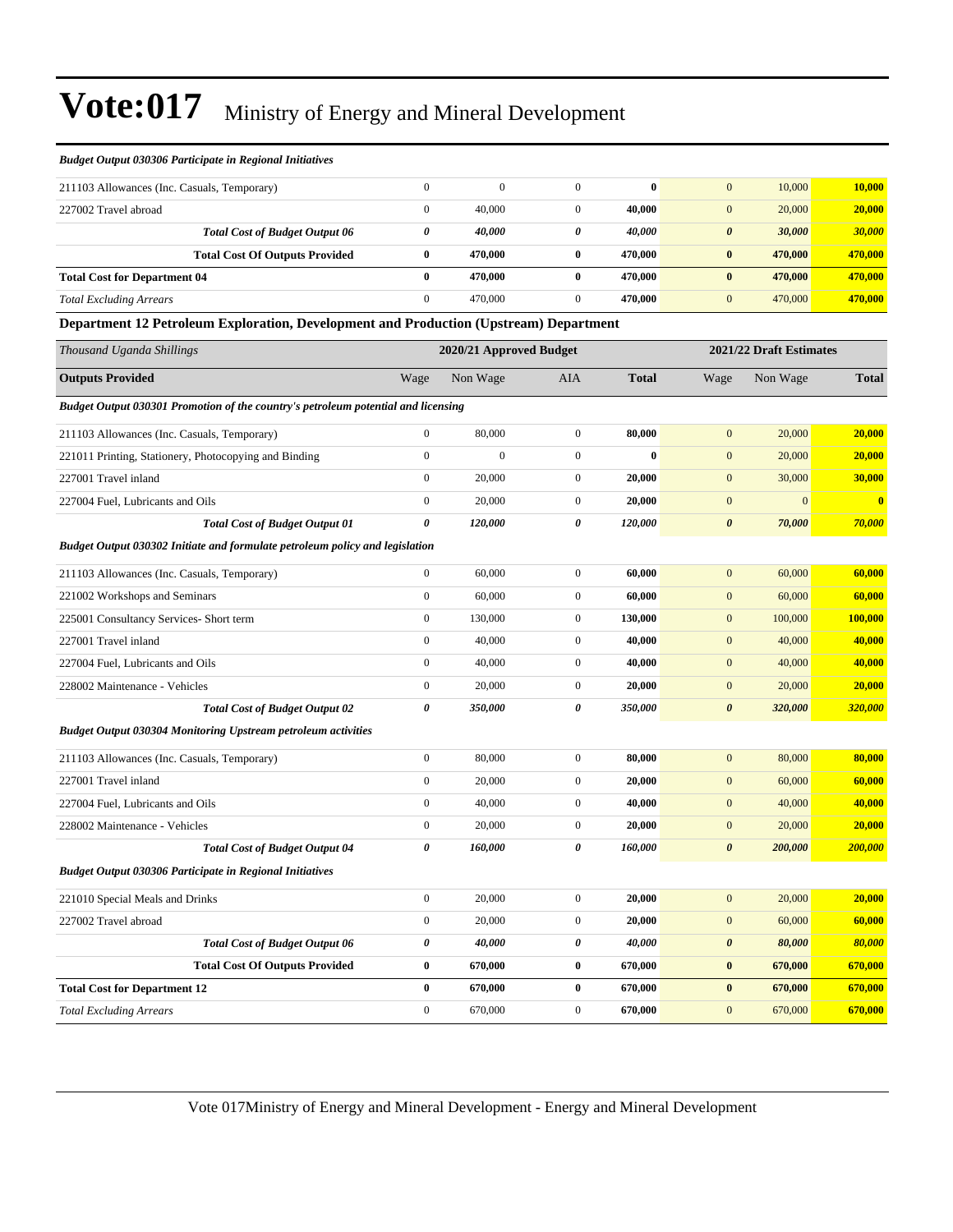| <b>Budget Output 030306 Participate in Regional Initiatives</b>                       |                       |                         |                |              |                       |                         |                         |
|---------------------------------------------------------------------------------------|-----------------------|-------------------------|----------------|--------------|-----------------------|-------------------------|-------------------------|
| 211103 Allowances (Inc. Casuals, Temporary)                                           | $\Omega$              | $\Omega$                | $\overline{0}$ | $\bf{0}$     | $\overline{0}$        | 10,000                  | 10,000                  |
| 227002 Travel abroad                                                                  | $\Omega$              | 40,000                  | $\overline{0}$ | 40,000       | $\overline{0}$        | 20,000                  | 20,000                  |
| <b>Total Cost of Budget Output 06</b>                                                 | $\theta$              | 40,000                  | 0              | 40,000       | $\boldsymbol{\theta}$ | 30,000                  | 30,000                  |
| <b>Total Cost Of Outputs Provided</b>                                                 | $\mathbf{0}$          | 470.000                 | $\bf{0}$       | 470,000      | $\bf{0}$              | 470,000                 | 470,000                 |
| <b>Total Cost for Department 04</b>                                                   | $\mathbf{0}$          | 470,000                 | $\bf{0}$       | 470.000      | $\mathbf{0}$          | 470,000                 | 470,000                 |
| <b>Total Excluding Arrears</b>                                                        | $\mathbf{0}$          | 470,000                 | $\overline{0}$ | 470,000      | $\overline{0}$        | 470,000                 | 470,000                 |
| Department 12 Petroleum Exploration, Development and Production (Upstream) Department |                       |                         |                |              |                       |                         |                         |
| Thousand Uganda Shillings                                                             |                       | 2020/21 Approved Budget |                |              |                       | 2021/22 Draft Estimates |                         |
| <b>Outputs Provided</b>                                                               | Wage                  | Non Wage                | <b>AIA</b>     | <b>Total</b> | Wage                  | Non Wage                | <b>Total</b>            |
| Budget Output 030301 Promotion of the country's petroleum potential and licensing     |                       |                         |                |              |                       |                         |                         |
| 211103 Allowances (Inc. Casuals, Temporary)                                           | $\overline{0}$        | 80,000                  | $\overline{0}$ | 80,000       | $\mathbf{0}$          | 20,000                  | 20,000                  |
| 221011 Printing, Stationery, Photocopying and Binding                                 | $\mathbf{0}$          | $\Omega$                | $\overline{0}$ | 0            | $\overline{0}$        | 20,000                  | 20,000                  |
| 227001 Travel inland                                                                  | $\mathbf{0}$          | 20,000                  | $\overline{0}$ | 20,000       | $\overline{0}$        | 30,000                  | 30,000                  |
| 227004 Fuel, Lubricants and Oils                                                      | $\mathbf{0}$          | 20,000                  | $\overline{0}$ | 20,000       | $\mathbf{0}$          | $\Omega$                | $\overline{\mathbf{0}}$ |
| <b>Total Cost of Budget Output 01</b>                                                 | $\boldsymbol{\theta}$ | 120,000                 | 0              | 120,000      | $\boldsymbol{\theta}$ | 70,000                  | 70,000                  |
| Budget Output 030302 Initiate and formulate petroleum policy and legislation          |                       |                         |                |              |                       |                         |                         |
| 211103 Allowances (Inc. Casuals, Temporary)                                           | $\mathbf{0}$          | 60,000                  | $\overline{0}$ | 60,000       | $\overline{0}$        | 60,000                  | 60,000                  |
| 221002 Workshops and Seminars                                                         | $\Omega$              | 60,000                  | $\overline{0}$ | 60,000       | $\overline{0}$        | 60,000                  | 60,000                  |
| 225001 Consultancy Services- Short term                                               | $\mathbf{0}$          | 130,000                 | $\overline{0}$ | 130,000      | $\overline{0}$        | 100,000                 | 100,000                 |
| 227001 Travel inland                                                                  | $\mathbf{0}$          | 40,000                  | $\overline{0}$ | 40,000       | $\overline{0}$        | 40,000                  | 40,000                  |
| 227004 Fuel, Lubricants and Oils                                                      | $\mathbf{0}$          | 40,000                  | $\mathbf{0}$   | 40,000       | $\overline{0}$        | 40,000                  | 40,000                  |
| 228002 Maintenance - Vehicles                                                         | $\mathbf{0}$          | 20,000                  | $\mathbf{0}$   | 20,000       | $\mathbf{0}$          | 20,000                  | 20,000                  |

*Total Cost of Budget Output 02 0 350,000 0 350,000 0 320,000 320,000*

*Budget Output 030304 Monitoring Upstream petroleum activities* 211103 Allowances (Inc. Casuals, Temporary) 0 80,000 0 **80,000** 0 80,000 **80,000** 227001 Travel inland 0 20,000 0 **20,000** 0 60,000 **60,000** 227004 Fuel, Lubricants and Oils 0 40,000 0 **40,000** 0 40,000 **40,000** 228002 Maintenance - Vehicles 0 20,000 0 **20,000** 0 20,000 **20,000** *Total Cost of Budget Output 04 0 160,000 0 160,000 0 200,000 200,000 Budget Output 030306 Participate in Regional Initiatives* 221010 Special Meals and Drinks 0 20,000 0 **20,000** 0 20,000 **20,000** 227002 Travel abroad 0 20,000 0 **20,000** 0 60,000 **60,000** *Total Cost of Budget Output 06 0 40,000 0 40,000 0 80,000 80,000* **Total Cost Of Outputs Provided 0 670,000 0 670,000 0 670,000 670,000 Total Cost for Department 12 0 670,000 0 670,000 0 670,000 670,000**

*Total Excluding Arrears* 0 670,000 0 **670,000** 0 670,000 **670,000**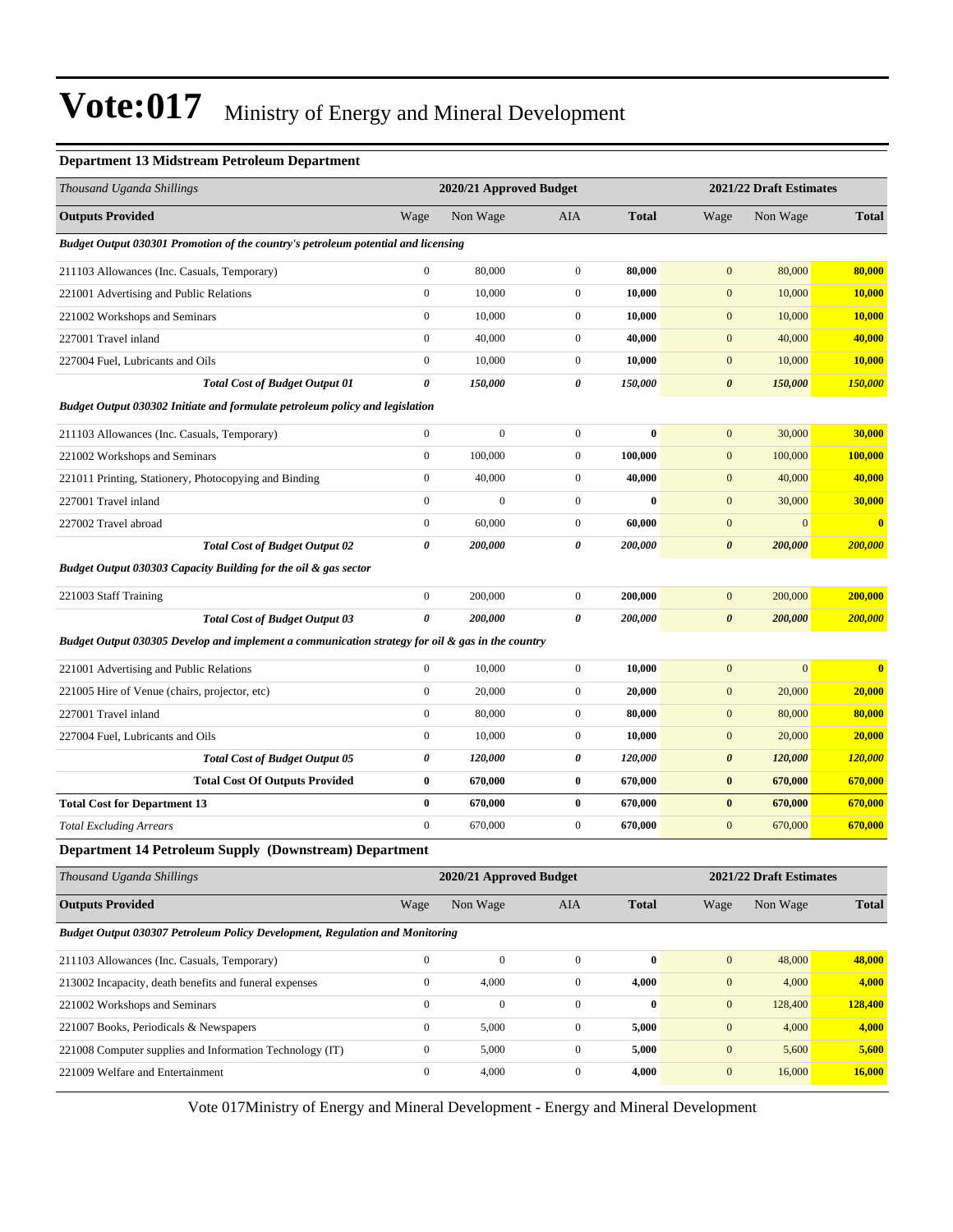#### **Department 13 Midstream Petroleum Department**

| <b>Outputs Provided</b><br>Non Wage<br>Wage<br>AIA<br><b>Total</b><br>Wage<br>Non Wage<br><b>Total</b><br>Budget Output 030301 Promotion of the country's petroleum potential and licensing<br>$\boldsymbol{0}$<br>80,000<br>$\mathbf{0}$<br>$\mathbf{0}$<br>80,000<br>80,000<br>80,000<br>211103 Allowances (Inc. Casuals, Temporary)<br>$\boldsymbol{0}$<br>10,000<br>$\mathbf{0}$<br>$\mathbf{0}$<br>221001 Advertising and Public Relations<br>10,000<br>10,000<br>10,000<br>$\boldsymbol{0}$<br>221002 Workshops and Seminars<br>10,000<br>$\mathbf{0}$<br>10,000<br>$\mathbf{0}$<br>10,000<br>10,000<br>$\boldsymbol{0}$<br>40,000<br>$\boldsymbol{0}$<br>40,000<br>$\boldsymbol{0}$<br>40,000<br>40,000<br>227001 Travel inland<br>$\boldsymbol{0}$<br>10,000<br>$\mathbf{0}$<br>10,000<br>$\boldsymbol{0}$<br>10,000<br>10,000<br>227004 Fuel, Lubricants and Oils |
|----------------------------------------------------------------------------------------------------------------------------------------------------------------------------------------------------------------------------------------------------------------------------------------------------------------------------------------------------------------------------------------------------------------------------------------------------------------------------------------------------------------------------------------------------------------------------------------------------------------------------------------------------------------------------------------------------------------------------------------------------------------------------------------------------------------------------------------------------------------------------|
|                                                                                                                                                                                                                                                                                                                                                                                                                                                                                                                                                                                                                                                                                                                                                                                                                                                                            |
|                                                                                                                                                                                                                                                                                                                                                                                                                                                                                                                                                                                                                                                                                                                                                                                                                                                                            |
|                                                                                                                                                                                                                                                                                                                                                                                                                                                                                                                                                                                                                                                                                                                                                                                                                                                                            |
|                                                                                                                                                                                                                                                                                                                                                                                                                                                                                                                                                                                                                                                                                                                                                                                                                                                                            |
|                                                                                                                                                                                                                                                                                                                                                                                                                                                                                                                                                                                                                                                                                                                                                                                                                                                                            |
|                                                                                                                                                                                                                                                                                                                                                                                                                                                                                                                                                                                                                                                                                                                                                                                                                                                                            |
|                                                                                                                                                                                                                                                                                                                                                                                                                                                                                                                                                                                                                                                                                                                                                                                                                                                                            |
| 0<br>150,000<br>0<br>150,000<br>$\boldsymbol{\theta}$<br><b>Total Cost of Budget Output 01</b><br>150,000<br>150,000                                                                                                                                                                                                                                                                                                                                                                                                                                                                                                                                                                                                                                                                                                                                                       |
| Budget Output 030302 Initiate and formulate petroleum policy and legislation                                                                                                                                                                                                                                                                                                                                                                                                                                                                                                                                                                                                                                                                                                                                                                                               |
| $\boldsymbol{0}$<br>$\overline{0}$<br>$\boldsymbol{0}$<br>$\boldsymbol{0}$<br>30,000<br>211103 Allowances (Inc. Casuals, Temporary)<br>$\bf{0}$<br>30,000                                                                                                                                                                                                                                                                                                                                                                                                                                                                                                                                                                                                                                                                                                                  |
| $\boldsymbol{0}$<br>$\mathbf{0}$<br>221002 Workshops and Seminars<br>100,000<br>100,000<br>$\mathbf{0}$<br>100,000<br>100,000                                                                                                                                                                                                                                                                                                                                                                                                                                                                                                                                                                                                                                                                                                                                              |
| $\boldsymbol{0}$<br>40,000<br>$\mathbf{0}$<br>$\boldsymbol{0}$<br>40,000<br>40,000<br>221011 Printing, Stationery, Photocopying and Binding<br>40,000                                                                                                                                                                                                                                                                                                                                                                                                                                                                                                                                                                                                                                                                                                                      |
| $\boldsymbol{0}$<br>227001 Travel inland<br>$\mathbf{0}$<br>$\mathbf{0}$<br>$\mathbf{0}$<br>$\mathbf{0}$<br>30,000<br>30,000                                                                                                                                                                                                                                                                                                                                                                                                                                                                                                                                                                                                                                                                                                                                               |
| $\boldsymbol{0}$<br>60,000<br>$\mathbf{0}$<br>60,000<br>$\boldsymbol{0}$<br>$\bf{0}$<br>227002 Travel abroad<br>$\mathbf{0}$                                                                                                                                                                                                                                                                                                                                                                                                                                                                                                                                                                                                                                                                                                                                               |
| 0<br>200,000<br>200,000<br>0<br>200,000<br>$\boldsymbol{\theta}$<br>200,000<br><b>Total Cost of Budget Output 02</b>                                                                                                                                                                                                                                                                                                                                                                                                                                                                                                                                                                                                                                                                                                                                                       |
| Budget Output 030303 Capacity Building for the oil & gas sector                                                                                                                                                                                                                                                                                                                                                                                                                                                                                                                                                                                                                                                                                                                                                                                                            |
| 200,000<br>221003 Staff Training<br>$\boldsymbol{0}$<br>200,000<br>$\mathbf{0}$<br>200,000<br>$\mathbf{0}$<br>200,000                                                                                                                                                                                                                                                                                                                                                                                                                                                                                                                                                                                                                                                                                                                                                      |
| $\pmb{\theta}$<br>200,000<br>200,000<br>0<br>200,000<br>$\boldsymbol{\theta}$<br>200,000<br><b>Total Cost of Budget Output 03</b>                                                                                                                                                                                                                                                                                                                                                                                                                                                                                                                                                                                                                                                                                                                                          |
| Budget Output 030305 Develop and implement a communication strategy for oil & gas in the country                                                                                                                                                                                                                                                                                                                                                                                                                                                                                                                                                                                                                                                                                                                                                                           |
| 221001 Advertising and Public Relations<br>$\boldsymbol{0}$<br>10,000<br>$\mathbf{0}$<br>10,000<br>$\mathbf{0}$<br>$\overline{0}$<br>$\bf{0}$                                                                                                                                                                                                                                                                                                                                                                                                                                                                                                                                                                                                                                                                                                                              |
| $\boldsymbol{0}$<br>20,000<br>$\boldsymbol{0}$<br>$\boldsymbol{0}$<br>20,000<br>221005 Hire of Venue (chairs, projector, etc)<br>20,000<br>20,000                                                                                                                                                                                                                                                                                                                                                                                                                                                                                                                                                                                                                                                                                                                          |
| $\boldsymbol{0}$<br>227001 Travel inland<br>80,000<br>$\boldsymbol{0}$<br>80,000<br>$\boldsymbol{0}$<br>80,000<br>80,000                                                                                                                                                                                                                                                                                                                                                                                                                                                                                                                                                                                                                                                                                                                                                   |
| $\mathbf{0}$<br>$\boldsymbol{0}$<br>10,000<br>10,000<br>$\mathbf{0}$<br>20,000<br>20,000<br>227004 Fuel, Lubricants and Oils                                                                                                                                                                                                                                                                                                                                                                                                                                                                                                                                                                                                                                                                                                                                               |
| 0<br>120,000<br>0<br>120,000<br>$\boldsymbol{\theta}$<br>120,000<br>120,000<br><b>Total Cost of Budget Output 05</b>                                                                                                                                                                                                                                                                                                                                                                                                                                                                                                                                                                                                                                                                                                                                                       |
| 670,000<br><b>Total Cost Of Outputs Provided</b><br>$\bf{0}$<br>670,000<br>$\bf{0}$<br>$\bf{0}$<br>670,000<br>670,000                                                                                                                                                                                                                                                                                                                                                                                                                                                                                                                                                                                                                                                                                                                                                      |
| $\bf{0}$<br>$\boldsymbol{0}$<br><b>Total Cost for Department 13</b><br>670,000<br>$\bf{0}$<br>670,000<br>670,000<br>670,000                                                                                                                                                                                                                                                                                                                                                                                                                                                                                                                                                                                                                                                                                                                                                |
| $\boldsymbol{0}$<br>$\boldsymbol{0}$<br><b>Total Excluding Arrears</b><br>670,000<br>$\boldsymbol{0}$<br>670,000<br>670,000<br>670,000                                                                                                                                                                                                                                                                                                                                                                                                                                                                                                                                                                                                                                                                                                                                     |
| Department 14 Petroleum Supply (Downstream) Department                                                                                                                                                                                                                                                                                                                                                                                                                                                                                                                                                                                                                                                                                                                                                                                                                     |
| Thousand Uganda Shillings<br>2020/21 Approved Budget<br>2021/22 Draft Estimates                                                                                                                                                                                                                                                                                                                                                                                                                                                                                                                                                                                                                                                                                                                                                                                            |
| <b>Outputs Provided</b><br>Wage<br>Non Wage<br>AIA<br><b>Total</b><br>Non Wage<br><b>Total</b><br>Wage                                                                                                                                                                                                                                                                                                                                                                                                                                                                                                                                                                                                                                                                                                                                                                     |
| <b>Budget Output 030307 Petroleum Policy Development, Regulation and Monitoring</b>                                                                                                                                                                                                                                                                                                                                                                                                                                                                                                                                                                                                                                                                                                                                                                                        |
| $\boldsymbol{0}$<br>$\boldsymbol{0}$<br>$\bf{0}$<br>48,000<br>48,000<br>211103 Allowances (Inc. Casuals, Temporary)<br>$\boldsymbol{0}$<br>$\mathbf{0}$                                                                                                                                                                                                                                                                                                                                                                                                                                                                                                                                                                                                                                                                                                                    |
| $\boldsymbol{0}$<br>$\boldsymbol{0}$<br>4,000<br>4,000<br>$\boldsymbol{0}$<br>4,000<br>4,000<br>213002 Incapacity, death benefits and funeral expenses                                                                                                                                                                                                                                                                                                                                                                                                                                                                                                                                                                                                                                                                                                                     |
| $\boldsymbol{0}$<br>$\overline{0}$<br>$\boldsymbol{0}$<br>$\bf{0}$<br>221002 Workshops and Seminars<br>$\boldsymbol{0}$<br>128,400<br>128,400                                                                                                                                                                                                                                                                                                                                                                                                                                                                                                                                                                                                                                                                                                                              |
| $\boldsymbol{0}$<br>$\boldsymbol{0}$<br>5,000<br>5,000<br>$\boldsymbol{0}$<br>221007 Books, Periodicals & Newspapers<br>4,000<br>4,000                                                                                                                                                                                                                                                                                                                                                                                                                                                                                                                                                                                                                                                                                                                                     |
| $\boldsymbol{0}$<br>5,000<br>$\boldsymbol{0}$<br>5,000<br>$\boldsymbol{0}$<br>5,600<br>221008 Computer supplies and Information Technology (IT)<br>5,600                                                                                                                                                                                                                                                                                                                                                                                                                                                                                                                                                                                                                                                                                                                   |
|                                                                                                                                                                                                                                                                                                                                                                                                                                                                                                                                                                                                                                                                                                                                                                                                                                                                            |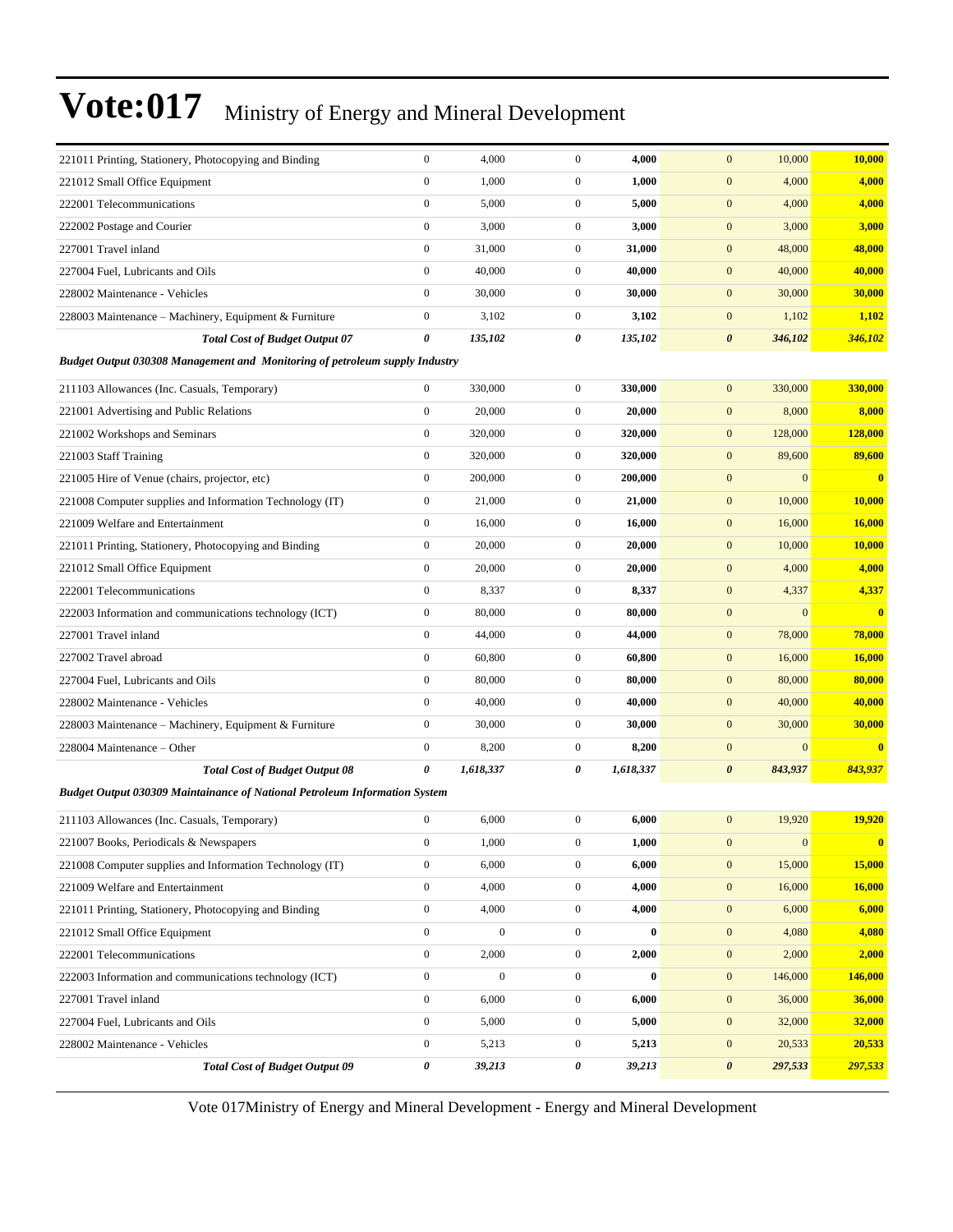| 221011 Printing, Stationery, Photocopying and Binding                              | $\boldsymbol{0}$ | 4,000            | $\boldsymbol{0}$ | 4,000     | $\mathbf{0}$<br>10,000             | 10,000        |
|------------------------------------------------------------------------------------|------------------|------------------|------------------|-----------|------------------------------------|---------------|
| 221012 Small Office Equipment                                                      | $\boldsymbol{0}$ | 1,000            | $\mathbf{0}$     | 1,000     | $\boldsymbol{0}$<br>4,000          | 4,000         |
| 222001 Telecommunications                                                          | $\boldsymbol{0}$ | 5,000            | $\mathbf{0}$     | 5,000     | $\boldsymbol{0}$<br>4,000          | 4,000         |
| 222002 Postage and Courier                                                         | $\boldsymbol{0}$ | 3,000            | $\mathbf{0}$     | 3,000     | $\mathbf{0}$<br>3,000              | 3,000         |
| 227001 Travel inland                                                               | $\boldsymbol{0}$ | 31,000           | $\mathbf{0}$     | 31,000    | $\mathbf{0}$<br>48,000             | 48,000        |
| 227004 Fuel, Lubricants and Oils                                                   | $\boldsymbol{0}$ | 40,000           | $\mathbf{0}$     | 40,000    | $\mathbf{0}$<br>40,000             | 40,000        |
| 228002 Maintenance - Vehicles                                                      | $\boldsymbol{0}$ | 30,000           | $\mathbf{0}$     | 30,000    | $\boldsymbol{0}$<br>30,000         | 30,000        |
| 228003 Maintenance – Machinery, Equipment & Furniture                              | $\boldsymbol{0}$ | 3,102            | $\mathbf{0}$     | 3,102     | $\boldsymbol{0}$<br>1,102          | 1,102         |
| <b>Total Cost of Budget Output 07</b>                                              | 0                | 135,102          | 0                | 135,102   | $\boldsymbol{\theta}$<br>346,102   | 346,102       |
| <b>Budget Output 030308 Management and Monitoring of petroleum supply Industry</b> |                  |                  |                  |           |                                    |               |
| 211103 Allowances (Inc. Casuals, Temporary)                                        | $\boldsymbol{0}$ | 330,000          | $\mathbf{0}$     | 330,000   | $\mathbf{0}$<br>330,000            | 330,000       |
| 221001 Advertising and Public Relations                                            | $\boldsymbol{0}$ | 20,000           | $\mathbf{0}$     | 20,000    | $\boldsymbol{0}$<br>8,000          | 8,000         |
| 221002 Workshops and Seminars                                                      | $\boldsymbol{0}$ | 320,000          | $\mathbf{0}$     | 320,000   | $\boldsymbol{0}$<br>128,000        | 128,000       |
| 221003 Staff Training                                                              | $\boldsymbol{0}$ | 320,000          | $\mathbf{0}$     | 320,000   | $\mathbf{0}$<br>89,600             | 89,600        |
| 221005 Hire of Venue (chairs, projector, etc)                                      | $\boldsymbol{0}$ | 200,000          | $\mathbf{0}$     | 200,000   | $\mathbf{0}$<br>$\overline{0}$     | $\bf{0}$      |
| 221008 Computer supplies and Information Technology (IT)                           | $\boldsymbol{0}$ | 21,000           | $\mathbf{0}$     | 21,000    | $\boldsymbol{0}$<br>10,000         | 10,000        |
| 221009 Welfare and Entertainment                                                   | $\boldsymbol{0}$ | 16,000           | $\boldsymbol{0}$ | 16,000    | $\boldsymbol{0}$<br>16,000         | 16,000        |
| 221011 Printing, Stationery, Photocopying and Binding                              | $\boldsymbol{0}$ | 20,000           | $\mathbf{0}$     | 20,000    | $\boldsymbol{0}$<br>10,000         | 10,000        |
| 221012 Small Office Equipment                                                      | $\boldsymbol{0}$ | 20,000           | $\mathbf{0}$     | 20,000    | $\mathbf{0}$<br>4,000              | 4,000         |
| 222001 Telecommunications                                                          | $\boldsymbol{0}$ | 8,337            | $\boldsymbol{0}$ | 8,337     | $\mathbf{0}$<br>4,337              | 4,337         |
| 222003 Information and communications technology (ICT)                             | $\boldsymbol{0}$ | 80,000           | $\mathbf{0}$     | 80,000    | $\boldsymbol{0}$<br>$\overline{0}$ | $\bf{0}$      |
| 227001 Travel inland                                                               | $\boldsymbol{0}$ | 44,000           | $\mathbf{0}$     | 44,000    | $\boldsymbol{0}$<br>78,000         | 78,000        |
| 227002 Travel abroad                                                               | $\boldsymbol{0}$ | 60,800           | $\mathbf{0}$     | 60,800    | $\boldsymbol{0}$<br>16,000         | 16,000        |
| 227004 Fuel, Lubricants and Oils                                                   | $\boldsymbol{0}$ | 80,000           | $\mathbf{0}$     | 80,000    | $\boldsymbol{0}$<br>80,000         | 80,000        |
| 228002 Maintenance - Vehicles                                                      | $\boldsymbol{0}$ | 40,000           | $\boldsymbol{0}$ | 40,000    | $\mathbf{0}$<br>40,000             | 40,000        |
| 228003 Maintenance – Machinery, Equipment & Furniture                              | $\boldsymbol{0}$ | 30,000           | $\mathbf{0}$     | 30,000    | $\boldsymbol{0}$<br>30,000         | 30,000        |
| 228004 Maintenance - Other                                                         | $\boldsymbol{0}$ | 8,200            | $\mathbf{0}$     | 8,200     | $\boldsymbol{0}$<br>$\overline{0}$ | $\bf{0}$      |
| <b>Total Cost of Budget Output 08</b>                                              | 0                | 1,618,337        | 0                | 1,618,337 | $\boldsymbol{\theta}$<br>843,937   | 843,937       |
| <b>Budget Output 030309 Maintainance of National Petroleum Information System</b>  |                  |                  |                  |           |                                    |               |
| 211103 Allowances (Inc. Casuals, Temporary)                                        | $\boldsymbol{0}$ | 6,000            | $\boldsymbol{0}$ | 6,000     | 19,920<br>$\mathbf{0}$             | 19,920        |
| 221007 Books, Periodicals & Newspapers                                             | $\boldsymbol{0}$ | 1,000            | $\boldsymbol{0}$ | 1,000     | $\mathbf{0}$<br>$\mathbf{0}$       |               |
| 221008 Computer supplies and Information Technology (IT)                           | $\boldsymbol{0}$ | 6,000            | $\boldsymbol{0}$ | 6,000     | $\boldsymbol{0}$<br>15,000         | 15,000        |
| 221009 Welfare and Entertainment                                                   | $\boldsymbol{0}$ | 4,000            | $\boldsymbol{0}$ | 4,000     | $\boldsymbol{0}$<br>16,000         | 16,000        |
| 221011 Printing, Stationery, Photocopying and Binding                              | $\boldsymbol{0}$ | 4,000            | $\boldsymbol{0}$ | 4,000     | $\boldsymbol{0}$<br>6,000          | 6,000         |
| 221012 Small Office Equipment                                                      | $\boldsymbol{0}$ | $\mathbf{0}$     | $\mathbf{0}$     | $\bf{0}$  | $\boldsymbol{0}$<br>4,080          | 4,080         |
| 222001 Telecommunications                                                          | $\boldsymbol{0}$ | 2,000            | $\boldsymbol{0}$ | 2,000     | $\boldsymbol{0}$<br>2,000          | 2,000         |
| 222003 Information and communications technology (ICT)                             | $\boldsymbol{0}$ | $\boldsymbol{0}$ | $\boldsymbol{0}$ | $\bf{0}$  | $\mathbf{0}$<br>146,000            | 146,000       |
| 227001 Travel inland                                                               | $\boldsymbol{0}$ | 6,000            | $\boldsymbol{0}$ | 6,000     | $\boldsymbol{0}$<br>36,000         | 36,000        |
| 227004 Fuel, Lubricants and Oils                                                   | $\boldsymbol{0}$ | 5,000            | $\boldsymbol{0}$ | 5,000     | $\boldsymbol{0}$<br>32,000         | <b>32,000</b> |
| 228002 Maintenance - Vehicles                                                      | $\boldsymbol{0}$ | 5,213            | $\mathbf{0}$     | 5,213     | $\boldsymbol{0}$<br>20,533         | 20,533        |
| <b>Total Cost of Budget Output 09</b>                                              | 0                | 39,213           | 0                | 39,213    | $\pmb{\theta}$<br>297,533          | 297,533       |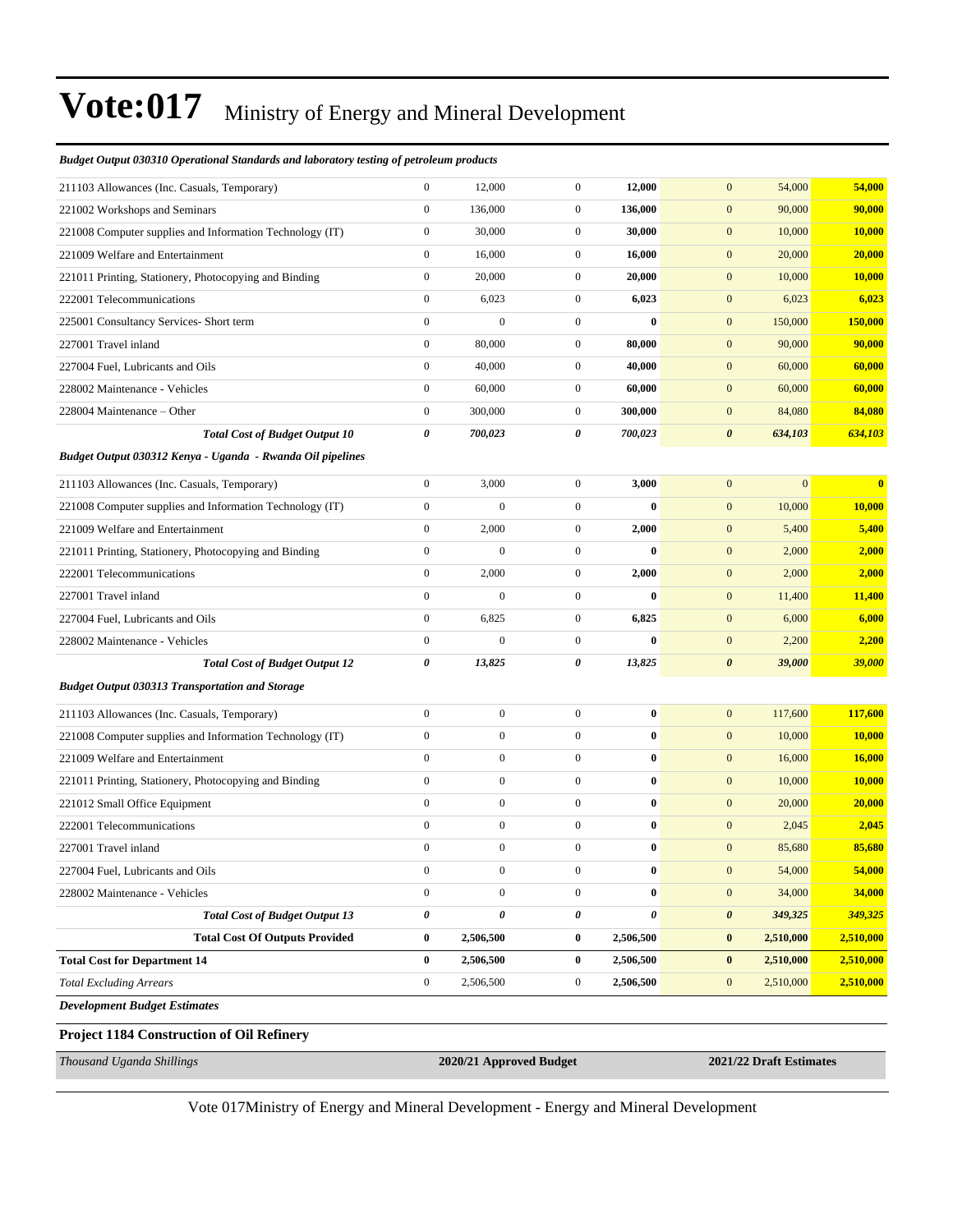#### *Budget Output 030310 Operational Standards and laboratory testing of petroleum products*

| Thousand Uganda Shillings                                  |                  | 2020/21 Approved Budget |                  |                | 2021/22 Draft Estimates |                |                         |
|------------------------------------------------------------|------------------|-------------------------|------------------|----------------|-------------------------|----------------|-------------------------|
| Project 1184 Construction of Oil Refinery                  |                  |                         |                  |                |                         |                |                         |
| <b>Development Budget Estimates</b>                        |                  |                         |                  |                |                         |                |                         |
| <b>Total Excluding Arrears</b>                             | $\boldsymbol{0}$ | 2,506,500               | $\boldsymbol{0}$ | 2,506,500      | $\boldsymbol{0}$        | 2,510,000      | 2,510,000               |
| <b>Total Cost for Department 14</b>                        | $\bf{0}$         | 2,506,500               | 0                | 2,506,500      | $\bf{0}$                | 2,510,000      | 2,510,000               |
| <b>Total Cost Of Outputs Provided</b>                      | $\bf{0}$         | 2,506,500               | 0                | 2,506,500      | $\bf{0}$                | 2,510,000      | 2,510,000               |
| <b>Total Cost of Budget Output 13</b>                      | $\pmb{\theta}$   | 0                       | 0                | $\pmb{\theta}$ | $\boldsymbol{\theta}$   | 349,325        | 349,325                 |
| 228002 Maintenance - Vehicles                              | $\boldsymbol{0}$ | $\boldsymbol{0}$        | $\boldsymbol{0}$ | $\bf{0}$       | $\boldsymbol{0}$        | 34,000         | 34,000                  |
| 227004 Fuel, Lubricants and Oils                           | 0                | 0                       | 0                | $\bf{0}$       | $\mathbf{0}$            | 54,000         | <b>54,000</b>           |
| 227001 Travel inland                                       | $\mathbf{0}$     | $\boldsymbol{0}$        | $\overline{0}$   | $\bf{0}$       | $\mathbf{0}$            | 85,680         | 85,680                  |
| 222001 Telecommunications                                  | $\boldsymbol{0}$ | $\boldsymbol{0}$        | $\boldsymbol{0}$ | $\bf{0}$       | $\mathbf{0}$            | 2,045          | 2,045                   |
| 221012 Small Office Equipment                              | $\boldsymbol{0}$ | $\boldsymbol{0}$        | $\mathbf{0}$     | $\bf{0}$       | $\mathbf{0}$            | 20,000         | 20,000                  |
| 221011 Printing, Stationery, Photocopying and Binding      | $\boldsymbol{0}$ | $\boldsymbol{0}$        | $\boldsymbol{0}$ | $\bf{0}$       | $\mathbf{0}$            | 10,000         | 10,000                  |
| 221009 Welfare and Entertainment                           | $\mathbf{0}$     | $\boldsymbol{0}$        | $\boldsymbol{0}$ | $\bf{0}$       | $\mathbf{0}$            | 16,000         | 16,000                  |
| 221008 Computer supplies and Information Technology (IT)   | $\mathbf{0}$     | $\boldsymbol{0}$        | $\overline{0}$   | $\bf{0}$       | $\mathbf{0}$            | 10,000         | 10,000                  |
| 211103 Allowances (Inc. Casuals, Temporary)                | $\boldsymbol{0}$ | $\boldsymbol{0}$        | $\mathbf{0}$     | $\bf{0}$       | $\mathbf{0}$            | 117,600        | 117,600                 |
| <b>Budget Output 030313 Transportation and Storage</b>     |                  |                         |                  |                |                         |                |                         |
| <b>Total Cost of Budget Output 12</b>                      | 0                | 13,825                  | 0                | 13,825         | $\boldsymbol{\theta}$   | 39,000         | 39,000                  |
| 228002 Maintenance - Vehicles                              | $\boldsymbol{0}$ | $\overline{0}$          | $\boldsymbol{0}$ | $\bf{0}$       | $\boldsymbol{0}$        | 2,200          | 2,200                   |
| 227004 Fuel, Lubricants and Oils                           | $\boldsymbol{0}$ | 6,825                   | $\mathbf{0}$     | 6,825          | $\mathbf{0}$            | 6,000          | 6,000                   |
| 227001 Travel inland                                       | $\mathbf{0}$     | $\overline{0}$          | $\boldsymbol{0}$ | $\bf{0}$       | $\mathbf{0}$            | 11,400         | 11,400                  |
| 222001 Telecommunications                                  | $\boldsymbol{0}$ | 2,000                   | $\boldsymbol{0}$ | 2,000          | $\mathbf{0}$            | 2,000          | 2,000                   |
| 221011 Printing, Stationery, Photocopying and Binding      | $\mathbf{0}$     | $\mathbf{0}$            | $\boldsymbol{0}$ | $\bf{0}$       | $\mathbf{0}$            | 2,000          | 2,000                   |
| 221009 Welfare and Entertainment                           | $\boldsymbol{0}$ | 2,000                   | $\boldsymbol{0}$ | 2,000          | $\boldsymbol{0}$        | 5,400          | 5,400                   |
| 221008 Computer supplies and Information Technology (IT)   | $\boldsymbol{0}$ | $\boldsymbol{0}$        | $\mathbf{0}$     | $\bf{0}$       | $\mathbf{0}$            | 10,000         | 10,000                  |
| 211103 Allowances (Inc. Casuals, Temporary)                | $\boldsymbol{0}$ | 3,000                   | $\boldsymbol{0}$ | 3,000          | $\mathbf{0}$            | $\overline{0}$ | $\overline{\mathbf{0}}$ |
| Budget Output 030312 Kenya - Uganda - Rwanda Oil pipelines |                  |                         |                  |                |                         |                |                         |
| <b>Total Cost of Budget Output 10</b>                      | $\pmb{\theta}$   | 700,023                 | 0                | 700,023        | $\boldsymbol{\theta}$   | 634,103        | 634,103                 |
| 228004 Maintenance – Other                                 | $\boldsymbol{0}$ | 300,000                 | $\mathbf{0}$     | 300,000        | $\mathbf{0}$            | 84,080         | 84,080                  |
| 228002 Maintenance - Vehicles                              | $\boldsymbol{0}$ | 60,000                  | $\boldsymbol{0}$ | 60,000         | $\mathbf{0}$            | 60,000         | 60,000                  |
| 227004 Fuel, Lubricants and Oils                           | $\mathbf{0}$     | 40,000                  | $\boldsymbol{0}$ | 40,000         | $\mathbf{0}$            | 60,000         | 60,000                  |
| 227001 Travel inland                                       | $\mathbf{0}$     | 80,000                  | $\boldsymbol{0}$ | 80,000         | $\mathbf{0}$            | 90,000         | 90,000                  |
| 225001 Consultancy Services- Short term                    | $\boldsymbol{0}$ | $\boldsymbol{0}$        | $\boldsymbol{0}$ | $\bf{0}$       | $\mathbf{0}$            | 150,000        | 150,000                 |
| 222001 Telecommunications                                  | $\boldsymbol{0}$ | 6,023                   | $\mathbf{0}$     | 6,023          | $\mathbf{0}$            | 6,023          | 6,023                   |
| 221011 Printing, Stationery, Photocopying and Binding      | $\boldsymbol{0}$ | 20,000                  | $\boldsymbol{0}$ | 20,000         | $\mathbf{0}$            | 10,000         | 10,000                  |
| 221009 Welfare and Entertainment                           | $\mathbf{0}$     | 16,000                  | $\boldsymbol{0}$ | 16,000         | $\mathbf{0}$            | 20,000         | 20,000                  |
| 221008 Computer supplies and Information Technology (IT)   | $\mathbf{0}$     | 30,000                  | $\boldsymbol{0}$ | 30,000         | $\mathbf{0}$            | 10,000         | 10,000                  |
| 221002 Workshops and Seminars                              | $\boldsymbol{0}$ | 136,000                 | $\overline{0}$   | 136,000        | $\mathbf{0}$            | 90,000         | 90,000                  |
| 211103 Allowances (Inc. Casuals, Temporary)                | $\boldsymbol{0}$ | 12,000                  | $\boldsymbol{0}$ | 12,000         | $\mathbf{0}$            | 54,000         | 54,000                  |
|                                                            |                  |                         |                  |                |                         |                |                         |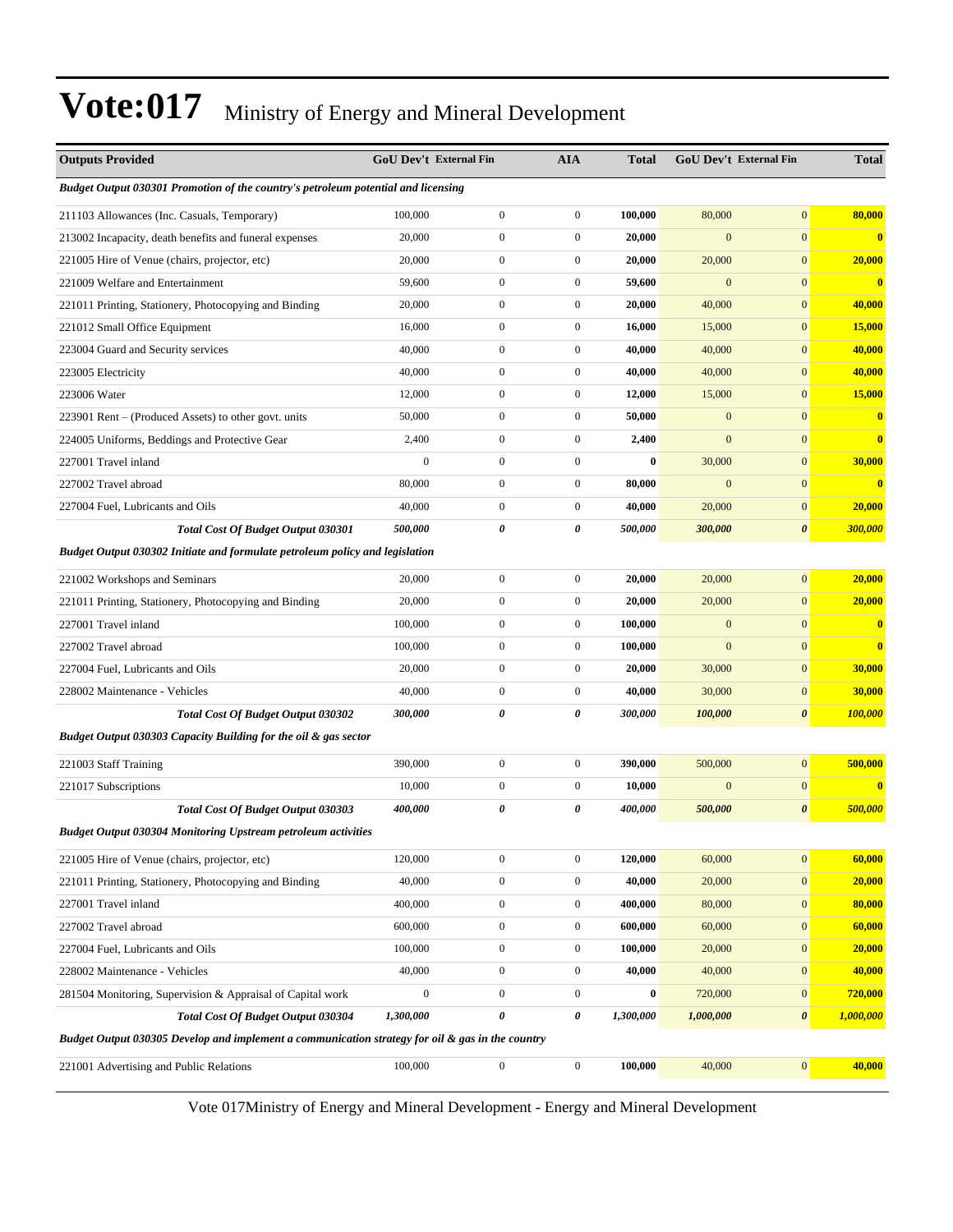| <b>Outputs Provided</b>                                                                          |                | <b>GoU Dev't External Fin</b> | <b>AIA</b>       | <b>Total</b> |                | GoU Dev't External Fin | <b>Total</b>            |  |
|--------------------------------------------------------------------------------------------------|----------------|-------------------------------|------------------|--------------|----------------|------------------------|-------------------------|--|
| Budget Output 030301 Promotion of the country's petroleum potential and licensing                |                |                               |                  |              |                |                        |                         |  |
| 211103 Allowances (Inc. Casuals, Temporary)                                                      | 100,000        | $\boldsymbol{0}$              | $\boldsymbol{0}$ | 100,000      | 80,000         | $\mathbf{0}$           | 80,000                  |  |
| 213002 Incapacity, death benefits and funeral expenses                                           | 20,000         | $\boldsymbol{0}$              | $\boldsymbol{0}$ | 20,000       | $\mathbf{0}$   | $\boldsymbol{0}$       | $\overline{\mathbf{0}}$ |  |
| 221005 Hire of Venue (chairs, projector, etc)                                                    | 20,000         | $\boldsymbol{0}$              | $\boldsymbol{0}$ | 20,000       | 20,000         | $\mathbf{0}$           | 20,000                  |  |
| 221009 Welfare and Entertainment                                                                 | 59,600         | $\mathbf{0}$                  | $\boldsymbol{0}$ | 59,600       | $\mathbf{0}$   | $\mathbf{0}$           | $\overline{\mathbf{0}}$ |  |
| 221011 Printing, Stationery, Photocopying and Binding                                            | 20,000         | $\mathbf{0}$                  | $\boldsymbol{0}$ | 20,000       | 40,000         | $\mathbf{0}$           | 40,000                  |  |
| 221012 Small Office Equipment                                                                    | 16,000         | $\boldsymbol{0}$              | $\boldsymbol{0}$ | 16,000       | 15,000         | $\mathbf{0}$           | 15,000                  |  |
| 223004 Guard and Security services                                                               | 40,000         | $\boldsymbol{0}$              | $\boldsymbol{0}$ | 40,000       | 40,000         | $\mathbf{0}$           | 40,000                  |  |
| 223005 Electricity                                                                               | 40,000         | $\boldsymbol{0}$              | $\boldsymbol{0}$ | 40,000       | 40,000         | $\mathbf{0}$           | 40,000                  |  |
| 223006 Water                                                                                     | 12,000         | $\mathbf{0}$                  | $\boldsymbol{0}$ | 12,000       | 15,000         | $\mathbf{0}$           | 15,000                  |  |
| 223901 Rent – (Produced Assets) to other govt. units                                             | 50,000         | $\mathbf{0}$                  | $\boldsymbol{0}$ | 50,000       | $\mathbf{0}$   | $\mathbf{0}$           | $\overline{\mathbf{0}}$ |  |
| 224005 Uniforms, Beddings and Protective Gear                                                    | 2,400          | $\boldsymbol{0}$              | $\boldsymbol{0}$ | 2,400        | $\mathbf{0}$   | $\mathbf{0}$           | $\overline{\mathbf{0}}$ |  |
| 227001 Travel inland                                                                             | $\mathbf{0}$   | $\boldsymbol{0}$              | $\boldsymbol{0}$ | $\bf{0}$     | 30,000         | $\boldsymbol{0}$       | 30,000                  |  |
| 227002 Travel abroad                                                                             | 80,000         | $\boldsymbol{0}$              | $\boldsymbol{0}$ | 80,000       | $\mathbf{0}$   | $\mathbf{0}$           | $\overline{\mathbf{0}}$ |  |
| 227004 Fuel, Lubricants and Oils                                                                 | 40,000         | $\boldsymbol{0}$              | $\boldsymbol{0}$ | 40,000       | 20,000         | $\mathbf{0}$           | 20,000                  |  |
| Total Cost Of Budget Output 030301                                                               | 500,000        | 0                             | 0                | 500,000      | 300,000        | $\boldsymbol{\theta}$  | 300,000                 |  |
| Budget Output 030302 Initiate and formulate petroleum policy and legislation                     |                |                               |                  |              |                |                        |                         |  |
| 221002 Workshops and Seminars                                                                    | 20,000         | $\boldsymbol{0}$              | $\boldsymbol{0}$ | 20,000       | 20,000         | $\boldsymbol{0}$       | 20,000                  |  |
| 221011 Printing, Stationery, Photocopying and Binding                                            | 20,000         | $\boldsymbol{0}$              | $\boldsymbol{0}$ | 20,000       | 20,000         | $\mathbf{0}$           | 20,000                  |  |
| 227001 Travel inland                                                                             | 100,000        | $\mathbf{0}$                  | $\boldsymbol{0}$ | 100,000      | $\mathbf{0}$   | $\mathbf{0}$           | $\mathbf{0}$            |  |
| 227002 Travel abroad                                                                             | 100,000        | $\mathbf{0}$                  | $\boldsymbol{0}$ | 100,000      | $\mathbf{0}$   | $\mathbf{0}$           | $\overline{\mathbf{0}}$ |  |
| 227004 Fuel, Lubricants and Oils                                                                 | 20,000         | $\boldsymbol{0}$              | $\boldsymbol{0}$ | 20,000       | 30,000         | $\mathbf{0}$           | 30,000                  |  |
| 228002 Maintenance - Vehicles                                                                    | 40,000         | $\boldsymbol{0}$              | $\boldsymbol{0}$ | 40,000       | 30,000         | $\boldsymbol{0}$       | 30,000                  |  |
| <b>Total Cost Of Budget Output 030302</b>                                                        | 300,000        | 0                             | 0                | 300,000      | 100,000        | $\boldsymbol{\theta}$  | 100,000                 |  |
| Budget Output 030303 Capacity Building for the oil & gas sector                                  |                |                               |                  |              |                |                        |                         |  |
| 221003 Staff Training                                                                            | 390,000        | $\boldsymbol{0}$              | $\boldsymbol{0}$ | 390,000      | 500,000        | $\boldsymbol{0}$       | 500,000                 |  |
| 221017 Subscriptions                                                                             | 10,000         | $\boldsymbol{0}$              | $\boldsymbol{0}$ | 10,000       | $\overline{0}$ | $\boldsymbol{0}$       | $\overline{\mathbf{0}}$ |  |
| Total Cost Of Budget Output 030303                                                               | 400,000        | 0                             | 0                | 400,000      | 500,000        | $\boldsymbol{\theta}$  | 500,000                 |  |
| <b>Budget Output 030304 Monitoring Upstream petroleum activities</b>                             |                |                               |                  |              |                |                        |                         |  |
| 221005 Hire of Venue (chairs, projector, etc)                                                    | 120,000        | $\boldsymbol{0}$              | $\boldsymbol{0}$ | 120,000      | 60,000         | $\boldsymbol{0}$       | 60,000                  |  |
| 221011 Printing, Stationery, Photocopying and Binding                                            | 40,000         | $\boldsymbol{0}$              | $\boldsymbol{0}$ | 40,000       | 20,000         | $\boldsymbol{0}$       | 20,000                  |  |
| 227001 Travel inland                                                                             | 400,000        | $\boldsymbol{0}$              | $\boldsymbol{0}$ | 400,000      | 80,000         | $\boldsymbol{0}$       | 80,000                  |  |
| 227002 Travel abroad                                                                             | 600,000        | $\boldsymbol{0}$              | $\boldsymbol{0}$ | 600,000      | 60,000         | $\boldsymbol{0}$       | 60,000                  |  |
| 227004 Fuel, Lubricants and Oils                                                                 | 100,000        | $\boldsymbol{0}$              | $\boldsymbol{0}$ | 100,000      | 20,000         | $\boldsymbol{0}$       | 20,000                  |  |
| 228002 Maintenance - Vehicles                                                                    | 40,000         | $\boldsymbol{0}$              | $\boldsymbol{0}$ | 40,000       | 40,000         | $\boldsymbol{0}$       | 40,000                  |  |
| 281504 Monitoring, Supervision & Appraisal of Capital work                                       | $\overline{0}$ | $\boldsymbol{0}$              | $\boldsymbol{0}$ | 0            | 720,000        | $\bf{0}$               | 720,000                 |  |
| Total Cost Of Budget Output 030304                                                               | 1,300,000      | $\pmb{\theta}$                | 0                | 1,300,000    | 1,000,000      | 0                      | 1,000,000               |  |
| Budget Output 030305 Develop and implement a communication strategy for oil & gas in the country |                |                               |                  |              |                |                        |                         |  |
| 221001 Advertising and Public Relations                                                          | 100,000        | $\boldsymbol{0}$              | $\boldsymbol{0}$ | 100,000      | 40,000         | $\mathbf{0}$           | 40,000                  |  |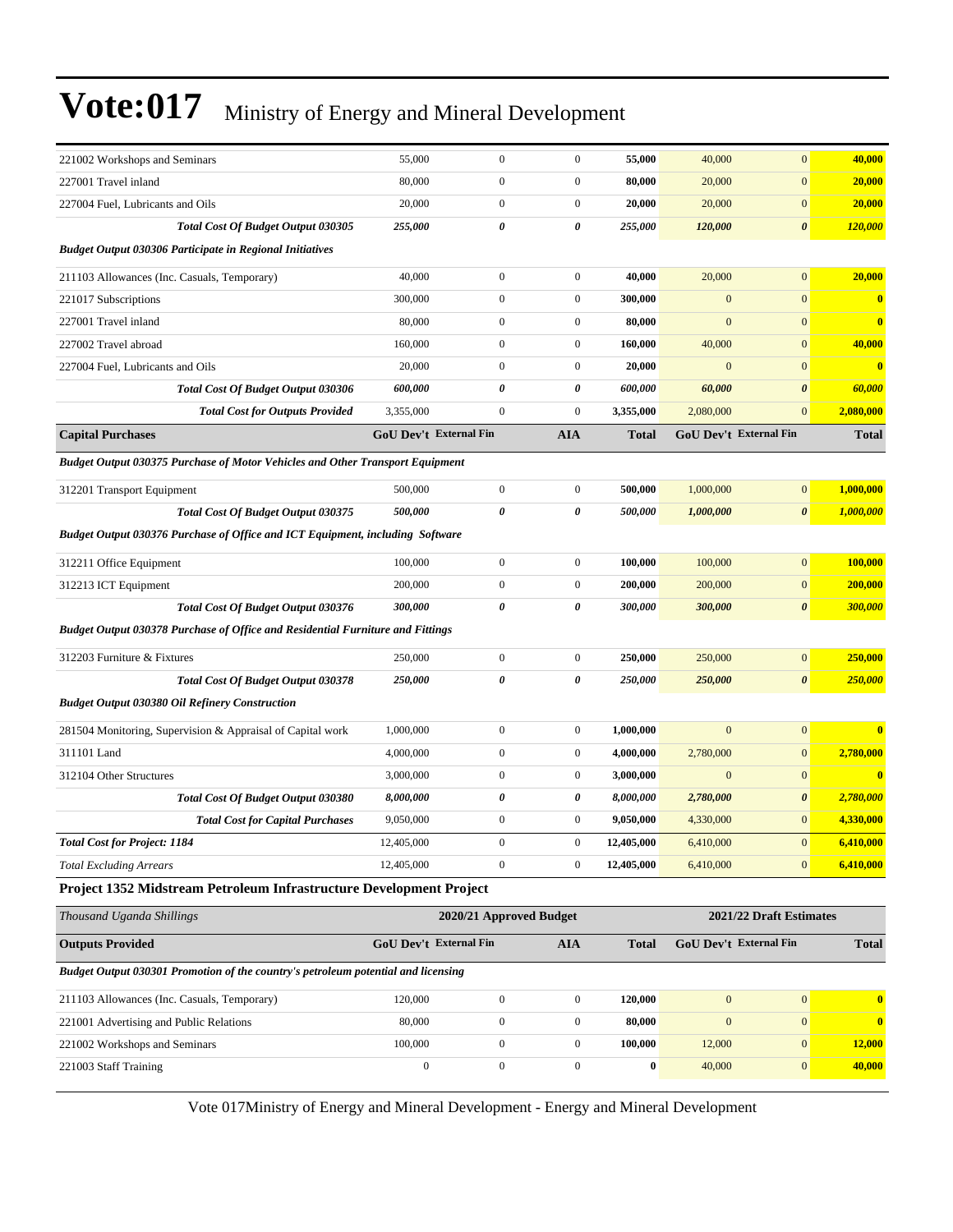| 221002 Workshops and Seminars                                                        | 55,000                        | $\boldsymbol{0}$        | $\boldsymbol{0}$ | 55,000       | 40,000       | $\mathbf{0}$            | 40,000       |  |  |
|--------------------------------------------------------------------------------------|-------------------------------|-------------------------|------------------|--------------|--------------|-------------------------|--------------|--|--|
| 227001 Travel inland                                                                 | 80,000                        | $\boldsymbol{0}$        | $\boldsymbol{0}$ | 80,000       | 20,000       | $\boldsymbol{0}$        | 20,000       |  |  |
| 227004 Fuel, Lubricants and Oils                                                     | 20,000                        | $\boldsymbol{0}$        | $\boldsymbol{0}$ | 20,000       | 20,000       | $\mathbf{0}$            | 20,000       |  |  |
| <b>Total Cost Of Budget Output 030305</b>                                            | 255,000                       | $\theta$                | 0                | 255,000      | 120,000      | $\boldsymbol{\theta}$   | 120,000      |  |  |
| <b>Budget Output 030306 Participate in Regional Initiatives</b>                      |                               |                         |                  |              |              |                         |              |  |  |
| 211103 Allowances (Inc. Casuals, Temporary)                                          | 40,000                        | $\boldsymbol{0}$        | $\boldsymbol{0}$ | 40,000       | 20,000       | $\mathbf{0}$            | 20,000       |  |  |
| 221017 Subscriptions                                                                 | 300,000                       | $\boldsymbol{0}$        | $\boldsymbol{0}$ | 300,000      | $\mathbf{0}$ | $\mathbf{0}$            | $\bf{0}$     |  |  |
| 227001 Travel inland                                                                 | 80,000                        | $\boldsymbol{0}$        | $\boldsymbol{0}$ | 80,000       | $\mathbf{0}$ | $\mathbf{0}$            | $\bf{0}$     |  |  |
| 227002 Travel abroad                                                                 | 160,000                       | $\boldsymbol{0}$        | $\boldsymbol{0}$ | 160,000      | 40,000       | $\mathbf{0}$            | 40,000       |  |  |
| 227004 Fuel, Lubricants and Oils                                                     | 20,000                        | $\boldsymbol{0}$        | $\boldsymbol{0}$ | 20,000       | $\mathbf{0}$ | $\mathbf{0}$            | $\bf{0}$     |  |  |
| Total Cost Of Budget Output 030306                                                   | 600,000                       | 0                       | 0                | 600,000      | 60,000       | $\boldsymbol{\theta}$   | 60,000       |  |  |
| <b>Total Cost for Outputs Provided</b>                                               | 3,355,000                     | $\boldsymbol{0}$        | $\boldsymbol{0}$ | 3,355,000    | 2,080,000    | $\mathbf{0}$            | 2,080,000    |  |  |
| <b>Capital Purchases</b>                                                             | GoU Dev't External Fin        |                         | <b>AIA</b>       | <b>Total</b> |              | GoU Dev't External Fin  | <b>Total</b> |  |  |
| <b>Budget Output 030375 Purchase of Motor Vehicles and Other Transport Equipment</b> |                               |                         |                  |              |              |                         |              |  |  |
| 312201 Transport Equipment                                                           | 500,000                       | $\boldsymbol{0}$        | $\boldsymbol{0}$ | 500,000      | 1,000,000    | $\mathbf{0}$            | 1.000.000    |  |  |
| <b>Total Cost Of Budget Output 030375</b>                                            | 500,000                       | 0                       | 0                | 500,000      | 1,000,000    | $\boldsymbol{\theta}$   | 1,000,000    |  |  |
| Budget Output 030376 Purchase of Office and ICT Equipment, including Software        |                               |                         |                  |              |              |                         |              |  |  |
| 312211 Office Equipment                                                              | 100,000                       | $\boldsymbol{0}$        | $\boldsymbol{0}$ | 100,000      | 100,000      | $\mathbf{0}$            | 100,000      |  |  |
| 312213 ICT Equipment                                                                 | 200,000                       | $\boldsymbol{0}$        | $\boldsymbol{0}$ | 200,000      | 200,000      | $\mathbf{0}$            | 200,000      |  |  |
| Total Cost Of Budget Output 030376                                                   | 300,000                       | 0                       | 0                | 300,000      | 300,000      | $\boldsymbol{\theta}$   | 300,000      |  |  |
| Budget Output 030378 Purchase of Office and Residential Furniture and Fittings       |                               |                         |                  |              |              |                         |              |  |  |
| 312203 Furniture & Fixtures                                                          | 250,000                       | $\boldsymbol{0}$        | $\boldsymbol{0}$ | 250,000      | 250,000      | $\mathbf{0}$            | 250,000      |  |  |
| <b>Total Cost Of Budget Output 030378</b>                                            | 250,000                       | 0                       | 0                | 250,000      | 250,000      | $\boldsymbol{\theta}$   | 250,000      |  |  |
| <b>Budget Output 030380 Oil Refinery Construction</b>                                |                               |                         |                  |              |              |                         |              |  |  |
| 281504 Monitoring, Supervision & Appraisal of Capital work                           | 1,000,000                     | $\boldsymbol{0}$        | $\boldsymbol{0}$ | 1,000,000    | $\mathbf{0}$ | $\mathbf{0}$            | $\bf{0}$     |  |  |
| 311101 Land                                                                          | 4,000,000                     | $\boldsymbol{0}$        | $\boldsymbol{0}$ | 4,000,000    | 2,780,000    | $\mathbf{0}$            | 2,780,000    |  |  |
| 312104 Other Structures                                                              | 3,000,000                     | $\boldsymbol{0}$        | $\boldsymbol{0}$ | 3,000,000    | $\mathbf{0}$ | $\mathbf{0}$            | $\bf{0}$     |  |  |
| Total Cost Of Budget Output 030380                                                   | 8,000,000                     | 0                       | 0                | 8,000,000    | 2,780,000    | $\boldsymbol{\theta}$   | 2,780,000    |  |  |
| <b>Total Cost for Capital Purchases</b>                                              | 9,050,000                     | $\boldsymbol{0}$        | $\boldsymbol{0}$ | 9,050,000    | 4,330,000    | $\mathbf{0}$            | 4,330,000    |  |  |
| <b>Total Cost for Project: 1184</b>                                                  | 12,405,000                    | $\overline{0}$          | $\boldsymbol{0}$ | 12,405,000   | 6,410,000    | $\mathbf{0}$            | 6,410,000    |  |  |
| <b>Total Excluding Arrears</b>                                                       | 12,405,000                    | $\boldsymbol{0}$        | $\boldsymbol{0}$ | 12,405,000   | 6,410,000    | $\mathbf{0}$            | 6,410,000    |  |  |
| Project 1352 Midstream Petroleum Infrastructure Development Project                  |                               |                         |                  |              |              |                         |              |  |  |
| Thousand Uganda Shillings                                                            |                               | 2020/21 Approved Budget |                  |              |              | 2021/22 Draft Estimates |              |  |  |
| <b>Outputs Provided</b>                                                              | <b>GoU Dev't External Fin</b> |                         | <b>AIA</b>       | <b>Total</b> |              | GoU Dev't External Fin  | <b>Total</b> |  |  |
| Budget Output 030301 Promotion of the country's petroleum potential and licensing    |                               |                         |                  |              |              |                         |              |  |  |
| 211103 Allowances (Inc. Casuals, Temporary)                                          | 120,000                       | $\boldsymbol{0}$        | $\boldsymbol{0}$ | 120,000      | $\mathbf{0}$ | $\boldsymbol{0}$        | $\bf{0}$     |  |  |
| 221001 Advertising and Public Relations                                              | 80,000                        | $\boldsymbol{0}$        | $\boldsymbol{0}$ | 80,000       | $\mathbf{0}$ | $\boldsymbol{0}$        | $\bf{0}$     |  |  |
| 221002 Workshops and Seminars                                                        | 100,000                       | $\mathbf{0}$            | $\boldsymbol{0}$ | 100,000      | 12,000       | $\boldsymbol{0}$        | 12,000       |  |  |
| 221003 Staff Training                                                                | $\boldsymbol{0}$              | $\boldsymbol{0}$        | $\boldsymbol{0}$ | $\bf{0}$     | 40,000       | $\boldsymbol{0}$        | 40,000       |  |  |
|                                                                                      |                               |                         |                  |              |              |                         |              |  |  |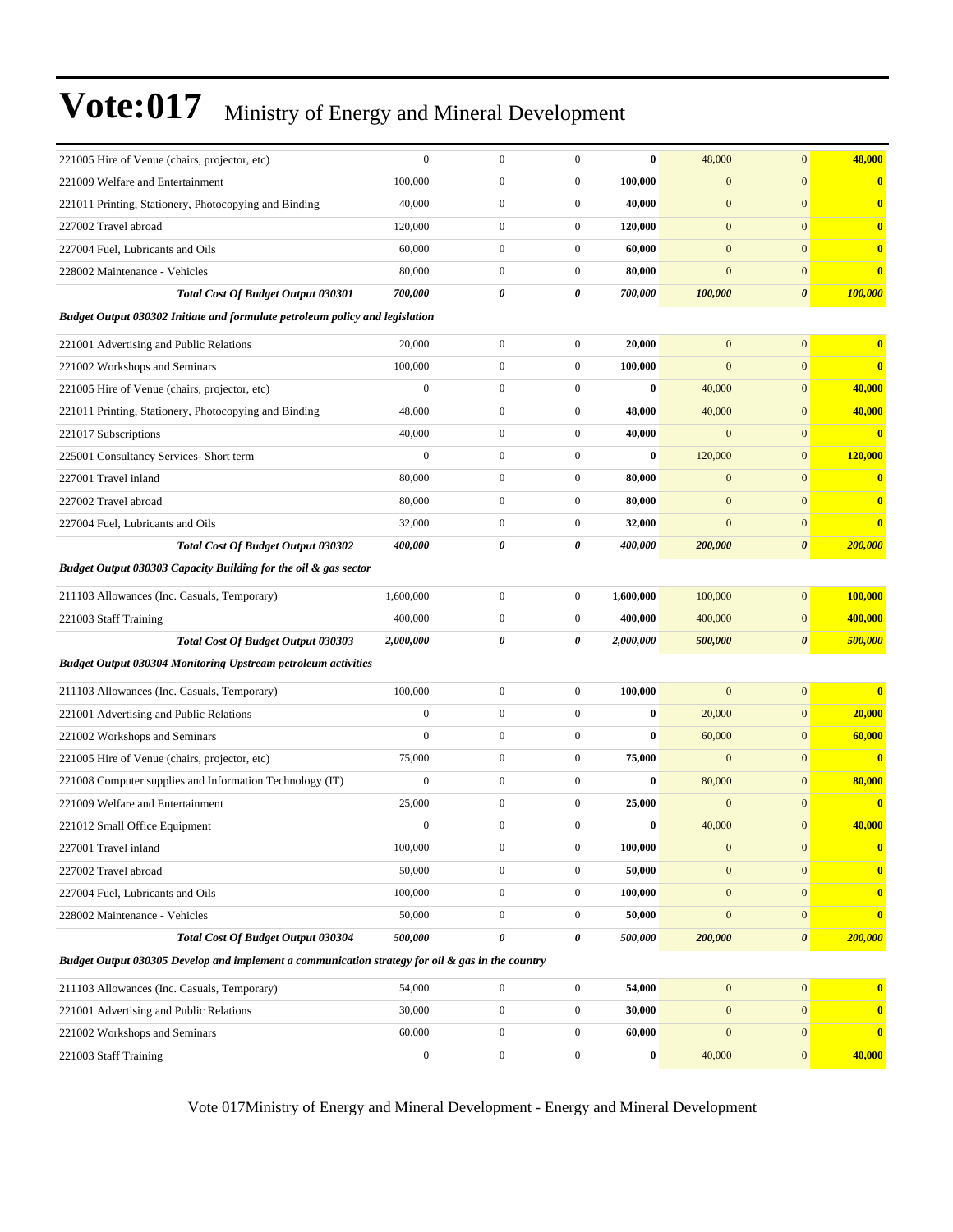| 221005 Hire of Venue (chairs, projector, etc)                                                    | $\mathbf{0}$     | $\boldsymbol{0}$ | $\boldsymbol{0}$ | $\bf{0}$         | 48,000           | $\overline{0}$        | 48,000       |
|--------------------------------------------------------------------------------------------------|------------------|------------------|------------------|------------------|------------------|-----------------------|--------------|
| 221009 Welfare and Entertainment                                                                 | 100,000          | $\mathbf{0}$     | $\boldsymbol{0}$ | 100,000          | $\boldsymbol{0}$ | $\overline{0}$        | $\bf{0}$     |
| 221011 Printing, Stationery, Photocopying and Binding                                            | 40,000           | $\mathbf{0}$     | $\boldsymbol{0}$ | 40,000           | $\boldsymbol{0}$ | $\overline{0}$        | $\mathbf{0}$ |
| 227002 Travel abroad                                                                             | 120,000          | $\overline{0}$   | $\boldsymbol{0}$ | 120,000          | $\mathbf{0}$     | $\overline{0}$        | $\bf{0}$     |
| 227004 Fuel. Lubricants and Oils                                                                 | 60,000           | $\overline{0}$   | $\boldsymbol{0}$ | 60,000           | $\boldsymbol{0}$ | $\overline{0}$        | $\bf{0}$     |
| 228002 Maintenance - Vehicles                                                                    | 80,000           | $\boldsymbol{0}$ | $\boldsymbol{0}$ | 80,000           | $\overline{0}$   | $\mathbf{0}$          | $\bf{0}$     |
| <b>Total Cost Of Budget Output 030301</b>                                                        | 700,000          | 0                | 0                | 700,000          | 100,000          | 0                     | 100,000      |
| Budget Output 030302 Initiate and formulate petroleum policy and legislation                     |                  |                  |                  |                  |                  |                       |              |
| 221001 Advertising and Public Relations                                                          | 20,000           | $\mathbf{0}$     | $\boldsymbol{0}$ | 20,000           | $\boldsymbol{0}$ | $\mathbf{0}$          | $\bf{0}$     |
| 221002 Workshops and Seminars                                                                    | 100,000          | $\overline{0}$   | $\boldsymbol{0}$ | 100,000          | $\mathbf{0}$     | $\mathbf{0}$          | $\bf{0}$     |
| 221005 Hire of Venue (chairs, projector, etc)                                                    | $\mathbf{0}$     | $\overline{0}$   | $\boldsymbol{0}$ | $\bf{0}$         | 40,000           | $\mathbf{0}$          | 40,000       |
| 221011 Printing, Stationery, Photocopying and Binding                                            | 48,000           | $\boldsymbol{0}$ | $\boldsymbol{0}$ | 48,000           | 40,000           | $\mathbf{0}$          | 40,000       |
| 221017 Subscriptions                                                                             | 40,000           | $\overline{0}$   | $\boldsymbol{0}$ | 40,000           | $\overline{0}$   | $\overline{0}$        | $\bf{0}$     |
| 225001 Consultancy Services- Short term                                                          | $\boldsymbol{0}$ | $\mathbf{0}$     | $\boldsymbol{0}$ | $\bf{0}$         | 120,000          | $\overline{0}$        | 120,000      |
| 227001 Travel inland                                                                             | 80,000           | $\overline{0}$   | $\boldsymbol{0}$ | 80,000           | $\boldsymbol{0}$ | $\mathbf{0}$          | $\bf{0}$     |
| 227002 Travel abroad                                                                             | 80,000           | $\overline{0}$   | $\boldsymbol{0}$ | 80,000           | $\mathbf{0}$     | $\mathbf{0}$          | $\bf{0}$     |
| 227004 Fuel, Lubricants and Oils                                                                 | 32,000           | $\boldsymbol{0}$ | $\boldsymbol{0}$ | 32,000           | $\overline{0}$   | $\mathbf{0}$          | $\bf{0}$     |
| <b>Total Cost Of Budget Output 030302</b>                                                        | 400,000          | 0                | 0                | 400,000          | 200,000          | $\boldsymbol{\theta}$ | 200,000      |
| Budget Output 030303 Capacity Building for the oil & gas sector                                  |                  |                  |                  |                  |                  |                       |              |
| 211103 Allowances (Inc. Casuals, Temporary)                                                      | 1,600,000        | $\mathbf{0}$     | $\boldsymbol{0}$ | 1,600,000        | 100,000          | $\overline{0}$        | 100,000      |
| 221003 Staff Training                                                                            | 400,000          | $\overline{0}$   | $\boldsymbol{0}$ | 400,000          | 400,000          | $\mathbf{0}$          | 400,000      |
| Total Cost Of Budget Output 030303                                                               | 2,000,000        | 0                | 0                | 2,000,000        | 500,000          | 0                     | 500,000      |
| <b>Budget Output 030304 Monitoring Upstream petroleum activities</b>                             |                  |                  |                  |                  |                  |                       |              |
| 211103 Allowances (Inc. Casuals, Temporary)                                                      | 100,000          | $\boldsymbol{0}$ | $\boldsymbol{0}$ | 100,000          | $\overline{0}$   | $\overline{0}$        | $\bf{0}$     |
| 221001 Advertising and Public Relations                                                          | $\boldsymbol{0}$ | $\overline{0}$   | $\boldsymbol{0}$ | $\bf{0}$         | 20,000           | $\overline{0}$        | 20,000       |
| 221002 Workshops and Seminars                                                                    | $\mathbf{0}$     | $\mathbf{0}$     | $\boldsymbol{0}$ | $\bf{0}$         | 60,000           | $\overline{0}$        | 60,000       |
| 221005 Hire of Venue (chairs, projector, etc)                                                    | 75,000           | $\overline{0}$   | $\boldsymbol{0}$ | 75,000           | $\mathbf{0}$     | $\mathbf{0}$          | $\bf{0}$     |
| 221008 Computer supplies and Information Technology (IT)                                         | $\mathbf{0}$     | $\overline{0}$   | $\boldsymbol{0}$ | $\bf{0}$         | 80,000           | $\overline{0}$        | 80,000       |
| 221009 Welfare and Entertainment                                                                 | 25,000           | $\boldsymbol{0}$ | $\boldsymbol{0}$ | 25,000           | $\mathbf{0}$     | $\mathbf{0}$          | $\bf{0}$     |
| 221012 Small Office Equipment                                                                    | $\boldsymbol{0}$ | $\overline{0}$   | $\boldsymbol{0}$ | $\bf{0}$         | 40,000           | $\mathbf{0}$          | 40,000       |
| 227001 Travel inland                                                                             | 100,000          | $\boldsymbol{0}$ | $\boldsymbol{0}$ | 100,000          | $\boldsymbol{0}$ | $\mathbf{0}$          | $\bf{0}$     |
| 227002 Travel abroad                                                                             | 50,000           | $\overline{0}$   | $\mathbf{0}$     | 50,000           | $\mathbf{0}$     | $\overline{0}$        | $\bf{0}$     |
| 227004 Fuel, Lubricants and Oils                                                                 | 100,000          | $\boldsymbol{0}$ | $\boldsymbol{0}$ | 100,000          | $\boldsymbol{0}$ | $\overline{0}$        | $\bf{0}$     |
| 228002 Maintenance - Vehicles                                                                    | 50,000           | $\boldsymbol{0}$ | $\boldsymbol{0}$ | 50,000           | $\mathbf{0}$     | $\boldsymbol{0}$      | $\bf{0}$     |
| Total Cost Of Budget Output 030304                                                               | 500,000          | 0                | 0                | 500,000          | 200,000          | $\pmb{\theta}$        | 200,000      |
| Budget Output 030305 Develop and implement a communication strategy for oil & gas in the country |                  |                  |                  |                  |                  |                       |              |
| 211103 Allowances (Inc. Casuals, Temporary)                                                      | 54,000           | $\boldsymbol{0}$ | $\boldsymbol{0}$ | 54,000           | $\boldsymbol{0}$ | $\overline{0}$        | $\bf{0}$     |
| 221001 Advertising and Public Relations                                                          | 30,000           | $\boldsymbol{0}$ | $\boldsymbol{0}$ | 30,000           | $\boldsymbol{0}$ | $\boldsymbol{0}$      | $\bf{0}$     |
| 221002 Workshops and Seminars                                                                    | 60,000           | $\boldsymbol{0}$ | $\boldsymbol{0}$ | 60,000           | $\boldsymbol{0}$ | $\boldsymbol{0}$      | $\bf{0}$     |
| 221003 Staff Training                                                                            | $\boldsymbol{0}$ | $\boldsymbol{0}$ | $\boldsymbol{0}$ | $\boldsymbol{0}$ | 40,000           | $\boldsymbol{0}$      | 40,000       |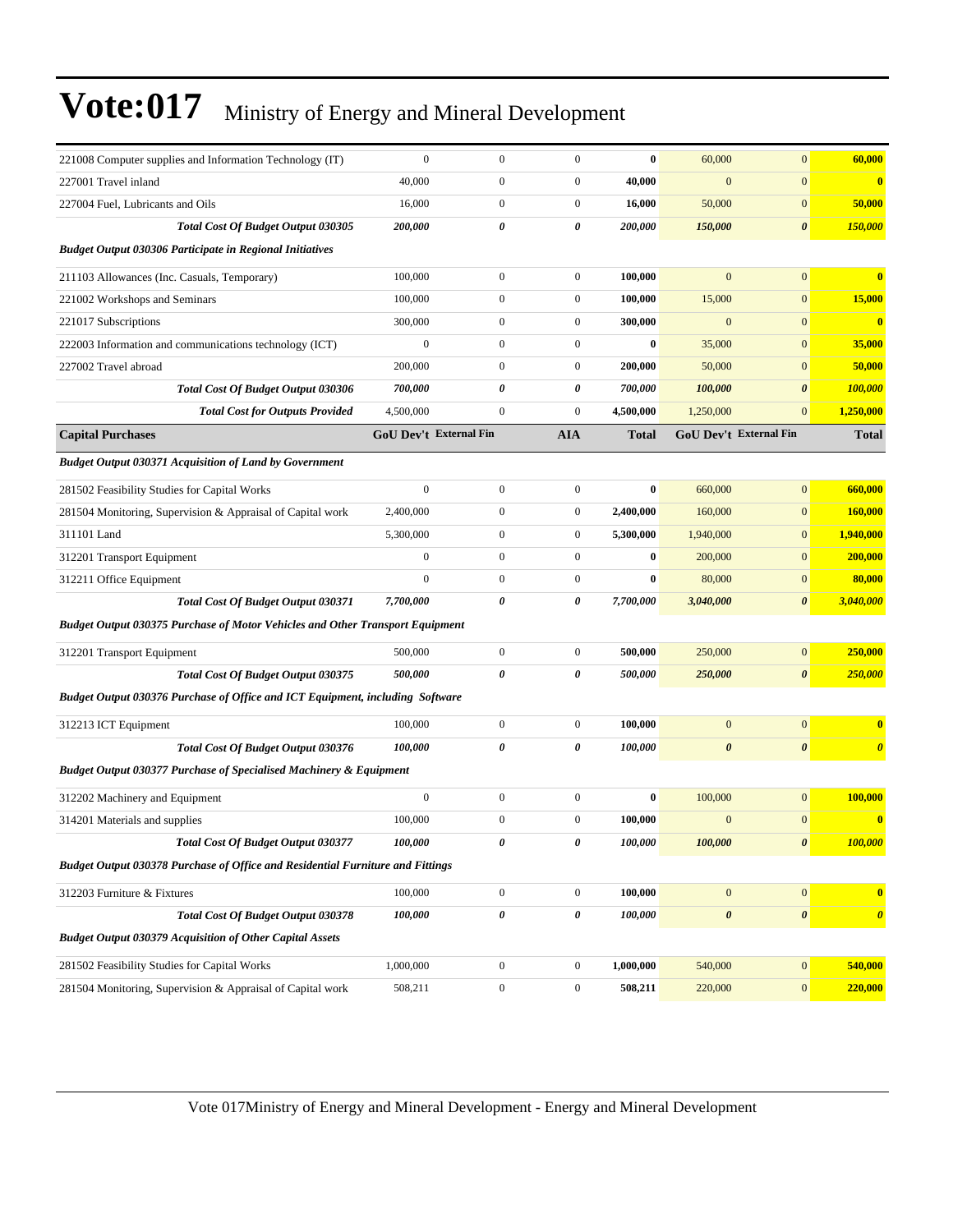| 221008 Computer supplies and Information Technology (IT)                             | $\mathbf{0}$     | $\boldsymbol{0}$              | $\boldsymbol{0}$ | $\bf{0}$     | 60,000                | $\mathbf{0}$           | 60,000                |
|--------------------------------------------------------------------------------------|------------------|-------------------------------|------------------|--------------|-----------------------|------------------------|-----------------------|
| 227001 Travel inland                                                                 | 40,000           | $\mathbf{0}$                  | $\boldsymbol{0}$ | 40,000       | $\mathbf{0}$          | $\boldsymbol{0}$       | $\bf{0}$              |
| 227004 Fuel, Lubricants and Oils                                                     | 16,000           | $\mathbf{0}$                  | $\boldsymbol{0}$ | 16,000       | 50,000                | $\mathbf{0}$           | 50,000                |
| Total Cost Of Budget Output 030305                                                   | 200,000          | 0                             | 0                | 200,000      | 150,000               | $\boldsymbol{\theta}$  | 150,000               |
| <b>Budget Output 030306 Participate in Regional Initiatives</b>                      |                  |                               |                  |              |                       |                        |                       |
| 211103 Allowances (Inc. Casuals, Temporary)                                          | 100,000          | $\boldsymbol{0}$              | $\boldsymbol{0}$ | 100,000      | $\mathbf{0}$          | $\mathbf{0}$           | $\bf{0}$              |
| 221002 Workshops and Seminars                                                        | 100,000          | $\overline{0}$                | $\mathbf{0}$     | 100,000      | 15,000                | $\mathbf{0}$           | 15,000                |
| 221017 Subscriptions                                                                 | 300,000          | $\mathbf{0}$                  | $\boldsymbol{0}$ | 300,000      | $\mathbf{0}$          | $\mathbf{0}$           | $\bf{0}$              |
| 222003 Information and communications technology (ICT)                               | $\mathbf{0}$     | $\mathbf{0}$                  | $\boldsymbol{0}$ | $\bf{0}$     | 35,000                | $\mathbf{0}$           | 35,000                |
| 227002 Travel abroad                                                                 | 200,000          | $\overline{0}$                | $\boldsymbol{0}$ | 200,000      | 50,000                | $\mathbf{0}$           | 50,000                |
| <b>Total Cost Of Budget Output 030306</b>                                            | 700,000          | 0                             | 0                | 700,000      | 100,000               | $\boldsymbol{\theta}$  | 100,000               |
| <b>Total Cost for Outputs Provided</b>                                               | 4,500,000        | $\boldsymbol{0}$              | $\boldsymbol{0}$ | 4,500,000    | 1,250,000             | $\mathbf{0}$           | 1,250,000             |
| <b>Capital Purchases</b>                                                             |                  | <b>GoU Dev't External Fin</b> | <b>AIA</b>       | <b>Total</b> |                       | GoU Dev't External Fin | <b>Total</b>          |
| <b>Budget Output 030371 Acquisition of Land by Government</b>                        |                  |                               |                  |              |                       |                        |                       |
| 281502 Feasibility Studies for Capital Works                                         | $\overline{0}$   | $\overline{0}$                | $\boldsymbol{0}$ | $\bf{0}$     | 660,000               | $\overline{0}$         | 660,000               |
| 281504 Monitoring, Supervision & Appraisal of Capital work                           | 2,400,000        | $\boldsymbol{0}$              | $\boldsymbol{0}$ | 2,400,000    | 160,000               | $\mathbf{0}$           | 160,000               |
| 311101 Land                                                                          | 5,300,000        | $\mathbf{0}$                  | $\boldsymbol{0}$ | 5,300,000    | 1,940,000             | $\mathbf{0}$           | 1,940,000             |
| 312201 Transport Equipment                                                           | $\boldsymbol{0}$ | $\mathbf{0}$                  | $\boldsymbol{0}$ | $\bf{0}$     | 200,000               | $\mathbf{0}$           | 200,000               |
| 312211 Office Equipment                                                              | $\mathbf{0}$     | $\overline{0}$                | $\boldsymbol{0}$ | $\bf{0}$     | 80,000                | $\boldsymbol{0}$       | 80,000                |
| <b>Total Cost Of Budget Output 030371</b>                                            | 7,700,000        | 0                             | 0                | 7,700,000    | 3,040,000             | $\boldsymbol{\theta}$  | 3,040,000             |
| <b>Budget Output 030375 Purchase of Motor Vehicles and Other Transport Equipment</b> |                  |                               |                  |              |                       |                        |                       |
| 312201 Transport Equipment                                                           | 500,000          | $\overline{0}$                | $\boldsymbol{0}$ | 500,000      | 250,000               | $\boldsymbol{0}$       | 250,000               |
| Total Cost Of Budget Output 030375                                                   | 500,000          | $\boldsymbol{\theta}$         | 0                | 500,000      | 250,000               | $\boldsymbol{\theta}$  | 250,000               |
| Budget Output 030376 Purchase of Office and ICT Equipment, including Software        |                  |                               |                  |              |                       |                        |                       |
| 312213 ICT Equipment                                                                 | 100,000          | $\boldsymbol{0}$              | $\boldsymbol{0}$ | 100,000      | $\mathbf{0}$          | $\mathbf{0}$           | $\bf{0}$              |
| Total Cost Of Budget Output 030376                                                   | 100,000          | 0                             | 0                | 100,000      | $\boldsymbol{\theta}$ | $\boldsymbol{\theta}$  | $\boldsymbol{\theta}$ |
| <b>Budget Output 030377 Purchase of Specialised Machinery &amp; Equipment</b>        |                  |                               |                  |              |                       |                        |                       |
| 312202 Machinery and Equipment                                                       | $\boldsymbol{0}$ | $\boldsymbol{0}$              | $\mathbf{0}$     | $\bf{0}$     | 100,000               | $\mathbf{0}$           | 100,000               |
| 314201 Materials and supplies                                                        | 100,000          | $\boldsymbol{0}$              | $\boldsymbol{0}$ | 100,000      | $\bf{0}$              | $\boldsymbol{0}$       | $\bf{0}$              |
| Total Cost Of Budget Output 030377                                                   | 100,000          | 0                             | 0                | 100,000      | 100,000               | $\pmb{\theta}$         | 100,000               |
| Budget Output 030378 Purchase of Office and Residential Furniture and Fittings       |                  |                               |                  |              |                       |                        |                       |
| 312203 Furniture & Fixtures                                                          | 100,000          | $\boldsymbol{0}$              | $\boldsymbol{0}$ | 100,000      | $\mathbf{0}$          | $\boldsymbol{0}$       | $\bf{0}$              |
| <b>Total Cost Of Budget Output 030378</b>                                            | 100,000          | 0                             | 0                | 100,000      | $\boldsymbol{\theta}$ | $\boldsymbol{\theta}$  | $\boldsymbol{\theta}$ |
| <b>Budget Output 030379 Acquisition of Other Capital Assets</b>                      |                  |                               |                  |              |                       |                        |                       |
| 281502 Feasibility Studies for Capital Works                                         | 1,000,000        | $\boldsymbol{0}$              | $\boldsymbol{0}$ | 1,000,000    | 540,000               | $\bf{0}$               | 540,000               |
| 281504 Monitoring, Supervision & Appraisal of Capital work                           | 508,211          | $\boldsymbol{0}$              | $\boldsymbol{0}$ | 508,211      | 220,000               | $\mathbf{0}$           | 220,000               |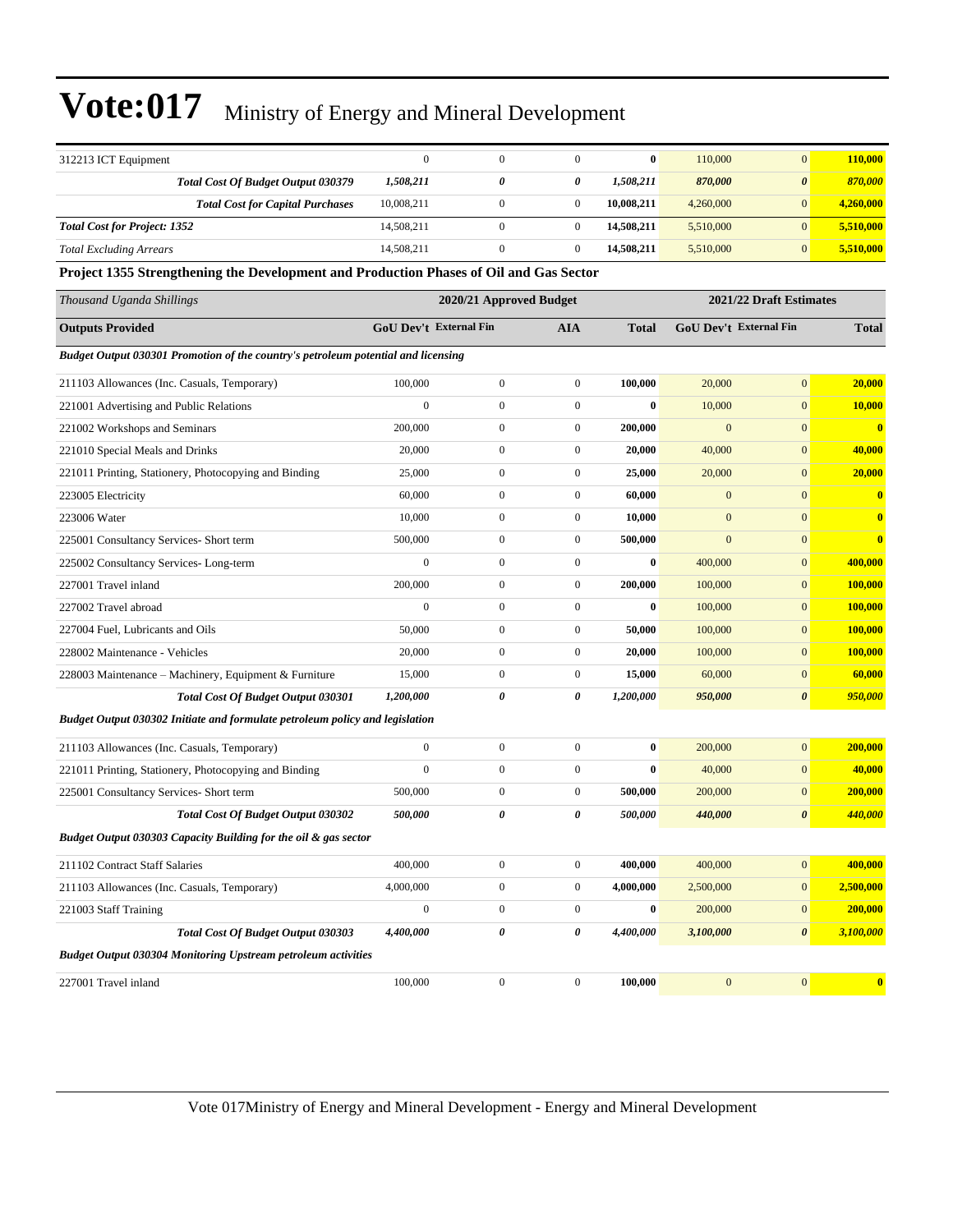| 312213 ICT Equipment                                                                   | $\boldsymbol{0}$                                   | $\boldsymbol{0}$              | $\boldsymbol{0}$ | $\bf{0}$     | 110,000      | $\overline{0}$                | 110,000        |
|----------------------------------------------------------------------------------------|----------------------------------------------------|-------------------------------|------------------|--------------|--------------|-------------------------------|----------------|
| <b>Total Cost Of Budget Output 030379</b>                                              | 1,508,211                                          | 0                             | 0                | 1,508,211    | 870,000      | $\boldsymbol{\theta}$         | 870,000        |
| <b>Total Cost for Capital Purchases</b>                                                | 10,008,211                                         | $\boldsymbol{0}$              | $\boldsymbol{0}$ | 10,008,211   | 4,260,000    | $\overline{0}$                | 4,260,000      |
| <b>Total Cost for Project: 1352</b>                                                    | 14,508,211                                         | $\boldsymbol{0}$              | $\mathbf{0}$     | 14,508,211   | 5,510,000    | $\overline{0}$                | 5,510,000      |
| <b>Total Excluding Arrears</b>                                                         | 14,508,211                                         | $\mathbf{0}$                  | $\mathbf{0}$     | 14,508,211   | 5,510,000    | $\overline{0}$                | 5,510,000      |
| Project 1355 Strengthening the Development and Production Phases of Oil and Gas Sector |                                                    |                               |                  |              |              |                               |                |
| Thousand Uganda Shillings                                                              | 2021/22 Draft Estimates<br>2020/21 Approved Budget |                               |                  |              |              |                               |                |
| <b>Outputs Provided</b>                                                                |                                                    | <b>GoU Dev't External Fin</b> | AIA              | <b>Total</b> |              | <b>GoU Dev't External Fin</b> | <b>Total</b>   |
| Budget Output 030301 Promotion of the country's petroleum potential and licensing      |                                                    |                               |                  |              |              |                               |                |
| 211103 Allowances (Inc. Casuals, Temporary)                                            | 100,000                                            | $\boldsymbol{0}$              | $\boldsymbol{0}$ | 100,000      | 20,000       | $\mathbf{0}$                  | 20,000         |
| 221001 Advertising and Public Relations                                                | $\boldsymbol{0}$                                   | $\boldsymbol{0}$              | $\boldsymbol{0}$ | $\bf{0}$     | 10,000       | $\mathbf{0}$                  | 10,000         |
| 221002 Workshops and Seminars                                                          | 200,000                                            | $\boldsymbol{0}$              | $\boldsymbol{0}$ | 200,000      | $\mathbf{0}$ | $\mathbf{0}$                  | $\bf{0}$       |
| 221010 Special Meals and Drinks                                                        | 20,000                                             | $\boldsymbol{0}$              | $\boldsymbol{0}$ | 20,000       | 40,000       | $\mathbf{0}$                  | 40,000         |
| 221011 Printing, Stationery, Photocopying and Binding                                  | 25,000                                             | $\boldsymbol{0}$              | $\boldsymbol{0}$ | 25,000       | 20,000       | $\mathbf{0}$                  | 20,000         |
| 223005 Electricity                                                                     | 60,000                                             | $\boldsymbol{0}$              | $\boldsymbol{0}$ | 60,000       | $\mathbf{0}$ | $\mathbf{0}$                  | $\bf{0}$       |
| 223006 Water                                                                           | 10,000                                             | $\boldsymbol{0}$              | $\boldsymbol{0}$ | 10,000       | $\mathbf{0}$ | $\mathbf{0}$                  | $\bf{0}$       |
| 225001 Consultancy Services- Short term                                                | 500,000                                            | $\boldsymbol{0}$              | $\boldsymbol{0}$ | 500,000      | $\mathbf{0}$ | $\overline{0}$                | $\bf{0}$       |
| 225002 Consultancy Services-Long-term                                                  | $\mathbf{0}$                                       | $\boldsymbol{0}$              | $\boldsymbol{0}$ | $\bf{0}$     | 400,000      | $\mathbf{0}$                  | 400,000        |
| 227001 Travel inland                                                                   | 200,000                                            | $\boldsymbol{0}$              | $\boldsymbol{0}$ | 200,000      | 100,000      | $\mathbf{0}$                  | 100,000        |
| 227002 Travel abroad                                                                   | $\boldsymbol{0}$                                   | $\boldsymbol{0}$              | $\boldsymbol{0}$ | $\bf{0}$     | 100,000      | $\mathbf{0}$                  | <b>100,000</b> |
| 227004 Fuel, Lubricants and Oils                                                       | 50,000                                             | $\boldsymbol{0}$              | $\boldsymbol{0}$ | 50,000       | 100,000      | $\mathbf{0}$                  | 100,000        |
| 228002 Maintenance - Vehicles                                                          | 20,000                                             | $\boldsymbol{0}$              | $\boldsymbol{0}$ | 20,000       | 100,000      | $\mathbf{0}$                  | 100,000        |
| 228003 Maintenance – Machinery, Equipment & Furniture                                  | 15,000                                             | $\boldsymbol{0}$              | $\boldsymbol{0}$ | 15,000       | 60,000       | $\mathbf{0}$                  | 60,000         |
| <b>Total Cost Of Budget Output 030301</b>                                              | 1,200,000                                          | 0                             | 0                | 1,200,000    | 950,000      | $\boldsymbol{\theta}$         | 950,000        |
| Budget Output 030302 Initiate and formulate petroleum policy and legislation           |                                                    |                               |                  |              |              |                               |                |
| 211103 Allowances (Inc. Casuals, Temporary)                                            | $\mathbf{0}$                                       | $\boldsymbol{0}$              | $\boldsymbol{0}$ | $\bf{0}$     | 200,000      | $\mathbf{0}$                  | 200,000        |
| 221011 Printing, Stationery, Photocopying and Binding                                  | $\mathbf{0}$                                       | $\boldsymbol{0}$              | $\boldsymbol{0}$ | $\mathbf{0}$ | 40,000       | $\overline{0}$                | 40,000         |
| 225001 Consultancy Services- Short term                                                | 500,000                                            | $\boldsymbol{0}$              | $\boldsymbol{0}$ | 500,000      | 200,000      | $\mathbf{0}$                  | 200,000        |
| Total Cost Of Budget Output 030302                                                     | 500,000                                            | 0                             | 0                | 500,000      | 440,000      | 0                             | 440,000        |
| Budget Output 030303 Capacity Building for the oil & gas sector                        |                                                    |                               |                  |              |              |                               |                |
| 211102 Contract Staff Salaries                                                         | 400,000                                            | $\boldsymbol{0}$              | $\boldsymbol{0}$ | 400,000      | 400,000      | $\boldsymbol{0}$              | 400,000        |
| 211103 Allowances (Inc. Casuals, Temporary)                                            | 4,000,000                                          | $\boldsymbol{0}$              | $\boldsymbol{0}$ | 4,000,000    | 2,500,000    | $\boldsymbol{0}$              | 2,500,000      |
| 221003 Staff Training                                                                  | $\boldsymbol{0}$                                   | $\boldsymbol{0}$              | $\boldsymbol{0}$ | $\bf{0}$     | 200,000      | $\boldsymbol{0}$              | 200,000        |
| Total Cost Of Budget Output 030303                                                     | 4,400,000                                          | 0                             | 0                | 4,400,000    | 3,100,000    | $\boldsymbol{\theta}$         | 3,100,000      |
| <b>Budget Output 030304 Monitoring Upstream petroleum activities</b>                   |                                                    |                               |                  |              |              |                               |                |
| 227001 Travel inland                                                                   | 100,000                                            | $\boldsymbol{0}$              | $\boldsymbol{0}$ | 100,000      | $\mathbf{0}$ | $\mathbf{0}$                  | $\mathbf{0}$   |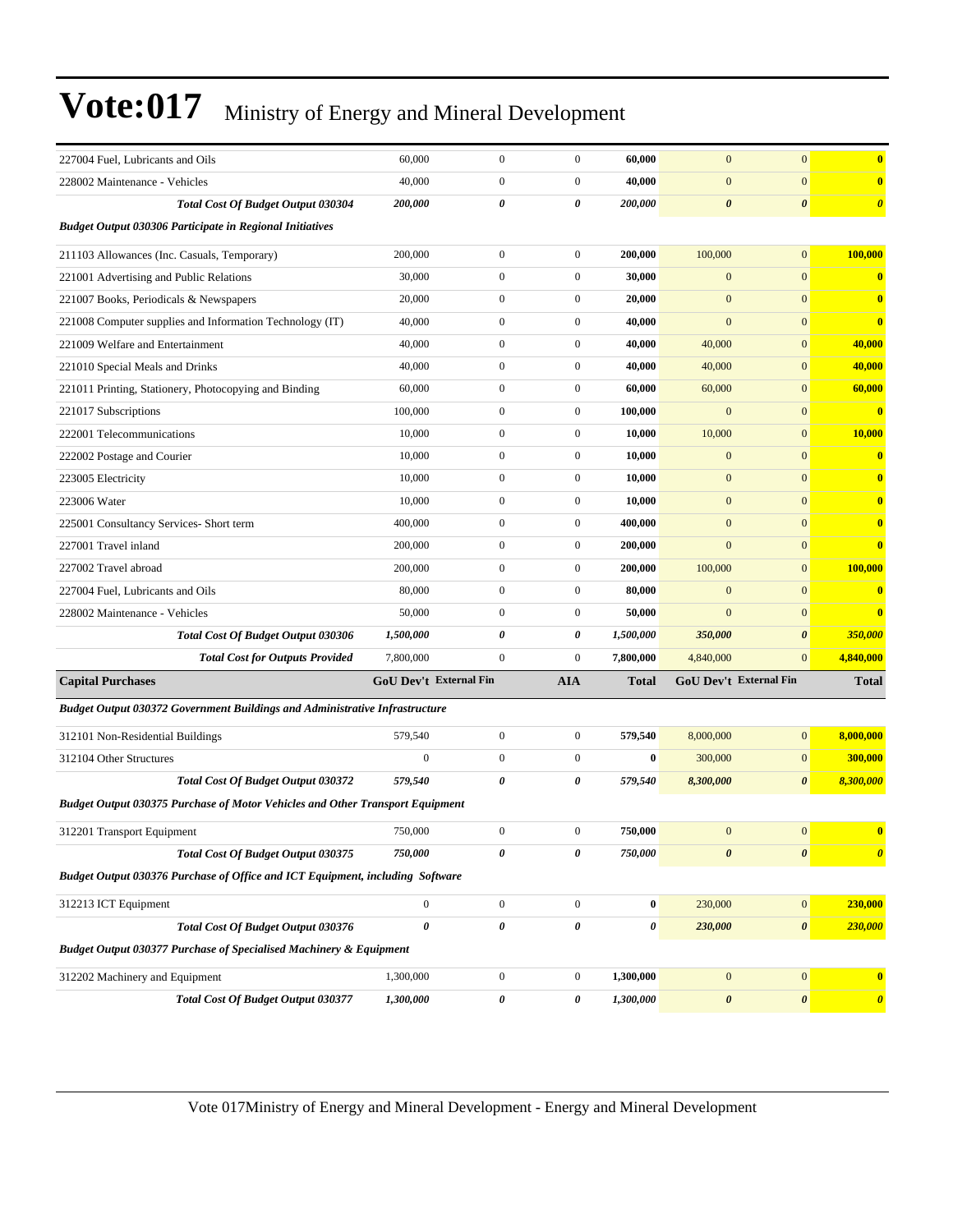| 227004 Fuel, Lubricants and Oils                                                     | 60,000                 | $\boldsymbol{0}$      | $\boldsymbol{0}$ | 60,000       | $\mathbf{0}$          | $\mathbf{0}$           | $\bf{0}$                |
|--------------------------------------------------------------------------------------|------------------------|-----------------------|------------------|--------------|-----------------------|------------------------|-------------------------|
| 228002 Maintenance - Vehicles                                                        | 40,000                 | $\boldsymbol{0}$      | $\boldsymbol{0}$ | 40,000       | $\mathbf{0}$          | $\boldsymbol{0}$       | $\bf{0}$                |
| <b>Total Cost Of Budget Output 030304</b>                                            | 200,000                | 0                     | 0                | 200,000      | $\boldsymbol{\theta}$ | $\boldsymbol{\theta}$  | $\boldsymbol{\theta}$   |
| <b>Budget Output 030306 Participate in Regional Initiatives</b>                      |                        |                       |                  |              |                       |                        |                         |
| 211103 Allowances (Inc. Casuals, Temporary)                                          | 200,000                | $\mathbf{0}$          | $\boldsymbol{0}$ | 200,000      | 100,000               | $\mathbf{0}$           | 100,000                 |
| 221001 Advertising and Public Relations                                              | 30,000                 | $\mathbf{0}$          | $\boldsymbol{0}$ | 30,000       | $\mathbf{0}$          | $\mathbf{0}$           | $\bf{0}$                |
| 221007 Books, Periodicals & Newspapers                                               | 20,000                 | $\boldsymbol{0}$      | $\boldsymbol{0}$ | 20,000       | $\overline{0}$        | $\mathbf{0}$           | $\bf{0}$                |
| 221008 Computer supplies and Information Technology (IT)                             | 40,000                 | $\boldsymbol{0}$      | $\boldsymbol{0}$ | 40,000       | $\mathbf{0}$          | $\mathbf{0}$           | $\bf{0}$                |
| 221009 Welfare and Entertainment                                                     | 40,000                 | $\boldsymbol{0}$      | $\boldsymbol{0}$ | 40,000       | 40,000                | $\mathbf{0}$           | 40,000                  |
| 221010 Special Meals and Drinks                                                      | 40,000                 | $\boldsymbol{0}$      | $\boldsymbol{0}$ | 40,000       | 40,000                | $\mathbf{0}$           | 40,000                  |
| 221011 Printing, Stationery, Photocopying and Binding                                | 60,000                 | $\mathbf{0}$          | $\boldsymbol{0}$ | 60,000       | 60,000                | $\mathbf{0}$           | 60,000                  |
| 221017 Subscriptions                                                                 | 100,000                | $\boldsymbol{0}$      | $\boldsymbol{0}$ | 100,000      | $\mathbf{0}$          | $\mathbf{0}$           | $\bf{0}$                |
| 222001 Telecommunications                                                            | 10,000                 | $\mathbf{0}$          | $\boldsymbol{0}$ | 10,000       | 10,000                | $\mathbf{0}$           | 10,000                  |
| 222002 Postage and Courier                                                           | 10,000                 | $\boldsymbol{0}$      | $\boldsymbol{0}$ | 10,000       | $\mathbf{0}$          | $\mathbf{0}$           | $\bf{0}$                |
| 223005 Electricity                                                                   | 10,000                 | $\boldsymbol{0}$      | $\overline{0}$   | 10,000       | $\boldsymbol{0}$      | $\mathbf{0}$           | $\bf{0}$                |
| 223006 Water                                                                         | 10,000                 | $\boldsymbol{0}$      | $\boldsymbol{0}$ | 10,000       | $\mathbf{0}$          | $\mathbf{0}$           | $\bf{0}$                |
| 225001 Consultancy Services- Short term                                              | 400,000                | $\boldsymbol{0}$      | $\boldsymbol{0}$ | 400,000      | $\mathbf{0}$          | $\mathbf{0}$           | $\bf{0}$                |
| 227001 Travel inland                                                                 | 200,000                | $\mathbf{0}$          | $\overline{0}$   | 200,000      | $\mathbf{0}$          | $\mathbf{0}$           | $\bf{0}$                |
| 227002 Travel abroad                                                                 | 200,000                | $\boldsymbol{0}$      | $\boldsymbol{0}$ | 200,000      | 100,000               | $\mathbf{0}$           | 100,000                 |
| 227004 Fuel, Lubricants and Oils                                                     | 80,000                 | $\boldsymbol{0}$      | $\boldsymbol{0}$ | 80,000       | $\boldsymbol{0}$      | $\mathbf{0}$           | $\bf{0}$                |
| 228002 Maintenance - Vehicles                                                        | 50,000                 | $\boldsymbol{0}$      | $\boldsymbol{0}$ | 50,000       | $\boldsymbol{0}$      | $\mathbf{0}$           | $\overline{\mathbf{0}}$ |
| <b>Total Cost Of Budget Output 030306</b>                                            | 1,500,000              | $\boldsymbol{\theta}$ | 0                | 1,500,000    | 350,000               | $\boldsymbol{\theta}$  | 350,000                 |
| <b>Total Cost for Outputs Provided</b>                                               | 7,800,000              | $\boldsymbol{0}$      | $\boldsymbol{0}$ | 7,800,000    | 4,840,000             | $\mathbf{0}$           | 4,840,000               |
| <b>Capital Purchases</b>                                                             | GoU Dev't External Fin |                       | <b>AIA</b>       | <b>Total</b> |                       | GoU Dev't External Fin | <b>Total</b>            |
| <b>Budget Output 030372 Government Buildings and Administrative Infrastructure</b>   |                        |                       |                  |              |                       |                        |                         |
| 312101 Non-Residential Buildings                                                     | 579,540                | $\boldsymbol{0}$      | $\boldsymbol{0}$ | 579,540      | 8,000,000             | $\mathbf{0}$           | 8,000,000               |
| 312104 Other Structures                                                              | $\boldsymbol{0}$       | $\mathbf{0}$          | $\boldsymbol{0}$ | $\bf{0}$     | 300,000               | $\mathbf{0}$           | 300,000                 |
| Total Cost Of Budget Output 030372                                                   | 579,540                | 0                     | 0                | 579,540      | 8,300,000             | $\boldsymbol{\theta}$  | 8,300,000               |
| <b>Budget Output 030375 Purchase of Motor Vehicles and Other Transport Equipment</b> |                        |                       |                  |              |                       |                        |                         |
| 312201 Transport Equipment                                                           | 750,000                | $\boldsymbol{0}$      | $\boldsymbol{0}$ | 750,000      | $\mathbf{0}$          | $\mathbf{0}$           | $\bf{0}$                |
| Total Cost Of Budget Output 030375                                                   | 750,000                | 0                     | 0                | 750,000      | $\pmb{\theta}$        | $\pmb{\theta}$         | $\boldsymbol{\theta}$   |
| Budget Output 030376 Purchase of Office and ICT Equipment, including Software        |                        |                       |                  |              |                       |                        |                         |
| 312213 ICT Equipment                                                                 | $\boldsymbol{0}$       | $\boldsymbol{0}$      | $\boldsymbol{0}$ | 0            | 230,000               | $\boldsymbol{0}$       | 230,000                 |
| Total Cost Of Budget Output 030376                                                   | 0                      | $\pmb{\theta}$        | 0                | 0            | 230,000               | $\boldsymbol{\theta}$  | 230,000                 |
| Budget Output 030377 Purchase of Specialised Machinery & Equipment                   |                        |                       |                  |              |                       |                        |                         |
| 312202 Machinery and Equipment                                                       | 1,300,000              | $\boldsymbol{0}$      | $\boldsymbol{0}$ | 1,300,000    | $\mathbf{0}$          | $\boldsymbol{0}$       | $\bf{0}$                |
| Total Cost Of Budget Output 030377                                                   | 1,300,000              | $\pmb{\theta}$        | 0                | 1,300,000    | $\pmb{\theta}$        | $\pmb{\theta}$         | $\boldsymbol{\theta}$   |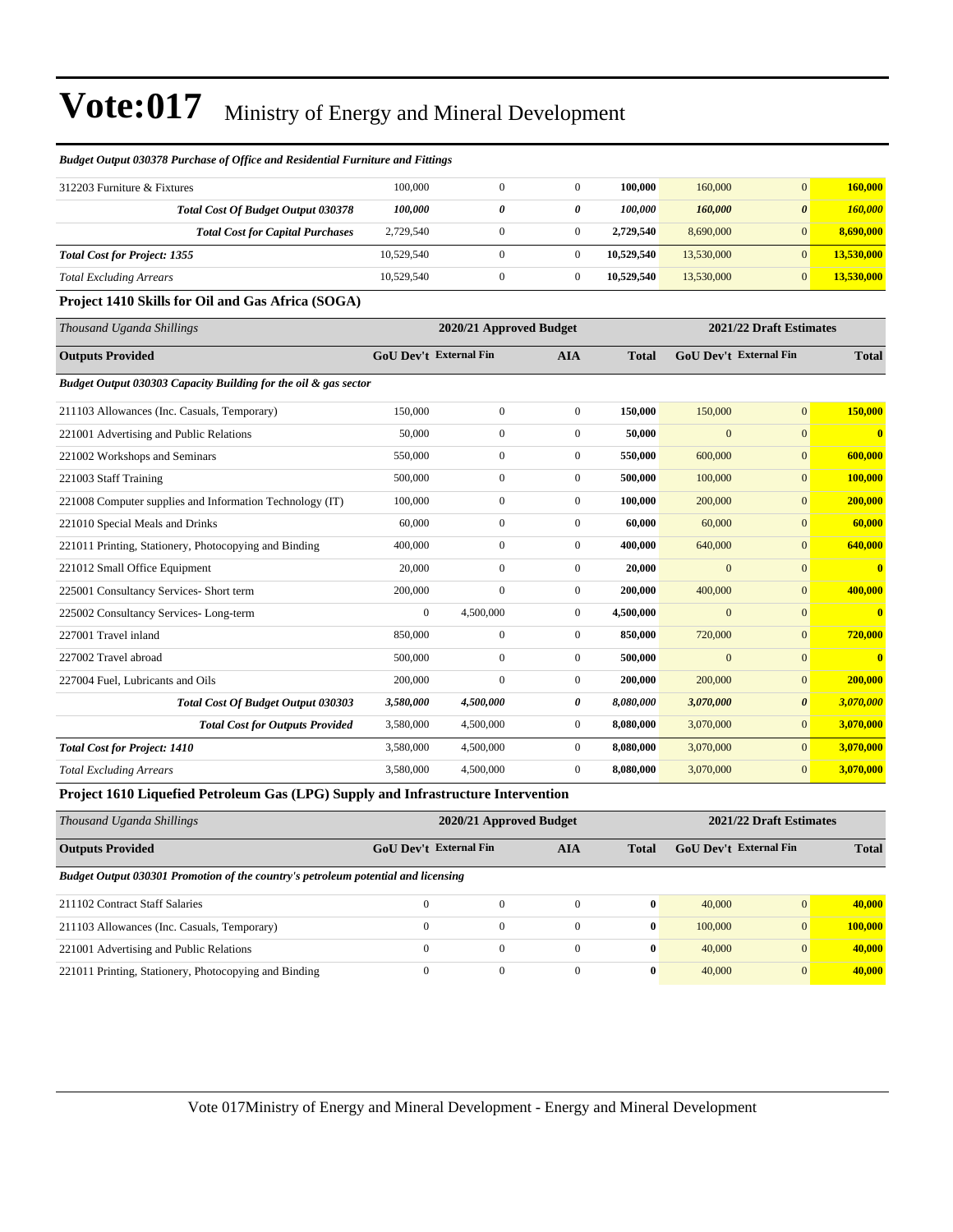| риидет отригозозто 1 ителизе од однее или незистни 1 итните или 1 итндз |                               |                         |                  |                         |                               |                       |              |  |
|-------------------------------------------------------------------------|-------------------------------|-------------------------|------------------|-------------------------|-------------------------------|-----------------------|--------------|--|
| 312203 Furniture & Fixtures                                             | 100,000                       | $\mathbf{0}$            | $\mathbf{0}$     | 100,000                 | 160,000                       | $\mathbf{0}$          | 160,000      |  |
| <b>Total Cost Of Budget Output 030378</b>                               | 100,000                       | $\boldsymbol{\theta}$   | 0                | 100,000                 | 160,000                       | $\boldsymbol{\theta}$ | 160,000      |  |
| <b>Total Cost for Capital Purchases</b>                                 | 2,729,540                     | $\boldsymbol{0}$        | $\boldsymbol{0}$ | 2,729,540               | 8,690,000                     | $\overline{0}$        | 8,690,000    |  |
| <b>Total Cost for Project: 1355</b>                                     | 10,529,540                    | $\mathbf{0}$            | $\overline{0}$   | 10,529,540              | 13,530,000                    | $\overline{0}$        | 13,530,000   |  |
| <b>Total Excluding Arrears</b>                                          | 10,529,540                    | $\boldsymbol{0}$        | $\mathbf{0}$     | 10,529,540              | 13,530,000                    | $\mathbf{0}$          | 13,530,000   |  |
| Project 1410 Skills for Oil and Gas Africa (SOGA)                       |                               |                         |                  |                         |                               |                       |              |  |
| Thousand Uganda Shillings                                               |                               | 2020/21 Approved Budget |                  | 2021/22 Draft Estimates |                               |                       |              |  |
| <b>Outputs Provided</b>                                                 | <b>GoU Dev't External Fin</b> |                         | <b>AIA</b>       | <b>Total</b>            | <b>GoU Dev't External Fin</b> |                       | <b>Total</b> |  |
| Budget Output 030303 Capacity Building for the oil & gas sector         |                               |                         |                  |                         |                               |                       |              |  |
|                                                                         |                               |                         |                  |                         |                               |                       |              |  |
| 211103 Allowances (Inc. Casuals, Temporary)                             | 150,000                       | $\mathbf{0}$            | $\mathbf{0}$     | 150,000                 | 150,000                       | $\overline{0}$        | 150,000      |  |
| 221001 Advertising and Public Relations                                 | 50,000                        | $\mathbf{0}$            | $\mathbf{0}$     | 50,000                  | $\overline{0}$                | $\overline{0}$        | $\mathbf{0}$ |  |
| 221002 Workshops and Seminars                                           | 550,000                       | $\mathbf{0}$            | $\mathbf{0}$     | 550,000                 | 600,000                       | $\overline{0}$        | 600,000      |  |

221008 Computer supplies and Information Technology (IT) 100,000 0 0 **100,000** 200,000 0 **200,000** 221010 Special Meals and Drinks 60,000 0 0 **60,000** 60,000 0 **60,000** 221011 Printing, Stationery, Photocopying and Binding 400,000 0 0 **400,000** 640,000 0 **640,000** 221012 Small Office Equipment 20,000 0 0 **20,000** 0 0 **0** 225001 Consultancy Services- Short term 200,000 0 0 **200,000** 400,000 0 **400,000** 225002 Consultancy Services- Long-term 0 4,500,000 0 **4,500,000** 0 0 **0** 227001 Travel inland 850,000 0 0 **850,000** 720,000 0 **720,000** 227002 Travel abroad 500,000 0 0 **500,000** 0 0 **0** 227004 Fuel, Lubricants and Oils 200,000 0 0 **200,000** 200,000 0 **200,000**

#### *Budget Output 030378 Purchase of Office and Residential Furniture and Fittings*

#### **Project 1610 Liquefied Petroleum Gas (LPG) Supply and Infrastructure Intervention**

| Thousand Uganda Shillings                                                         |                        | 2020/21 Approved Budget |          | 2021/22 Draft Estimates |                        |                |         |
|-----------------------------------------------------------------------------------|------------------------|-------------------------|----------|-------------------------|------------------------|----------------|---------|
| <b>Outputs Provided</b>                                                           | GoU Dev't External Fin |                         | AIA      | Total                   | GoU Dev't External Fin | <b>Total</b>   |         |
| Budget Output 030301 Promotion of the country's petroleum potential and licensing |                        |                         |          |                         |                        |                |         |
| 211102 Contract Staff Salaries                                                    |                        | $\mathbf{0}$            | $\Omega$ | $\mathbf{0}$            | 40,000                 | $\overline{0}$ | 40,000  |
| 211103 Allowances (Inc. Casuals, Temporary)                                       | $\Omega$               | $\mathbf{0}$            | $\Omega$ | $\mathbf{0}$            | 100,000                | $\overline{0}$ | 100,000 |
| 221001 Advertising and Public Relations                                           | $\Omega$               | $\mathbf{0}$            | $\Omega$ | $\bf{0}$                | 40,000                 | $\overline{0}$ | 40,000  |
| 221011 Printing, Stationery, Photocopying and Binding                             |                        | $\mathbf{0}$            | $\Omega$ | $\bf{0}$                | 40,000                 | $\mathbf{0}$   | 40,000  |

*Total Cost for Project: 1410* **3.580,000 3,080,000 4,500,000 0**  $\frac{1}{3}$ **,070,000 0**  $\frac{1}{3}$ **,070,000 0**  $\frac{3}{3}$ **,070,000 0**  $\frac{3}{3}$ *Total Excluding Arrears* 3,580,000 4,500,000 0 **8,080,000** 3,070,000 0 **3,070,000**

*Total Cost Of Budget Output 030303 3,580,000 4,500,000 0 8,080,000 3,070,000 0 3,070,000 Total Cost for Outputs Provided* 3,580,000 4,500,000 0 **8,080,000** 3,070,000 0 **3,070,000**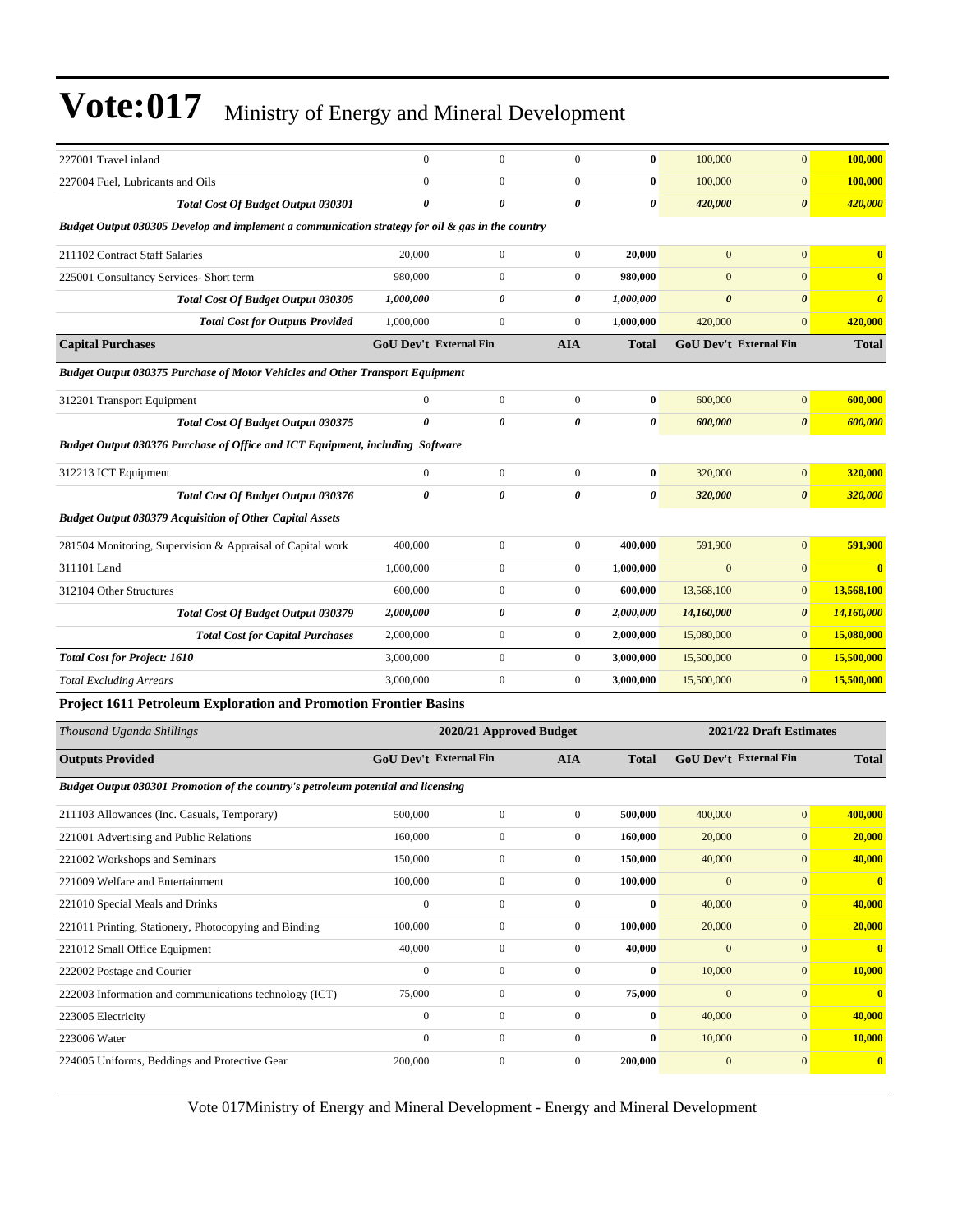| 227001 Travel inland                                                                             | $\mathbf{0}$                  | $\boldsymbol{0}$        | $\boldsymbol{0}$      | $\bf{0}$              | 100,000                 | $\mathbf{0}$           | 100,000               |
|--------------------------------------------------------------------------------------------------|-------------------------------|-------------------------|-----------------------|-----------------------|-------------------------|------------------------|-----------------------|
| 227004 Fuel, Lubricants and Oils                                                                 | $\overline{0}$                | $\boldsymbol{0}$        | $\mathbf{0}$          | $\bf{0}$              | 100,000                 | $\mathbf{0}$           | 100,000               |
| <b>Total Cost Of Budget Output 030301</b>                                                        | 0                             | $\theta$                | 0                     | $\boldsymbol{\theta}$ | 420,000                 | $\boldsymbol{\theta}$  | 420,000               |
| Budget Output 030305 Develop and implement a communication strategy for oil & gas in the country |                               |                         |                       |                       |                         |                        |                       |
| 211102 Contract Staff Salaries                                                                   | 20,000                        | $\boldsymbol{0}$        | $\boldsymbol{0}$      | 20,000                | $\mathbf{0}$            | $\mathbf{0}$           | $\bf{0}$              |
| 225001 Consultancy Services- Short term                                                          | 980,000                       | $\boldsymbol{0}$        | $\boldsymbol{0}$      | 980,000               | $\mathbf{0}$            | $\mathbf{0}$           | $\bf{0}$              |
| <b>Total Cost Of Budget Output 030305</b>                                                        | 1,000,000                     | 0                       | 0                     | 1,000,000             | $\boldsymbol{\theta}$   | $\boldsymbol{\theta}$  | $\boldsymbol{\theta}$ |
| <b>Total Cost for Outputs Provided</b>                                                           | 1.000.000                     | $\boldsymbol{0}$        | $\mathbf{0}$          | 1,000,000             | 420,000                 | $\mathbf{0}$           | 420,000               |
| <b>Capital Purchases</b>                                                                         | <b>GoU Dev't External Fin</b> |                         | <b>AIA</b>            | <b>Total</b>          |                         | GoU Dev't External Fin | <b>Total</b>          |
| <b>Budget Output 030375 Purchase of Motor Vehicles and Other Transport Equipment</b>             |                               |                         |                       |                       |                         |                        |                       |
| 312201 Transport Equipment                                                                       | $\mathbf{0}$                  | $\boldsymbol{0}$        | $\boldsymbol{0}$      | $\bf{0}$              | 600,000                 | $\boldsymbol{0}$       | 600,000               |
| <b>Total Cost Of Budget Output 030375</b>                                                        | $\boldsymbol{\theta}$         | $\pmb{\theta}$          | $\boldsymbol{\theta}$ | $\pmb{\theta}$        | 600,000                 | $\boldsymbol{\theta}$  | 600,000               |
| Budget Output 030376 Purchase of Office and ICT Equipment, including Software                    |                               |                         |                       |                       |                         |                        |                       |
| 312213 ICT Equipment                                                                             | $\boldsymbol{0}$              | $\boldsymbol{0}$        | $\boldsymbol{0}$      | $\bf{0}$              | 320,000                 | $\boldsymbol{0}$       | 320,000               |
| <b>Total Cost Of Budget Output 030376</b>                                                        | $\boldsymbol{\theta}$         | 0                       | 0                     | $\pmb{\theta}$        | 320,000                 | $\boldsymbol{\theta}$  | 320,000               |
| <b>Budget Output 030379 Acquisition of Other Capital Assets</b>                                  |                               |                         |                       |                       |                         |                        |                       |
| 281504 Monitoring, Supervision & Appraisal of Capital work                                       | 400,000                       | $\boldsymbol{0}$        | $\boldsymbol{0}$      | 400,000               | 591.900                 | $\mathbf{0}$           | 591,900               |
| 311101 Land                                                                                      | 1,000,000                     | $\boldsymbol{0}$        | $\boldsymbol{0}$      | 1,000,000             | $\mathbf{0}$            | $\mathbf{0}$           | $\bf{0}$              |
| 312104 Other Structures                                                                          | 600,000                       | $\boldsymbol{0}$        | $\boldsymbol{0}$      | 600,000               | 13,568,100              | $\mathbf{0}$           | 13,568,100            |
| <b>Total Cost Of Budget Output 030379</b>                                                        | 2,000,000                     | 0                       | 0                     | 2,000,000             | 14,160,000              | $\boldsymbol{\theta}$  | 14,160,000            |
| <b>Total Cost for Capital Purchases</b>                                                          | 2,000,000                     | $\boldsymbol{0}$        | $\boldsymbol{0}$      | 2,000,000             | 15,080,000              | $\mathbf{0}$           | 15,080,000            |
| <b>Total Cost for Project: 1610</b>                                                              | 3,000,000                     | $\boldsymbol{0}$        | $\boldsymbol{0}$      | 3,000,000             | 15,500,000              | $\mathbf{0}$           | 15,500,000            |
| <b>Total Excluding Arrears</b>                                                                   | 3,000,000                     | $\boldsymbol{0}$        | $\boldsymbol{0}$      | 3,000,000             | 15,500,000              | $\boldsymbol{0}$       | 15,500,000            |
| Project 1611 Petroleum Exploration and Promotion Frontier Basins                                 |                               |                         |                       |                       |                         |                        |                       |
| Thousand Uganda Shillings                                                                        |                               | 2020/21 Approved Budget |                       |                       | 2021/22 Draft Estimates |                        |                       |
| <b>Outputs Provided</b>                                                                          | <b>GoU Dev't External Fin</b> |                         | <b>AIA</b>            | <b>Total</b>          |                         | GoU Dev't External Fin | <b>Total</b>          |
| Budget Output 030301 Promotion of the country's petroleum potential and licensing                |                               |                         |                       |                       |                         |                        |                       |
| 211103 Allowances (Inc. Casuals, Temporary)                                                      | 500,000                       | $\boldsymbol{0}$        | $\boldsymbol{0}$      | 500,000               | 400,000                 | $\mathbf{0}$           | 400,000               |
| 221001 Advertising and Public Relations                                                          | 160,000                       | $\boldsymbol{0}$        | $\boldsymbol{0}$      | 160,000               | 20,000                  | $\boldsymbol{0}$       | 20,000                |
| 221002 Workshops and Seminars                                                                    | 150,000                       | $\boldsymbol{0}$        | $\boldsymbol{0}$      | 150,000               | 40,000                  | $\mathbf{0}$           | 40,000                |
| 221009 Welfare and Entertainment                                                                 | 100,000                       | $\boldsymbol{0}$        | $\boldsymbol{0}$      | 100,000               | $\boldsymbol{0}$        | $\boldsymbol{0}$       | $\mathbf{0}$          |
| 221010 Special Meals and Drinks                                                                  | $\boldsymbol{0}$              | $\boldsymbol{0}$        | $\boldsymbol{0}$      | $\bf{0}$              | 40,000                  | $\boldsymbol{0}$       | 40,000                |
| 221011 Printing, Stationery, Photocopying and Binding                                            | 100,000                       | $\boldsymbol{0}$        | $\boldsymbol{0}$      | 100,000               | 20,000                  | $\boldsymbol{0}$       | 20,000                |
| 221012 Small Office Equipment                                                                    | 40,000                        | $\boldsymbol{0}$        | $\boldsymbol{0}$      | 40,000                | $\mathbf{0}$            | $\boldsymbol{0}$       | $\mathbf{0}$          |
| 222002 Postage and Courier                                                                       | $\boldsymbol{0}$              | $\boldsymbol{0}$        | $\boldsymbol{0}$      | $\bf{0}$              | 10,000                  | $\boldsymbol{0}$       | <b>10,000</b>         |
| 222003 Information and communications technology (ICT)                                           | 75,000                        | $\boldsymbol{0}$        | $\boldsymbol{0}$      | 75,000                | $\mathbf{0}$            | $\boldsymbol{0}$       | $\bf{0}$              |
| 223005 Electricity                                                                               | $\boldsymbol{0}$              | $\boldsymbol{0}$        | $\boldsymbol{0}$      | $\bf{0}$              | 40,000                  | $\mathbf{0}$           | 40,000                |
| 223006 Water                                                                                     | $\boldsymbol{0}$              | $\boldsymbol{0}$        | $\boldsymbol{0}$      | $\bf{0}$              | 10,000                  | $\mathbf{0}$           | 10,000                |
| 224005 Uniforms, Beddings and Protective Gear                                                    | 200,000                       | $\boldsymbol{0}$        | $\boldsymbol{0}$      | 200,000               | $\boldsymbol{0}$        | $\mathbf{0}$           | $\bf{0}$              |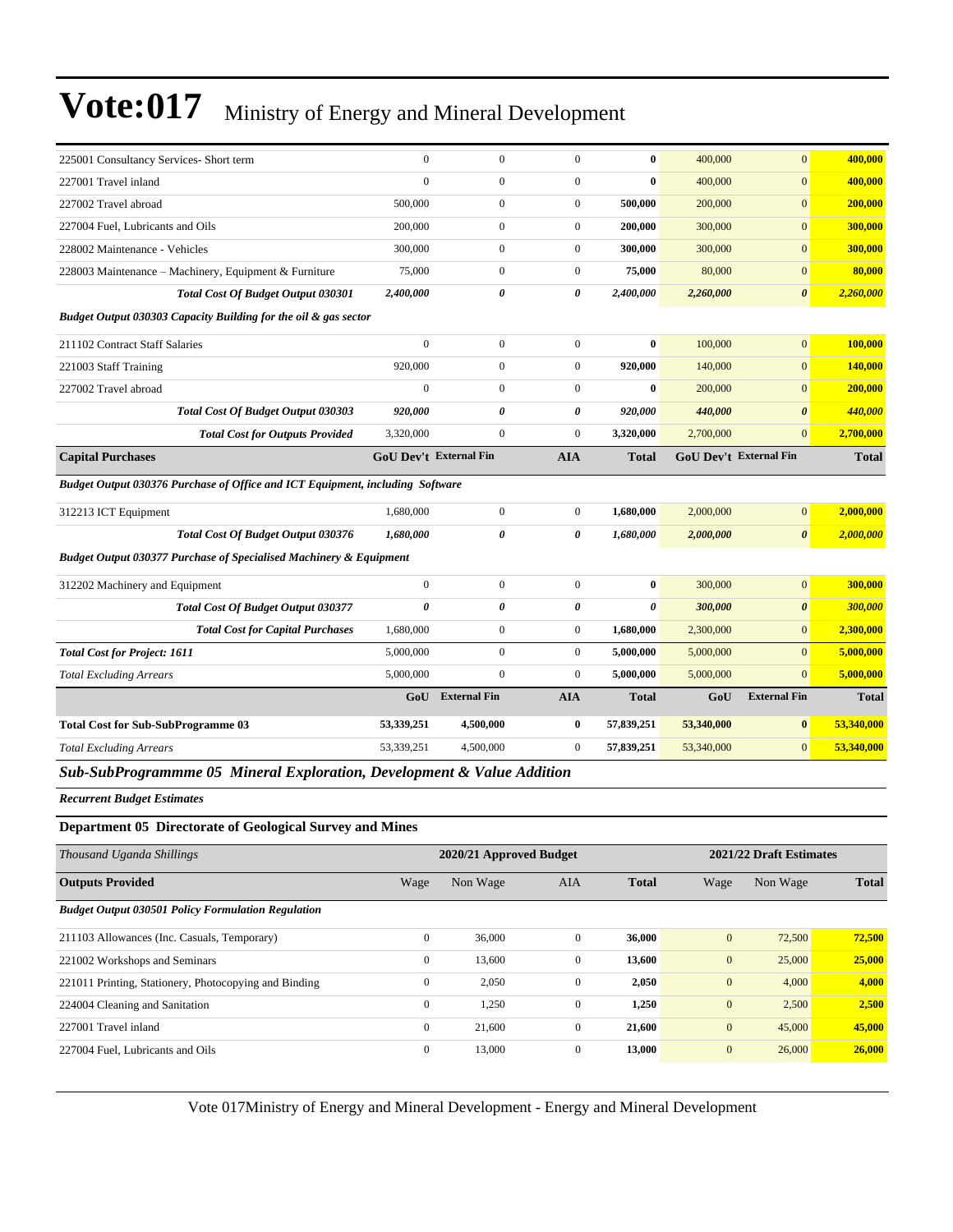| 225001 Consultancy Services- Short term                                                          | $\mathbf{0}$                  | $\mathbf{0}$          | $\mathbf{0}$     | $\bf{0}$              | 400,000    | $\overline{0}$                | 400,000      |
|--------------------------------------------------------------------------------------------------|-------------------------------|-----------------------|------------------|-----------------------|------------|-------------------------------|--------------|
| 227001 Travel inland                                                                             | $\overline{0}$                | $\mathbf{0}$          | $\boldsymbol{0}$ | $\bf{0}$              | 400,000    | $\overline{0}$                | 400,000      |
| 227002 Travel abroad                                                                             | 500,000                       | 0                     | $\boldsymbol{0}$ | 500,000               | 200,000    | $\mathbf{0}$                  | 200,000      |
| 227004 Fuel, Lubricants and Oils                                                                 | 200,000                       | $\mathbf{0}$          | $\mathbf{0}$     | 200,000               | 300,000    | $\overline{0}$                | 300,000      |
| 228002 Maintenance - Vehicles                                                                    | 300,000                       | $\boldsymbol{0}$      | $\boldsymbol{0}$ | 300,000               | 300,000    | $\mathbf{0}$                  | 300,000      |
| 228003 Maintenance - Machinery, Equipment & Furniture                                            | 75,000                        | $\overline{0}$        | $\overline{0}$   | 75,000                | 80,000     | $\overline{0}$                | 80,000       |
| <b>Total Cost Of Budget Output 030301</b>                                                        | 2,400,000                     | $\pmb{\theta}$        | 0                | 2,400,000             | 2,260,000  | $\boldsymbol{\theta}$         | 2,260,000    |
| Budget Output 030303 Capacity Building for the oil & gas sector                                  |                               |                       |                  |                       |            |                               |              |
| 211102 Contract Staff Salaries                                                                   | $\mathbf{0}$                  | $\mathbf{0}$          | $\mathbf{0}$     | $\bf{0}$              | 100,000    | $\overline{0}$                | 100,000      |
| 221003 Staff Training                                                                            | 920,000                       | $\boldsymbol{0}$      | $\boldsymbol{0}$ | 920,000               | 140,000    | $\overline{0}$                | 140,000      |
| 227002 Travel abroad                                                                             | $\mathbf{0}$                  | $\mathbf{0}$          | $\boldsymbol{0}$ | $\bf{0}$              | 200,000    | $\overline{0}$                | 200,000      |
| <b>Total Cost Of Budget Output 030303</b>                                                        | 920,000                       | $\pmb{\theta}$        | 0                | 920,000               | 440,000    | $\boldsymbol{\theta}$         | 440,000      |
| <b>Total Cost for Outputs Provided</b>                                                           | 3,320,000                     | $\mathbf{0}$          | $\mathbf{0}$     | 3,320,000             | 2,700,000  | $\overline{0}$                | 2,700,000    |
| <b>Capital Purchases</b>                                                                         | <b>GoU Dev't External Fin</b> |                       | <b>AIA</b>       | <b>Total</b>          |            | <b>GoU Dev't External Fin</b> | <b>Total</b> |
| Budget Output 030376 Purchase of Office and ICT Equipment, including Software                    |                               |                       |                  |                       |            |                               |              |
| 312213 ICT Equipment                                                                             | 1,680,000                     | $\boldsymbol{0}$      | $\mathbf{0}$     | 1,680,000             | 2,000,000  | $\overline{0}$                | 2,000,000    |
| Total Cost Of Budget Output 030376                                                               | 1,680,000                     | 0                     | 0                | 1,680,000             | 2,000,000  | $\boldsymbol{\theta}$         | 2,000,000    |
| <b>Budget Output 030377 Purchase of Specialised Machinery &amp; Equipment</b>                    |                               |                       |                  |                       |            |                               |              |
| 312202 Machinery and Equipment                                                                   | $\mathbf{0}$                  | $\mathbf{0}$          | $\boldsymbol{0}$ | $\bf{0}$              | 300,000    | $\overline{0}$                | 300,000      |
| <b>Total Cost Of Budget Output 030377</b>                                                        | $\boldsymbol{\theta}$         | $\boldsymbol{\theta}$ | 0                | $\boldsymbol{\theta}$ | 300,000    | $\boldsymbol{\theta}$         | 300,000      |
| <b>Total Cost for Capital Purchases</b>                                                          | 1,680,000                     | $\boldsymbol{0}$      | $\boldsymbol{0}$ | 1,680,000             | 2,300,000  | $\overline{0}$                | 2,300,000    |
| <b>Total Cost for Project: 1611</b>                                                              | 5,000,000                     | $\boldsymbol{0}$      | $\boldsymbol{0}$ | 5,000,000             | 5,000,000  | $\overline{0}$                | 5,000,000    |
| <b>Total Excluding Arrears</b>                                                                   | 5,000,000                     | $\boldsymbol{0}$      | $\mathbf{0}$     | 5,000,000             | 5,000,000  | $\overline{0}$                | 5,000,000    |
|                                                                                                  | GoU                           | <b>External Fin</b>   | <b>AIA</b>       | <b>Total</b>          | GoU        | <b>External Fin</b>           | <b>Total</b> |
| <b>Total Cost for Sub-SubProgramme 03</b>                                                        | 53,339,251                    | 4,500,000             | $\bf{0}$         | 57,839,251            | 53,340,000 | $\bf{0}$                      | 53,340,000   |
| <b>Total Excluding Arrears</b>                                                                   | 53,339,251                    | 4,500,000             | $\boldsymbol{0}$ | 57,839,251            | 53,340,000 | $\overline{0}$                | 53,340,000   |
| $C_{\alpha}L_{\alpha}C_{\alpha}L_{\alpha}D_{\alpha}$<br>$\Delta F$ $\Delta T$ .<br>$I$ $E$ , $I$ |                               | 0.17.1 4.1122         |                  |                       |            |                               |              |

*Sub-SubProgrammme 05 Mineral Exploration, Development & Value Addition*

*Recurrent Budget Estimates*

#### **Department 05 Directorate of Geological Survey and Mines**

| Thousand Uganda Shillings                                 |              | 2020/21 Approved Budget |                | 2021/22 Draft Estimates |                  |          |              |
|-----------------------------------------------------------|--------------|-------------------------|----------------|-------------------------|------------------|----------|--------------|
| <b>Outputs Provided</b>                                   | Wage         | Non Wage                | <b>AIA</b>     | <b>Total</b>            | Wage             | Non Wage | <b>Total</b> |
| <b>Budget Output 030501 Policy Formulation Regulation</b> |              |                         |                |                         |                  |          |              |
| 211103 Allowances (Inc. Casuals, Temporary)               | $\mathbf{0}$ | 36,000                  | $\Omega$       | 36,000                  | $\mathbf{0}$     | 72,500   | 72,500       |
| 221002 Workshops and Seminars                             | $\mathbf{0}$ | 13,600                  | $\overline{0}$ | 13,600                  | $\boldsymbol{0}$ | 25,000   | 25,000       |
| 221011 Printing, Stationery, Photocopying and Binding     | $\mathbf{0}$ | 2,050                   | $\mathbf{0}$   | 2,050                   | $\mathbf{0}$     | 4,000    | 4,000        |
| 224004 Cleaning and Sanitation                            | $\mathbf{0}$ | 1,250                   | $\mathbf{0}$   | 1,250                   | $\boldsymbol{0}$ | 2,500    | 2,500        |
| 227001 Travel inland                                      | $\mathbf{0}$ | 21,600                  | $\mathbf{0}$   | 21,600                  | $\mathbf{0}$     | 45,000   | 45,000       |
| 227004 Fuel. Lubricants and Oils                          | $\mathbf{0}$ | 13,000                  | $\overline{0}$ | 13,000                  | $\mathbf{0}$     | 26,000   | 26,000       |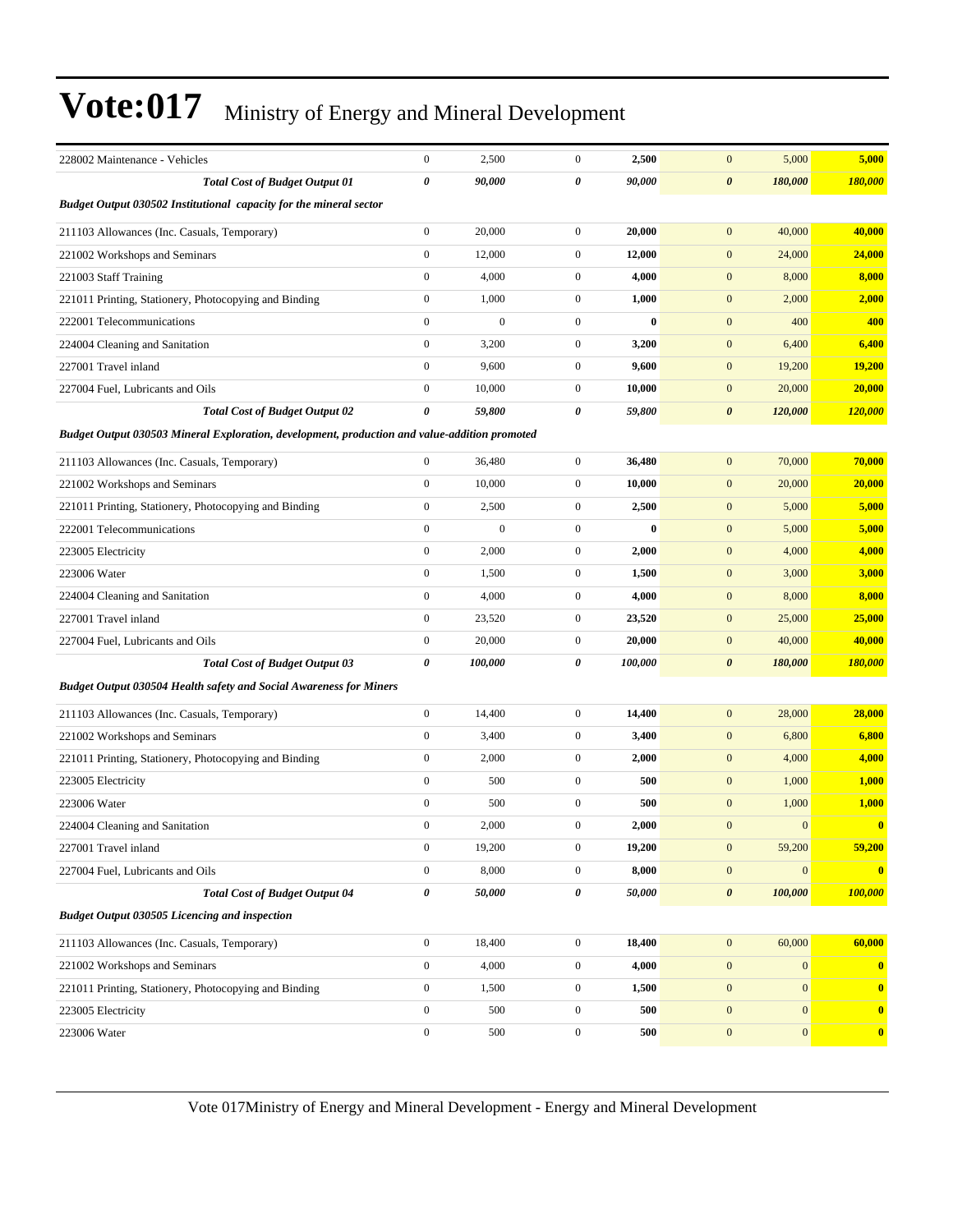| 228002 Maintenance - Vehicles                                                                 | $\boldsymbol{0}$      | 2,500            | $\mathbf{0}$     | 2,500    | $\boldsymbol{0}$<br>5,000        | 5,000        |
|-----------------------------------------------------------------------------------------------|-----------------------|------------------|------------------|----------|----------------------------------|--------------|
| <b>Total Cost of Budget Output 01</b>                                                         | 0                     | 90,000           | 0                | 90,000   | 180,000<br>$\boldsymbol{\theta}$ | 180,000      |
| Budget Output 030502 Institutional capacity for the mineral sector                            |                       |                  |                  |          |                                  |              |
| 211103 Allowances (Inc. Casuals, Temporary)                                                   | $\boldsymbol{0}$      | 20,000           | $\mathbf{0}$     | 20,000   | 40,000<br>$\mathbf{0}$           | 40,000       |
| 221002 Workshops and Seminars                                                                 | $\boldsymbol{0}$      | 12,000           | $\boldsymbol{0}$ | 12,000   | $\mathbf{0}$<br>24,000           | 24,000       |
| 221003 Staff Training                                                                         | $\boldsymbol{0}$      | 4,000            | $\mathbf{0}$     | 4,000    | $\mathbf{0}$<br>8,000            | 8,000        |
| 221011 Printing, Stationery, Photocopying and Binding                                         | $\boldsymbol{0}$      | 1,000            | $\boldsymbol{0}$ | 1,000    | $\mathbf{0}$<br>2,000            | 2,000        |
| 222001 Telecommunications                                                                     | $\boldsymbol{0}$      | $\boldsymbol{0}$ | $\boldsymbol{0}$ | $\bf{0}$ | $\mathbf{0}$<br>400              | 400          |
| 224004 Cleaning and Sanitation                                                                | $\boldsymbol{0}$      | 3,200            | $\mathbf{0}$     | 3,200    | $\boldsymbol{0}$<br>6,400        | 6,400        |
| 227001 Travel inland                                                                          | $\boldsymbol{0}$      | 9,600            | $\mathbf{0}$     | 9,600    | $\mathbf{0}$<br>19,200           | 19,200       |
| 227004 Fuel, Lubricants and Oils                                                              | $\boldsymbol{0}$      | 10,000           | $\mathbf{0}$     | 10,000   | $\mathbf{0}$<br>20,000           | 20,000       |
| <b>Total Cost of Budget Output 02</b>                                                         | $\boldsymbol{\theta}$ | 59,800           | 0                | 59,800   | $\boldsymbol{\theta}$<br>120,000 | 120,000      |
| Budget Output 030503 Mineral Exploration, development, production and value-addition promoted |                       |                  |                  |          |                                  |              |
| 211103 Allowances (Inc. Casuals, Temporary)                                                   | $\boldsymbol{0}$      | 36,480           | $\mathbf{0}$     | 36,480   | 70,000<br>$\mathbf{0}$           | 70,000       |
| 221002 Workshops and Seminars                                                                 | $\boldsymbol{0}$      | 10,000           | $\boldsymbol{0}$ | 10,000   | $\mathbf{0}$<br>20,000           | 20,000       |
| 221011 Printing, Stationery, Photocopying and Binding                                         | $\boldsymbol{0}$      | 2,500            | $\mathbf{0}$     | 2,500    | $\mathbf{0}$<br>5,000            | 5,000        |
| 222001 Telecommunications                                                                     | $\boldsymbol{0}$      | $\mathbf{0}$     | $\mathbf{0}$     | 0        | $\mathbf{0}$<br>5,000            | 5,000        |
| 223005 Electricity                                                                            | $\boldsymbol{0}$      | 2,000            | $\boldsymbol{0}$ | 2,000    | $\boldsymbol{0}$<br>4,000        | 4,000        |
| 223006 Water                                                                                  | $\boldsymbol{0}$      | 1,500            | $\boldsymbol{0}$ | 1,500    | $\mathbf{0}$<br>3,000            | 3,000        |
| 224004 Cleaning and Sanitation                                                                | $\boldsymbol{0}$      | 4,000            | $\boldsymbol{0}$ | 4,000    | $\boldsymbol{0}$<br>8,000        | 8,000        |
| 227001 Travel inland                                                                          | $\boldsymbol{0}$      | 23,520           | $\mathbf{0}$     | 23,520   | $\mathbf{0}$<br>25,000           | 25,000       |
| 227004 Fuel, Lubricants and Oils                                                              | $\boldsymbol{0}$      | 20,000           | $\mathbf{0}$     | 20,000   | $\boldsymbol{0}$<br>40,000       | 40,000       |
| <b>Total Cost of Budget Output 03</b>                                                         | 0                     | 100,000          | 0                | 100,000  | $\boldsymbol{\theta}$<br>180,000 | 180,000      |
| <b>Budget Output 030504 Health safety and Social Awareness for Miners</b>                     |                       |                  |                  |          |                                  |              |
| 211103 Allowances (Inc. Casuals, Temporary)                                                   | $\boldsymbol{0}$      | 14,400           | $\boldsymbol{0}$ | 14,400   | 28,000<br>$\mathbf{0}$           | 28,000       |
| 221002 Workshops and Seminars                                                                 | $\boldsymbol{0}$      | 3,400            | $\boldsymbol{0}$ | 3,400    | $\boldsymbol{0}$<br>6,800        | 6,800        |
| 221011 Printing, Stationery, Photocopying and Binding                                         | $\boldsymbol{0}$      | 2,000            | $\mathbf{0}$     | 2,000    | $\mathbf{0}$<br>4,000            | 4,000        |
| 223005 Electricity                                                                            | $\boldsymbol{0}$      | 500              | $\mathbf{0}$     | 500      | $\mathbf{0}$<br>1,000            | 1,000        |
| 223006 Water                                                                                  | $\boldsymbol{0}$      | 500              | $\boldsymbol{0}$ | 500      | $\boldsymbol{0}$<br>1,000        | 1,000        |
| 224004 Cleaning and Sanitation                                                                | $\boldsymbol{0}$      | 2,000            | $\mathbf{0}$     | 2,000    | $\boldsymbol{0}$<br>$\mathbf{0}$ | $\bf{0}$     |
| 227001 Travel inland                                                                          | $\boldsymbol{0}$      | 19,200           | $\boldsymbol{0}$ | 19,200   | $\mathbf{0}$<br>59,200           | 59,200       |
| 227004 Fuel, Lubricants and Oils                                                              | $\boldsymbol{0}$      | 8,000            | $\mathbf{0}$     | 8,000    | $\mathbf{0}$<br>$\mathbf{0}$     | $\bf{0}$     |
| <b>Total Cost of Budget Output 04</b>                                                         | 0                     | 50,000           | 0                | 50,000   | 100,000<br>$\boldsymbol{\theta}$ | 100,000      |
| <b>Budget Output 030505 Licencing and inspection</b>                                          |                       |                  |                  |          |                                  |              |
| 211103 Allowances (Inc. Casuals, Temporary)                                                   | $\boldsymbol{0}$      | 18,400           | $\boldsymbol{0}$ | 18,400   | $\mathbf{0}$<br>60,000           | 60,000       |
| 221002 Workshops and Seminars                                                                 | $\boldsymbol{0}$      | 4,000            | $\boldsymbol{0}$ | 4,000    | $\mathbf{0}$<br>$\mathbf{0}$     | $\bf{0}$     |
| 221011 Printing, Stationery, Photocopying and Binding                                         | $\boldsymbol{0}$      | 1,500            | $\boldsymbol{0}$ | 1,500    | $\mathbf{0}$<br>$\mathbf{0}$     | $\mathbf{0}$ |
| 223005 Electricity                                                                            | $\mathbf{0}$          | 500              | $\boldsymbol{0}$ | 500      | $\mathbf{0}$<br>$\mathbf{0}$     | $\mathbf{0}$ |
| 223006 Water                                                                                  | $\boldsymbol{0}$      | 500              | $\boldsymbol{0}$ | 500      | $\boldsymbol{0}$<br>$\mathbf{0}$ | $\mathbf{0}$ |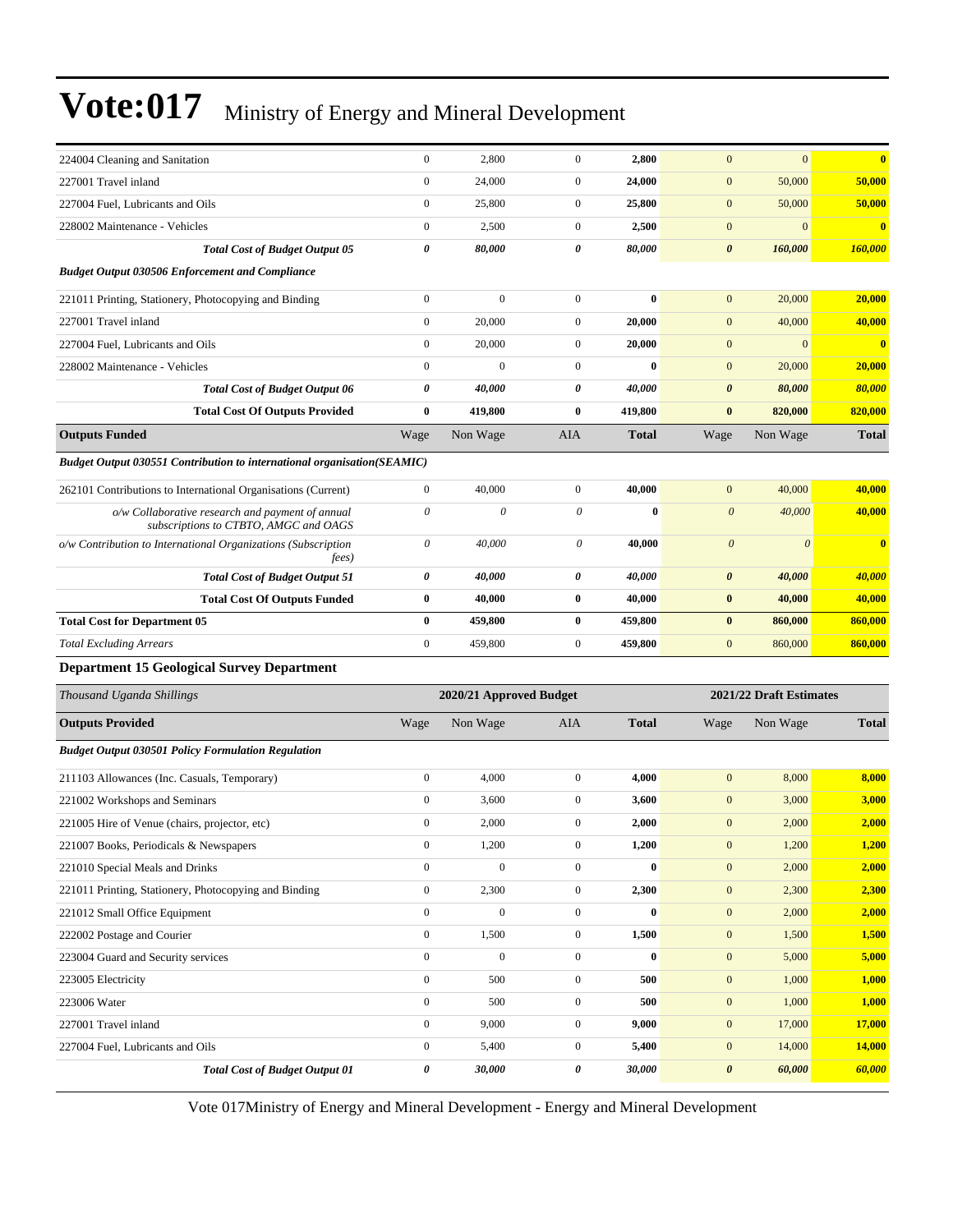|                                                                                           | $\boldsymbol{0}$      | 2,800                   | $\mathbf{0}$     | 2,800        | $\mathbf{0}$          | $\mathbf{0}$            | $\bf{0}$     |
|-------------------------------------------------------------------------------------------|-----------------------|-------------------------|------------------|--------------|-----------------------|-------------------------|--------------|
| 224004 Cleaning and Sanitation<br>227001 Travel inland                                    | $\boldsymbol{0}$      | 24,000                  | $\mathbf{0}$     | 24,000       | $\boldsymbol{0}$      | 50,000                  | 50,000       |
| 227004 Fuel, Lubricants and Oils                                                          | $\boldsymbol{0}$      | 25,800                  | $\mathbf{0}$     | 25,800       | $\mathbf{0}$          | 50,000                  | 50,000       |
| 228002 Maintenance - Vehicles                                                             | $\boldsymbol{0}$      | 2,500                   | $\boldsymbol{0}$ | 2,500        | $\boldsymbol{0}$      | $\mathbf{0}$            | $\bf{0}$     |
| <b>Total Cost of Budget Output 05</b>                                                     | $\pmb{\theta}$        | 80,000                  | 0                | 80,000       | $\boldsymbol{\theta}$ | 160,000                 | 160,000      |
| <b>Budget Output 030506 Enforcement and Compliance</b>                                    |                       |                         |                  |              |                       |                         |              |
|                                                                                           | $\boldsymbol{0}$      | $\mathbf{0}$            | $\boldsymbol{0}$ | $\bf{0}$     | $\mathbf{0}$          | 20,000                  | 20,000       |
| 221011 Printing, Stationery, Photocopying and Binding<br>227001 Travel inland             | $\mathbf{0}$          | 20,000                  | $\mathbf{0}$     | 20,000       | $\mathbf{0}$          | 40,000                  | 40,000       |
| 227004 Fuel, Lubricants and Oils                                                          | $\boldsymbol{0}$      | 20,000                  | $\mathbf{0}$     | 20,000       | $\mathbf{0}$          | $\mathbf{0}$            | $\bf{0}$     |
| 228002 Maintenance - Vehicles                                                             | $\boldsymbol{0}$      | $\boldsymbol{0}$        | $\mathbf{0}$     | $\bf{0}$     | $\mathbf{0}$          | 20,000                  | 20,000       |
| <b>Total Cost of Budget Output 06</b>                                                     | $\pmb{\theta}$        | 40,000                  | 0                | 40,000       | $\boldsymbol{\theta}$ | 80,000                  | 80,000       |
| <b>Total Cost Of Outputs Provided</b>                                                     | $\bf{0}$              | 419,800                 | $\bf{0}$         | 419,800      | $\bf{0}$              | 820,000                 | 820,000      |
| <b>Outputs Funded</b>                                                                     | Wage                  | Non Wage                | AIA              | <b>Total</b> | Wage                  | Non Wage                | <b>Total</b> |
|                                                                                           |                       |                         |                  |              |                       |                         |              |
| <b>Budget Output 030551 Contribution to international organisation(SEAMIC)</b>            |                       |                         |                  |              |                       |                         |              |
| 262101 Contributions to International Organisations (Current)                             | $\boldsymbol{0}$      | 40,000                  | $\mathbf{0}$     | 40,000       | $\mathbf{0}$          | 40,000                  | 40,000       |
| o/w Collaborative research and payment of annual<br>subscriptions to CTBTO, AMGC and OAGS | $\boldsymbol{\theta}$ | 0                       | 0                | $\bf{0}$     | $\boldsymbol{\theta}$ | 40,000                  | 40,000       |
| o/w Contribution to International Organizations (Subscription<br>fees)                    | $\theta$              | 40,000                  | $\theta$         | 40,000       | $\boldsymbol{\theta}$ | $\boldsymbol{\theta}$   | $\bf{0}$     |
| <b>Total Cost of Budget Output 51</b>                                                     | 0                     | 40,000                  | 0                | 40.000       | $\boldsymbol{\theta}$ | 40,000                  | 40,000       |
| <b>Total Cost Of Outputs Funded</b>                                                       | $\bf{0}$              | 40,000                  | $\bf{0}$         | 40,000       | $\bf{0}$              | 40,000                  | 40,000       |
| <b>Total Cost for Department 05</b>                                                       | $\bf{0}$              | 459,800                 | $\bf{0}$         | 459,800      | $\bf{0}$              | 860,000                 | 860,000      |
| <b>Total Excluding Arrears</b>                                                            | $\boldsymbol{0}$      | 459,800                 | $\mathbf{0}$     | 459,800      | $\boldsymbol{0}$      | 860,000                 | 860,000      |
| <b>Department 15 Geological Survey Department</b>                                         |                       |                         |                  |              |                       |                         |              |
| Thousand Uganda Shillings                                                                 |                       | 2020/21 Approved Budget |                  |              |                       | 2021/22 Draft Estimates |              |
| <b>Outputs Provided</b>                                                                   | Wage                  | Non Wage                | AIA              | <b>Total</b> | Wage                  | Non Wage                | <b>Total</b> |
| <b>Budget Output 030501 Policy Formulation Regulation</b>                                 |                       |                         |                  |              |                       |                         |              |
| 211103 Allowances (Inc. Casuals, Temporary)                                               | $\boldsymbol{0}$      | 4,000                   | $\mathbf{0}$     | 4,000        | $\mathbf{0}$          | 8,000                   | 8,000        |
| 221002 Workshops and Seminars                                                             | $\boldsymbol{0}$      | 3,600                   | $\mathbf{0}$     | 3,600        | $\mathbf{0}$          | 3,000                   | 3,000        |
| 221005 Hire of Venue (chairs, projector, etc)                                             | $\boldsymbol{0}$      | 2,000                   | $\mathbf{0}$     | 2,000        | $\boldsymbol{0}$      | 2,000                   | 2,000        |
| 221007 Books, Periodicals & Newspapers                                                    | 0                     | 1,200                   | $\boldsymbol{0}$ | 1,200        | $\mathbf{0}$          | 1,200                   | <b>1,200</b> |
| 221010 Special Meals and Drinks                                                           | $\boldsymbol{0}$      | $\boldsymbol{0}$        | $\boldsymbol{0}$ | $\bf{0}$     | $\mathbf{0}$          | 2,000                   | 2,000        |
| 221011 Printing, Stationery, Photocopying and Binding                                     | $\boldsymbol{0}$      | 2,300                   | $\boldsymbol{0}$ | 2,300        | $\boldsymbol{0}$      | 2,300                   | 2,300        |
| 221012 Small Office Equipment                                                             | $\boldsymbol{0}$      | $\mathbf{0}$            | $\boldsymbol{0}$ | $\bf{0}$     | $\mathbf{0}$          | 2,000                   | 2,000        |
| 222002 Postage and Courier                                                                | $\boldsymbol{0}$      | 1,500                   | $\boldsymbol{0}$ | 1,500        | $\boldsymbol{0}$      | 1,500                   | 1,500        |
| 223004 Guard and Security services                                                        | $\boldsymbol{0}$      | $\boldsymbol{0}$        | $\boldsymbol{0}$ | $\bf{0}$     | $\mathbf{0}$          | 5,000                   | 5,000        |
| 223005 Electricity                                                                        | $\boldsymbol{0}$      | 500                     | $\boldsymbol{0}$ | 500          | $\boldsymbol{0}$      | 1,000                   | 1,000        |
| 223006 Water                                                                              | $\boldsymbol{0}$      | 500                     | $\boldsymbol{0}$ | 500          | $\boldsymbol{0}$      | 1,000                   | 1,000        |
| 227001 Travel inland                                                                      | $\boldsymbol{0}$      | 9,000                   | $\mathbf{0}$     | 9,000        | $\mathbf{0}$          | 17,000                  | 17,000       |
| 227004 Fuel, Lubricants and Oils                                                          | $\boldsymbol{0}$      | 5,400                   | $\boldsymbol{0}$ | 5,400        | $\mathbf{0}$          | 14,000                  | 14,000       |
| <b>Total Cost of Budget Output 01</b>                                                     | 0                     | 30,000                  | 0                | 30,000       | $\pmb{\theta}$        | 60,000                  | 60,000       |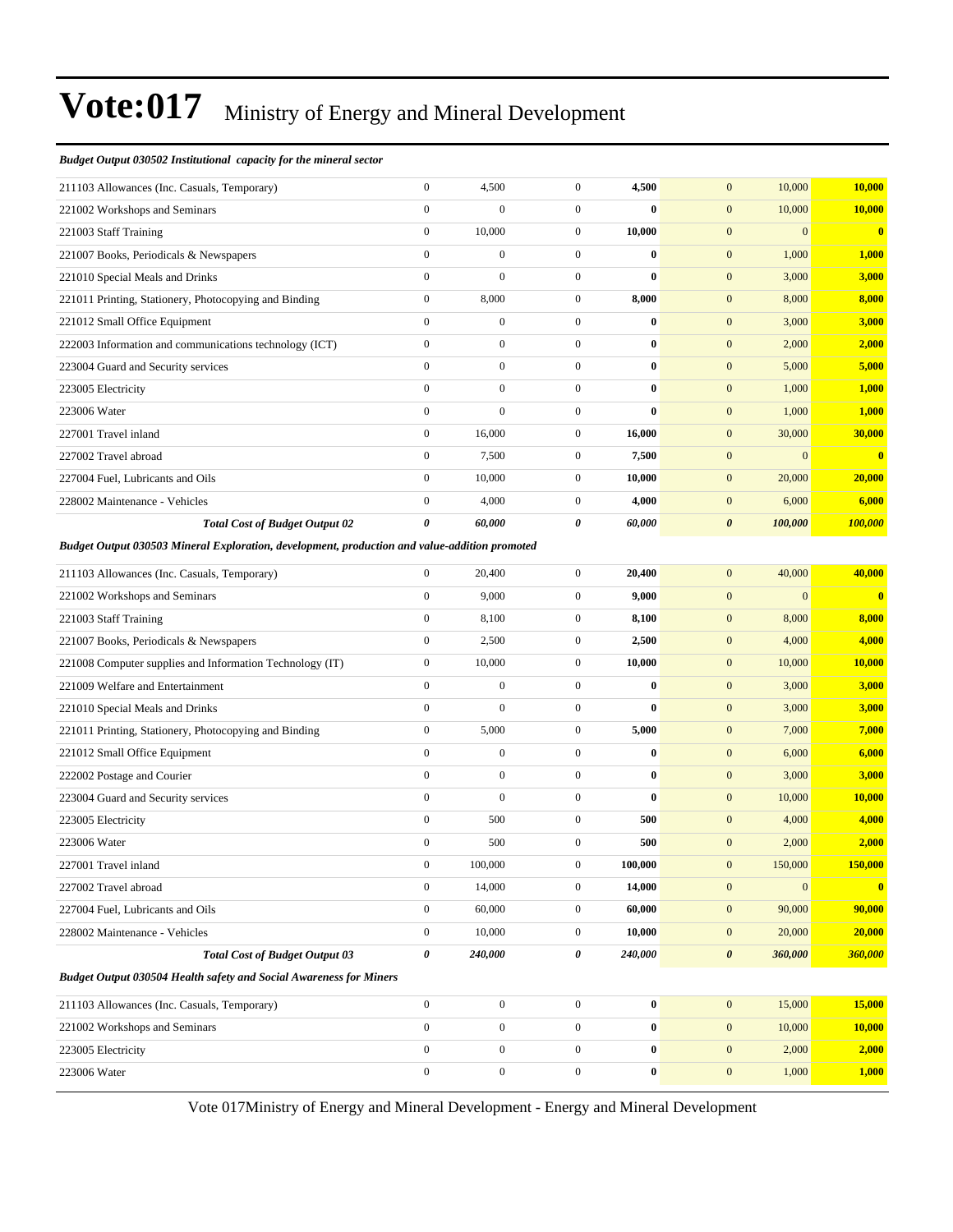#### *Budget Output 030502 Institutional capacity for the mineral sector*

| 211103 Allowances (Inc. Casuals, Temporary)                                                   | $\boldsymbol{0}$      | 4,500            | $\boldsymbol{0}$ | 4,500            | 10,000<br>$\boldsymbol{0}$           | 10,000                  |
|-----------------------------------------------------------------------------------------------|-----------------------|------------------|------------------|------------------|--------------------------------------|-------------------------|
| 221002 Workshops and Seminars                                                                 | $\mathbf{0}$          | $\boldsymbol{0}$ | $\boldsymbol{0}$ | $\bf{0}$         | $\mathbf{0}$<br>10,000               | 10,000                  |
| 221003 Staff Training                                                                         | $\boldsymbol{0}$      | 10,000           | $\boldsymbol{0}$ | 10,000           | $\boldsymbol{0}$<br>$\boldsymbol{0}$ | $\bf{0}$                |
| 221007 Books, Periodicals & Newspapers                                                        | $\mathbf{0}$          | $\boldsymbol{0}$ | $\boldsymbol{0}$ | $\bf{0}$         | $\mathbf{0}$<br>1,000                | 1,000                   |
| 221010 Special Meals and Drinks                                                               | $\boldsymbol{0}$      | $\mathbf{0}$     | $\boldsymbol{0}$ | $\bf{0}$         | $\mathbf{0}$<br>3,000                | 3,000                   |
| 221011 Printing, Stationery, Photocopying and Binding                                         | $\boldsymbol{0}$      | 8,000            | $\boldsymbol{0}$ | 8,000            | $\mathbf{0}$<br>8,000                | 8,000                   |
| 221012 Small Office Equipment                                                                 | $\mathbf{0}$          | $\mathbf{0}$     | $\boldsymbol{0}$ | $\bf{0}$         | $\mathbf{0}$<br>3,000                | 3,000                   |
| 222003 Information and communications technology (ICT)                                        | $\boldsymbol{0}$      | $\boldsymbol{0}$ | $\boldsymbol{0}$ | $\bf{0}$         | $\boldsymbol{0}$<br>2,000            | 2,000                   |
| 223004 Guard and Security services                                                            | $\mathbf{0}$          | $\boldsymbol{0}$ | $\boldsymbol{0}$ | $\bf{0}$         | $\mathbf{0}$<br>5,000                | 5,000                   |
| 223005 Electricity                                                                            | $\mathbf{0}$          | $\boldsymbol{0}$ | $\boldsymbol{0}$ | $\bf{0}$         | $\mathbf{0}$<br>1,000                | 1,000                   |
| 223006 Water                                                                                  | $\mathbf{0}$          | $\boldsymbol{0}$ | $\boldsymbol{0}$ | $\bf{0}$         | $\mathbf{0}$<br>1,000                | 1,000                   |
| 227001 Travel inland                                                                          | $\boldsymbol{0}$      | 16,000           | $\boldsymbol{0}$ | 16,000           | $\boldsymbol{0}$<br>30,000           | 30,000                  |
| 227002 Travel abroad                                                                          | $\boldsymbol{0}$      | 7,500            | $\boldsymbol{0}$ | 7,500            | $\boldsymbol{0}$<br>$\overline{0}$   | $\bf{0}$                |
| 227004 Fuel, Lubricants and Oils                                                              | $\mathbf{0}$          | 10,000           | $\boldsymbol{0}$ | 10,000           | $\mathbf{0}$<br>20,000               | 20,000                  |
| 228002 Maintenance - Vehicles                                                                 | $\boldsymbol{0}$      | 4,000            | $\boldsymbol{0}$ | 4,000            | $\mathbf{0}$<br>6,000                | 6,000                   |
| <b>Total Cost of Budget Output 02</b>                                                         | $\boldsymbol{\theta}$ | 60,000           | 0                | 60,000           | $\boldsymbol{\theta}$<br>100,000     | 100,000                 |
| Budget Output 030503 Mineral Exploration, development, production and value-addition promoted |                       |                  |                  |                  |                                      |                         |
| 211103 Allowances (Inc. Casuals, Temporary)                                                   | $\mathbf{0}$          | 20,400           | $\boldsymbol{0}$ | 20,400           | $\mathbf{0}$<br>40,000               | 40,000                  |
| 221002 Workshops and Seminars                                                                 | $\boldsymbol{0}$      | 9,000            | $\boldsymbol{0}$ | 9,000            | $\boldsymbol{0}$<br>$\Omega$         | $\bf{0}$                |
| 221003 Staff Training                                                                         | $\mathbf{0}$          | 8,100            | $\boldsymbol{0}$ | 8,100            | $\mathbf{0}$<br>8,000                | 8,000                   |
| 221007 Books, Periodicals & Newspapers                                                        | $\boldsymbol{0}$      | 2,500            | $\boldsymbol{0}$ | 2,500            | $\boldsymbol{0}$<br>4,000            | 4,000                   |
| 221008 Computer supplies and Information Technology (IT)                                      | $\boldsymbol{0}$      | 10,000           | $\boldsymbol{0}$ | 10,000           | $\boldsymbol{0}$<br>10,000           | 10,000                  |
| 221009 Welfare and Entertainment                                                              | $\mathbf{0}$          | $\mathbf{0}$     | $\boldsymbol{0}$ | $\bf{0}$         | $\mathbf{0}$<br>3,000                | 3,000                   |
| 221010 Special Meals and Drinks                                                               | $\boldsymbol{0}$      | $\mathbf{0}$     | $\boldsymbol{0}$ | $\mathbf{0}$     | $\boldsymbol{0}$<br>3,000            | 3,000                   |
| 221011 Printing, Stationery, Photocopying and Binding                                         | $\boldsymbol{0}$      | 5,000            | $\boldsymbol{0}$ | 5,000            | $\mathbf{0}$<br>7,000                | 7,000                   |
| 221012 Small Office Equipment                                                                 | $\boldsymbol{0}$      | $\boldsymbol{0}$ | $\boldsymbol{0}$ | $\bf{0}$         | $\mathbf{0}$<br>6,000                | 6,000                   |
| 222002 Postage and Courier                                                                    | $\boldsymbol{0}$      | $\boldsymbol{0}$ | $\boldsymbol{0}$ | $\bf{0}$         | $\boldsymbol{0}$<br>3,000            | 3,000                   |
| 223004 Guard and Security services                                                            | $\mathbf{0}$          | $\mathbf{0}$     | $\boldsymbol{0}$ | $\bf{0}$         | $\mathbf{0}$<br>10,000               | 10,000                  |
| 223005 Electricity                                                                            | $\boldsymbol{0}$      | 500              | $\boldsymbol{0}$ | 500              | $\boldsymbol{0}$<br>4,000            | 4,000                   |
| 223006 Water                                                                                  | $\mathbf{0}$          | 500              | $\boldsymbol{0}$ | 500              | $\boldsymbol{0}$<br>2,000            | 2,000                   |
| 227001 Travel inland                                                                          | $\mathbf{0}$          | 100,000          | $\mathbf{0}$     | 100,000          | $\mathbf{0}$<br>150,000              | 150,000                 |
| 227002 Travel abroad                                                                          | $\boldsymbol{0}$      | 14,000           | $\boldsymbol{0}$ | 14,000           | $\boldsymbol{0}$<br>$\mathbf{0}$     | $\overline{\mathbf{0}}$ |
| 227004 Fuel, Lubricants and Oils                                                              | $\boldsymbol{0}$      | 60,000           | $\boldsymbol{0}$ | 60,000           | 90,000<br>$\boldsymbol{0}$           | 90,000                  |
| 228002 Maintenance - Vehicles                                                                 | $\boldsymbol{0}$      | 10,000           | $\boldsymbol{0}$ | 10,000           | $\boldsymbol{0}$<br>20,000           | 20,000                  |
| <b>Total Cost of Budget Output 03</b>                                                         | $\boldsymbol{\theta}$ | 240,000          | 0                | 240,000          | $\boldsymbol{\theta}$<br>360,000     | 360,000                 |
| <b>Budget Output 030504 Health safety and Social Awareness for Miners</b>                     |                       |                  |                  |                  |                                      |                         |
| 211103 Allowances (Inc. Casuals, Temporary)                                                   | $\boldsymbol{0}$      | $\boldsymbol{0}$ | $\boldsymbol{0}$ | $\boldsymbol{0}$ | $\mathbf{0}$<br>15,000               | 15,000                  |
| 221002 Workshops and Seminars                                                                 | $\boldsymbol{0}$      | $\boldsymbol{0}$ | $\boldsymbol{0}$ | $\boldsymbol{0}$ | $\boldsymbol{0}$<br>10,000           | 10,000                  |
| 223005 Electricity                                                                            | $\boldsymbol{0}$      | $\boldsymbol{0}$ | $\boldsymbol{0}$ | $\bf{0}$         | $\boldsymbol{0}$<br>2,000            | 2,000                   |
| 223006 Water                                                                                  | $\boldsymbol{0}$      | $\boldsymbol{0}$ | $\boldsymbol{0}$ | $\bf{0}$         | $\boldsymbol{0}$<br>1,000            | 1,000                   |
|                                                                                               |                       |                  |                  |                  |                                      |                         |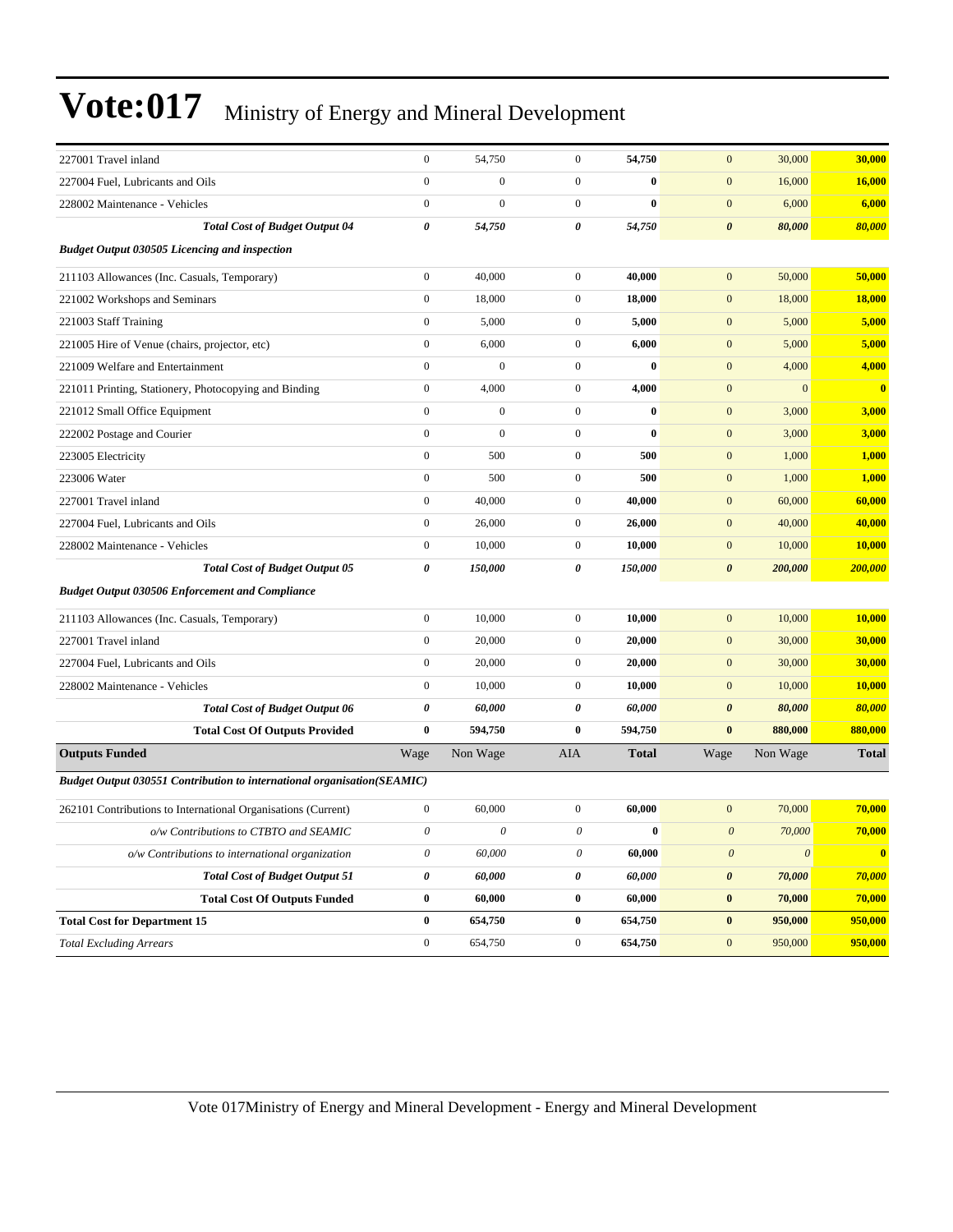| 227001 Travel inland                                                           | $\overline{0}$        | 54,750           | $\mathbf{0}$          | 54,750       | $\overline{0}$            | 30,000<br>30,000         |                         |
|--------------------------------------------------------------------------------|-----------------------|------------------|-----------------------|--------------|---------------------------|--------------------------|-------------------------|
| 227004 Fuel, Lubricants and Oils                                               | $\boldsymbol{0}$      | $\mathbf{0}$     | $\mathbf{0}$          | $\bf{0}$     | $\mathbf{0}$              | 16,000<br>16,000         |                         |
| 228002 Maintenance - Vehicles                                                  | $\boldsymbol{0}$      | $\mathbf{0}$     | $\mathbf{0}$          | $\bf{0}$     | $\mathbf{0}$              | 6,000<br>6,000           |                         |
| <b>Total Cost of Budget Output 04</b>                                          | $\pmb{\theta}$        | 54,750           | $\boldsymbol{\theta}$ | 54,750       | $\boldsymbol{\theta}$     | 80,000<br>80,000         |                         |
| <b>Budget Output 030505 Licencing and inspection</b>                           |                       |                  |                       |              |                           |                          |                         |
| 211103 Allowances (Inc. Casuals, Temporary)                                    | $\boldsymbol{0}$      | 40,000           | $\mathbf{0}$          | 40,000       | $\mathbf{0}$              | 50,000<br>50,000         |                         |
| 221002 Workshops and Seminars                                                  | $\boldsymbol{0}$      | 18,000           | $\mathbf{0}$          | 18,000       | $\boldsymbol{0}$          | 18,000<br>18,000         |                         |
| 221003 Staff Training                                                          | $\boldsymbol{0}$      | 5,000            | $\mathbf{0}$          | 5,000        | $\mathbf{0}$              | 5,000<br>5,000           |                         |
| 221005 Hire of Venue (chairs, projector, etc)                                  | $\boldsymbol{0}$      | 6,000            | $\mathbf{0}$          | 6,000        | $\mathbf{0}$              | 5,000<br>5,000           |                         |
| 221009 Welfare and Entertainment                                               | $\boldsymbol{0}$      | $\boldsymbol{0}$ | $\mathbf{0}$          | $\bf{0}$     | $\boldsymbol{0}$          | 4,000<br>4,000           |                         |
| 221011 Printing, Stationery, Photocopying and Binding                          | $\boldsymbol{0}$      | 4,000            | $\mathbf{0}$          | 4,000        | $\mathbf{0}$              | $\mathbf{0}$             | $\overline{\mathbf{0}}$ |
| 221012 Small Office Equipment                                                  | $\boldsymbol{0}$      | $\boldsymbol{0}$ | $\mathbf{0}$          | $\bf{0}$     | $\mathbf{0}$              | 3,000<br>3,000           |                         |
| 222002 Postage and Courier                                                     | $\boldsymbol{0}$      | $\boldsymbol{0}$ | $\mathbf{0}$          | $\bf{0}$     | $\boldsymbol{0}$          | 3,000<br>3,000           |                         |
| 223005 Electricity                                                             | $\boldsymbol{0}$      | 500              | $\mathbf{0}$          | 500          | $\mathbf{0}$              | 1,000<br>1,000           |                         |
| 223006 Water                                                                   | $\boldsymbol{0}$      | 500              | $\mathbf{0}$          | 500          | $\mathbf{0}$              | 1,000<br>1,000           |                         |
| 227001 Travel inland                                                           | $\boldsymbol{0}$      | 40,000           | $\mathbf{0}$          | 40,000       | $\boldsymbol{0}$          | 60,000<br>60,000         |                         |
| 227004 Fuel, Lubricants and Oils                                               | $\boldsymbol{0}$      | 26,000           | $\mathbf{0}$          | 26,000       | $\boldsymbol{0}$          | 40,000<br>40,000         |                         |
| 228002 Maintenance - Vehicles                                                  | $\boldsymbol{0}$      | 10,000           | $\mathbf{0}$          | 10,000       | $\mathbf{0}$              | 10,000<br>10,000         |                         |
| <b>Total Cost of Budget Output 05</b>                                          | $\boldsymbol{\theta}$ | 150,000          | $\boldsymbol{\theta}$ | 150,000      | $\boldsymbol{\theta}$     | 200,000<br>200,000       |                         |
| <b>Budget Output 030506 Enforcement and Compliance</b>                         |                       |                  |                       |              |                           |                          |                         |
| 211103 Allowances (Inc. Casuals, Temporary)                                    | $\boldsymbol{0}$      | 10,000           | $\boldsymbol{0}$      | 10,000       | $\boldsymbol{0}$          | 10,000<br>10,000         |                         |
| 227001 Travel inland                                                           | $\boldsymbol{0}$      | 20,000           | $\mathbf{0}$          | 20,000       | $\mathbf{0}$              | 30,000<br>30,000         |                         |
| 227004 Fuel, Lubricants and Oils                                               | $\boldsymbol{0}$      | 20,000           | $\overline{0}$        | 20,000       | $\mathbf{0}$              | 30,000<br>30,000         |                         |
| 228002 Maintenance - Vehicles                                                  | $\boldsymbol{0}$      | 10,000           | $\mathbf{0}$          | 10,000       | $\boldsymbol{0}$          | 10,000<br>10,000         |                         |
| <b>Total Cost of Budget Output 06</b>                                          | $\pmb{\theta}$        | 60,000           | $\boldsymbol{\theta}$ | 60,000       | $\boldsymbol{\theta}$     | 80,000<br>80,000         |                         |
| <b>Total Cost Of Outputs Provided</b>                                          | $\bf{0}$              | 594,750          | $\bf{0}$              | 594,750      | $\bf{0}$                  | 880,000<br>880,000       |                         |
| <b>Outputs Funded</b>                                                          | Wage                  | Non Wage         | AIA                   | <b>Total</b> | Wage                      | Non Wage<br><b>Total</b> |                         |
| <b>Budget Output 030551 Contribution to international organisation(SEAMIC)</b> |                       |                  |                       |              |                           |                          |                         |
| 262101 Contributions to International Organisations (Current)                  | $\boldsymbol{0}$      | 60,000           | $\mathbf{0}$          | 60,000       | $\mathbf{0}$              | 70,000<br>70,000         |                         |
| o/w Contributions to CTBTO and SEAMIC                                          | $\theta$              | $\theta$         | $\boldsymbol{\theta}$ | $\bf{0}$     | $\boldsymbol{0}$          | 70,000<br>70,000         |                         |
| o/w Contributions to international organization                                | $\boldsymbol{\theta}$ | 60,000           | 0                     | 60,000       | $\boldsymbol{\mathit{0}}$ | $\overline{\mathbf{0}}$  | $\bf{0}$                |
| <b>Total Cost of Budget Output 51</b>                                          | $\pmb{\theta}$        | 60,000           | $\pmb{\theta}$        | 60,000       | $\boldsymbol{\theta}$     | 70,000<br>70,000         |                         |
| <b>Total Cost Of Outputs Funded</b>                                            | $\bf{0}$              | 60,000           | $\bf{0}$              | 60,000       | $\bf{0}$                  | 70,000<br>70,000         |                         |
| <b>Total Cost for Department 15</b>                                            | $\bf{0}$              | 654,750          | $\bf{0}$              | 654,750      | $\bf{0}$                  | 950,000<br>950,000       |                         |
| <b>Total Excluding Arrears</b>                                                 | $\boldsymbol{0}$      | 654,750          | $\mathbf{0}$          | 654,750      | $\boldsymbol{0}$          | 950,000<br>950,000       |                         |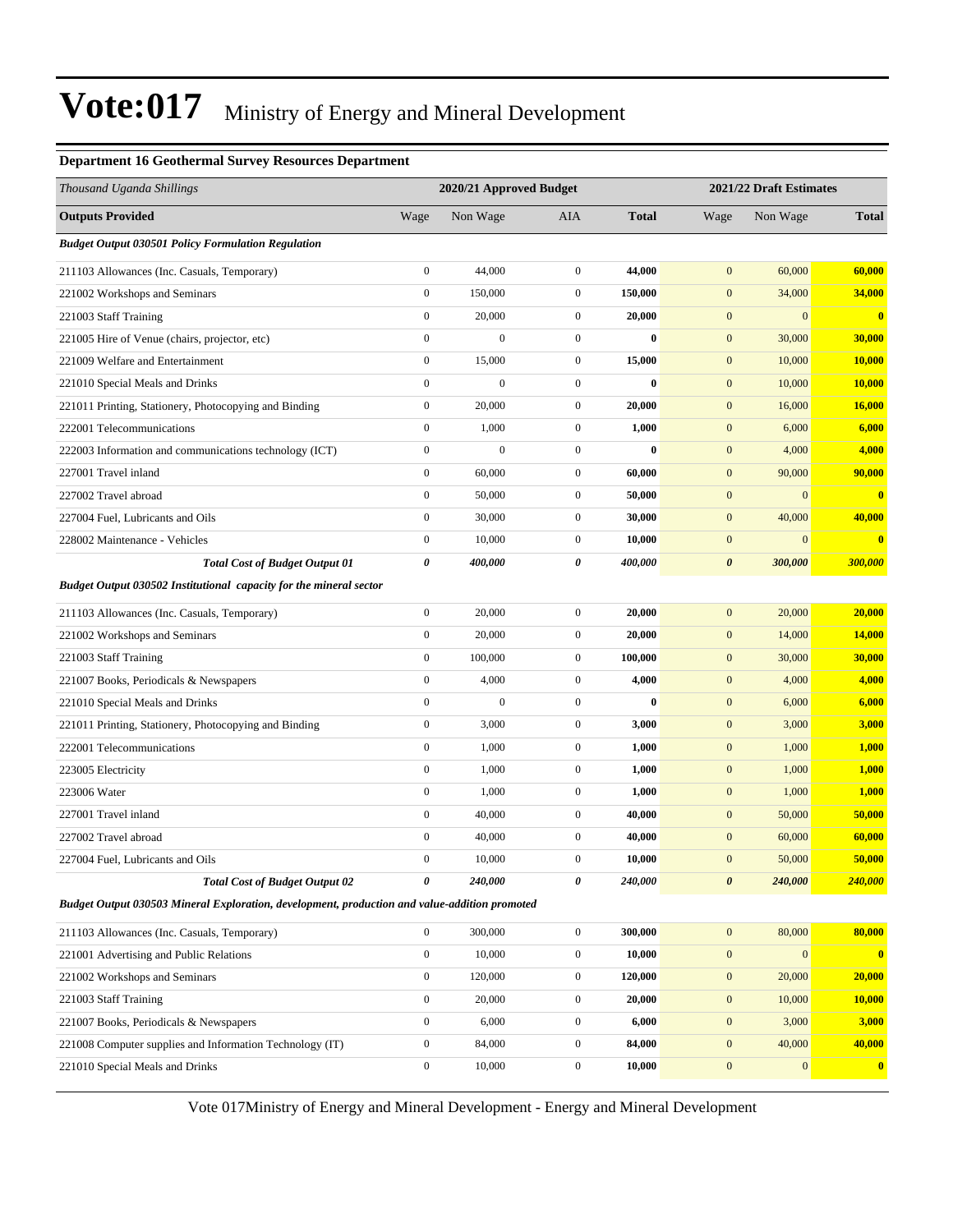#### **Department 16 Geothermal Survey Resources Department**

| Thousand Uganda Shillings                                                                     |                  | 2020/21 Approved Budget |                  |              | 2021/22 Draft Estimates |                  |                         |
|-----------------------------------------------------------------------------------------------|------------------|-------------------------|------------------|--------------|-------------------------|------------------|-------------------------|
| <b>Outputs Provided</b>                                                                       | Wage             | Non Wage                | AIA              | <b>Total</b> | Wage                    | Non Wage         | <b>Total</b>            |
| <b>Budget Output 030501 Policy Formulation Regulation</b>                                     |                  |                         |                  |              |                         |                  |                         |
| 211103 Allowances (Inc. Casuals, Temporary)                                                   | $\boldsymbol{0}$ | 44,000                  | $\overline{0}$   | 44,000       | $\mathbf{0}$            | 60,000           | 60,000                  |
| 221002 Workshops and Seminars                                                                 | $\boldsymbol{0}$ | 150,000                 | $\mathbf{0}$     | 150,000      | $\mathbf{0}$            | 34,000           | 34,000                  |
| 221003 Staff Training                                                                         | $\boldsymbol{0}$ | 20,000                  | $\mathbf{0}$     | 20,000       | $\mathbf{0}$            | $\mathbf{0}$     | $\bf{0}$                |
| 221005 Hire of Venue (chairs, projector, etc)                                                 | $\boldsymbol{0}$ | $\mathbf{0}$            | $\mathbf{0}$     | $\bf{0}$     | $\boldsymbol{0}$        | 30,000           | 30,000                  |
| 221009 Welfare and Entertainment                                                              | $\boldsymbol{0}$ | 15,000                  | $\mathbf{0}$     | 15,000       | $\boldsymbol{0}$        | 10,000           | 10,000                  |
| 221010 Special Meals and Drinks                                                               | $\boldsymbol{0}$ | $\boldsymbol{0}$        | $\overline{0}$   | $\bf{0}$     | $\mathbf{0}$            | 10,000           | <b>10,000</b>           |
| 221011 Printing, Stationery, Photocopying and Binding                                         | $\boldsymbol{0}$ | 20,000                  | $\mathbf{0}$     | 20,000       | $\mathbf{0}$            | 16,000           | 16,000                  |
| 222001 Telecommunications                                                                     | $\boldsymbol{0}$ | 1,000                   | $\mathbf{0}$     | 1,000        | $\mathbf{0}$            | 6,000            | 6,000                   |
| 222003 Information and communications technology (ICT)                                        | $\boldsymbol{0}$ | $\mathbf{0}$            | $\mathbf{0}$     | $\bf{0}$     | $\boldsymbol{0}$        | 4,000            | 4,000                   |
| 227001 Travel inland                                                                          | $\boldsymbol{0}$ | 60,000                  | $\mathbf{0}$     | 60,000       | $\boldsymbol{0}$        | 90,000           | 90,000                  |
| 227002 Travel abroad                                                                          | $\boldsymbol{0}$ | 50,000                  | $\mathbf{0}$     | 50,000       | $\boldsymbol{0}$        | $\mathbf{0}$     | $\mathbf{0}$            |
| 227004 Fuel, Lubricants and Oils                                                              | $\boldsymbol{0}$ | 30,000                  | $\mathbf{0}$     | 30,000       | $\mathbf{0}$            | 40,000           | 40,000                  |
| 228002 Maintenance - Vehicles                                                                 | $\boldsymbol{0}$ | 10,000                  | $\mathbf{0}$     | 10,000       | $\boldsymbol{0}$        | $\boldsymbol{0}$ | $\bf{0}$                |
| <b>Total Cost of Budget Output 01</b>                                                         | 0                | 400,000                 | 0                | 400,000      | $\boldsymbol{\theta}$   | 300,000          | 300,000                 |
| Budget Output 030502 Institutional capacity for the mineral sector                            |                  |                         |                  |              |                         |                  |                         |
| 211103 Allowances (Inc. Casuals, Temporary)                                                   | $\overline{0}$   | 20,000                  | $\overline{0}$   | 20,000       | $\mathbf{0}$            | 20,000           | 20,000                  |
| 221002 Workshops and Seminars                                                                 | $\boldsymbol{0}$ | 20,000                  | $\mathbf{0}$     | 20,000       | $\boldsymbol{0}$        | 14,000           | <b>14,000</b>           |
| 221003 Staff Training                                                                         | $\boldsymbol{0}$ | 100,000                 | $\boldsymbol{0}$ | 100,000      | $\mathbf{0}$            | 30,000           | 30,000                  |
| 221007 Books, Periodicals & Newspapers                                                        | $\boldsymbol{0}$ | 4,000                   | $\mathbf{0}$     | 4,000        | $\mathbf{0}$            | 4,000            | 4,000                   |
| 221010 Special Meals and Drinks                                                               | $\boldsymbol{0}$ | $\overline{0}$          | $\mathbf{0}$     | $\mathbf{0}$ | $\boldsymbol{0}$        | 6,000            | 6,000                   |
| 221011 Printing, Stationery, Photocopying and Binding                                         | $\boldsymbol{0}$ | 3,000                   | $\mathbf{0}$     | 3,000        | $\boldsymbol{0}$        | 3,000            | 3,000                   |
| 222001 Telecommunications                                                                     | $\boldsymbol{0}$ | 1,000                   | $\mathbf{0}$     | 1,000        | $\mathbf{0}$            | 1,000            | 1,000                   |
| 223005 Electricity                                                                            | $\boldsymbol{0}$ | 1,000                   | $\mathbf{0}$     | 1,000        | $\mathbf{0}$            | 1,000            | 1,000                   |
| 223006 Water                                                                                  | $\boldsymbol{0}$ | 1,000                   | $\mathbf{0}$     | 1,000        | $\mathbf{0}$            | 1,000            | 1,000                   |
| 227001 Travel inland                                                                          | $\boldsymbol{0}$ | 40,000                  | $\mathbf{0}$     | 40,000       | $\boldsymbol{0}$        | 50,000           | 50,000                  |
| 227002 Travel abroad                                                                          | $\boldsymbol{0}$ | 40,000                  | $\mathbf{0}$     | 40,000       | $\boldsymbol{0}$        | 60,000           | 60,000                  |
| 227004 Fuel, Lubricants and Oils                                                              | $\overline{0}$   | 10,000                  | $\overline{0}$   | 10,000       | $\mathbf{0}$            | 50,000           | 50,000                  |
| <b>Total Cost of Budget Output 02</b>                                                         | 0                | 240,000                 | 0                | 240,000      | $\boldsymbol{\theta}$   | 240,000          | 240,000                 |
| Budget Output 030503 Mineral Exploration, development, production and value-addition promoted |                  |                         |                  |              |                         |                  |                         |
| 211103 Allowances (Inc. Casuals, Temporary)                                                   | $\overline{0}$   | 300,000                 | $\boldsymbol{0}$ | 300,000      | $\boldsymbol{0}$        | 80,000           | 80,000                  |
| 221001 Advertising and Public Relations                                                       | $\boldsymbol{0}$ | 10,000                  | $\boldsymbol{0}$ | 10,000       | $\mathbf{0}$            | $\mathbf{0}$     | $\overline{\mathbf{0}}$ |
| 221002 Workshops and Seminars                                                                 | $\overline{0}$   | 120,000                 | $\boldsymbol{0}$ | 120,000      | $\boldsymbol{0}$        | 20,000           | 20,000                  |
| 221003 Staff Training                                                                         | $\boldsymbol{0}$ | 20,000                  | $\boldsymbol{0}$ | 20,000       | $\mathbf{0}$            | 10,000           | <b>10,000</b>           |
| 221007 Books, Periodicals & Newspapers                                                        | $\boldsymbol{0}$ | 6,000                   | $\boldsymbol{0}$ | 6,000        | $\mathbf{0}$            | 3,000            | 3,000                   |
| 221008 Computer supplies and Information Technology (IT)                                      | $\boldsymbol{0}$ | 84,000                  | $\boldsymbol{0}$ | 84,000       | $\mathbf{0}$            | 40,000           | 40,000                  |
| 221010 Special Meals and Drinks                                                               | $\boldsymbol{0}$ | 10,000                  | $\boldsymbol{0}$ | 10,000       | $\boldsymbol{0}$        | 0                | $\mathbf{0}$            |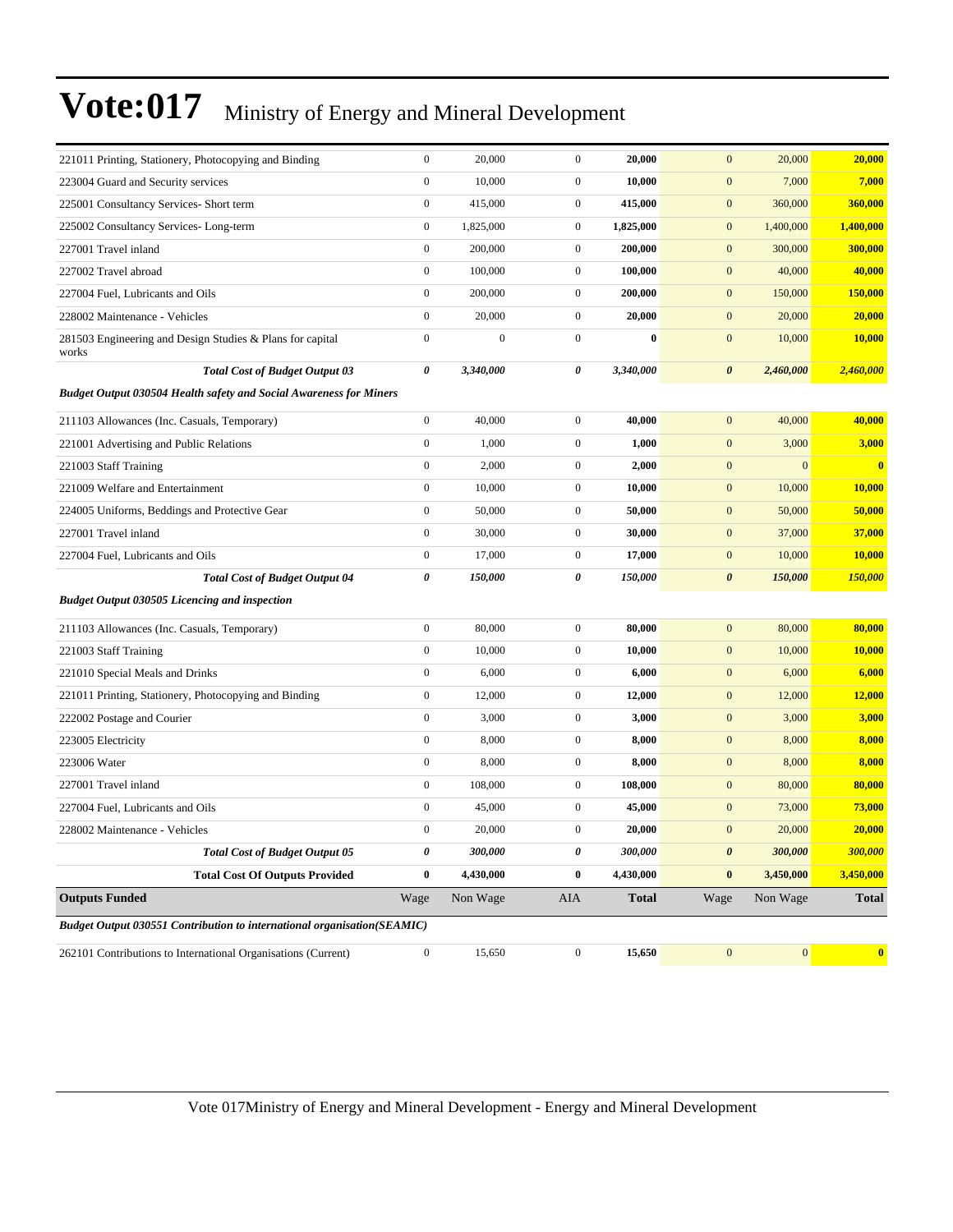| 221011 Printing, Stationery, Photocopying and Binding                          | $\boldsymbol{0}$ | 20,000       | $\boldsymbol{0}$ | 20,000       | $\mathbf{0}$<br>20,000             | 20,000                       |
|--------------------------------------------------------------------------------|------------------|--------------|------------------|--------------|------------------------------------|------------------------------|
| 223004 Guard and Security services                                             | $\boldsymbol{0}$ | 10,000       | $\boldsymbol{0}$ | 10,000       | $\boldsymbol{0}$<br>7,000          | 7,000                        |
| 225001 Consultancy Services- Short term                                        | $\boldsymbol{0}$ | 415,000      | $\overline{0}$   | 415,000      | $\boldsymbol{0}$<br>360,000        | 360,000                      |
| 225002 Consultancy Services-Long-term                                          | $\boldsymbol{0}$ | 1,825,000    | $\boldsymbol{0}$ | 1,825,000    | $\boldsymbol{0}$<br>1,400,000      | 1,400,000                    |
| 227001 Travel inland                                                           | $\boldsymbol{0}$ | 200,000      | $\boldsymbol{0}$ | 200,000      | $\boldsymbol{0}$<br>300,000        | 300,000                      |
| 227002 Travel abroad                                                           | $\boldsymbol{0}$ | 100,000      | $\boldsymbol{0}$ | 100,000      | $\boldsymbol{0}$<br>40,000         | 40,000                       |
| 227004 Fuel, Lubricants and Oils                                               | $\boldsymbol{0}$ | 200,000      | $\boldsymbol{0}$ | 200,000      | $\boldsymbol{0}$<br>150,000        | 150,000                      |
| 228002 Maintenance - Vehicles                                                  | $\boldsymbol{0}$ | 20,000       | $\overline{0}$   | 20,000       | $\boldsymbol{0}$<br>20,000         | 20,000                       |
| 281503 Engineering and Design Studies & Plans for capital<br>works             | $\boldsymbol{0}$ | $\mathbf{0}$ | $\boldsymbol{0}$ | $\bf{0}$     | $\boldsymbol{0}$<br>10,000         | 10,000                       |
| <b>Total Cost of Budget Output 03</b>                                          | 0                | 3,340,000    | 0                | 3,340,000    | $\boldsymbol{\theta}$<br>2,460,000 | 2,460,000                    |
| <b>Budget Output 030504 Health safety and Social Awareness for Miners</b>      |                  |              |                  |              |                                    |                              |
| 211103 Allowances (Inc. Casuals, Temporary)                                    | $\boldsymbol{0}$ | 40,000       | $\boldsymbol{0}$ | 40,000       | $\boldsymbol{0}$<br>40,000         | 40,000                       |
| 221001 Advertising and Public Relations                                        | $\boldsymbol{0}$ | 1,000        | $\mathbf{0}$     | 1,000        | $\boldsymbol{0}$<br>3,000          | 3,000                        |
| 221003 Staff Training                                                          | $\boldsymbol{0}$ | 2,000        | $\mathbf{0}$     | 2,000        | $\boldsymbol{0}$                   | $\mathbf{0}$<br>$\mathbf{0}$ |
| 221009 Welfare and Entertainment                                               | $\boldsymbol{0}$ | 10,000       | $\boldsymbol{0}$ | 10,000       | $\boldsymbol{0}$<br>10,000         | 10,000                       |
| 224005 Uniforms, Beddings and Protective Gear                                  | $\boldsymbol{0}$ | 50,000       | $\overline{0}$   | 50,000       | $\boldsymbol{0}$<br>50,000         | 50,000                       |
| 227001 Travel inland                                                           | $\boldsymbol{0}$ | 30,000       | $\overline{0}$   | 30,000       | $\boldsymbol{0}$<br>37,000         | 37,000                       |
| 227004 Fuel, Lubricants and Oils                                               | $\boldsymbol{0}$ | 17,000       | $\mathbf{0}$     | 17,000       | $\boldsymbol{0}$<br>10,000         | 10,000                       |
| <b>Total Cost of Budget Output 04</b>                                          | 0                | 150,000      | 0                | 150,000      | $\boldsymbol{\theta}$<br>150,000   | 150,000                      |
| <b>Budget Output 030505 Licencing and inspection</b>                           |                  |              |                  |              |                                    |                              |
| 211103 Allowances (Inc. Casuals, Temporary)                                    | $\boldsymbol{0}$ | 80,000       | $\boldsymbol{0}$ | 80,000       | 80,000<br>$\boldsymbol{0}$         | 80,000                       |
| 221003 Staff Training                                                          | $\boldsymbol{0}$ | 10,000       | $\boldsymbol{0}$ | 10,000       | $\boldsymbol{0}$<br>10,000         | 10,000                       |
| 221010 Special Meals and Drinks                                                | $\boldsymbol{0}$ | 6,000        | $\overline{0}$   | 6,000        | $\boldsymbol{0}$<br>6,000          | 6,000                        |
| 221011 Printing, Stationery, Photocopying and Binding                          | $\boldsymbol{0}$ | 12,000       | $\mathbf{0}$     | 12,000       | $\boldsymbol{0}$<br>12,000         | 12,000                       |
| 222002 Postage and Courier                                                     | $\boldsymbol{0}$ | 3,000        | $\mathbf{0}$     | 3,000        | $\boldsymbol{0}$<br>3,000          | 3,000                        |
| 223005 Electricity                                                             | $\boldsymbol{0}$ | 8,000        | $\boldsymbol{0}$ | 8,000        | $\boldsymbol{0}$<br>8,000          | 8,000                        |
| 223006 Water                                                                   | $\boldsymbol{0}$ | 8,000        | $\boldsymbol{0}$ | 8,000        | $\boldsymbol{0}$<br>8,000          | 8,000                        |
| 227001 Travel inland                                                           | $\boldsymbol{0}$ | 108,000      | $\overline{0}$   | 108,000      | $\boldsymbol{0}$<br>80,000         | 80,000                       |
| 227004 Fuel, Lubricants and Oils                                               | $\boldsymbol{0}$ | 45,000       | $\boldsymbol{0}$ | 45,000       | $\boldsymbol{0}$<br>73,000         | 73,000                       |
| 228002 Maintenance - Vehicles                                                  | $\boldsymbol{0}$ | 20,000       | $\boldsymbol{0}$ | 20,000       | $\mathbf{0}$<br>20,000             | 20,000                       |
| <b>Total Cost of Budget Output 05</b>                                          | $\pmb{\theta}$   | 300,000      | 0                | 300,000      | $\pmb{\theta}$<br>300,000          | 300,000                      |
| <b>Total Cost Of Outputs Provided</b>                                          | $\bf{0}$         | 4,430,000    | $\bf{0}$         | 4,430,000    | 3,450,000<br>$\bf{0}$              | 3,450,000                    |
| <b>Outputs Funded</b>                                                          | Wage             | Non Wage     | <b>AIA</b>       | <b>Total</b> | Wage<br>Non Wage                   | <b>Total</b>                 |
| <b>Budget Output 030551 Contribution to international organisation(SEAMIC)</b> |                  |              |                  |              |                                    |                              |
| 262101 Contributions to International Organisations (Current)                  | $\boldsymbol{0}$ | 15,650       | $\mathbf{0}$     | 15,650       | $\boldsymbol{0}$                   | $\vert 0 \vert$<br>$\bullet$ |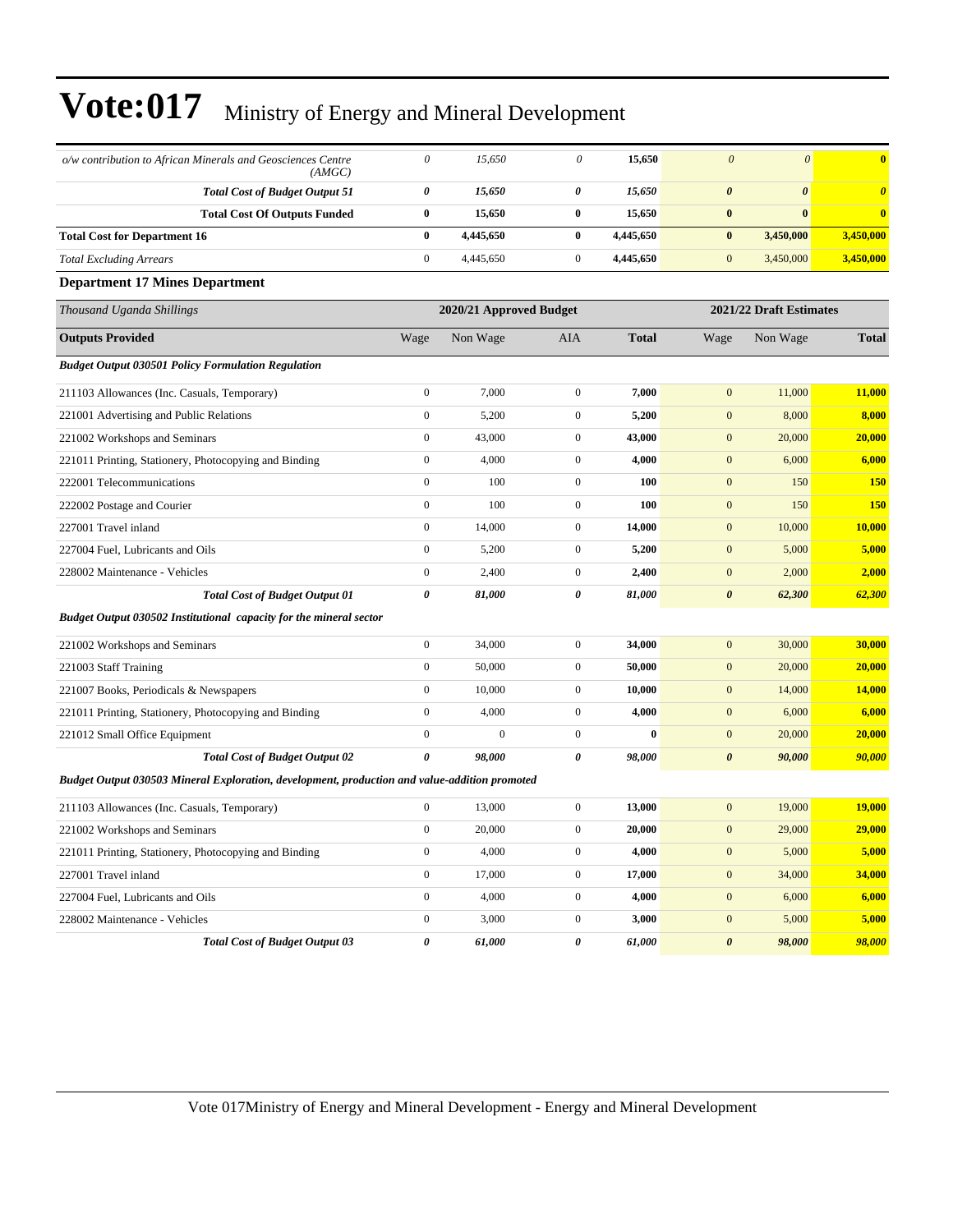| o/w contribution to African Minerals and Geosciences Centre<br>(AMGC)                         | $\theta$         | 15,650                  | $\theta$              | 15,650       | $\theta$              | $\theta$                | $\overline{\mathbf{0}}$ |
|-----------------------------------------------------------------------------------------------|------------------|-------------------------|-----------------------|--------------|-----------------------|-------------------------|-------------------------|
| <b>Total Cost of Budget Output 51</b>                                                         | 0                | 15,650                  | 0                     | 15,650       | $\boldsymbol{\theta}$ | $\boldsymbol{\theta}$   | $\boldsymbol{\theta}$   |
| <b>Total Cost Of Outputs Funded</b>                                                           | $\bf{0}$         | 15,650                  | $\bf{0}$              | 15,650       | $\boldsymbol{0}$      | $\bf{0}$                | $\bf{0}$                |
| <b>Total Cost for Department 16</b>                                                           | $\bf{0}$         | 4,445,650               | $\bf{0}$              | 4,445,650    | $\bf{0}$              | 3,450,000               | 3,450,000               |
| <b>Total Excluding Arrears</b>                                                                | $\boldsymbol{0}$ | 4,445,650               | $\boldsymbol{0}$      | 4,445,650    | $\mathbf{0}$          | 3,450,000               | 3,450,000               |
| <b>Department 17 Mines Department</b>                                                         |                  |                         |                       |              |                       |                         |                         |
| Thousand Uganda Shillings                                                                     |                  | 2020/21 Approved Budget |                       |              |                       | 2021/22 Draft Estimates |                         |
| <b>Outputs Provided</b>                                                                       | Wage             | Non Wage                | AIA                   | <b>Total</b> | Wage                  | Non Wage                | <b>Total</b>            |
| <b>Budget Output 030501 Policy Formulation Regulation</b>                                     |                  |                         |                       |              |                       |                         |                         |
| 211103 Allowances (Inc. Casuals, Temporary)                                                   | $\boldsymbol{0}$ | 7,000                   | $\boldsymbol{0}$      | 7,000        | $\mathbf{0}$          | 11,000                  | 11,000                  |
| 221001 Advertising and Public Relations                                                       | $\boldsymbol{0}$ | 5,200                   | $\mathbf{0}$          | 5,200        | $\mathbf{0}$          | 8,000                   | 8,000                   |
| 221002 Workshops and Seminars                                                                 | $\boldsymbol{0}$ | 43,000                  | $\boldsymbol{0}$      | 43,000       | $\mathbf{0}$          | 20,000                  | 20,000                  |
| 221011 Printing, Stationery, Photocopying and Binding                                         | $\boldsymbol{0}$ | 4,000                   | $\boldsymbol{0}$      | 4,000        | $\mathbf{0}$          | 6,000                   | 6,000                   |
| 222001 Telecommunications                                                                     | $\boldsymbol{0}$ | 100                     | $\mathbf{0}$          | 100          | $\mathbf{0}$          | 150                     | <b>150</b>              |
| 222002 Postage and Courier                                                                    | $\boldsymbol{0}$ | 100                     | $\mathbf{0}$          | 100          | $\mathbf{0}$          | 150                     | <b>150</b>              |
| 227001 Travel inland                                                                          | $\overline{0}$   | 14,000                  | $\boldsymbol{0}$      | 14,000       | $\mathbf{0}$          | 10,000                  | <b>10,000</b>           |
| 227004 Fuel, Lubricants and Oils                                                              | $\overline{0}$   | 5,200                   | $\mathbf{0}$          | 5,200        | $\mathbf{0}$          | 5,000                   | 5,000                   |
| 228002 Maintenance - Vehicles                                                                 | $\boldsymbol{0}$ | 2,400                   | $\mathbf{0}$          | 2,400        | $\mathbf{0}$          | 2,000                   | 2,000                   |
| <b>Total Cost of Budget Output 01</b>                                                         | 0                | 81,000                  | 0                     | 81,000       | $\boldsymbol{\theta}$ | 62,300                  | 62,300                  |
| Budget Output 030502 Institutional capacity for the mineral sector                            |                  |                         |                       |              |                       |                         |                         |
| 221002 Workshops and Seminars                                                                 | $\boldsymbol{0}$ | 34,000                  | $\boldsymbol{0}$      | 34,000       | $\mathbf{0}$          | 30,000                  | 30,000                  |
| 221003 Staff Training                                                                         | $\mathbf{0}$     | 50,000                  | $\mathbf{0}$          | 50,000       | $\mathbf{0}$          | 20,000                  | 20,000                  |
| 221007 Books, Periodicals & Newspapers                                                        | $\boldsymbol{0}$ | 10,000                  | $\boldsymbol{0}$      | 10,000       | $\mathbf{0}$          | 14,000                  | 14,000                  |
| 221011 Printing, Stationery, Photocopying and Binding                                         | $\boldsymbol{0}$ | 4,000                   | $\mathbf{0}$          | 4,000        | $\mathbf{0}$          | 6,000                   | 6,000                   |
| 221012 Small Office Equipment                                                                 | $\boldsymbol{0}$ | $\mathbf{0}$            | $\mathbf{0}$          | $\bf{0}$     | $\mathbf{0}$          | 20,000                  | 20,000                  |
| <b>Total Cost of Budget Output 02</b>                                                         | 0                | 98,000                  | $\boldsymbol{\theta}$ | 98,000       | $\boldsymbol{\theta}$ | 90,000                  | 90,000                  |
| Budget Output 030503 Mineral Exploration, development, production and value-addition promoted |                  |                         |                       |              |                       |                         |                         |
| 211103 Allowances (Inc. Casuals, Temporary)                                                   | $\overline{0}$   | 13,000                  | $\mathbf{0}$          | 13,000       | $\mathbf{0}$          | 19,000                  | <b>19,000</b>           |
| 221002 Workshops and Seminars                                                                 | $\boldsymbol{0}$ | 20,000                  | $\mathbf{0}$          | 20,000       | $\mathbf{0}$          | 29,000                  | 29,000                  |
| 221011 Printing, Stationery, Photocopying and Binding                                         | $\overline{0}$   | 4,000                   | $\mathbf{0}$          | 4,000        | $\mathbf{0}$          | 5,000                   | 5,000                   |
| 227001 Travel inland                                                                          | $\overline{0}$   | 17,000                  | $\mathbf{0}$          | 17,000       | $\mathbf{0}$          | 34,000                  | 34,000                  |
| 227004 Fuel, Lubricants and Oils                                                              | $\boldsymbol{0}$ | 4,000                   | $\mathbf{0}$          | 4,000        | $\mathbf{0}$          | 6,000                   | 6,000                   |
| 228002 Maintenance - Vehicles                                                                 | $\boldsymbol{0}$ | 3,000                   | $\boldsymbol{0}$      | 3,000        | $\mathbf{0}$          | 5,000                   | 5,000                   |
| <b>Total Cost of Budget Output 03</b>                                                         | 0                | 61,000                  | $\boldsymbol{\theta}$ | 61,000       | $\boldsymbol{\theta}$ | 98,000                  | 98,000                  |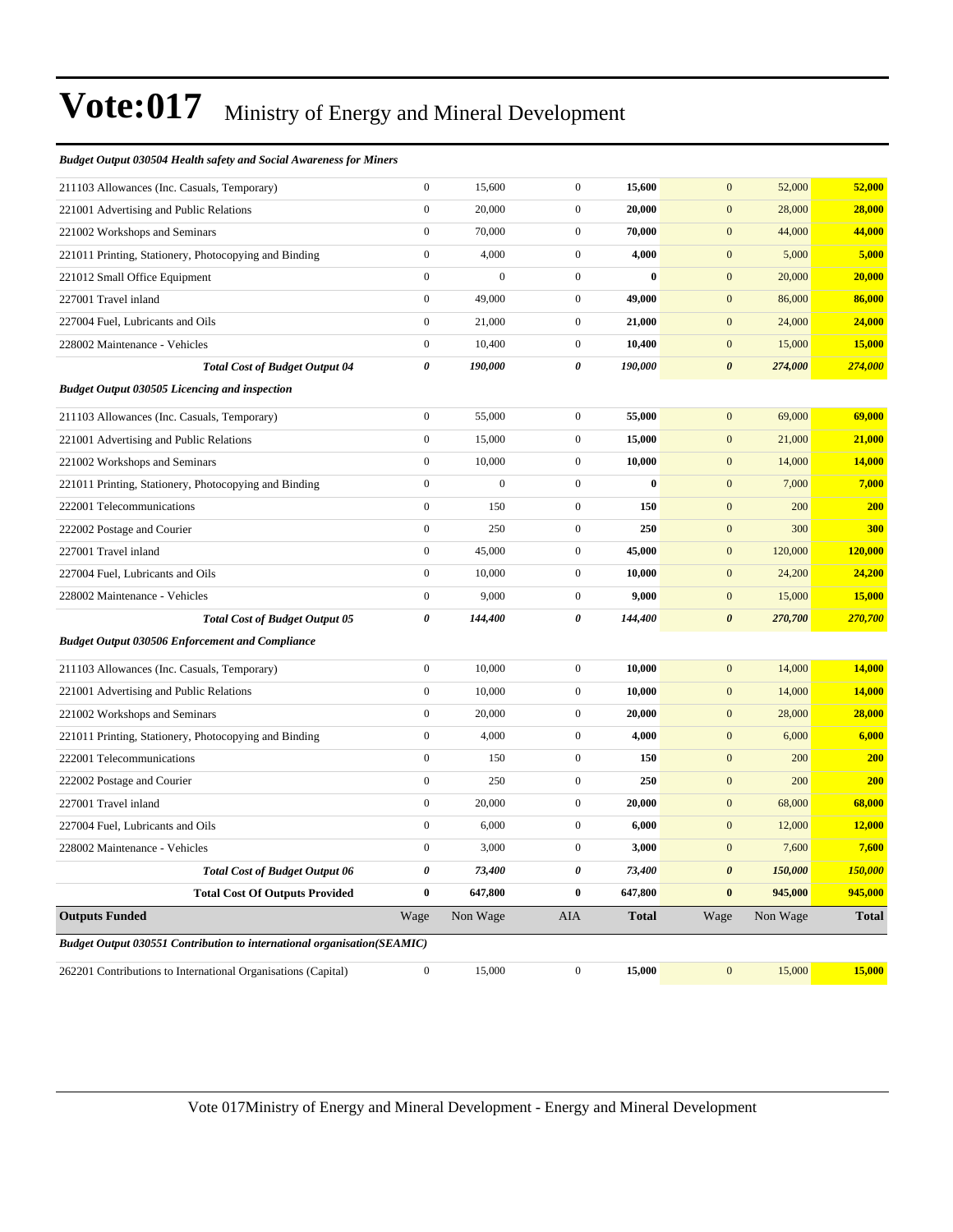#### *Budget Output 030504 Health safety and Social Awareness for Miners*

| 211103 Allowances (Inc. Casuals, Temporary)                                    | $\boldsymbol{0}$      | 15,600           | $\boldsymbol{0}$ | 15,600       | $\mathbf{0}$          | 52,000   | 52,000       |
|--------------------------------------------------------------------------------|-----------------------|------------------|------------------|--------------|-----------------------|----------|--------------|
| 221001 Advertising and Public Relations                                        | $\mathbf{0}$          | 20,000           | $\boldsymbol{0}$ | 20,000       | $\mathbf{0}$          | 28,000   | 28,000       |
| 221002 Workshops and Seminars                                                  | $\boldsymbol{0}$      | 70,000           | $\boldsymbol{0}$ | 70,000       | $\mathbf{0}$          | 44,000   | 44,000       |
| 221011 Printing, Stationery, Photocopying and Binding                          | $\boldsymbol{0}$      | 4,000            | $\mathbf{0}$     | 4,000        | $\mathbf{0}$          | 5,000    | 5,000        |
| 221012 Small Office Equipment                                                  | $\mathbf{0}$          | $\overline{0}$   | $\boldsymbol{0}$ | $\bf{0}$     | $\mathbf{0}$          | 20,000   | 20,000       |
| 227001 Travel inland                                                           | $\boldsymbol{0}$      | 49,000           | $\boldsymbol{0}$ | 49,000       | $\boldsymbol{0}$      | 86,000   | 86,000       |
| 227004 Fuel, Lubricants and Oils                                               | $\boldsymbol{0}$      | 21,000           | $\mathbf{0}$     | 21,000       | $\mathbf{0}$          | 24,000   | 24,000       |
| 228002 Maintenance - Vehicles                                                  | $\boldsymbol{0}$      | 10,400           | $\mathbf{0}$     | 10,400       | $\mathbf{0}$          | 15,000   | 15,000       |
| <b>Total Cost of Budget Output 04</b>                                          | $\boldsymbol{\theta}$ | 190,000          | 0                | 190,000      | $\boldsymbol{\theta}$ | 274,000  | 274,000      |
| <b>Budget Output 030505 Licencing and inspection</b>                           |                       |                  |                  |              |                       |          |              |
| 211103 Allowances (Inc. Casuals, Temporary)                                    | $\boldsymbol{0}$      | 55,000           | $\boldsymbol{0}$ | 55,000       | $\mathbf{0}$          | 69,000   | 69,000       |
| 221001 Advertising and Public Relations                                        | $\boldsymbol{0}$      | 15,000           | $\boldsymbol{0}$ | 15,000       | $\mathbf{0}$          | 21,000   | 21,000       |
| 221002 Workshops and Seminars                                                  | $\boldsymbol{0}$      | 10,000           | $\boldsymbol{0}$ | 10,000       | $\mathbf{0}$          | 14,000   | 14,000       |
| 221011 Printing, Stationery, Photocopying and Binding                          | $\boldsymbol{0}$      | $\boldsymbol{0}$ | $\boldsymbol{0}$ | $\bf{0}$     | $\mathbf{0}$          | 7,000    | 7,000        |
| 222001 Telecommunications                                                      | $\boldsymbol{0}$      | 150              | $\boldsymbol{0}$ | 150          | $\mathbf{0}$          | 200      | <b>200</b>   |
| 222002 Postage and Courier                                                     | $\boldsymbol{0}$      | 250              | $\boldsymbol{0}$ | 250          | $\boldsymbol{0}$      | 300      | 300          |
| 227001 Travel inland                                                           | $\boldsymbol{0}$      | 45,000           | $\boldsymbol{0}$ | 45,000       | $\boldsymbol{0}$      | 120,000  | 120,000      |
| 227004 Fuel, Lubricants and Oils                                               | $\boldsymbol{0}$      | 10,000           | $\boldsymbol{0}$ | 10,000       | $\boldsymbol{0}$      | 24,200   | 24,200       |
| 228002 Maintenance - Vehicles                                                  | $\boldsymbol{0}$      | 9,000            | $\boldsymbol{0}$ | 9,000        | $\boldsymbol{0}$      | 15,000   | 15,000       |
| <b>Total Cost of Budget Output 05</b>                                          | $\boldsymbol{\theta}$ | 144,400          | 0                | 144,400      | $\boldsymbol{\theta}$ | 270,700  | 270,700      |
| <b>Budget Output 030506 Enforcement and Compliance</b>                         |                       |                  |                  |              |                       |          |              |
| 211103 Allowances (Inc. Casuals, Temporary)                                    | $\boldsymbol{0}$      | 10,000           | $\boldsymbol{0}$ | 10,000       | $\boldsymbol{0}$      | 14,000   | 14,000       |
| 221001 Advertising and Public Relations                                        | $\boldsymbol{0}$      | 10,000           | $\boldsymbol{0}$ | 10,000       | $\boldsymbol{0}$      | 14,000   | 14,000       |
| 221002 Workshops and Seminars                                                  | $\boldsymbol{0}$      | 20,000           | $\boldsymbol{0}$ | 20,000       | $\boldsymbol{0}$      | 28,000   | 28,000       |
| 221011 Printing, Stationery, Photocopying and Binding                          | $\boldsymbol{0}$      | 4,000            | $\boldsymbol{0}$ | 4,000        | $\boldsymbol{0}$      | 6,000    | 6,000        |
| 222001 Telecommunications                                                      | $\boldsymbol{0}$      | 150              | $\boldsymbol{0}$ | 150          | $\mathbf{0}$          | 200      | 200          |
| 222002 Postage and Courier                                                     | $\boldsymbol{0}$      | 250              | $\boldsymbol{0}$ | 250          | $\mathbf{0}$          | 200      | 200          |
| 227001 Travel inland                                                           | $\boldsymbol{0}$      | 20,000           | $\boldsymbol{0}$ | 20,000       | $\mathbf{0}$          | 68,000   | 68,000       |
| 227004 Fuel, Lubricants and Oils                                               | $\mathbf{0}$          | 6,000            | $\boldsymbol{0}$ | 6,000        | $\boldsymbol{0}$      | 12,000   | 12,000       |
| 228002 Maintenance - Vehicles                                                  | $\boldsymbol{0}$      | 3,000            | $\boldsymbol{0}$ | 3,000        | $\mathbf{0}$          | 7,600    | 7,600        |
| <b>Total Cost of Budget Output 06</b>                                          | 0                     | 73,400           | 0                | 73,400       | $\boldsymbol{\theta}$ | 150,000  | 150,000      |
| <b>Total Cost Of Outputs Provided</b>                                          | $\bf{0}$              | 647,800          | $\bf{0}$         | 647,800      | $\bf{0}$              | 945,000  | 945,000      |
| <b>Outputs Funded</b>                                                          | Wage                  | Non Wage         | <b>AIA</b>       | <b>Total</b> | Wage                  | Non Wage | <b>Total</b> |
| <b>Budget Output 030551 Contribution to international organisation(SEAMIC)</b> |                       |                  |                  |              |                       |          |              |
| 262201 Contributions to International Organisations (Capital)                  | $\boldsymbol{0}$      | 15,000           | $\mathbf{0}$     | 15,000       | $\mathbf{0}$          | 15,000   | 15,000       |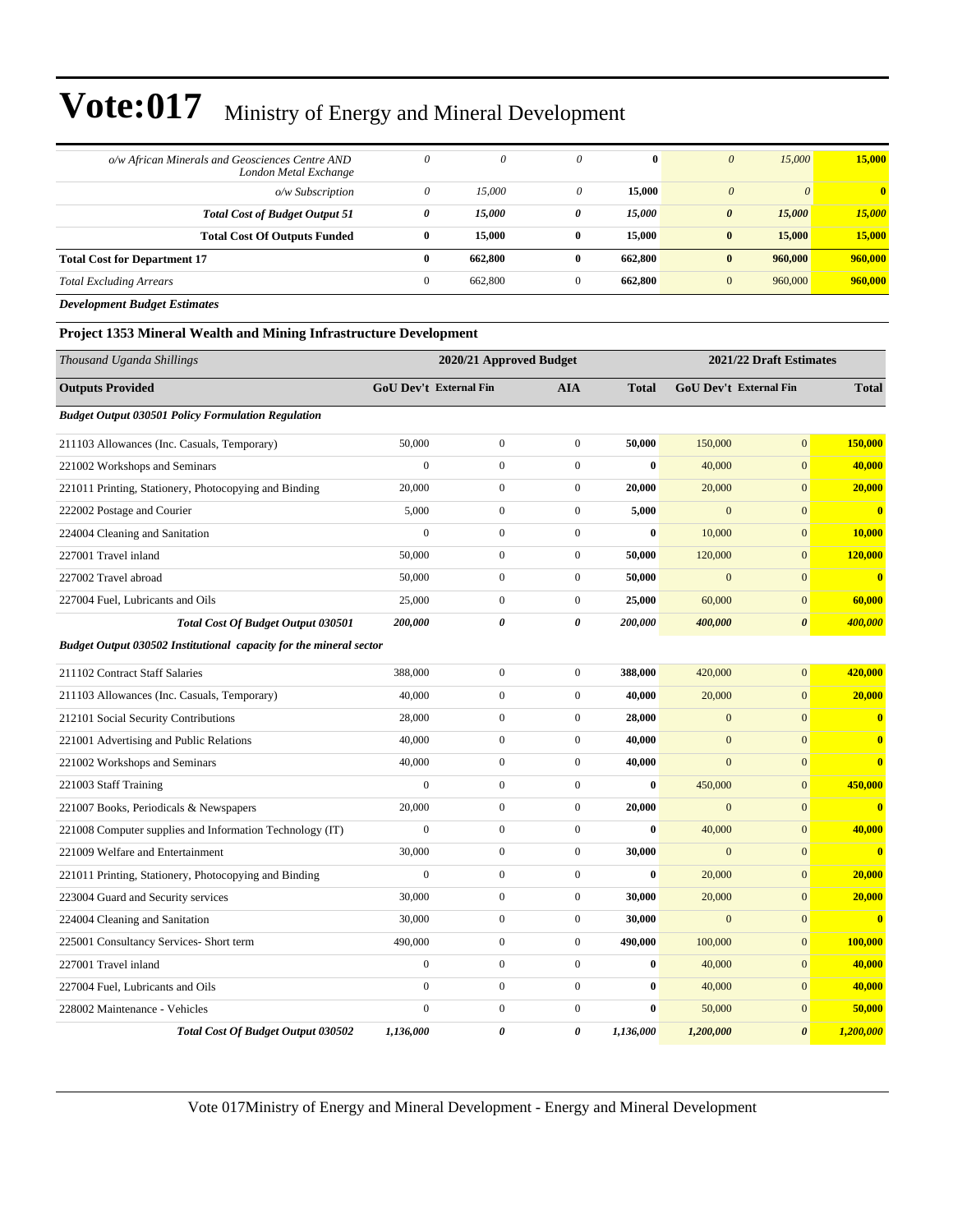| o/w African Minerals and Geosciences Centre AND<br>London Metal Exchange | 0            | 0       | $\theta$ | $\mathbf{0}$ | $\theta$              | 15,000   | 15,000                  |
|--------------------------------------------------------------------------|--------------|---------|----------|--------------|-----------------------|----------|-------------------------|
| o/w Subscription                                                         | 0            | 15,000  | 0        | 15,000       | $\theta$              | $\theta$ | $\overline{\mathbf{0}}$ |
| <b>Total Cost of Budget Output 51</b>                                    | 0            | 15,000  | 0        | 15,000       | $\boldsymbol{\theta}$ | 15,000   | 15,000                  |
| <b>Total Cost Of Outputs Funded</b>                                      | $\bf{0}$     | 15,000  | $\bf{0}$ | 15,000       | $\bf{0}$              | 15,000   | 15,000                  |
| <b>Total Cost for Department 17</b>                                      | $\mathbf{0}$ | 662,800 | 0        | 662,800      | $\bf{0}$              | 960,000  | 960,000                 |
| <b>Total Excluding Arrears</b>                                           | $\mathbf{0}$ | 662,800 |          | 662,800      | $\mathbf{0}$          | 960,000  | 960,000                 |

*Development Budget Estimates*

#### **Project 1353 Mineral Wealth and Mining Infrastructure Development**

| Thousand Uganda Shillings                                          |                  | 2020/21 Approved Budget       |                  |              |                | 2021/22 Draft Estimates       |                         |  |
|--------------------------------------------------------------------|------------------|-------------------------------|------------------|--------------|----------------|-------------------------------|-------------------------|--|
| <b>Outputs Provided</b>                                            |                  | <b>GoU Dev't External Fin</b> | <b>AIA</b>       | <b>Total</b> |                | <b>GoU Dev't External Fin</b> | <b>Total</b>            |  |
| <b>Budget Output 030501 Policy Formulation Regulation</b>          |                  |                               |                  |              |                |                               |                         |  |
| 211103 Allowances (Inc. Casuals, Temporary)                        | 50,000           | $\mathbf{0}$                  | $\boldsymbol{0}$ | 50,000       | 150,000        | $\mathbf{0}$                  | 150,000                 |  |
| 221002 Workshops and Seminars                                      | $\mathbf{0}$     | $\mathbf{0}$                  | $\overline{0}$   | $\bf{0}$     | 40,000         | $\overline{0}$                | 40,000                  |  |
| 221011 Printing, Stationery, Photocopying and Binding              | 20,000           | $\boldsymbol{0}$              | $\overline{0}$   | 20,000       | 20,000         | $\overline{0}$                | 20,000                  |  |
| 222002 Postage and Courier                                         | 5,000            | $\boldsymbol{0}$              | $\overline{0}$   | 5,000        | $\mathbf{0}$   | $\mathbf{0}$                  | $\bf{0}$                |  |
| 224004 Cleaning and Sanitation                                     | $\boldsymbol{0}$ | $\boldsymbol{0}$              | $\boldsymbol{0}$ | $\bf{0}$     | 10,000         | $\mathbf{0}$                  | 10,000                  |  |
| 227001 Travel inland                                               | 50,000           | $\boldsymbol{0}$              | $\overline{0}$   | 50,000       | 120,000        | $\mathbf{0}$                  | 120,000                 |  |
| 227002 Travel abroad                                               | 50,000           | $\overline{0}$                | $\overline{0}$   | 50,000       | $\mathbf{0}$   | $\mathbf{0}$                  | $\overline{0}$          |  |
| 227004 Fuel, Lubricants and Oils                                   | 25,000           | $\boldsymbol{0}$              | $\overline{0}$   | 25,000       | 60,000         | $\mathbf{0}$                  | 60,000                  |  |
| Total Cost Of Budget Output 030501                                 | 200,000          | $\boldsymbol{\theta}$         | 0                | 200,000      | 400,000        | $\boldsymbol{\theta}$         | 400,000                 |  |
| Budget Output 030502 Institutional capacity for the mineral sector |                  |                               |                  |              |                |                               |                         |  |
| 211102 Contract Staff Salaries                                     | 388,000          | $\mathbf{0}$                  | $\boldsymbol{0}$ | 388,000      | 420,000        | $\mathbf{0}$                  | 420,000                 |  |
| 211103 Allowances (Inc. Casuals, Temporary)                        | 40,000           | $\boldsymbol{0}$              | $\overline{0}$   | 40,000       | 20,000         | $\mathbf{0}$                  | 20,000                  |  |
| 212101 Social Security Contributions                               | 28,000           | $\boldsymbol{0}$              | $\overline{0}$   | 28,000       | $\mathbf{0}$   | $\mathbf{0}$                  | $\bf{0}$                |  |
| 221001 Advertising and Public Relations                            | 40,000           | $\boldsymbol{0}$              | $\boldsymbol{0}$ | 40,000       | $\mathbf{0}$   | $\mathbf{0}$                  | $\overline{\mathbf{0}}$ |  |
| 221002 Workshops and Seminars                                      | 40,000           | $\boldsymbol{0}$              | $\boldsymbol{0}$ | 40,000       | $\overline{0}$ | $\overline{0}$                | $\bf{0}$                |  |
| 221003 Staff Training                                              | $\mathbf{0}$     | $\boldsymbol{0}$              | $\boldsymbol{0}$ | $\bf{0}$     | 450,000        | $\mathbf{0}$                  | 450,000                 |  |
| 221007 Books, Periodicals & Newspapers                             | 20,000           | $\mathbf{0}$                  | $\overline{0}$   | 20,000       | $\mathbf{0}$   | $\mathbf{0}$                  | $\bf{0}$                |  |
| 221008 Computer supplies and Information Technology (IT)           | $\mathbf{0}$     | $\mathbf{0}$                  | $\boldsymbol{0}$ | $\bf{0}$     | 40,000         | $\mathbf{0}$                  | 40,000                  |  |
| 221009 Welfare and Entertainment                                   | 30,000           | $\mathbf{0}$                  | $\overline{0}$   | 30,000       | $\overline{0}$ | $\mathbf{0}$                  | $\mathbf{0}$            |  |
| 221011 Printing, Stationery, Photocopying and Binding              | $\mathbf{0}$     | $\mathbf{0}$                  | $\overline{0}$   | $\bf{0}$     | 20,000         | $\mathbf{0}$                  | 20,000                  |  |
| 223004 Guard and Security services                                 | 30,000           | $\boldsymbol{0}$              | $\boldsymbol{0}$ | 30,000       | 20,000         | $\mathbf{0}$                  | 20,000                  |  |
| 224004 Cleaning and Sanitation                                     | 30,000           | $\boldsymbol{0}$              | $\boldsymbol{0}$ | 30,000       | $\mathbf{0}$   | $\mathbf{0}$                  | $\bf{0}$                |  |
| 225001 Consultancy Services- Short term                            | 490,000          | $\mathbf{0}$                  | $\mathbf{0}$     | 490,000      | 100,000        | $\mathbf{0}$                  | 100,000                 |  |
| 227001 Travel inland                                               | $\boldsymbol{0}$ | $\boldsymbol{0}$              | $\boldsymbol{0}$ | $\bf{0}$     | 40,000         | $\mathbf{0}$                  | 40,000                  |  |
| 227004 Fuel, Lubricants and Oils                                   | $\mathbf{0}$     | $\mathbf{0}$                  | $\overline{0}$   | $\bf{0}$     | 40,000         | $\mathbf{0}$                  | 40,000                  |  |
| 228002 Maintenance - Vehicles                                      | $\mathbf{0}$     | $\boldsymbol{0}$              | $\boldsymbol{0}$ | 0            | 50,000         | $\mathbf{0}$                  | 50,000                  |  |
| <b>Total Cost Of Budget Output 030502</b>                          | 1,136,000        | $\boldsymbol{\theta}$         | 0                | 1,136,000    | 1,200,000      | $\boldsymbol{\theta}$         | 1,200,000               |  |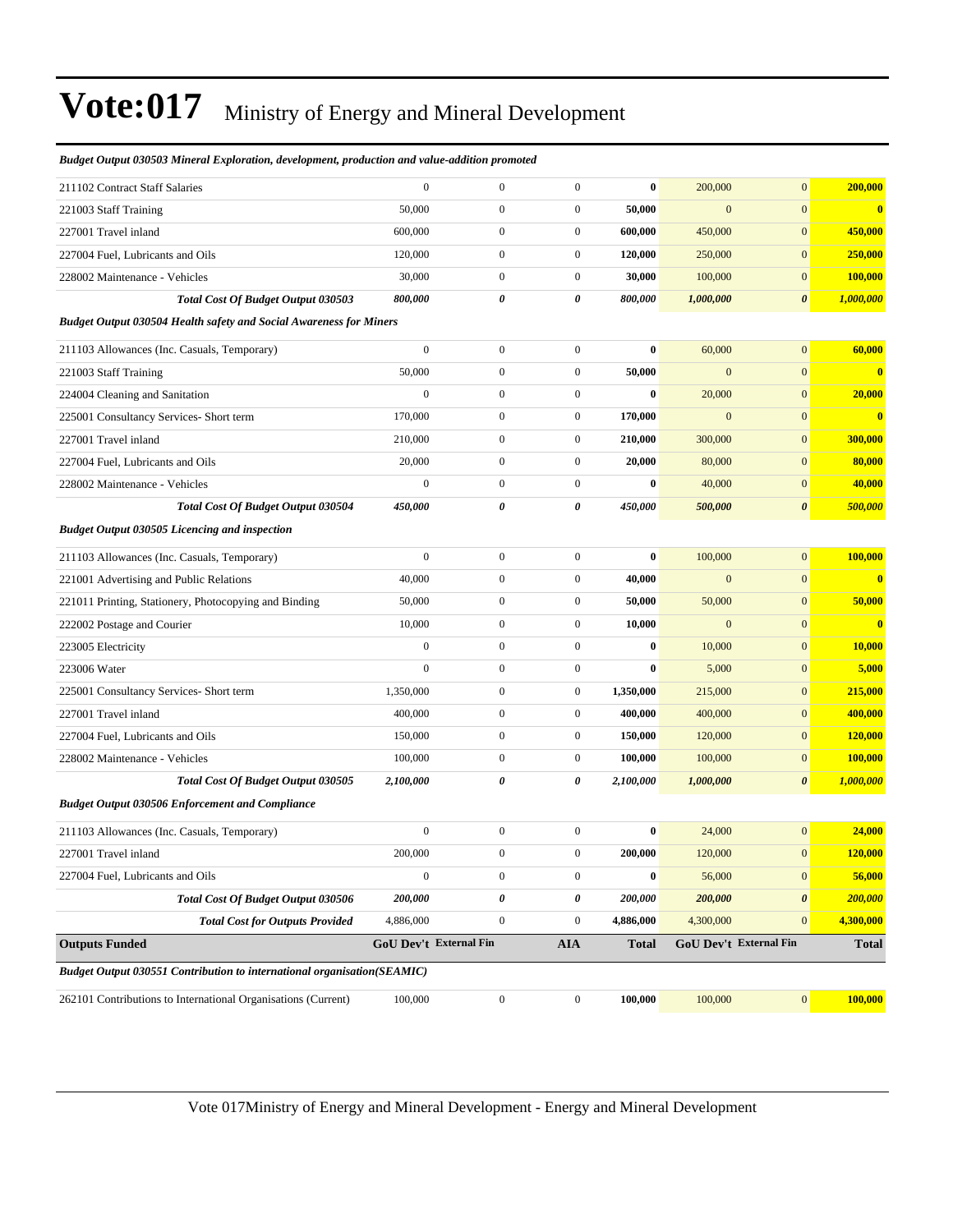| 262101 Contributions to International Organisations (Current)                         | 100,000                     | $\boldsymbol{0}$                     | $\boldsymbol{0}$                     | 100,000             | 100,000                 | $\mathbf{0}$                       | 100,000             |
|---------------------------------------------------------------------------------------|-----------------------------|--------------------------------------|--------------------------------------|---------------------|-------------------------|------------------------------------|---------------------|
| <b>Budget Output 030551 Contribution to international organisation(SEAMIC)</b>        |                             |                                      |                                      |                     |                         |                                    |                     |
| <b>Outputs Funded</b>                                                                 |                             | GoU Dev't External Fin               | <b>AIA</b>                           | <b>Total</b>        |                         | <b>GoU Dev't External Fin</b>      | <b>Total</b>        |
| <b>Total Cost for Outputs Provided</b>                                                | 4,886,000                   | $\boldsymbol{0}$                     | $\boldsymbol{0}$                     | 4,886,000           | 4,300,000               | $\mathbf{0}$                       | 4,300,000           |
| 227004 Fuel, Lubricants and Oils<br><b>Total Cost Of Budget Output 030506</b>         | 200,000                     | $\boldsymbol{0}$<br>0                | 0                                    | $\bf{0}$<br>200,000 | 56,000<br>200,000       | $\boldsymbol{0}$<br>$\pmb{\theta}$ | 200,000             |
| 227001 Travel inland                                                                  | 200,000<br>$\boldsymbol{0}$ | $\boldsymbol{0}$                     | $\boldsymbol{0}$<br>$\boldsymbol{0}$ | 200,000             | 120,000                 | $\mathbf{0}$                       | 120,000<br>56,000   |
| 211103 Allowances (Inc. Casuals, Temporary)                                           | $\boldsymbol{0}$            | $\boldsymbol{0}$                     | $\boldsymbol{0}$                     | $\bf{0}$            | 24,000                  | $\boldsymbol{0}$                   | 24,000              |
|                                                                                       |                             |                                      |                                      |                     |                         |                                    |                     |
| <b>Budget Output 030506 Enforcement and Compliance</b>                                |                             |                                      |                                      |                     |                         |                                    |                     |
| Total Cost Of Budget Output 030505                                                    | 2,100,000                   | 0                                    | 0                                    | 2,100,000           | 1,000,000               | $\boldsymbol{\theta}$              | 1,000,000           |
| 228002 Maintenance - Vehicles                                                         | 100,000                     | $\boldsymbol{0}$                     | $\boldsymbol{0}$                     | 100,000             | 100,000                 | $\mathbf{0}$                       | 100,000             |
| 227004 Fuel, Lubricants and Oils                                                      | 150,000                     | $\boldsymbol{0}$                     | $\boldsymbol{0}$                     | 150,000             | 120,000                 | $\mathbf{0}$                       | 120,000             |
| 227001 Travel inland                                                                  | 400,000                     | $\boldsymbol{0}$                     | $\boldsymbol{0}$                     | 400,000             | 400,000                 | $\mathbf{0}$                       | 400,000             |
| 225001 Consultancy Services- Short term                                               | 1,350,000                   | $\boldsymbol{0}$                     | $\boldsymbol{0}$                     | 1,350,000           | 215,000                 | $\mathbf{0}$                       | 215,000             |
| 223005 Electricity<br>223006 Water                                                    | $\boldsymbol{0}$            | $\boldsymbol{0}$                     | $\boldsymbol{0}$                     | $\bf{0}$            | 5,000                   | $\mathbf{0}$                       | 5,000               |
|                                                                                       | $\boldsymbol{0}$            | $\boldsymbol{0}$                     | $\boldsymbol{0}$                     | $\bf{0}$            | 10,000                  | $\mathbf{0}$                       | 10,000              |
| 221011 Printing, Stationery, Photocopying and Binding<br>222002 Postage and Courier   | 10,000                      | $\boldsymbol{0}$                     | $\boldsymbol{0}$                     | 10,000              | $\mathbf{0}$            | $\mathbf{0}$                       | $\bf{0}$            |
| 221001 Advertising and Public Relations                                               | 50,000                      | $\boldsymbol{0}$                     | $\boldsymbol{0}$                     | 50,000              | 50,000                  | $\mathbf{0}$                       | 50,000              |
| 211103 Allowances (Inc. Casuals, Temporary)                                           | $\boldsymbol{0}$<br>40,000  | $\boldsymbol{0}$<br>$\boldsymbol{0}$ | $\boldsymbol{0}$<br>$\boldsymbol{0}$ | $\bf{0}$<br>40,000  | 100,000<br>$\mathbf{0}$ | $\boldsymbol{0}$<br>$\mathbf{0}$   | 100,000<br>$\bf{0}$ |
| <b>Budget Output 030505 Licencing and inspection</b>                                  |                             |                                      |                                      |                     |                         |                                    |                     |
| <b>Total Cost Of Budget Output 030504</b>                                             | 450,000                     | 0                                    | 0                                    | 450,000             | 500,000                 | $\boldsymbol{\theta}$              | 500,000             |
| 228002 Maintenance - Vehicles                                                         | $\boldsymbol{0}$            | $\boldsymbol{0}$                     | $\boldsymbol{0}$                     | $\bf{0}$            | 40,000                  | $\mathbf{0}$                       | 40,000              |
| 227004 Fuel, Lubricants and Oils                                                      | 20,000                      | $\boldsymbol{0}$                     | $\boldsymbol{0}$                     | 20,000              | 80,000                  | $\mathbf{0}$                       | 80,000              |
| 227001 Travel inland                                                                  | 210,000                     | $\boldsymbol{0}$                     | $\boldsymbol{0}$                     | 210,000             | 300,000                 | $\mathbf{0}$                       | 300,000             |
| 225001 Consultancy Services- Short term                                               | 170,000                     | $\boldsymbol{0}$                     | $\boldsymbol{0}$                     | 170,000             | $\mathbf{0}$            | $\mathbf{0}$                       | $\bf{0}$            |
| 224004 Cleaning and Sanitation                                                        | $\boldsymbol{0}$            | $\boldsymbol{0}$                     | $\boldsymbol{0}$                     | $\bf{0}$            | 20,000                  | $\mathbf{0}$                       | 20,000              |
| 221003 Staff Training                                                                 | 50,000                      | $\boldsymbol{0}$                     | $\boldsymbol{0}$                     | 50,000              | $\mathbf{0}$            | $\mathbf{0}$                       | $\bf{0}$            |
| 211103 Allowances (Inc. Casuals, Temporary)                                           | $\boldsymbol{0}$            | $\boldsymbol{0}$                     | $\boldsymbol{0}$                     | $\bf{0}$            | 60,000                  | $\boldsymbol{0}$                   | 60,000              |
| <b>Budget Output 030504 Health safety and Social Awareness for Miners</b>             |                             |                                      |                                      |                     |                         |                                    |                     |
| <b>Total Cost Of Budget Output 030503</b>                                             | 800,000                     | 0                                    | 0                                    | 800,000             | 1,000,000               | $\boldsymbol{\theta}$              | 1,000,000           |
| 228002 Maintenance - Vehicles                                                         | 30,000                      | $\boldsymbol{0}$                     | $\boldsymbol{0}$                     | 30,000              | 100,000                 | $\boldsymbol{0}$                   | 100,000             |
| 227004 Fuel, Lubricants and Oils                                                      | 120,000                     | $\boldsymbol{0}$                     | $\boldsymbol{0}$                     | 120,000             | 250,000                 | $\mathbf{0}$                       | 250,000             |
| 227001 Travel inland                                                                  | 600,000                     | $\boldsymbol{0}$                     | $\boldsymbol{0}$                     | 600,000             | 450,000                 | $\mathbf{0}$                       | 450,000             |
| 221003 Staff Training                                                                 | 50,000                      | $\boldsymbol{0}$                     | $\boldsymbol{0}$                     | 50,000              | $\mathbf{0}$            | $\mathbf{0}$                       | $\bf{0}$            |
| 211102 Contract Staff Salaries                                                        | $\mathbf{0}$                | $\boldsymbol{0}$                     | $\boldsymbol{0}$                     | $\bf{0}$            | 200,000                 | $\mathbf{0}$                       | 200,000             |
| риизсі өшриі 050505 тітегін елріогиноп, истеюртені, ргонисноп ини тише-шинноп рготоки |                             |                                      |                                      |                     |                         |                                    |                     |

*Budget Output 030503 Mineral Exploration, development, production and value-addition promoted*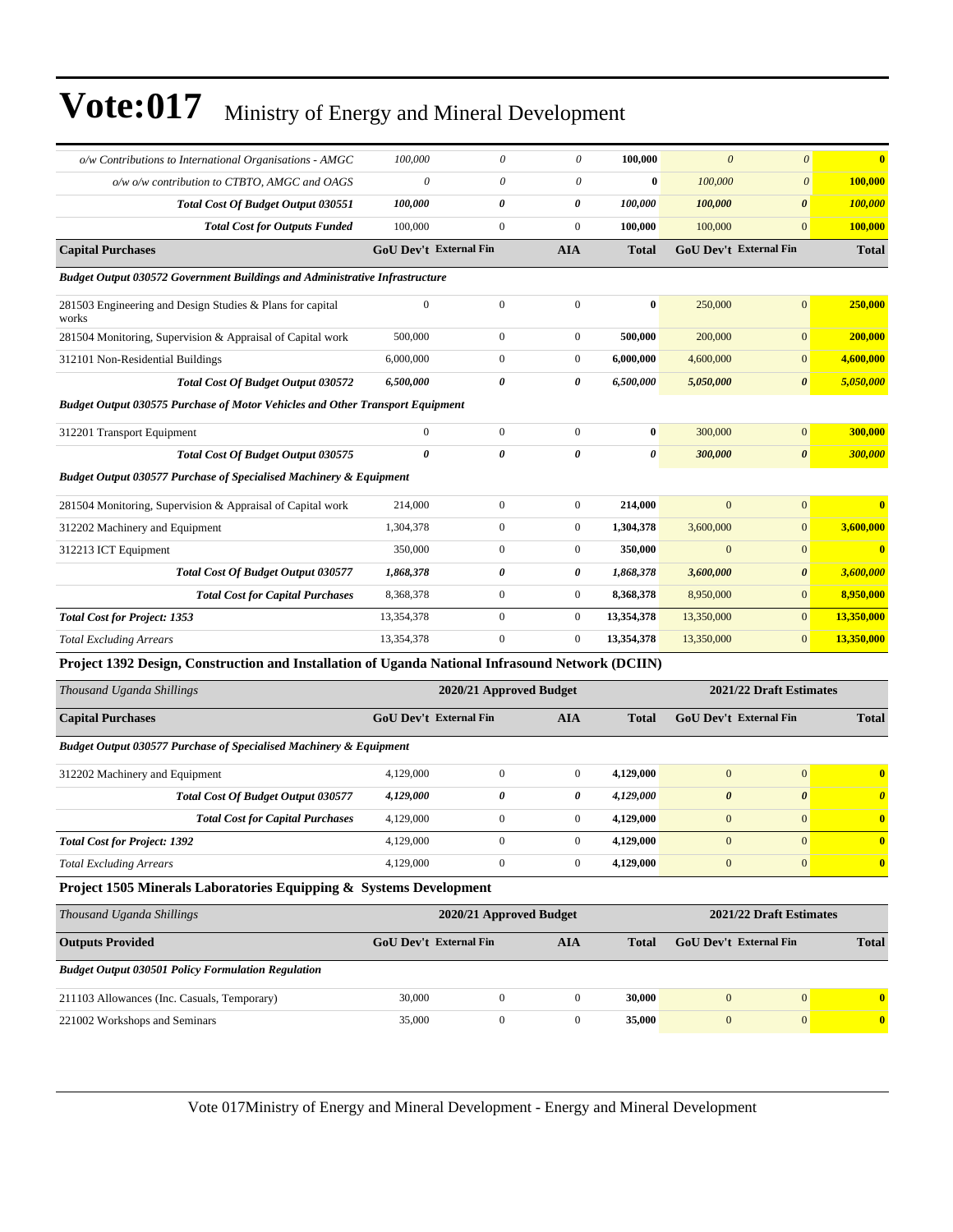| o/w Contributions to International Organisations - AMGC                                          | 100,000          | $\theta$                      | 0                       | 100,000               | $\mathcal{O}$         | $\theta$                      |                       |
|--------------------------------------------------------------------------------------------------|------------------|-------------------------------|-------------------------|-----------------------|-----------------------|-------------------------------|-----------------------|
| o/w o/w contribution to CTBTO, AMGC and OAGS                                                     | $\theta$         | $\theta$                      | 0                       | $\bf{0}$              | 100,000               | $\theta$                      | 100,000               |
| Total Cost Of Budget Output 030551                                                               | 100,000          | 0                             | 0                       | 100,000               | 100,000               | $\boldsymbol{\theta}$         | 100,000               |
| <b>Total Cost for Outputs Funded</b>                                                             | 100,000          | $\boldsymbol{0}$              | $\boldsymbol{0}$        | 100,000               | 100,000               | $\boldsymbol{0}$              | 100,000               |
| <b>Capital Purchases</b>                                                                         |                  | <b>GoU Dev't External Fin</b> | <b>AIA</b>              | <b>Total</b>          |                       | <b>GoU Dev't External Fin</b> | <b>Total</b>          |
| Budget Output 030572 Government Buildings and Administrative Infrastructure                      |                  |                               |                         |                       |                       |                               |                       |
| 281503 Engineering and Design Studies & Plans for capital<br>works                               | $\boldsymbol{0}$ | $\boldsymbol{0}$              | $\boldsymbol{0}$        | $\bf{0}$              | 250,000               | $\boldsymbol{0}$              | 250,000               |
| 281504 Monitoring, Supervision & Appraisal of Capital work                                       | 500,000          | $\mathbf{0}$                  | $\boldsymbol{0}$        | 500,000               | 200,000               | $\boldsymbol{0}$              | 200,000               |
| 312101 Non-Residential Buildings                                                                 | 6,000,000        | $\boldsymbol{0}$              | $\boldsymbol{0}$        | 6,000,000             | 4,600,000             | $\mathbf{0}$                  | 4,600,000             |
| Total Cost Of Budget Output 030572                                                               | 6,500,000        | 0                             | 0                       | 6,500,000             | 5,050,000             | $\boldsymbol{\theta}$         | 5,050,000             |
| <b>Budget Output 030575 Purchase of Motor Vehicles and Other Transport Equipment</b>             |                  |                               |                         |                       |                       |                               |                       |
| 312201 Transport Equipment                                                                       | $\mathbf{0}$     | $\mathbf{0}$                  | $\boldsymbol{0}$        | $\bf{0}$              | 300,000               | $\boldsymbol{0}$              | 300,000               |
| Total Cost Of Budget Output 030575                                                               | $\theta$         | 0                             | 0                       | $\boldsymbol{\theta}$ | 300,000               | $\boldsymbol{\theta}$         | 300,000               |
| <b>Budget Output 030577 Purchase of Specialised Machinery &amp; Equipment</b>                    |                  |                               |                         |                       |                       |                               |                       |
| 281504 Monitoring, Supervision & Appraisal of Capital work                                       | 214,000          | $\boldsymbol{0}$              | $\boldsymbol{0}$        | 214,000               | $\mathbf{0}$          | $\boldsymbol{0}$              | $\mathbf{0}$          |
| 312202 Machinery and Equipment                                                                   | 1,304,378        | $\boldsymbol{0}$              | $\boldsymbol{0}$        | 1,304,378             | 3,600,000             | $\mathbf{0}$                  | 3,600,000             |
| 312213 ICT Equipment                                                                             | 350,000          | $\mathbf{0}$                  | $\boldsymbol{0}$        | 350,000               | $\mathbf{0}$          | $\boldsymbol{0}$              | $\bf{0}$              |
| Total Cost Of Budget Output 030577                                                               | 1,868,378        | 0                             | 0                       | 1,868,378             | 3,600,000             | $\pmb{\theta}$                | 3,600,000             |
| <b>Total Cost for Capital Purchases</b>                                                          | 8,368,378        | $\boldsymbol{0}$              | $\boldsymbol{0}$        | 8,368,378             | 8,950,000             | $\mathbf{0}$                  | 8,950,000             |
| <b>Total Cost for Project: 1353</b>                                                              | 13,354,378       | $\boldsymbol{0}$              | $\boldsymbol{0}$        | 13,354,378            | 13,350,000            | $\boldsymbol{0}$              | 13,350,000            |
| <b>Total Excluding Arrears</b>                                                                   | 13,354,378       | $\boldsymbol{0}$              | $\boldsymbol{0}$        | 13,354,378            | 13,350,000            | $\mathbf{0}$                  | 13,350,000            |
| Project 1392 Design, Construction and Installation of Uganda National Infrasound Network (DCIIN) |                  |                               |                         |                       |                       |                               |                       |
| Thousand Uganda Shillings                                                                        |                  |                               | 2020/21 Approved Budget |                       |                       | 2021/22 Draft Estimates       |                       |
| <b>Capital Purchases</b>                                                                         |                  | <b>GoU Dev't External Fin</b> | AIA                     | <b>Total</b>          |                       | GoU Dev't External Fin        | <b>Total</b>          |
| <b>Budget Output 030577 Purchase of Specialised Machinery &amp; Equipment</b>                    |                  |                               |                         |                       |                       |                               |                       |
| 312202 Machinery and Equipment                                                                   | 4,129,000        | $\boldsymbol{0}$              | $\boldsymbol{0}$        | 4,129,000             | $\mathbf{0}$          | $\mathbf{0}$                  | $\bf{0}$              |
| Total Cost Of Budget Output 030577                                                               | 4,129,000        | 0                             | 0                       | 4,129,000             | $\boldsymbol{\theta}$ | $\boldsymbol{\theta}$         | $\boldsymbol{\theta}$ |
| <b>Total Cost for Capital Purchases</b>                                                          | 4,129,000        | $\boldsymbol{0}$              | $\boldsymbol{0}$        | 4,129,000             | $\mathbf{0}$          | $\mathbf{0}$                  | $\bf{0}$              |
| <b>Total Cost for Project: 1392</b>                                                              | 4,129,000        | $\mathbf{0}$                  | $\boldsymbol{0}$        | 4,129,000             | $\mathbf{0}$          | $\overline{0}$                | $\bf{0}$              |
| <b>Total Excluding Arrears</b>                                                                   | 4,129,000        | $\boldsymbol{0}$              | $\boldsymbol{0}$        | 4,129,000             | $\boldsymbol{0}$      | $\boldsymbol{0}$              | $\bf{0}$              |
| Project 1505 Minerals Laboratories Equipping & Systems Development                               |                  |                               |                         |                       |                       |                               |                       |
| Thousand Uganda Shillings                                                                        |                  |                               | 2020/21 Approved Budget |                       |                       | 2021/22 Draft Estimates       |                       |
| <b>Outputs Provided</b>                                                                          |                  | <b>GoU Dev't External Fin</b> | <b>AIA</b>              | <b>Total</b>          |                       | <b>GoU Dev't External Fin</b> | <b>Total</b>          |
| <b>Budget Output 030501 Policy Formulation Regulation</b>                                        |                  |                               |                         |                       |                       |                               |                       |
| 211103 Allowances (Inc. Casuals, Temporary)                                                      | 30,000           | $\boldsymbol{0}$              | $\boldsymbol{0}$        | 30,000                | $\boldsymbol{0}$      | $\boldsymbol{0}$              | $\bf{0}$              |
| 221002 Workshops and Seminars                                                                    | 35,000           | $\boldsymbol{0}$              | $\boldsymbol{0}$        | 35,000                | $\boldsymbol{0}$      | $\boldsymbol{0}$              | $\mathbf{0}$          |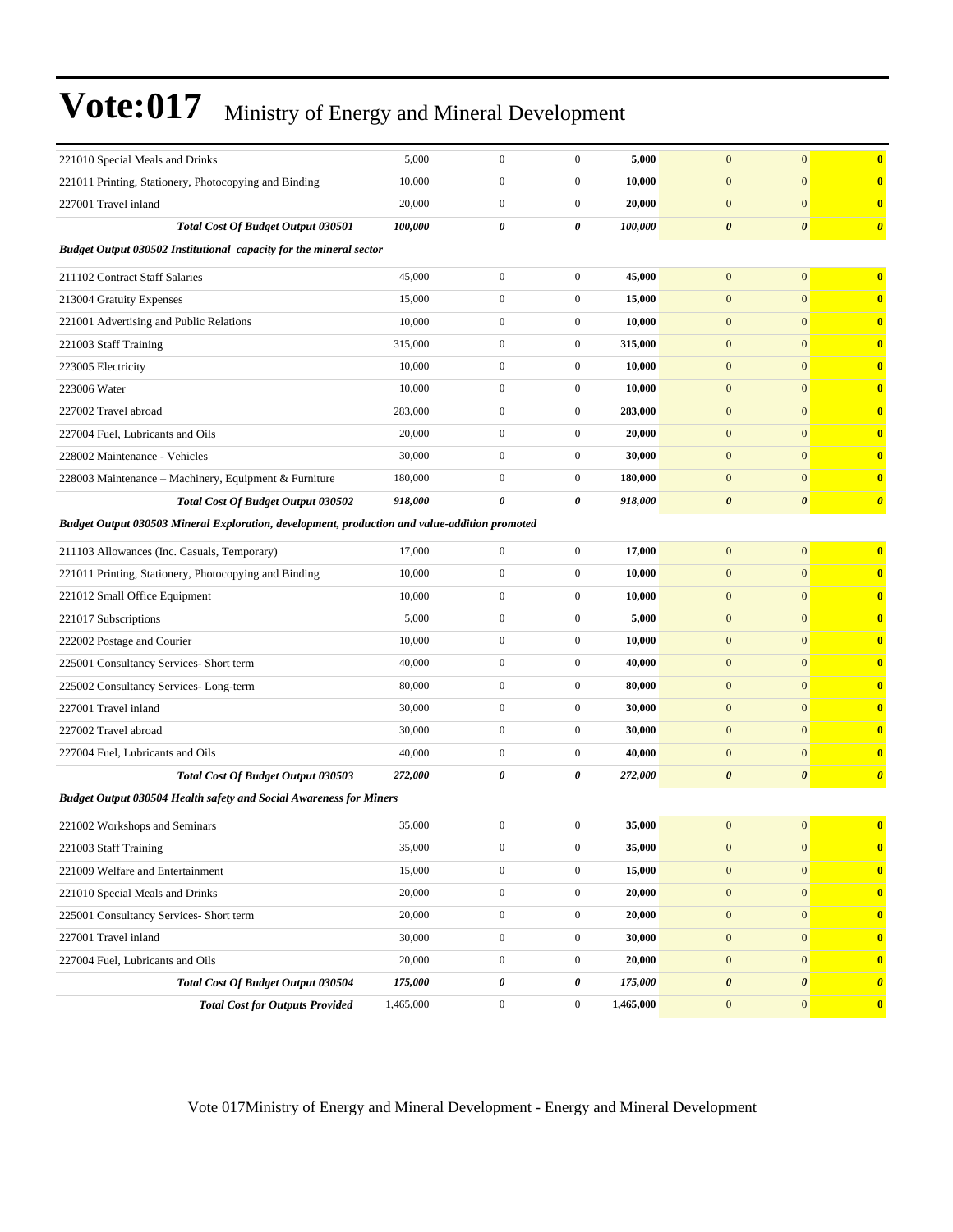| 221010 Special Meals and Drinks                                                               | 5,000     | $\boldsymbol{0}$ | $\boldsymbol{0}$ | 5,000     | $\mathbf{0}$          | $\mathbf{0}$          | $\bf{0}$              |  |  |  |
|-----------------------------------------------------------------------------------------------|-----------|------------------|------------------|-----------|-----------------------|-----------------------|-----------------------|--|--|--|
| 221011 Printing, Stationery, Photocopying and Binding                                         | 10,000    | $\boldsymbol{0}$ | $\boldsymbol{0}$ | 10,000    | $\boldsymbol{0}$      | $\mathbf{0}$          | $\bf{0}$              |  |  |  |
| 227001 Travel inland                                                                          | 20,000    | $\mathbf{0}$     | $\boldsymbol{0}$ | 20,000    | $\mathbf{0}$          | $\mathbf{0}$          | $\bf{0}$              |  |  |  |
| <b>Total Cost Of Budget Output 030501</b>                                                     | 100,000   | $\pmb{\theta}$   | 0                | 100,000   | $\boldsymbol{\theta}$ | $\boldsymbol{\theta}$ | $\boldsymbol{\theta}$ |  |  |  |
| Budget Output 030502 Institutional capacity for the mineral sector                            |           |                  |                  |           |                       |                       |                       |  |  |  |
| 211102 Contract Staff Salaries                                                                | 45,000    | $\boldsymbol{0}$ | $\boldsymbol{0}$ | 45,000    | $\mathbf{0}$          | $\mathbf{0}$          | $\bf{0}$              |  |  |  |
| 213004 Gratuity Expenses                                                                      | 15,000    | $\mathbf{0}$     | $\boldsymbol{0}$ | 15,000    | $\mathbf{0}$          | $\mathbf{0}$          | $\mathbf{0}$          |  |  |  |
| 221001 Advertising and Public Relations                                                       | 10,000    | $\boldsymbol{0}$ | $\boldsymbol{0}$ | 10,000    | $\mathbf{0}$          | $\mathbf{0}$          | $\bf{0}$              |  |  |  |
| 221003 Staff Training                                                                         | 315,000   | $\mathbf{0}$     | $\boldsymbol{0}$ | 315,000   | $\mathbf{0}$          | $\mathbf{0}$          | $\bf{0}$              |  |  |  |
| 223005 Electricity                                                                            | 10,000    | $\mathbf{0}$     | $\boldsymbol{0}$ | 10,000    | $\mathbf{0}$          | $\mathbf{0}$          | $\bf{0}$              |  |  |  |
| 223006 Water                                                                                  | 10,000    | $\boldsymbol{0}$ | $\boldsymbol{0}$ | 10,000    | $\boldsymbol{0}$      | $\mathbf{0}$          | $\bf{0}$              |  |  |  |
| 227002 Travel abroad                                                                          | 283,000   | $\mathbf{0}$     | $\boldsymbol{0}$ | 283,000   | $\mathbf{0}$          | $\mathbf{0}$          | $\bf{0}$              |  |  |  |
| 227004 Fuel, Lubricants and Oils                                                              | 20,000    | $\boldsymbol{0}$ | $\boldsymbol{0}$ | 20,000    | $\mathbf{0}$          | $\mathbf{0}$          | $\bf{0}$              |  |  |  |
| 228002 Maintenance - Vehicles                                                                 | 30,000    | $\mathbf{0}$     | $\boldsymbol{0}$ | 30,000    | $\mathbf{0}$          | $\mathbf{0}$          | $\bf{0}$              |  |  |  |
| 228003 Maintenance - Machinery, Equipment & Furniture                                         | 180,000   | $\mathbf{0}$     | $\boldsymbol{0}$ | 180,000   | $\mathbf{0}$          | $\mathbf{0}$          | $\bf{0}$              |  |  |  |
| <b>Total Cost Of Budget Output 030502</b>                                                     | 918,000   | 0                | 0                | 918,000   | $\boldsymbol{\theta}$ | $\boldsymbol{\theta}$ | $\boldsymbol{\theta}$ |  |  |  |
| Budget Output 030503 Mineral Exploration, development, production and value-addition promoted |           |                  |                  |           |                       |                       |                       |  |  |  |
| 211103 Allowances (Inc. Casuals, Temporary)                                                   | 17,000    | $\mathbf{0}$     | $\boldsymbol{0}$ | 17,000    | $\mathbf{0}$          | $\mathbf{0}$          | $\bf{0}$              |  |  |  |
| 221011 Printing, Stationery, Photocopying and Binding                                         | 10,000    | $\boldsymbol{0}$ | $\boldsymbol{0}$ | 10,000    | $\boldsymbol{0}$      | $\mathbf{0}$          | $\bf{0}$              |  |  |  |
| 221012 Small Office Equipment                                                                 | 10,000    | $\boldsymbol{0}$ | $\boldsymbol{0}$ | 10,000    | $\mathbf{0}$          | $\mathbf{0}$          | $\bf{0}$              |  |  |  |
| 221017 Subscriptions                                                                          | 5,000     | $\mathbf{0}$     | $\boldsymbol{0}$ | 5,000     | $\mathbf{0}$          | $\mathbf{0}$          | $\bf{0}$              |  |  |  |
| 222002 Postage and Courier                                                                    | 10,000    | $\boldsymbol{0}$ | $\boldsymbol{0}$ | 10,000    | $\mathbf{0}$          | $\mathbf{0}$          | $\bf{0}$              |  |  |  |
| 225001 Consultancy Services- Short term                                                       | 40,000    | $\mathbf{0}$     | $\boldsymbol{0}$ | 40,000    | $\mathbf{0}$          | $\mathbf{0}$          | $\bf{0}$              |  |  |  |
| 225002 Consultancy Services-Long-term                                                         | 80,000    | $\boldsymbol{0}$ | $\boldsymbol{0}$ | 80,000    | $\boldsymbol{0}$      | $\mathbf{0}$          | $\bf{0}$              |  |  |  |
| 227001 Travel inland                                                                          | 30,000    | $\boldsymbol{0}$ | $\boldsymbol{0}$ | 30,000    | $\mathbf{0}$          | $\mathbf{0}$          | $\bf{0}$              |  |  |  |
| 227002 Travel abroad                                                                          | 30,000    | $\boldsymbol{0}$ | $\boldsymbol{0}$ | 30,000    | $\mathbf{0}$          | $\mathbf{0}$          | $\bf{0}$              |  |  |  |
| 227004 Fuel, Lubricants and Oils                                                              | 40,000    | $\boldsymbol{0}$ | $\boldsymbol{0}$ | 40,000    | $\mathbf{0}$          | $\mathbf{0}$          | $\bf{0}$              |  |  |  |
| Total Cost Of Budget Output 030503                                                            | 272,000   | 0                | 0                | 272,000   | $\boldsymbol{\theta}$ | $\boldsymbol{\theta}$ | $\boldsymbol{\theta}$ |  |  |  |
| <b>Budget Output 030504 Health safety and Social Awareness for Miners</b>                     |           |                  |                  |           |                       |                       |                       |  |  |  |
| 221002 Workshops and Seminars                                                                 | 35,000    | $\mathbf{0}$     | $\boldsymbol{0}$ | 35,000    | $\mathbf{0}$          | $\mathbf{0}$          | $\bf{0}$              |  |  |  |
| 221003 Staff Training                                                                         | 35,000    | $\boldsymbol{0}$ | $\boldsymbol{0}$ | 35,000    | $\boldsymbol{0}$      | $\boldsymbol{0}$      | $\bf{0}$              |  |  |  |
| 221009 Welfare and Entertainment                                                              | 15,000    | $\boldsymbol{0}$ | $\boldsymbol{0}$ | 15,000    | $\mathbf{0}$          | $\mathbf{0}$          | $\bf{0}$              |  |  |  |
| 221010 Special Meals and Drinks                                                               | 20,000    | $\boldsymbol{0}$ | $\boldsymbol{0}$ | 20,000    | $\boldsymbol{0}$      | $\mathbf{0}$          | $\mathbf{0}$          |  |  |  |
| 225001 Consultancy Services- Short term                                                       | 20,000    | $\boldsymbol{0}$ | $\boldsymbol{0}$ | 20,000    | $\boldsymbol{0}$      | $\mathbf{0}$          | $\bf{0}$              |  |  |  |
| 227001 Travel inland                                                                          | 30,000    | $\boldsymbol{0}$ | $\boldsymbol{0}$ | 30,000    | $\boldsymbol{0}$      | $\mathbf{0}$          | $\mathbf{0}$          |  |  |  |
| 227004 Fuel, Lubricants and Oils                                                              | 20,000    | $\boldsymbol{0}$ | $\boldsymbol{0}$ | 20,000    | $\boldsymbol{0}$      | $\mathbf{0}$          | $\bf{0}$              |  |  |  |
| Total Cost Of Budget Output 030504                                                            | 175,000   | $\pmb{\theta}$   | 0                | 175,000   | $\boldsymbol{\theta}$ | $\boldsymbol{\theta}$ | $\boldsymbol{\theta}$ |  |  |  |
| <b>Total Cost for Outputs Provided</b>                                                        | 1,465,000 | $\boldsymbol{0}$ | $\boldsymbol{0}$ | 1,465,000 | $\boldsymbol{0}$      | $\mathbf{0}$          | $\mathbf{0}$          |  |  |  |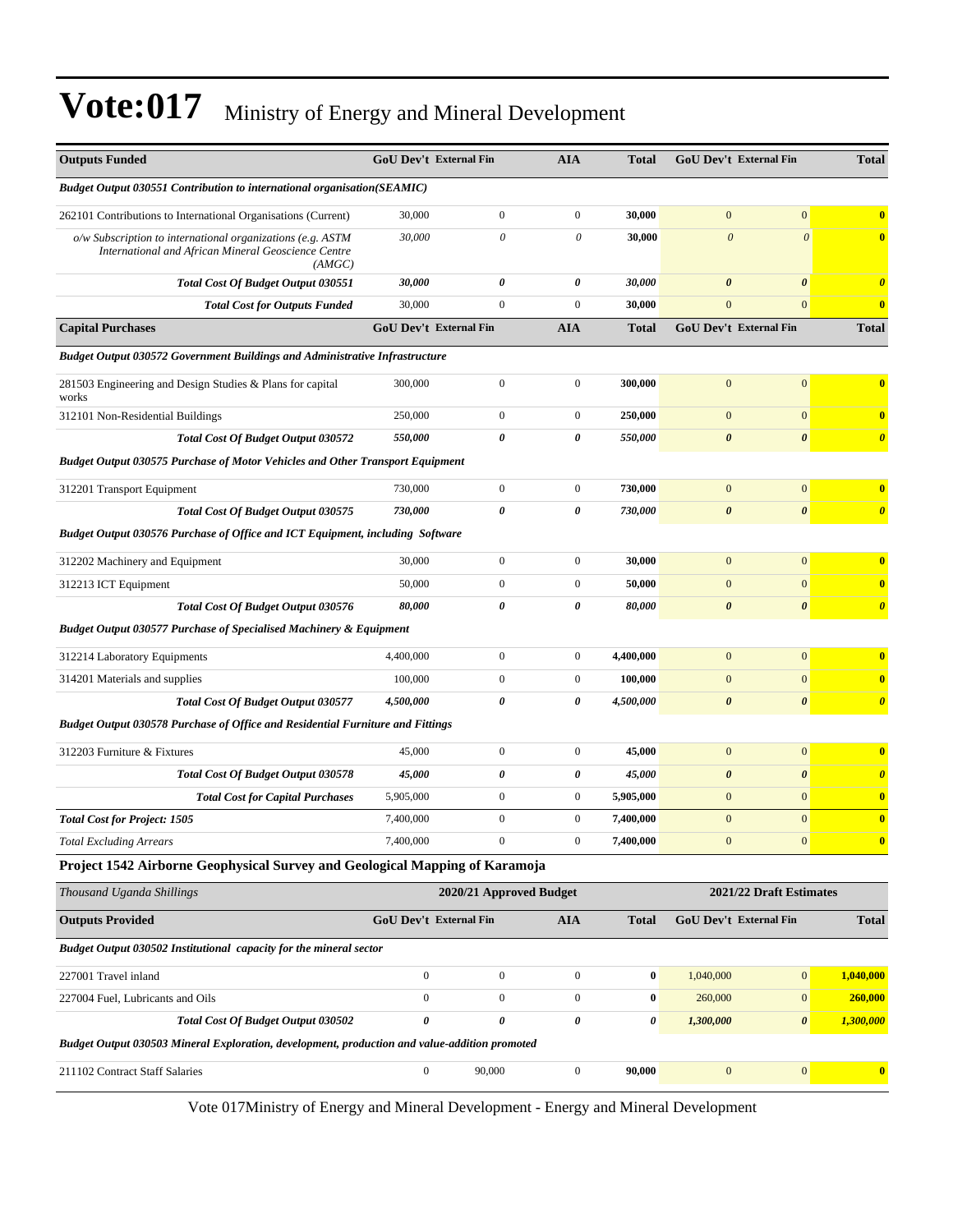| <b>Outputs Funded</b>                                                                                                         | <b>GoU Dev't External Fin</b> |                         | <b>AIA</b>       | Total            | <b>GoU Dev't External Fin</b> |                         | <b>Total</b>            |
|-------------------------------------------------------------------------------------------------------------------------------|-------------------------------|-------------------------|------------------|------------------|-------------------------------|-------------------------|-------------------------|
| <b>Budget Output 030551 Contribution to international organisation(SEAMIC)</b>                                                |                               |                         |                  |                  |                               |                         |                         |
| 262101 Contributions to International Organisations (Current)                                                                 | 30,000                        | $\boldsymbol{0}$        | $\boldsymbol{0}$ | 30,000           | $\mathbf{0}$                  | $\mathbf{0}$            | $\bf{0}$                |
| $o/w$ Subscription to international organizations (e.g. ASTM<br>International and African Mineral Geoscience Centre<br>(AMGC) | 30,000                        | 0                       | 0                | 30,000           | $\boldsymbol{\theta}$         | $\overline{\mathbf{0}}$ | $\bf{0}$                |
| Total Cost Of Budget Output 030551                                                                                            | 30,000                        | 0                       | 0                | 30,000           | $\boldsymbol{\theta}$         | $\boldsymbol{\theta}$   | $\boldsymbol{\theta}$   |
| <b>Total Cost for Outputs Funded</b>                                                                                          | 30,000                        | $\mathbf{0}$            | $\overline{0}$   | 30,000           | $\mathbf{0}$                  | $\mathbf{0}$            | $\bf{0}$                |
| <b>Capital Purchases</b>                                                                                                      | GoU Dev't External Fin        |                         | <b>AIA</b>       | Total            | GoU Dev't External Fin        |                         | <b>Total</b>            |
| Budget Output 030572 Government Buildings and Administrative Infrastructure                                                   |                               |                         |                  |                  |                               |                         |                         |
| 281503 Engineering and Design Studies & Plans for capital<br>works                                                            | 300,000                       | $\boldsymbol{0}$        | $\boldsymbol{0}$ | 300,000          | $\mathbf{0}$                  | $\boldsymbol{0}$        | $\bf{0}$                |
| 312101 Non-Residential Buildings                                                                                              | 250,000                       | $\boldsymbol{0}$        | $\boldsymbol{0}$ | 250,000          | $\mathbf{0}$                  | $\mathbf{0}$            | $\bf{0}$                |
| <b>Total Cost Of Budget Output 030572</b>                                                                                     | 550,000                       | 0                       | 0                | 550,000          | $\boldsymbol{\theta}$         | $\boldsymbol{\theta}$   | $\boldsymbol{\theta}$   |
| <b>Budget Output 030575 Purchase of Motor Vehicles and Other Transport Equipment</b>                                          |                               |                         |                  |                  |                               |                         |                         |
| 312201 Transport Equipment                                                                                                    | 730,000                       | $\boldsymbol{0}$        | $\boldsymbol{0}$ | 730,000          | $\mathbf{0}$                  | $\boldsymbol{0}$        | $\overline{\mathbf{0}}$ |
| <b>Total Cost Of Budget Output 030575</b>                                                                                     | 730,000                       | 0                       | 0                | 730,000          | $\boldsymbol{\theta}$         | $\boldsymbol{\theta}$   | $\boldsymbol{\theta}$   |
| Budget Output 030576 Purchase of Office and ICT Equipment, including Software                                                 |                               |                         |                  |                  |                               |                         |                         |
| 312202 Machinery and Equipment                                                                                                | 30,000                        | $\mathbf{0}$            | $\boldsymbol{0}$ | 30,000           | $\mathbf{0}$                  | $\mathbf{0}$            | $\overline{\mathbf{0}}$ |
| 312213 ICT Equipment                                                                                                          | 50,000                        | $\mathbf{0}$            | $\boldsymbol{0}$ | 50,000           | $\mathbf{0}$                  | $\mathbf{0}$            | $\bf{0}$                |
| Total Cost Of Budget Output 030576                                                                                            | 80,000                        | 0                       | 0                | 80,000           | $\boldsymbol{\theta}$         | $\boldsymbol{\theta}$   | $\boldsymbol{\theta}$   |
| <b>Budget Output 030577 Purchase of Specialised Machinery &amp; Equipment</b>                                                 |                               |                         |                  |                  |                               |                         |                         |
| 312214 Laboratory Equipments                                                                                                  | 4,400,000                     | $\boldsymbol{0}$        | $\boldsymbol{0}$ | 4,400,000        | $\mathbf{0}$                  | $\mathbf{0}$            | $\overline{\mathbf{0}}$ |
| 314201 Materials and supplies                                                                                                 | 100,000                       | $\mathbf{0}$            | $\boldsymbol{0}$ | 100,000          | $\mathbf{0}$                  | $\mathbf{0}$            | $\mathbf{0}$            |
| <b>Total Cost Of Budget Output 030577</b>                                                                                     | 4,500,000                     | 0                       | 0                | 4,500,000        | $\boldsymbol{\theta}$         | $\boldsymbol{\theta}$   | $\boldsymbol{\theta}$   |
| <b>Budget Output 030578 Purchase of Office and Residential Furniture and Fittings</b>                                         |                               |                         |                  |                  |                               |                         |                         |
| 312203 Furniture & Fixtures                                                                                                   | 45,000                        | $\boldsymbol{0}$        | $\boldsymbol{0}$ | 45,000           | $\mathbf{0}$                  | $\mathbf{0}$            | $\bf{0}$                |
| Total Cost Of Budget Output 030578                                                                                            | 45,000                        | 0                       | 0                | 45,000           | $\boldsymbol{\theta}$         | $\boldsymbol{\theta}$   | $\boldsymbol{\theta}$   |
| <b>Total Cost for Capital Purchases</b>                                                                                       | 5,905,000                     | $\boldsymbol{0}$        | $\boldsymbol{0}$ | 5,905,000        | $\mathbf{0}$                  | $\mathbf{0}$            | $\bf{0}$                |
| <b>Total Cost for Project: 1505</b>                                                                                           | 7,400,000                     | $\boldsymbol{0}$        | $\boldsymbol{0}$ | 7,400,000        | $\mathbf{0}$                  | $\mathbf{0}$            | $\bf{0}$                |
| <b>Total Excluding Arrears</b>                                                                                                | 7,400,000                     | $\mathbf{0}$            |                  | 7,400,000        | $\mathbf{0}$                  |                         | $\bf{0}$                |
| Project 1542 Airborne Geophysical Survey and Geological Mapping of Karamoja                                                   |                               |                         |                  |                  |                               |                         |                         |
| Thousand Uganda Shillings                                                                                                     |                               | 2020/21 Approved Budget |                  |                  |                               | 2021/22 Draft Estimates |                         |
| <b>Outputs Provided</b>                                                                                                       | <b>GoU Dev't External Fin</b> |                         | AIA              | <b>Total</b>     | GoU Dev't External Fin        |                         | <b>Total</b>            |
| Budget Output 030502 Institutional capacity for the mineral sector                                                            |                               |                         |                  |                  |                               |                         |                         |
| 227001 Travel inland                                                                                                          | $\boldsymbol{0}$              | $\boldsymbol{0}$        | $\boldsymbol{0}$ | $\pmb{0}$        | 1,040,000                     | $\mathbf{0}$            | 1,040,000               |
| 227004 Fuel, Lubricants and Oils                                                                                              | $\boldsymbol{0}$              | $\boldsymbol{0}$        | $\overline{0}$   | $\boldsymbol{0}$ | 260,000                       | $\boldsymbol{0}$        | 260,000                 |
| Total Cost Of Budget Output 030502                                                                                            | 0                             | $\pmb{\theta}$          | 0                | 0                | 1,300,000                     | $\boldsymbol{\theta}$   | 1,300,000               |
| Budget Output 030503 Mineral Exploration, development, production and value-addition promoted                                 |                               |                         |                  |                  |                               |                         |                         |
| 211102 Contract Staff Salaries                                                                                                | $\boldsymbol{0}$              | 90,000                  | $\boldsymbol{0}$ | 90,000           | $\boldsymbol{0}$              | $\boldsymbol{0}$        | $\mathbf{0}$            |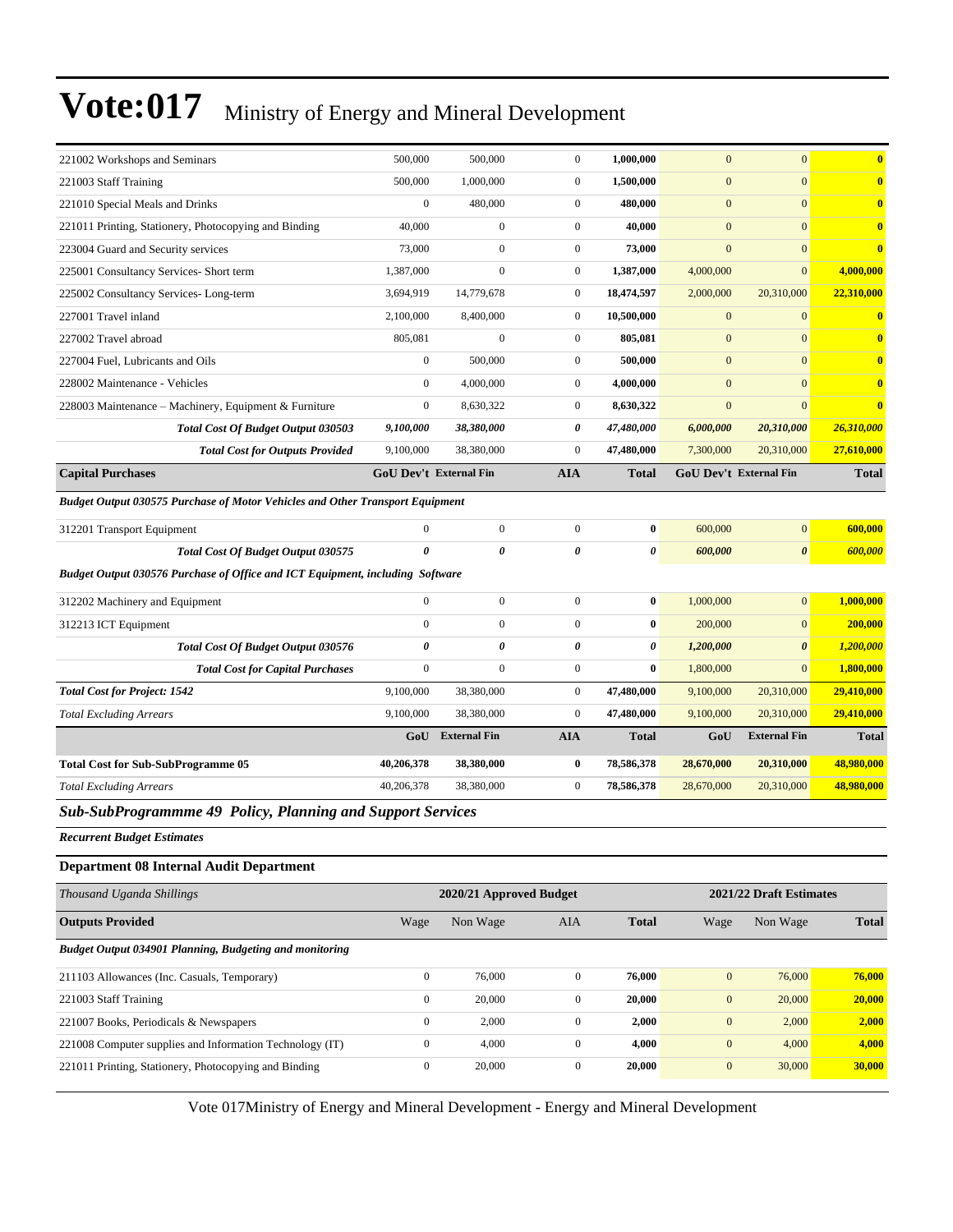| 221002 Workshops and Seminars                                                        | 500,000                       | 500,000                 | $\mathbf{0}$     | 1,000,000             | $\mathbf{0}$     | $\mathbf{0}$            | $\bf{0}$     |
|--------------------------------------------------------------------------------------|-------------------------------|-------------------------|------------------|-----------------------|------------------|-------------------------|--------------|
| 221003 Staff Training                                                                | 500,000                       | 1,000,000               | $\boldsymbol{0}$ | 1,500,000             | $\mathbf{0}$     | $\overline{0}$          | $\bf{0}$     |
| 221010 Special Meals and Drinks                                                      | $\mathbf{0}$                  | 480,000                 | $\boldsymbol{0}$ | 480,000               | $\mathbf{0}$     | $\overline{0}$          | $\bf{0}$     |
| 221011 Printing, Stationery, Photocopying and Binding                                | 40,000                        | $\boldsymbol{0}$        | $\overline{0}$   | 40,000                | $\mathbf{0}$     | $\overline{0}$          | $\bf{0}$     |
| 223004 Guard and Security services                                                   | 73,000                        | $\overline{0}$          | $\boldsymbol{0}$ | 73,000                | $\mathbf{0}$     | $\overline{0}$          | $\bf{0}$     |
| 225001 Consultancy Services- Short term                                              | 1,387,000                     | $\boldsymbol{0}$        | $\boldsymbol{0}$ | 1,387,000             | 4,000,000        | $\mathbf{0}$            | 4,000,000    |
| 225002 Consultancy Services-Long-term                                                | 3,694,919                     | 14,779,678              | $\boldsymbol{0}$ | 18,474,597            | 2,000,000        | 20,310,000              | 22,310,000   |
| 227001 Travel inland                                                                 | 2,100,000                     | 8,400,000               | $\boldsymbol{0}$ | 10,500,000            | $\mathbf{0}$     | $\mathbf{0}$            | $\bf{0}$     |
| 227002 Travel abroad                                                                 | 805,081                       | $\boldsymbol{0}$        | $\boldsymbol{0}$ | 805,081               | $\boldsymbol{0}$ | $\overline{0}$          | $\bf{0}$     |
| 227004 Fuel, Lubricants and Oils                                                     | $\mathbf{0}$                  | 500,000                 | $\boldsymbol{0}$ | 500,000               | $\mathbf{0}$     | $\overline{0}$          | $\bf{0}$     |
| 228002 Maintenance - Vehicles                                                        | $\mathbf{0}$                  | 4,000,000               | $\boldsymbol{0}$ | 4,000,000             | $\mathbf{0}$     | $\overline{0}$          | $\bf{0}$     |
| 228003 Maintenance - Machinery, Equipment & Furniture                                | $\boldsymbol{0}$              | 8,630,322               | $\boldsymbol{0}$ | 8,630,322             | $\mathbf{0}$     | $\overline{0}$          | $\bf{0}$     |
| <b>Total Cost Of Budget Output 030503</b>                                            | 9,100,000                     | 38,380,000              | 0                | 47,480,000            | 6,000,000        | 20,310,000              | 26,310,000   |
| <b>Total Cost for Outputs Provided</b>                                               | 9,100,000                     | 38,380,000              | $\overline{0}$   | 47,480,000            | 7,300,000        | 20,310,000              | 27,610,000   |
| <b>Capital Purchases</b>                                                             | <b>GoU Dev't External Fin</b> |                         | <b>AIA</b>       | <b>Total</b>          |                  | GoU Dev't External Fin  | <b>Total</b> |
| <b>Budget Output 030575 Purchase of Motor Vehicles and Other Transport Equipment</b> |                               |                         |                  |                       |                  |                         |              |
| 312201 Transport Equipment                                                           | $\mathbf{0}$                  | $\boldsymbol{0}$        | $\boldsymbol{0}$ | $\bf{0}$              | 600,000          | $\overline{0}$          | 600,000      |
| Total Cost Of Budget Output 030575                                                   | $\boldsymbol{\theta}$         | 0                       | 0                | $\boldsymbol{\theta}$ | 600,000          | 0                       | 600,000      |
| Budget Output 030576 Purchase of Office and ICT Equipment, including Software        |                               |                         |                  |                       |                  |                         |              |
| 312202 Machinery and Equipment                                                       | $\boldsymbol{0}$              | $\boldsymbol{0}$        | $\boldsymbol{0}$ | $\bf{0}$              | 1,000,000        | $\overline{0}$          | 1,000,000    |
| 312213 ICT Equipment                                                                 | $\mathbf{0}$                  | $\overline{0}$          | $\boldsymbol{0}$ | $\bf{0}$              | 200,000          | $\overline{0}$          | 200,000      |
| Total Cost Of Budget Output 030576                                                   | 0                             | 0                       | 0                | 0                     | 1,200,000        | $\boldsymbol{\theta}$   | 1,200,000    |
| <b>Total Cost for Capital Purchases</b>                                              | $\mathbf{0}$                  | $\boldsymbol{0}$        | $\boldsymbol{0}$ | $\bf{0}$              | 1,800,000        | $\overline{0}$          | 1,800,000    |
| <b>Total Cost for Project: 1542</b>                                                  | 9,100,000                     | 38,380,000              | $\boldsymbol{0}$ | 47,480,000            | 9,100,000        | 20,310,000              | 29,410,000   |
| <b>Total Excluding Arrears</b>                                                       | 9,100,000                     | 38,380,000              | $\overline{0}$   | 47,480,000            | 9,100,000        | 20,310,000              | 29,410,000   |
|                                                                                      | GoU                           | <b>External Fin</b>     | <b>AIA</b>       | <b>Total</b>          | GoU              | <b>External Fin</b>     | <b>Total</b> |
| <b>Total Cost for Sub-SubProgramme 05</b>                                            | 40,206,378                    | 38,380,000              | 0                | 78,586,378            | 28,670,000       | 20,310,000              | 48,980,000   |
| <b>Total Excluding Arrears</b>                                                       | 40,206,378                    | 38,380,000              | $\boldsymbol{0}$ | 78,586,378            | 28,670,000       | 20,310,000              | 48,980,000   |
| Sub-SubProgrammme 49 Policy, Planning and Support Services                           |                               |                         |                  |                       |                  |                         |              |
| <b>Recurrent Budget Estimates</b>                                                    |                               |                         |                  |                       |                  |                         |              |
| <b>Department 08 Internal Audit Department</b>                                       |                               |                         |                  |                       |                  |                         |              |
| Thousand Uganda Shillings                                                            |                               | 2020/21 Approved Budget |                  |                       |                  | 2021/22 Draft Estimates |              |
| <b>Outputs Provided</b>                                                              | Wage                          | Non Wage                | AIA              | <b>Total</b>          | Wage             | Non Wage                | <b>Total</b> |
| Budget Output 034901 Planning, Budgeting and monitoring                              |                               |                         |                  |                       |                  |                         |              |
| 211103 Allowances (Inc. Casuals, Temporary)                                          | $\boldsymbol{0}$              | 76,000                  | $\boldsymbol{0}$ | 76,000                | $\boldsymbol{0}$ | 76,000                  | 76,000       |
| 221003 Staff Training                                                                | $\boldsymbol{0}$              | 20,000                  | $\boldsymbol{0}$ | 20,000                | $\mathbf{0}$     | 20,000                  | 20,000       |
| 221007 Books, Periodicals & Newspapers                                               | $\boldsymbol{0}$              | 2,000                   | $\boldsymbol{0}$ | 2,000                 | $\boldsymbol{0}$ | 2,000                   | 2,000        |
| 221008 Computer supplies and Information Technology (IT)                             | $\boldsymbol{0}$              | 4,000                   | $\boldsymbol{0}$ | 4,000                 | $\boldsymbol{0}$ | 4,000                   | 4,000        |
| 221011 Printing, Stationery, Photocopying and Binding                                | $\boldsymbol{0}$              | 20,000                  | $\boldsymbol{0}$ | 20,000                | $\boldsymbol{0}$ | 30,000                  | 30,000       |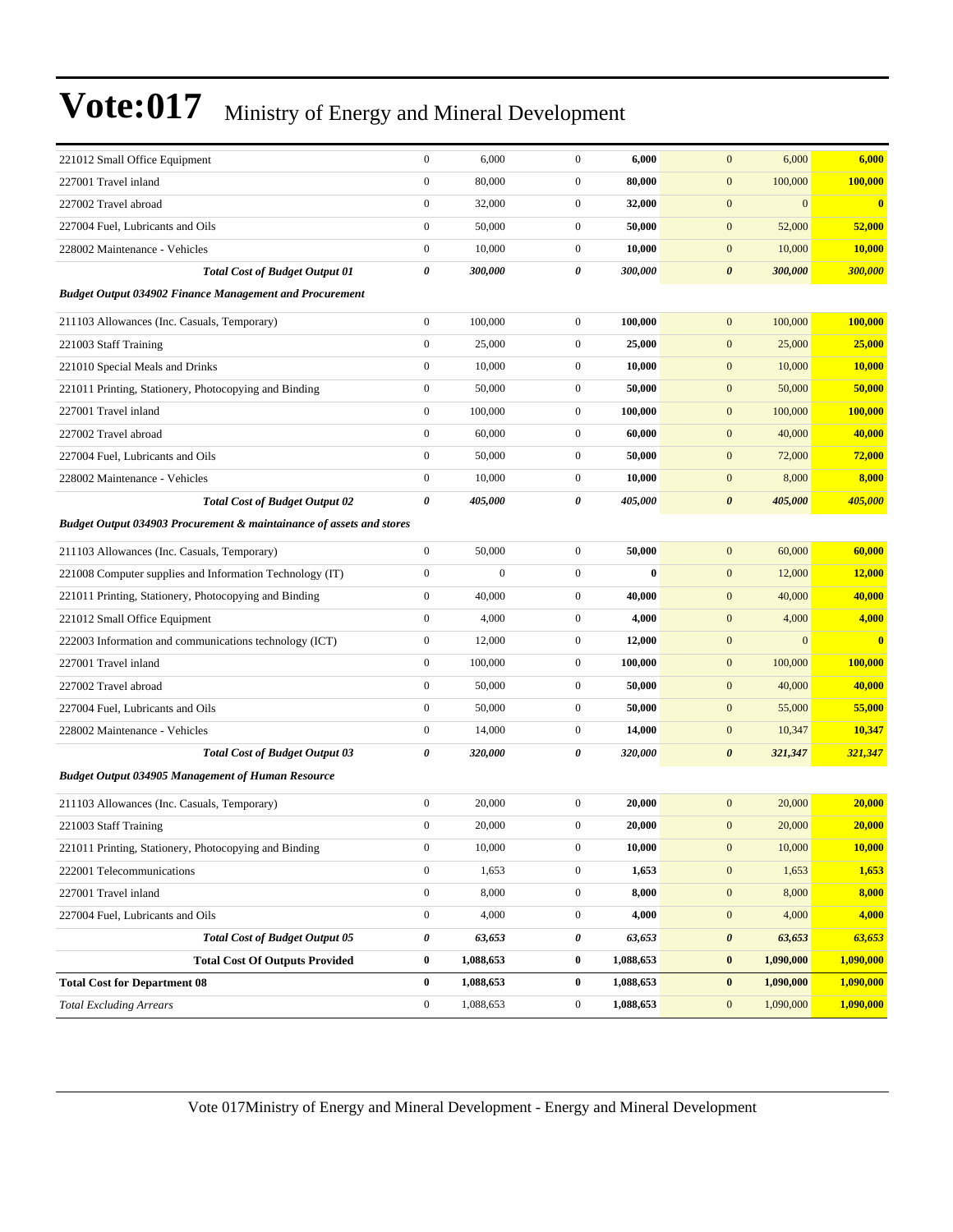| 221012 Small Office Equipment                                        | $\boldsymbol{0}$ | 6,000            | $\boldsymbol{0}$ | 6,000     | $\mathbf{0}$<br>6,000                                   | 6,000               |
|----------------------------------------------------------------------|------------------|------------------|------------------|-----------|---------------------------------------------------------|---------------------|
|                                                                      | $\boldsymbol{0}$ |                  | $\mathbf{0}$     |           |                                                         |                     |
| 227001 Travel inland                                                 | $\boldsymbol{0}$ | 80,000           | $\mathbf{0}$     | 80,000    | $\mathbf{0}$<br>100,000<br>$\mathbf{0}$<br>$\mathbf{0}$ | 100,000<br>$\bf{0}$ |
| 227002 Travel abroad                                                 | $\boldsymbol{0}$ | 32,000           | $\boldsymbol{0}$ | 32,000    | $\mathbf{0}$                                            |                     |
| 227004 Fuel, Lubricants and Oils                                     |                  | 50,000           |                  | 50,000    | 52,000                                                  | 52,000              |
| 228002 Maintenance - Vehicles                                        | $\boldsymbol{0}$ | 10,000           | $\mathbf{0}$     | 10,000    | $\mathbf{0}$<br>10,000                                  | 10,000              |
| <b>Total Cost of Budget Output 01</b>                                | 0                | 300,000          | 0                | 300,000   | $\boldsymbol{\theta}$<br>300,000                        | 300,000             |
| <b>Budget Output 034902 Finance Management and Procurement</b>       |                  |                  |                  |           |                                                         |                     |
| 211103 Allowances (Inc. Casuals, Temporary)                          | $\boldsymbol{0}$ | 100,000          | $\mathbf{0}$     | 100,000   | $\mathbf{0}$<br>100,000                                 | 100.000             |
| 221003 Staff Training                                                | $\boldsymbol{0}$ | 25,000           | $\mathbf{0}$     | 25,000    | $\mathbf{0}$<br>25,000                                  | 25,000              |
| 221010 Special Meals and Drinks                                      | $\boldsymbol{0}$ | 10,000           | $\mathbf{0}$     | 10,000    | $\mathbf{0}$<br>10,000                                  | 10,000              |
| 221011 Printing, Stationery, Photocopying and Binding                | $\boldsymbol{0}$ | 50,000           | $\mathbf{0}$     | 50,000    | $\boldsymbol{0}$<br>50,000                              | 50,000              |
| 227001 Travel inland                                                 | $\boldsymbol{0}$ | 100,000          | $\mathbf{0}$     | 100,000   | $\mathbf{0}$<br>100,000                                 | 100,000             |
| 227002 Travel abroad                                                 | $\overline{0}$   | 60,000           | $\mathbf{0}$     | 60,000    | $\mathbf{0}$<br>40,000                                  | 40,000              |
| 227004 Fuel, Lubricants and Oils                                     | $\boldsymbol{0}$ | 50,000           | $\mathbf{0}$     | 50,000    | $\mathbf{0}$<br>72,000                                  | 72,000              |
| 228002 Maintenance - Vehicles                                        | $\boldsymbol{0}$ | 10,000           | $\mathbf{0}$     | 10,000    | $\mathbf{0}$<br>8,000                                   | 8,000               |
| <b>Total Cost of Budget Output 02</b>                                | 0                | 405,000          | 0                | 405,000   | 405,000<br>$\boldsymbol{\theta}$                        | 405,000             |
| Budget Output 034903 Procurement & maintainance of assets and stores |                  |                  |                  |           |                                                         |                     |
| 211103 Allowances (Inc. Casuals, Temporary)                          | $\boldsymbol{0}$ | 50,000           | $\mathbf{0}$     | 50,000    | $\mathbf{0}$<br>60,000                                  | 60,000              |
| 221008 Computer supplies and Information Technology (IT)             | $\boldsymbol{0}$ | $\boldsymbol{0}$ | $\mathbf{0}$     | $\bf{0}$  | $\boldsymbol{0}$<br>12,000                              | 12,000              |
| 221011 Printing, Stationery, Photocopying and Binding                | $\boldsymbol{0}$ | 40,000           | $\mathbf{0}$     | 40,000    | $\boldsymbol{0}$<br>40,000                              | 40,000              |
| 221012 Small Office Equipment                                        | $\boldsymbol{0}$ | 4,000            | $\mathbf{0}$     | 4,000     | $\mathbf{0}$<br>4,000                                   | 4,000               |
| 222003 Information and communications technology (ICT)               | $\boldsymbol{0}$ | 12,000           | $\mathbf{0}$     | 12,000    | $\mathbf{0}$<br>$\overline{0}$                          | $\bf{0}$            |
| 227001 Travel inland                                                 | $\boldsymbol{0}$ | 100,000          | $\mathbf{0}$     | 100,000   | $\mathbf{0}$<br>100,000                                 | 100,000             |
| 227002 Travel abroad                                                 | $\boldsymbol{0}$ | 50,000           | $\mathbf{0}$     | 50,000    | $\boldsymbol{0}$<br>40,000                              | 40,000              |
| 227004 Fuel, Lubricants and Oils                                     | $\boldsymbol{0}$ | 50,000           | $\mathbf{0}$     | 50,000    | $\boldsymbol{0}$<br>55,000                              | 55,000              |
| 228002 Maintenance - Vehicles                                        | $\boldsymbol{0}$ | 14,000           | $\mathbf{0}$     | 14,000    | $\mathbf{0}$<br>10,347                                  | 10,347              |
| <b>Total Cost of Budget Output 03</b>                                | 0                | 320,000          | 0                | 320,000   | $\boldsymbol{\theta}$<br>321,347                        | 321,347             |
| <b>Budget Output 034905 Management of Human Resource</b>             |                  |                  |                  |           |                                                         |                     |
| 211103 Allowances (Inc. Casuals, Temporary)                          | $\boldsymbol{0}$ | 20,000           | $\boldsymbol{0}$ | 20,000    | 20,000<br>$\mathbf{0}$                                  | 20,000              |
| 221003 Staff Training                                                | $\boldsymbol{0}$ | 20,000           | $\mathbf{0}$     | 20,000    | $\mathbf{0}$<br>20,000                                  | 20,000              |
| 221011 Printing, Stationery, Photocopying and Binding                | $\boldsymbol{0}$ | 10,000           | $\boldsymbol{0}$ | 10,000    | $\boldsymbol{0}$<br>10,000                              | 10,000              |
| 222001 Telecommunications                                            | $\boldsymbol{0}$ | 1,653            | $\boldsymbol{0}$ | 1,653     | $\boldsymbol{0}$<br>1,653                               | 1,653               |
| 227001 Travel inland                                                 | $\boldsymbol{0}$ | 8,000            | $\boldsymbol{0}$ | 8,000     | $\boldsymbol{0}$<br>8,000                               | 8,000               |
| 227004 Fuel, Lubricants and Oils                                     | $\boldsymbol{0}$ | 4,000            | $\boldsymbol{0}$ | 4,000     | 4,000<br>$\boldsymbol{0}$                               | 4,000               |
| <b>Total Cost of Budget Output 05</b>                                | 0                | 63,653           | 0                | 63,653    | $\boldsymbol{\theta}$<br>63,653                         | 63,653              |
| <b>Total Cost Of Outputs Provided</b>                                | 0                | 1,088,653        | $\bf{0}$         | 1,088,653 | 1,090,000<br>$\bf{0}$                                   | 1,090,000           |
| <b>Total Cost for Department 08</b>                                  | $\bf{0}$         | 1,088,653        | $\bf{0}$         | 1,088,653 | $\bf{0}$<br>1,090,000                                   | 1,090,000           |
| <b>Total Excluding Arrears</b>                                       | $\boldsymbol{0}$ | 1,088,653        | $\boldsymbol{0}$ | 1,088,653 | 1,090,000<br>$\boldsymbol{0}$                           | 1,090,000           |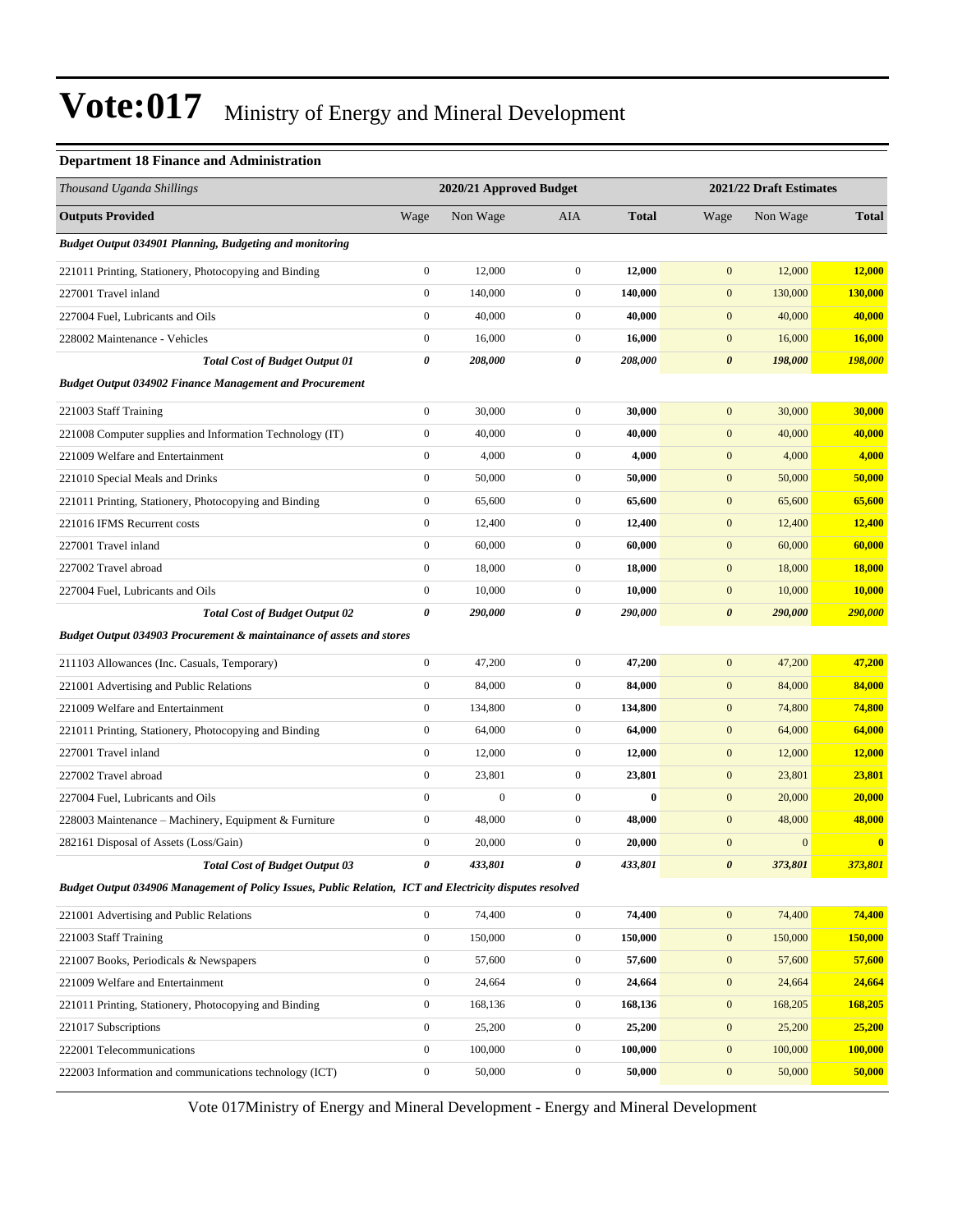#### **Department 18 Finance and Administration**

| Thousand Uganda Shillings                                                                                |                       | 2020/21 Approved Budget |                  |              |                       | 2021/22 Draft Estimates |               |  |
|----------------------------------------------------------------------------------------------------------|-----------------------|-------------------------|------------------|--------------|-----------------------|-------------------------|---------------|--|
| <b>Outputs Provided</b>                                                                                  | Wage                  | Non Wage                | AIA              | <b>Total</b> | Wage                  | Non Wage                | <b>Total</b>  |  |
| Budget Output 034901 Planning, Budgeting and monitoring                                                  |                       |                         |                  |              |                       |                         |               |  |
| 221011 Printing, Stationery, Photocopying and Binding                                                    | $\boldsymbol{0}$      | 12,000                  | $\mathbf{0}$     | 12,000       | $\mathbf{0}$          | 12,000                  | 12,000        |  |
| 227001 Travel inland                                                                                     | $\boldsymbol{0}$      | 140,000                 | $\boldsymbol{0}$ | 140,000      | $\mathbf{0}$          | 130,000                 | 130,000       |  |
| 227004 Fuel, Lubricants and Oils                                                                         | $\boldsymbol{0}$      | 40,000                  | $\boldsymbol{0}$ | 40,000       | $\mathbf{0}$          | 40,000                  | 40,000        |  |
| 228002 Maintenance - Vehicles                                                                            | $\mathbf{0}$          | 16,000                  | $\mathbf{0}$     | 16,000       | $\mathbf{0}$          | 16,000                  | 16,000        |  |
| <b>Total Cost of Budget Output 01</b>                                                                    | $\boldsymbol{\theta}$ | 208,000                 | 0                | 208,000      | $\boldsymbol{\theta}$ | 198,000                 | 198,000       |  |
| <b>Budget Output 034902 Finance Management and Procurement</b>                                           |                       |                         |                  |              |                       |                         |               |  |
| 221003 Staff Training                                                                                    | $\boldsymbol{0}$      | 30,000                  | $\boldsymbol{0}$ | 30,000       | $\mathbf{0}$          | 30,000                  | 30,000        |  |
| 221008 Computer supplies and Information Technology (IT)                                                 | $\boldsymbol{0}$      | 40,000                  | $\boldsymbol{0}$ | 40,000       | $\mathbf{0}$          | 40,000                  | 40,000        |  |
| 221009 Welfare and Entertainment                                                                         | $\boldsymbol{0}$      | 4,000                   | $\boldsymbol{0}$ | 4,000        | $\mathbf{0}$          | 4,000                   | 4,000         |  |
| 221010 Special Meals and Drinks                                                                          | $\boldsymbol{0}$      | 50,000                  | $\boldsymbol{0}$ | 50,000       | $\mathbf{0}$          | 50,000                  | 50,000        |  |
| 221011 Printing, Stationery, Photocopying and Binding                                                    | $\boldsymbol{0}$      | 65,600                  | $\boldsymbol{0}$ | 65,600       | $\mathbf{0}$          | 65,600                  | 65,600        |  |
| 221016 IFMS Recurrent costs                                                                              | $\boldsymbol{0}$      | 12,400                  | $\boldsymbol{0}$ | 12,400       | $\boldsymbol{0}$      | 12,400                  | 12,400        |  |
| 227001 Travel inland                                                                                     | $\boldsymbol{0}$      | 60,000                  | $\boldsymbol{0}$ | 60,000       | $\mathbf{0}$          | 60,000                  | 60,000        |  |
| 227002 Travel abroad                                                                                     | $\boldsymbol{0}$      | 18,000                  | $\boldsymbol{0}$ | 18,000       | $\mathbf{0}$          | 18,000                  | <b>18,000</b> |  |
| 227004 Fuel, Lubricants and Oils                                                                         | $\boldsymbol{0}$      | 10,000                  | $\boldsymbol{0}$ | 10,000       | $\mathbf{0}$          | 10,000                  | 10,000        |  |
| <b>Total Cost of Budget Output 02</b>                                                                    | 0                     | 290,000                 | 0                | 290,000      | $\boldsymbol{\theta}$ | 290,000                 | 290,000       |  |
| <b>Budget Output 034903 Procurement &amp; maintainance of assets and stores</b>                          |                       |                         |                  |              |                       |                         |               |  |
| 211103 Allowances (Inc. Casuals, Temporary)                                                              | $\boldsymbol{0}$      | 47,200                  | $\boldsymbol{0}$ | 47,200       | $\mathbf{0}$          | 47,200                  | 47,200        |  |
| 221001 Advertising and Public Relations                                                                  | $\boldsymbol{0}$      | 84,000                  | $\boldsymbol{0}$ | 84,000       | $\mathbf{0}$          | 84,000                  | 84,000        |  |
| 221009 Welfare and Entertainment                                                                         | $\boldsymbol{0}$      | 134,800                 | $\boldsymbol{0}$ | 134,800      | $\mathbf{0}$          | 74,800                  | 74,800        |  |
| 221011 Printing, Stationery, Photocopying and Binding                                                    | $\mathbf{0}$          | 64,000                  | $\mathbf{0}$     | 64,000       | $\mathbf{0}$          | 64,000                  | 64,000        |  |
| 227001 Travel inland                                                                                     | $\boldsymbol{0}$      | 12,000                  | $\boldsymbol{0}$ | 12,000       | $\mathbf{0}$          | 12,000                  | 12,000        |  |
| 227002 Travel abroad                                                                                     | $\boldsymbol{0}$      | 23,801                  | $\boldsymbol{0}$ | 23,801       | $\mathbf{0}$          | 23,801                  | 23,801        |  |
| 227004 Fuel, Lubricants and Oils                                                                         | $\boldsymbol{0}$      | $\mathbf{0}$            | $\boldsymbol{0}$ | $\bf{0}$     | $\mathbf{0}$          | 20,000                  | 20,000        |  |
| 228003 Maintenance – Machinery, Equipment & Furniture                                                    | $\boldsymbol{0}$      | 48,000                  | $\boldsymbol{0}$ | 48,000       | $\mathbf{0}$          | 48,000                  | 48,000        |  |
| 282161 Disposal of Assets (Loss/Gain)                                                                    | $\mathbf{0}$          | 20,000                  | $\boldsymbol{0}$ | 20,000       | $\mathbf{0}$          | $\mathbf{0}$            | $\bf{0}$      |  |
| <b>Total Cost of Budget Output 03</b>                                                                    | 0                     | 433,801                 | 0                | 433,801      | $\boldsymbol{\theta}$ | 373,801                 | 373,801       |  |
| Budget Output 034906 Management of Policy Issues, Public Relation, ICT and Electricity disputes resolved |                       |                         |                  |              |                       |                         |               |  |
| 221001 Advertising and Public Relations                                                                  | $\boldsymbol{0}$      | 74,400                  | $\boldsymbol{0}$ | 74,400       | $\mathbf{0}$          | 74,400                  | 74,400        |  |
| 221003 Staff Training                                                                                    | $\boldsymbol{0}$      | 150,000                 | $\boldsymbol{0}$ | 150,000      | $\mathbf{0}$          | 150,000                 | 150,000       |  |
| 221007 Books, Periodicals & Newspapers                                                                   | $\boldsymbol{0}$      | 57,600                  | 0                | 57,600       | $\boldsymbol{0}$      | 57,600                  | 57,600        |  |
| 221009 Welfare and Entertainment                                                                         | $\boldsymbol{0}$      | 24,664                  | $\boldsymbol{0}$ | 24,664       | $\boldsymbol{0}$      | 24,664                  | 24,664        |  |
| 221011 Printing, Stationery, Photocopying and Binding                                                    | $\boldsymbol{0}$      | 168,136                 | $\boldsymbol{0}$ | 168,136      | $\boldsymbol{0}$      | 168,205                 | 168,205       |  |
| 221017 Subscriptions                                                                                     | $\boldsymbol{0}$      | 25,200                  | $\boldsymbol{0}$ | 25,200       | $\boldsymbol{0}$      | 25,200                  | 25,200        |  |
| 222001 Telecommunications                                                                                | $\boldsymbol{0}$      | 100,000                 | $\boldsymbol{0}$ | 100,000      | $\mathbf{0}$          | 100,000                 | 100,000       |  |
| 222003 Information and communications technology (ICT)                                                   | $\boldsymbol{0}$      | 50,000                  | $\boldsymbol{0}$ | 50,000       | $\boldsymbol{0}$      | 50,000                  | 50,000        |  |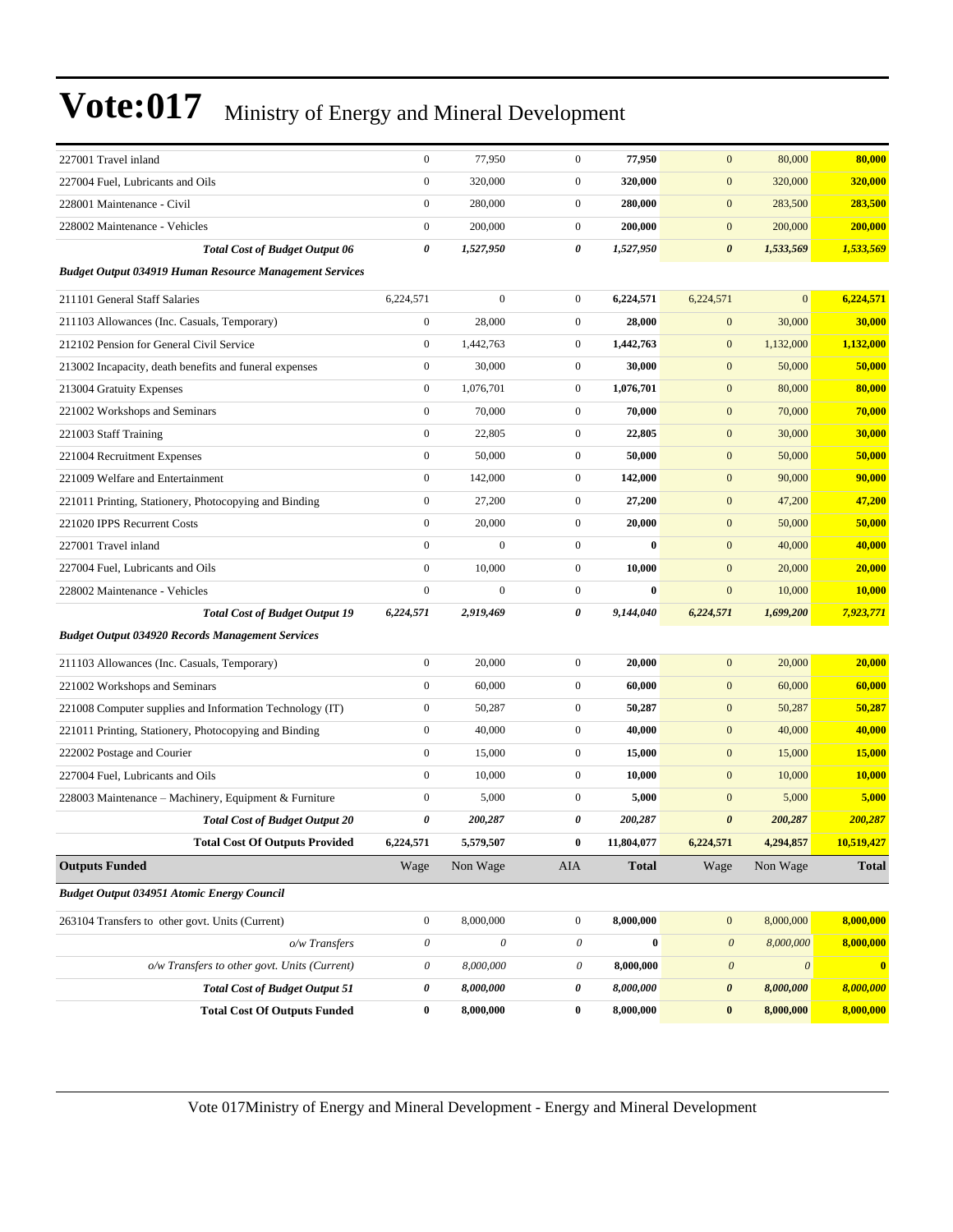| 227001 Travel inland                                           | $\boldsymbol{0}$          | 77,950       | $\boldsymbol{0}$      | 77,950       | $\mathbf{0}$          | 80,000                | 80,000        |
|----------------------------------------------------------------|---------------------------|--------------|-----------------------|--------------|-----------------------|-----------------------|---------------|
| 227004 Fuel, Lubricants and Oils                               | $\boldsymbol{0}$          | 320,000      | $\mathbf{0}$          | 320,000      | $\mathbf{0}$          | 320,000               | 320,000       |
| 228001 Maintenance - Civil                                     | $\boldsymbol{0}$          | 280,000      | $\mathbf{0}$          | 280,000      | $\mathbf{0}$          | 283,500               | 283,500       |
| 228002 Maintenance - Vehicles                                  | $\boldsymbol{0}$          | 200,000      | $\mathbf{0}$          | 200,000      | $\boldsymbol{0}$      | 200,000               | 200,000       |
| <b>Total Cost of Budget Output 06</b>                          | 0                         | 1,527,950    | $\boldsymbol{\theta}$ | 1,527,950    | $\boldsymbol{\theta}$ | 1,533,569             | 1,533,569     |
| <b>Budget Output 034919 Human Resource Management Services</b> |                           |              |                       |              |                       |                       |               |
| 211101 General Staff Salaries                                  | 6,224,571                 | $\mathbf{0}$ | $\mathbf{0}$          | 6,224,571    | 6,224,571             | $\overline{0}$        | 6,224,571     |
| 211103 Allowances (Inc. Casuals, Temporary)                    | $\boldsymbol{0}$          | 28,000       | $\mathbf{0}$          | 28,000       | $\boldsymbol{0}$      | 30,000                | 30,000        |
| 212102 Pension for General Civil Service                       | $\boldsymbol{0}$          | 1,442,763    | $\mathbf{0}$          | 1,442,763    | $\mathbf{0}$          | 1,132,000             | 1,132,000     |
| 213002 Incapacity, death benefits and funeral expenses         | $\boldsymbol{0}$          | 30,000       | $\mathbf{0}$          | 30,000       | $\boldsymbol{0}$      | 50,000                | 50,000        |
| 213004 Gratuity Expenses                                       | $\boldsymbol{0}$          | 1,076,701    | $\mathbf{0}$          | 1,076,701    | $\boldsymbol{0}$      | 80,000                | 80,000        |
| 221002 Workshops and Seminars                                  | $\boldsymbol{0}$          | 70,000       | $\mathbf{0}$          | 70,000       | $\boldsymbol{0}$      | 70,000                | 70,000        |
| 221003 Staff Training                                          | $\boldsymbol{0}$          | 22,805       | $\mathbf{0}$          | 22,805       | $\boldsymbol{0}$      | 30,000                | 30,000        |
| 221004 Recruitment Expenses                                    | $\boldsymbol{0}$          | 50,000       | $\mathbf{0}$          | 50,000       | $\mathbf{0}$          | 50,000                | 50,000        |
| 221009 Welfare and Entertainment                               | $\boldsymbol{0}$          | 142,000      | $\mathbf{0}$          | 142,000      | $\boldsymbol{0}$      | 90,000                | 90,000        |
| 221011 Printing, Stationery, Photocopying and Binding          | $\boldsymbol{0}$          | 27,200       | $\mathbf{0}$          | 27,200       | $\boldsymbol{0}$      | 47,200                | 47,200        |
| 221020 IPPS Recurrent Costs                                    | $\boldsymbol{0}$          | 20,000       | $\mathbf{0}$          | 20,000       | $\boldsymbol{0}$      | 50,000                | 50,000        |
| 227001 Travel inland                                           | $\mathbf{0}$              | $\mathbf{0}$ | $\mathbf{0}$          | $\bf{0}$     | $\mathbf{0}$          | 40,000                | 40,000        |
| 227004 Fuel, Lubricants and Oils                               | $\mathbf{0}$              | 10,000       | $\mathbf{0}$          | 10,000       | $\mathbf{0}$          | 20,000                | 20,000        |
| 228002 Maintenance - Vehicles                                  | $\boldsymbol{0}$          | $\mathbf{0}$ | $\mathbf{0}$          | $\bf{0}$     | $\boldsymbol{0}$      | 10,000                | <b>10,000</b> |
| <b>Total Cost of Budget Output 19</b>                          | 6,224,571                 | 2,919,469    | 0                     | 9,144,040    | 6,224,571             | 1,699,200             | 7,923,771     |
| <b>Budget Output 034920 Records Management Services</b>        |                           |              |                       |              |                       |                       |               |
| 211103 Allowances (Inc. Casuals, Temporary)                    | $\boldsymbol{0}$          | 20,000       | $\mathbf{0}$          | 20,000       | $\mathbf{0}$          | 20,000                | 20,000        |
| 221002 Workshops and Seminars                                  | $\boldsymbol{0}$          | 60,000       | $\mathbf{0}$          | 60,000       | $\boldsymbol{0}$      | 60,000                | 60,000        |
| 221008 Computer supplies and Information Technology (IT)       | $\boldsymbol{0}$          | 50,287       | $\mathbf{0}$          | 50,287       | $\mathbf{0}$          | 50,287                | 50,287        |
| 221011 Printing, Stationery, Photocopying and Binding          | $\boldsymbol{0}$          | 40,000       | $\mathbf{0}$          | 40,000       | $\boldsymbol{0}$      | 40,000                | 40,000        |
| 222002 Postage and Courier                                     | $\boldsymbol{0}$          | 15,000       | $\mathbf{0}$          | 15,000       | $\mathbf{0}$          | 15,000                | 15,000        |
| 227004 Fuel, Lubricants and Oils                               | $\mathbf{0}$              | 10,000       | $\mathbf{0}$          | 10,000       | $\mathbf{0}$          | 10,000                | 10,000        |
| 228003 Maintenance - Machinery, Equipment & Furniture          | $\boldsymbol{0}$          | 5,000        | $\mathbf{0}$          | 5,000        | $\mathbf{0}$          | 5,000                 | 5,000         |
| <b>Total Cost of Budget Output 20</b>                          | 0                         | 200,287      | 0                     | 200,287      | $\boldsymbol{\theta}$ | 200,287               | 200,287       |
| <b>Total Cost Of Outputs Provided</b>                          | 6,224,571                 | 5,579,507    | $\bf{0}$              | 11,804,077   | 6,224,571             | 4,294,857             | 10,519,427    |
| <b>Outputs Funded</b>                                          | Wage                      | Non Wage     | AIA                   | <b>Total</b> | Wage                  | Non Wage              | <b>Total</b>  |
| <b>Budget Output 034951 Atomic Energy Council</b>              |                           |              |                       |              |                       |                       |               |
| 263104 Transfers to other govt. Units (Current)                | $\boldsymbol{0}$          | 8,000,000    | $\mathbf{0}$          | 8,000,000    | $\boldsymbol{0}$      | 8,000,000             | 8,000,000     |
| o/w Transfers                                                  | $\boldsymbol{\theta}$     | $\mathcal O$ | 0                     | $\bf{0}$     | $\boldsymbol{\theta}$ | 8,000,000             | 8,000,000     |
| o/w Transfers to other govt. Units (Current)                   | $\boldsymbol{\mathit{0}}$ | 8,000,000    | 0                     | 8,000,000    | $\boldsymbol{\theta}$ | $\boldsymbol{\theta}$ | $\mathbf{0}$  |
| <b>Total Cost of Budget Output 51</b>                          | 0                         | 8,000,000    | 0                     | 8,000,000    | $\boldsymbol{\theta}$ | 8,000,000             | 8,000,000     |
| <b>Total Cost Of Outputs Funded</b>                            | $\boldsymbol{0}$          | 8,000,000    | $\bf{0}$              | 8,000,000    | $\bf{0}$              | 8,000,000             | 8,000,000     |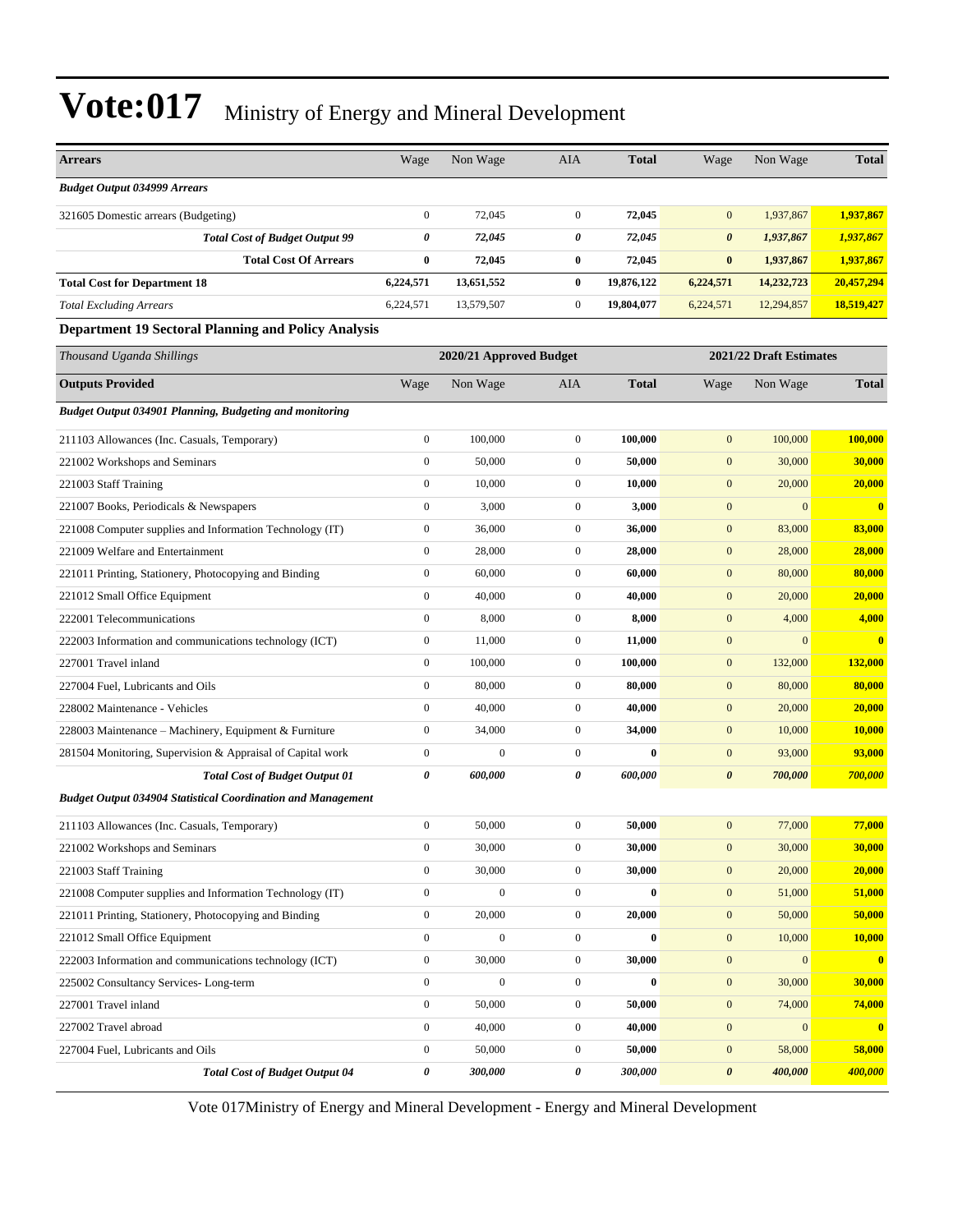| <b>Arrears</b>                                                      | Wage                  | Non Wage                | AIA              | <b>Total</b> | Wage                  | Non Wage                | <b>Total</b>            |  |  |
|---------------------------------------------------------------------|-----------------------|-------------------------|------------------|--------------|-----------------------|-------------------------|-------------------------|--|--|
| <b>Budget Output 034999 Arrears</b>                                 |                       |                         |                  |              |                       |                         |                         |  |  |
| 321605 Domestic arrears (Budgeting)                                 | $\mathbf{0}$          | 72,045                  | $\mathbf{0}$     | 72,045       | $\mathbf{0}$          | 1,937,867               | 1,937,867               |  |  |
| <b>Total Cost of Budget Output 99</b>                               | 0                     | 72,045                  | 0                | 72,045       | $\boldsymbol{\theta}$ | 1,937,867               | 1,937,867               |  |  |
| <b>Total Cost Of Arrears</b>                                        | $\bf{0}$              | 72,045                  | $\bf{0}$         | 72,045       | $\bf{0}$              | 1,937,867               | 1,937,867               |  |  |
| <b>Total Cost for Department 18</b>                                 | 6,224,571             | 13,651,552              | $\bf{0}$         | 19,876,122   | 6,224,571             | 14,232,723              | 20,457,294              |  |  |
| <b>Total Excluding Arrears</b>                                      | 6,224,571             | 13,579,507              | $\mathbf{0}$     | 19,804,077   | 6,224,571             | 12,294,857              | 18,519,427              |  |  |
| <b>Department 19 Sectoral Planning and Policy Analysis</b>          |                       |                         |                  |              |                       |                         |                         |  |  |
| Thousand Uganda Shillings                                           |                       | 2020/21 Approved Budget |                  |              |                       | 2021/22 Draft Estimates |                         |  |  |
| <b>Outputs Provided</b>                                             | Wage                  | Non Wage                | AIA              | <b>Total</b> | Wage                  | Non Wage                | <b>Total</b>            |  |  |
| <b>Budget Output 034901 Planning, Budgeting and monitoring</b>      |                       |                         |                  |              |                       |                         |                         |  |  |
| 211103 Allowances (Inc. Casuals, Temporary)                         | $\boldsymbol{0}$      | 100,000                 | $\mathbf{0}$     | 100,000      | $\mathbf{0}$          | 100,000                 | 100,000                 |  |  |
| 221002 Workshops and Seminars                                       | $\boldsymbol{0}$      | 50,000                  | $\mathbf{0}$     | 50,000       | $\mathbf{0}$          | 30,000                  | 30,000                  |  |  |
| 221003 Staff Training                                               | $\boldsymbol{0}$      | 10,000                  | $\mathbf{0}$     | 10,000       | $\mathbf{0}$          | 20,000                  | 20,000                  |  |  |
| 221007 Books, Periodicals & Newspapers                              | $\mathbf{0}$          | 3,000                   | $\mathbf{0}$     | 3,000        | $\mathbf{0}$          | $\mathbf{0}$            | $\bf{0}$                |  |  |
| 221008 Computer supplies and Information Technology (IT)            | $\boldsymbol{0}$      | 36,000                  | $\mathbf{0}$     | 36,000       | $\mathbf{0}$          | 83,000                  | 83,000                  |  |  |
| 221009 Welfare and Entertainment                                    | $\boldsymbol{0}$      | 28,000                  | $\overline{0}$   | 28,000       | $\mathbf{0}$          | 28,000                  | 28,000                  |  |  |
| 221011 Printing, Stationery, Photocopying and Binding               | $\boldsymbol{0}$      | 60,000                  | $\mathbf{0}$     | 60,000       | $\mathbf{0}$          | 80,000                  | 80,000                  |  |  |
| 221012 Small Office Equipment                                       | $\boldsymbol{0}$      | 40,000                  | $\mathbf{0}$     | 40,000       | $\mathbf{0}$          | 20,000                  | 20,000                  |  |  |
| 222001 Telecommunications                                           | $\mathbf{0}$          | 8,000                   | $\mathbf{0}$     | 8,000        | $\mathbf{0}$          | 4,000                   | 4,000                   |  |  |
| 222003 Information and communications technology (ICT)              | $\boldsymbol{0}$      | 11,000                  | $\mathbf{0}$     | 11,000       | $\mathbf{0}$          | $\mathbf{0}$            | $\overline{\mathbf{0}}$ |  |  |
| 227001 Travel inland                                                | $\mathbf{0}$          | 100,000                 | $\mathbf{0}$     | 100,000      | $\mathbf{0}$          | 132,000                 | 132,000                 |  |  |
| 227004 Fuel, Lubricants and Oils                                    | $\boldsymbol{0}$      | 80,000                  | $\mathbf{0}$     | 80,000       | $\mathbf{0}$          | 80,000                  | 80,000                  |  |  |
| 228002 Maintenance - Vehicles                                       | $\boldsymbol{0}$      | 40,000                  | $\mathbf{0}$     | 40,000       | $\mathbf{0}$          | 20,000                  | 20,000                  |  |  |
| 228003 Maintenance - Machinery, Equipment & Furniture               | $\boldsymbol{0}$      | 34,000                  | $\mathbf{0}$     | 34,000       | $\mathbf{0}$          | 10,000                  | 10,000                  |  |  |
| 281504 Monitoring, Supervision & Appraisal of Capital work          | $\boldsymbol{0}$      | $\mathbf{0}$            | $\mathbf{0}$     | $\bf{0}$     | $\mathbf{0}$          | 93,000                  | 93,000                  |  |  |
| <b>Total Cost of Budget Output 01</b>                               | $\boldsymbol{\theta}$ | 600,000                 | 0                | 600,000      | $\boldsymbol{\theta}$ | 700,000                 | 700,000                 |  |  |
| <b>Budget Output 034904 Statistical Coordination and Management</b> |                       |                         |                  |              |                       |                         |                         |  |  |
| 211103 Allowances (Inc. Casuals, Temporary)                         | $\boldsymbol{0}$      | 50,000                  | $\mathbf{0}$     | 50,000       | $\mathbf{0}$          | 77,000                  | 77,000                  |  |  |
| 221002 Workshops and Seminars                                       | $\boldsymbol{0}$      | 30,000                  | $\boldsymbol{0}$ | 30,000       | $\mathbf{0}$          | 30,000                  | 30,000                  |  |  |
| 221003 Staff Training                                               | $\boldsymbol{0}$      | 30,000                  | $\boldsymbol{0}$ | 30,000       | $\mathbf{0}$          | 20,000                  | 20,000                  |  |  |
| 221008 Computer supplies and Information Technology (IT)            | $\boldsymbol{0}$      | $\boldsymbol{0}$        | $\mathbf{0}$     | $\bf{0}$     | $\mathbf{0}$          | 51,000                  | 51,000                  |  |  |
| 221011 Printing, Stationery, Photocopying and Binding               | $\boldsymbol{0}$      | 20,000                  | $\boldsymbol{0}$ | 20,000       | $\boldsymbol{0}$      | 50,000                  | 50,000                  |  |  |
| 221012 Small Office Equipment                                       | $\boldsymbol{0}$      | $\boldsymbol{0}$        | $\boldsymbol{0}$ | $\bf{0}$     | $\boldsymbol{0}$      | 10,000                  | 10,000                  |  |  |
| 222003 Information and communications technology (ICT)              | $\boldsymbol{0}$      | 30,000                  | $\boldsymbol{0}$ | 30,000       | $\boldsymbol{0}$      | $\boldsymbol{0}$        | $\overline{\mathbf{0}}$ |  |  |
| 225002 Consultancy Services-Long-term                               | $\boldsymbol{0}$      | $\boldsymbol{0}$        | $\boldsymbol{0}$ | $\bf{0}$     | $\boldsymbol{0}$      | 30,000                  | 30,000                  |  |  |
| 227001 Travel inland                                                | $\boldsymbol{0}$      | 50,000                  | $\mathbf{0}$     | 50,000       | $\mathbf{0}$          | 74,000                  | 74,000                  |  |  |
| 227002 Travel abroad                                                | $\boldsymbol{0}$      | 40,000                  | $\boldsymbol{0}$ | 40,000       | $\mathbf{0}$          | $\mathbf{0}$            | $\bf{0}$                |  |  |
| 227004 Fuel, Lubricants and Oils                                    | $\boldsymbol{0}$      | 50,000                  | $\boldsymbol{0}$ | 50,000       | $\boldsymbol{0}$      | 58,000                  | 58,000                  |  |  |
| <b>Total Cost of Budget Output 04</b>                               | $\pmb{\theta}$        | 300,000                 | 0                | 300,000      | $\boldsymbol{\theta}$ | 400,000                 | 400,000                 |  |  |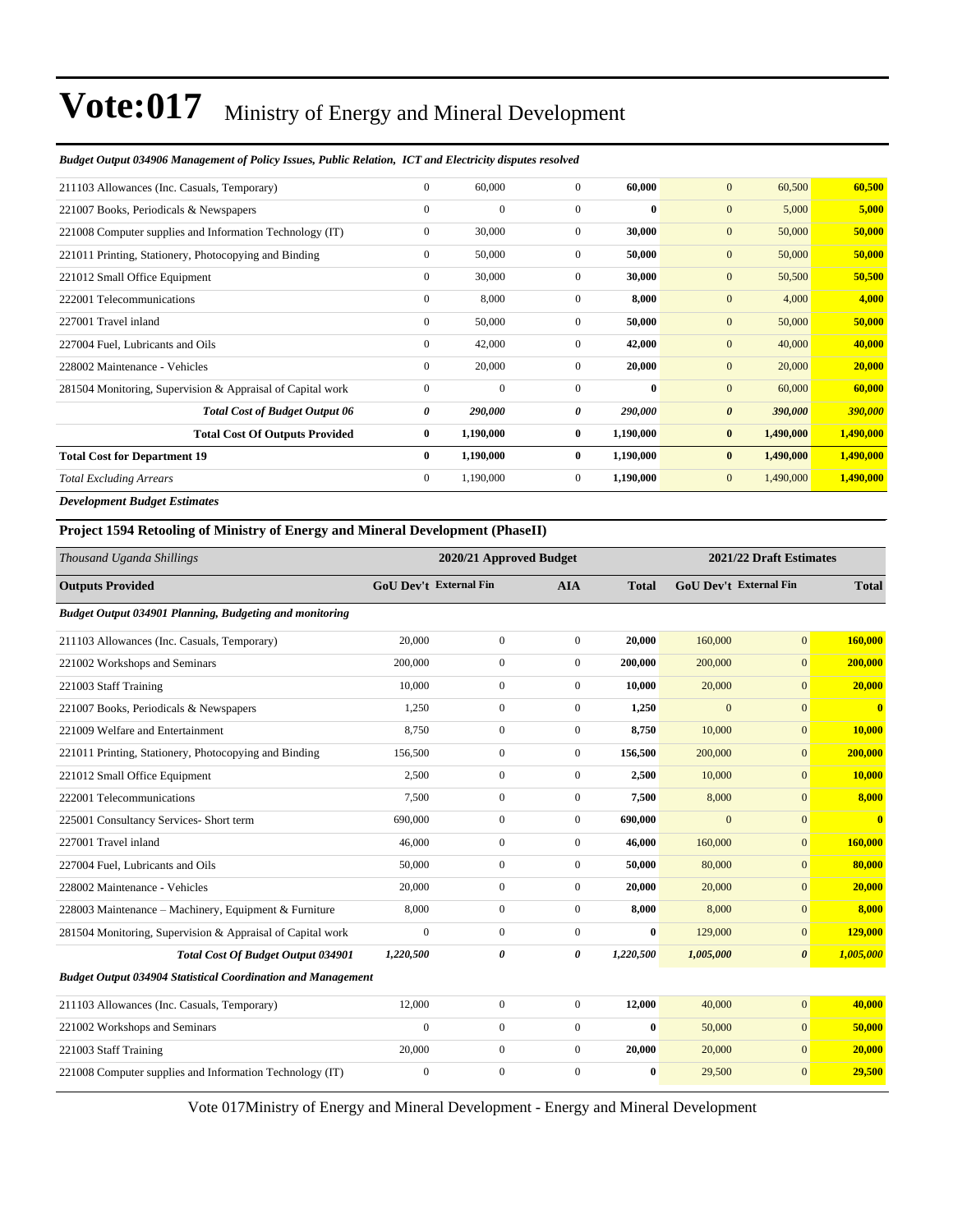#### *Budget Output 034906 Management of Policy Issues, Public Relation, ICT and Electricity disputes resolved*

| 211103 Allowances (Inc. Casuals, Temporary)                | $\mathbf{0}$   | 60,000       | $\mathbf{0}$   | 60,000       | $\mathbf{0}$<br>60,500           | 60,500    |
|------------------------------------------------------------|----------------|--------------|----------------|--------------|----------------------------------|-----------|
| 221007 Books, Periodicals & Newspapers                     | $\mathbf{0}$   | $\mathbf{0}$ | $\Omega$       | $\mathbf{0}$ | $\mathbf{0}$<br>5,000            | 5,000     |
| 221008 Computer supplies and Information Technology (IT)   | $\overline{0}$ | 30,000       | $\mathbf{0}$   | 30,000       | $\mathbf{0}$<br>50,000           | 50,000    |
| 221011 Printing, Stationery, Photocopying and Binding      | $\mathbf{0}$   | 50,000       | $\overline{0}$ | 50,000       | 50,000<br>$\mathbf{0}$           | 50,000    |
| 221012 Small Office Equipment                              | $\mathbf{0}$   | 30,000       | $\mathbf{0}$   | 30,000       | $\mathbf{0}$<br>50,500           | 50,500    |
| 222001 Telecommunications                                  | $\mathbf{0}$   | 8,000        | $\mathbf{0}$   | 8,000        | $\mathbf{0}$<br>4,000            | 4,000     |
| 227001 Travel inland                                       | $\mathbf{0}$   | 50,000       | $\mathbf{0}$   | 50,000       | $\mathbf{0}$<br>50,000           | 50,000    |
| 227004 Fuel, Lubricants and Oils                           | $\mathbf{0}$   | 42,000       | $\mathbf{0}$   | 42,000       | 40,000<br>$\mathbf{0}$           | 40,000    |
| 228002 Maintenance - Vehicles                              | $\theta$       | 20,000       | $\mathbf{0}$   | 20,000       | $\mathbf{0}$<br>20,000           | 20,000    |
| 281504 Monitoring, Supervision & Appraisal of Capital work | $\mathbf{0}$   | $\mathbf{0}$ | $\Omega$       | $\mathbf{0}$ | $\overline{0}$<br>60,000         | 60,000    |
| <b>Total Cost of Budget Output 06</b>                      | 0              | 290,000      | 0              | 290,000      | $\boldsymbol{\theta}$<br>390,000 | 390,000   |
| <b>Total Cost Of Outputs Provided</b>                      | $\bf{0}$       | 1,190,000    | $\bf{0}$       | 1,190,000    | 1,490,000<br>$\bf{0}$            | 1,490,000 |
| <b>Total Cost for Department 19</b>                        | $\bf{0}$       | 1,190,000    | $\bf{0}$       | 1,190,000    | 1,490,000<br>$\bf{0}$            | 1,490,000 |
| <b>Total Excluding Arrears</b>                             | $\overline{0}$ | 1,190,000    | $\mathbf{0}$   | 1,190,000    | 1,490,000<br>$\mathbf{0}$        | 1,490,000 |
|                                                            |                |              |                |              |                                  |           |

*Development Budget Estimates*

**Project 1594 Retooling of Ministry of Energy and Mineral Development (PhaseII)**

| Thousand Uganda Shillings                                           | 2020/21 Approved Budget |                  |                  |              | 2021/22 Draft Estimates |                               |              |
|---------------------------------------------------------------------|-------------------------|------------------|------------------|--------------|-------------------------|-------------------------------|--------------|
| <b>Outputs Provided</b>                                             | GoU Dev't External Fin  |                  | <b>AIA</b>       | <b>Total</b> |                         | <b>GoU</b> Dev't External Fin | <b>Total</b> |
| Budget Output 034901 Planning, Budgeting and monitoring             |                         |                  |                  |              |                         |                               |              |
| 211103 Allowances (Inc. Casuals, Temporary)                         | 20,000                  | $\boldsymbol{0}$ | $\overline{0}$   | 20,000       | 160,000                 | $\mathbf{0}$                  | 160,000      |
| 221002 Workshops and Seminars                                       | 200,000                 | $\boldsymbol{0}$ | $\overline{0}$   | 200,000      | 200,000                 | $\overline{0}$                | 200,000      |
| 221003 Staff Training                                               | 10.000                  | $\boldsymbol{0}$ | $\Omega$         | 10,000       | 20,000                  | $\overline{0}$                | 20,000       |
| 221007 Books, Periodicals & Newspapers                              | 1,250                   | $\boldsymbol{0}$ | $\boldsymbol{0}$ | 1,250        | $\mathbf{0}$            | $\mathbf{0}$                  | $\mathbf{0}$ |
| 221009 Welfare and Entertainment                                    | 8,750                   | $\overline{0}$   | $\overline{0}$   | 8,750        | 10,000                  | $\overline{0}$                | 10,000       |
| 221011 Printing, Stationery, Photocopying and Binding               | 156,500                 | $\overline{0}$   | $\mathbf{0}$     | 156,500      | 200,000                 | $\overline{0}$                | 200,000      |
| 221012 Small Office Equipment                                       | 2,500                   | $\boldsymbol{0}$ | $\overline{0}$   | 2,500        | 10,000                  | $\overline{0}$                | 10,000       |
| 222001 Telecommunications                                           | 7,500                   | $\boldsymbol{0}$ | $\mathbf{0}$     | 7,500        | 8,000                   | $\overline{0}$                | 8,000        |
| 225001 Consultancy Services- Short term                             | 690,000                 | $\boldsymbol{0}$ | $\mathbf{0}$     | 690,000      | $\overline{0}$          | $\overline{0}$                | $\mathbf{0}$ |
| 227001 Travel inland                                                | 46,000                  | $\boldsymbol{0}$ | $\mathbf{0}$     | 46,000       | 160,000                 | $\mathbf{0}$                  | 160,000      |
| 227004 Fuel, Lubricants and Oils                                    | 50,000                  | $\boldsymbol{0}$ | $\mathbf{0}$     | 50,000       | 80,000                  | $\overline{0}$                | 80,000       |
| 228002 Maintenance - Vehicles                                       | 20,000                  | $\boldsymbol{0}$ | $\mathbf{0}$     | 20,000       | 20,000                  | $\overline{0}$                | 20,000       |
| 228003 Maintenance - Machinery, Equipment & Furniture               | 8,000                   | $\overline{0}$   | $\overline{0}$   | 8,000        | 8,000                   | $\overline{0}$                | 8,000        |
| 281504 Monitoring, Supervision & Appraisal of Capital work          | $\mathbf{0}$            | $\boldsymbol{0}$ | $\overline{0}$   | $\bf{0}$     | 129,000                 | $\overline{0}$                | 129,000      |
| <b>Total Cost Of Budget Output 034901</b>                           | 1,220,500               | $\theta$         | 0                | 1,220,500    | 1,005,000               | $\boldsymbol{\theta}$         | 1,005,000    |
| <b>Budget Output 034904 Statistical Coordination and Management</b> |                         |                  |                  |              |                         |                               |              |
| 211103 Allowances (Inc. Casuals, Temporary)                         | 12,000                  | $\boldsymbol{0}$ | $\mathbf{0}$     | 12,000       | 40,000                  | $\mathbf{0}$                  | 40,000       |
| 221002 Workshops and Seminars                                       | $\boldsymbol{0}$        | $\boldsymbol{0}$ | $\boldsymbol{0}$ | $\bf{0}$     | 50,000                  | $\mathbf{0}$                  | 50,000       |
| 221003 Staff Training                                               | 20,000                  | $\boldsymbol{0}$ | $\overline{0}$   | 20,000       | 20,000                  | $\overline{0}$                | 20,000       |
| 221008 Computer supplies and Information Technology (IT)            | $\mathbf{0}$            | $\overline{0}$   | $\Omega$         | 0            | 29,500                  | $\overline{0}$                | 29,500       |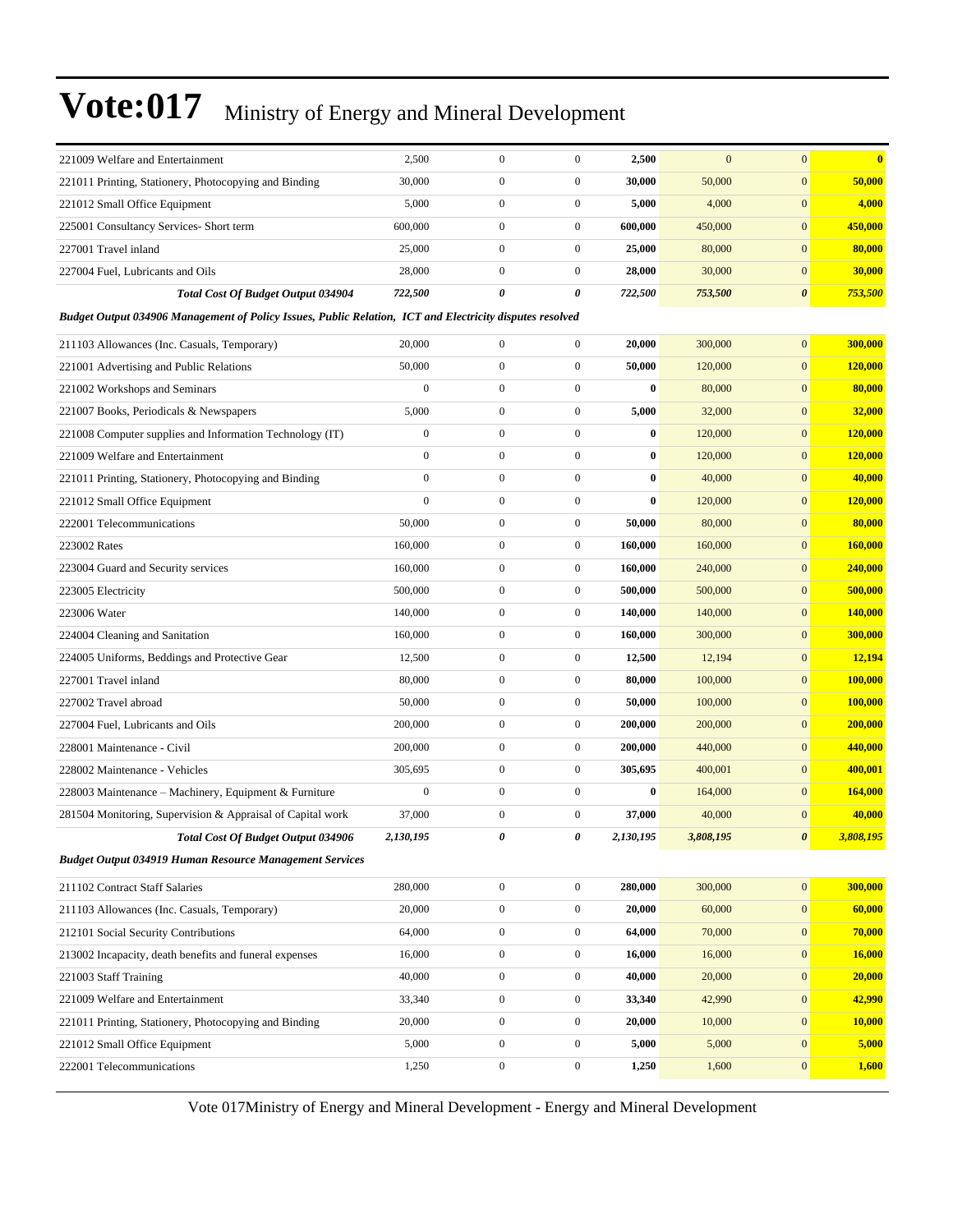| 221009 Welfare and Entertainment                                                                         | 2,500            | $\mathbf{0}$     | $\boldsymbol{0}$ | 2,500     | $\mathbf{0}$ | $\mathbf{0}$          | $\overline{\mathbf{0}}$ |  |  |
|----------------------------------------------------------------------------------------------------------|------------------|------------------|------------------|-----------|--------------|-----------------------|-------------------------|--|--|
| 221011 Printing, Stationery, Photocopying and Binding                                                    | 30,000           | $\boldsymbol{0}$ | $\boldsymbol{0}$ | 30,000    | 50,000       | $\mathbf{0}$          | 50,000                  |  |  |
| 221012 Small Office Equipment                                                                            | 5,000            | $\boldsymbol{0}$ | $\boldsymbol{0}$ | 5,000     | 4,000        | $\mathbf{0}$          | 4,000                   |  |  |
| 225001 Consultancy Services- Short term                                                                  | 600,000          | $\boldsymbol{0}$ | $\boldsymbol{0}$ | 600,000   | 450,000      | $\boldsymbol{0}$      | 450,000                 |  |  |
| 227001 Travel inland                                                                                     | 25,000           | $\boldsymbol{0}$ | $\boldsymbol{0}$ | 25,000    | 80,000       | $\boldsymbol{0}$      | 80,000                  |  |  |
| 227004 Fuel, Lubricants and Oils                                                                         | 28,000           | $\mathbf{0}$     | $\boldsymbol{0}$ | 28,000    | 30,000       | $\mathbf{0}$          | 30,000                  |  |  |
| <b>Total Cost Of Budget Output 034904</b>                                                                | 722,500          | 0                | 0                | 722,500   | 753,500      | $\boldsymbol{\theta}$ | 753,500                 |  |  |
| Budget Output 034906 Management of Policy Issues, Public Relation, ICT and Electricity disputes resolved |                  |                  |                  |           |              |                       |                         |  |  |
| 211103 Allowances (Inc. Casuals, Temporary)                                                              | 20,000           | $\boldsymbol{0}$ | $\boldsymbol{0}$ | 20,000    | 300,000      | $\mathbf{0}$          | 300,000                 |  |  |
| 221001 Advertising and Public Relations                                                                  | 50,000           | $\mathbf{0}$     | $\boldsymbol{0}$ | 50,000    | 120,000      | $\boldsymbol{0}$      | 120,000                 |  |  |
| 221002 Workshops and Seminars                                                                            | $\boldsymbol{0}$ | $\boldsymbol{0}$ | $\boldsymbol{0}$ | $\bf{0}$  | 80,000       | $\boldsymbol{0}$      | 80,000                  |  |  |
| 221007 Books, Periodicals & Newspapers                                                                   | 5,000            | $\mathbf{0}$     | $\boldsymbol{0}$ | 5,000     | 32,000       | $\boldsymbol{0}$      | 32,000                  |  |  |
| 221008 Computer supplies and Information Technology (IT)                                                 | $\boldsymbol{0}$ | $\mathbf{0}$     | $\boldsymbol{0}$ | $\bf{0}$  | 120,000      | $\boldsymbol{0}$      | 120,000                 |  |  |
| 221009 Welfare and Entertainment                                                                         | $\mathbf{0}$     | $\boldsymbol{0}$ | $\boldsymbol{0}$ | $\bf{0}$  | 120,000      | $\mathbf{0}$          | 120,000                 |  |  |
| 221011 Printing, Stationery, Photocopying and Binding                                                    | $\mathbf{0}$     | $\mathbf{0}$     | $\boldsymbol{0}$ | $\bf{0}$  | 40,000       | $\boldsymbol{0}$      | 40,000                  |  |  |
| 221012 Small Office Equipment                                                                            | $\mathbf{0}$     | $\boldsymbol{0}$ | $\boldsymbol{0}$ | $\bf{0}$  | 120,000      | $\boldsymbol{0}$      | 120,000                 |  |  |
| 222001 Telecommunications                                                                                | 50,000           | $\mathbf{0}$     | $\boldsymbol{0}$ | 50,000    | 80,000       | $\boldsymbol{0}$      | 80,000                  |  |  |
| 223002 Rates                                                                                             | 160,000          | $\mathbf{0}$     | $\boldsymbol{0}$ | 160,000   | 160,000      | $\boldsymbol{0}$      | 160,000                 |  |  |
| 223004 Guard and Security services                                                                       | 160,000          | $\boldsymbol{0}$ | $\boldsymbol{0}$ | 160,000   | 240,000      | $\mathbf{0}$          | 240,000                 |  |  |
| 223005 Electricity                                                                                       | 500,000          | $\boldsymbol{0}$ | $\boldsymbol{0}$ | 500,000   | 500,000      | $\boldsymbol{0}$      | 500,000                 |  |  |
| 223006 Water                                                                                             | 140,000          | $\boldsymbol{0}$ | $\boldsymbol{0}$ | 140,000   | 140,000      | $\boldsymbol{0}$      | 140,000                 |  |  |
| 224004 Cleaning and Sanitation                                                                           | 160,000          | $\mathbf{0}$     | $\boldsymbol{0}$ | 160,000   | 300,000      | $\boldsymbol{0}$      | 300,000                 |  |  |
| 224005 Uniforms, Beddings and Protective Gear                                                            | 12,500           | $\mathbf{0}$     | $\boldsymbol{0}$ | 12,500    | 12,194       | $\boldsymbol{0}$      | 12,194                  |  |  |
| 227001 Travel inland                                                                                     | 80,000           | $\mathbf{0}$     | $\boldsymbol{0}$ | 80,000    | 100,000      | $\mathbf{0}$          | 100,000                 |  |  |
| 227002 Travel abroad                                                                                     | 50,000           | $\boldsymbol{0}$ | $\boldsymbol{0}$ | 50,000    | 100,000      | $\boldsymbol{0}$      | 100,000                 |  |  |
| 227004 Fuel, Lubricants and Oils                                                                         | 200,000          | $\boldsymbol{0}$ | $\boldsymbol{0}$ | 200,000   | 200,000      | $\boldsymbol{0}$      | 200,000                 |  |  |
| 228001 Maintenance - Civil                                                                               | 200,000          | $\mathbf{0}$     | $\boldsymbol{0}$ | 200,000   | 440,000      | $\boldsymbol{0}$      | 440,000                 |  |  |
| 228002 Maintenance - Vehicles                                                                            | 305,695          | $\mathbf{0}$     | $\boldsymbol{0}$ | 305,695   | 400,001      | $\boldsymbol{0}$      | 400,001                 |  |  |
| 228003 Maintenance – Machinery, Equipment & Furniture                                                    | $\boldsymbol{0}$ | $\boldsymbol{0}$ | $\boldsymbol{0}$ | $\bf{0}$  | 164,000      | $\mathbf{0}$          | 164,000                 |  |  |
| 281504 Monitoring, Supervision & Appraisal of Capital work                                               | 37,000           | $\mathbf{0}$     | $\boldsymbol{0}$ | 37,000    | 40,000       | $\boldsymbol{0}$      | 40,000                  |  |  |
| <b>Total Cost Of Budget Output 034906</b>                                                                | 2,130,195        | 0                | 0                | 2,130,195 | 3,808,195    | $\boldsymbol{\theta}$ | 3,808,195               |  |  |
| <b>Budget Output 034919 Human Resource Management Services</b>                                           |                  |                  |                  |           |              |                       |                         |  |  |
| 211102 Contract Staff Salaries                                                                           | 280,000          | $\boldsymbol{0}$ | $\boldsymbol{0}$ | 280,000   | 300,000      | $\mathbf{0}$          | 300,000                 |  |  |
| 211103 Allowances (Inc. Casuals, Temporary)                                                              | 20,000           | $\boldsymbol{0}$ | $\boldsymbol{0}$ | 20,000    | 60,000       | $\boldsymbol{0}$      | 60,000                  |  |  |
| 212101 Social Security Contributions                                                                     | 64,000           | $\boldsymbol{0}$ | $\boldsymbol{0}$ | 64,000    | 70,000       | $\mathbf{0}$          | 70,000                  |  |  |
| 213002 Incapacity, death benefits and funeral expenses                                                   | 16,000           | $\boldsymbol{0}$ | $\boldsymbol{0}$ | 16,000    | 16,000       | $\mathbf{0}$          | 16,000                  |  |  |
| 221003 Staff Training                                                                                    | 40,000           | $\boldsymbol{0}$ | $\boldsymbol{0}$ | 40,000    | 20,000       | $\mathbf{0}$          | 20,000                  |  |  |
| 221009 Welfare and Entertainment                                                                         | 33,340           | $\boldsymbol{0}$ | $\boldsymbol{0}$ | 33,340    | 42,990       | $\boldsymbol{0}$      | 42,990                  |  |  |
| 221011 Printing, Stationery, Photocopying and Binding                                                    | 20,000           | $\boldsymbol{0}$ | $\boldsymbol{0}$ | 20,000    | 10,000       | $\boldsymbol{0}$      | 10,000                  |  |  |
| 221012 Small Office Equipment                                                                            | 5,000            | $\boldsymbol{0}$ | $\boldsymbol{0}$ | 5,000     | 5,000        | $\boldsymbol{0}$      | 5,000                   |  |  |
| 222001 Telecommunications                                                                                | 1,250            | $\boldsymbol{0}$ | $\boldsymbol{0}$ | 1,250     | 1,600        | $\mathbf{0}$          | 1,600                   |  |  |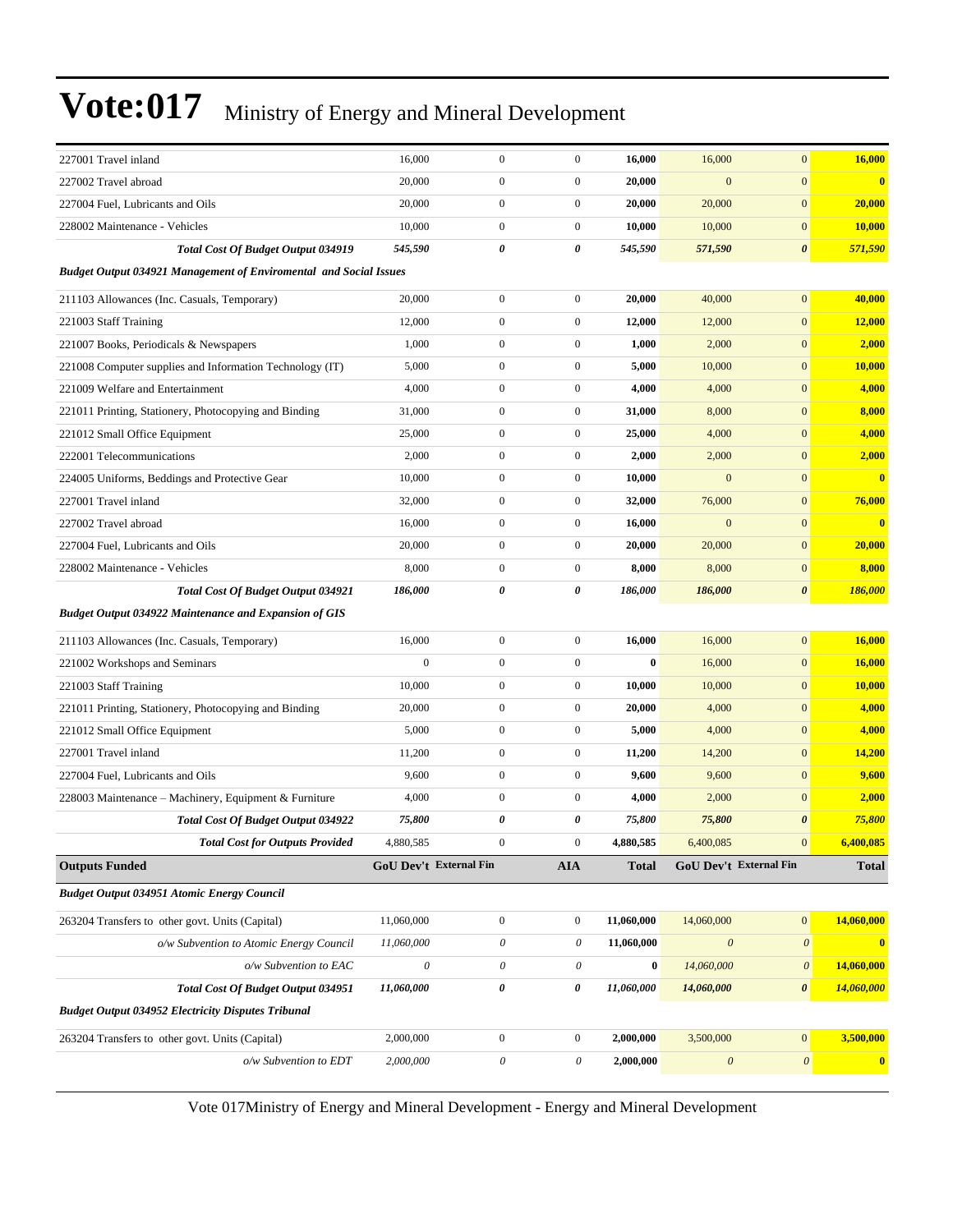| 227001 Travel inland                                                     | 16,000                        | $\boldsymbol{0}$          | $\boldsymbol{0}$      | 16,000     | 16,000                        | $\mathbf{0}$              | 16,000                  |  |  |  |
|--------------------------------------------------------------------------|-------------------------------|---------------------------|-----------------------|------------|-------------------------------|---------------------------|-------------------------|--|--|--|
| 227002 Travel abroad                                                     | 20,000                        | $\boldsymbol{0}$          | $\overline{0}$        | 20,000     | $\mathbf{0}$                  | $\mathbf{0}$              | $\mathbf{0}$            |  |  |  |
| 227004 Fuel, Lubricants and Oils                                         | 20,000                        | $\boldsymbol{0}$          | $\boldsymbol{0}$      | 20,000     | 20,000                        | $\boldsymbol{0}$          | 20,000                  |  |  |  |
| 228002 Maintenance - Vehicles                                            | 10,000                        | $\boldsymbol{0}$          | $\boldsymbol{0}$      | 10,000     | 10,000                        | $\mathbf{0}$              | 10,000                  |  |  |  |
| <b>Total Cost Of Budget Output 034919</b>                                | 545,590                       | 0                         | 0                     | 545,590    | 571,590                       | $\boldsymbol{\theta}$     | 571,590                 |  |  |  |
| <b>Budget Output 034921 Management of Enviromental and Social Issues</b> |                               |                           |                       |            |                               |                           |                         |  |  |  |
| 211103 Allowances (Inc. Casuals, Temporary)                              | 20,000                        | $\boldsymbol{0}$          | $\boldsymbol{0}$      | 20,000     | 40,000                        | $\mathbf{0}$              | 40,000                  |  |  |  |
| 221003 Staff Training                                                    | 12,000                        | $\overline{0}$            | $\boldsymbol{0}$      | 12,000     | 12,000                        | $\mathbf{0}$              | 12,000                  |  |  |  |
| 221007 Books, Periodicals & Newspapers                                   | 1,000                         | $\boldsymbol{0}$          | $\overline{0}$        | 1,000      | 2,000                         | $\mathbf{0}$              | 2,000                   |  |  |  |
| 221008 Computer supplies and Information Technology (IT)                 | 5,000                         | $\boldsymbol{0}$          | $\boldsymbol{0}$      | 5,000      | 10,000                        | $\mathbf{0}$              | 10,000                  |  |  |  |
| 221009 Welfare and Entertainment                                         | 4,000                         | $\boldsymbol{0}$          | $\boldsymbol{0}$      | 4,000      | 4,000                         | $\boldsymbol{0}$          | 4,000                   |  |  |  |
| 221011 Printing, Stationery, Photocopying and Binding                    | 31,000                        | $\boldsymbol{0}$          | $\boldsymbol{0}$      | 31,000     | 8,000                         | $\mathbf{0}$              | 8,000                   |  |  |  |
| 221012 Small Office Equipment                                            | 25,000                        | $\mathbf{0}$              | $\boldsymbol{0}$      | 25,000     | 4,000                         | $\mathbf{0}$              | 4,000                   |  |  |  |
| 222001 Telecommunications                                                | 2,000                         | $\boldsymbol{0}$          | $\boldsymbol{0}$      | 2,000      | 2,000                         | $\mathbf{0}$              | 2,000                   |  |  |  |
| 224005 Uniforms, Beddings and Protective Gear                            | 10,000                        | $\boldsymbol{0}$          | $\boldsymbol{0}$      | 10,000     | $\mathbf{0}$                  | $\mathbf{0}$              | $\mathbf{0}$            |  |  |  |
| 227001 Travel inland                                                     | 32,000                        | $\boldsymbol{0}$          | $\boldsymbol{0}$      | 32,000     | 76,000                        | $\boldsymbol{0}$          | 76,000                  |  |  |  |
| 227002 Travel abroad                                                     | 16,000                        | $\boldsymbol{0}$          | $\boldsymbol{0}$      | 16,000     | $\mathbf{0}$                  | $\mathbf{0}$              | $\bf{0}$                |  |  |  |
| 227004 Fuel, Lubricants and Oils                                         | 20,000                        | $\mathbf{0}$              | $\boldsymbol{0}$      | 20,000     | 20,000                        | $\mathbf{0}$              | 20,000                  |  |  |  |
| 228002 Maintenance - Vehicles                                            | 8,000                         | $\mathbf{0}$              | $\boldsymbol{0}$      | 8,000      | 8,000                         | $\mathbf{0}$              | 8,000                   |  |  |  |
| Total Cost Of Budget Output 034921                                       | 186,000                       | 0                         | 0                     | 186,000    | 186,000                       | $\boldsymbol{\theta}$     | 186,000                 |  |  |  |
| <b>Budget Output 034922 Maintenance and Expansion of GIS</b>             |                               |                           |                       |            |                               |                           |                         |  |  |  |
| 211103 Allowances (Inc. Casuals, Temporary)                              | 16,000                        | $\boldsymbol{0}$          | $\boldsymbol{0}$      | 16,000     | 16,000                        | $\mathbf{0}$              | 16,000                  |  |  |  |
| 221002 Workshops and Seminars                                            | $\mathbf{0}$                  | $\boldsymbol{0}$          | $\boldsymbol{0}$      | $\bf{0}$   | 16,000                        | $\mathbf{0}$              | 16,000                  |  |  |  |
| 221003 Staff Training                                                    | 10,000                        | $\boldsymbol{0}$          | $\boldsymbol{0}$      | 10,000     | 10,000                        | $\mathbf{0}$              | 10,000                  |  |  |  |
| 221011 Printing, Stationery, Photocopying and Binding                    | 20,000                        | $\boldsymbol{0}$          | $\boldsymbol{0}$      | 20,000     | 4,000                         | $\mathbf{0}$              | 4,000                   |  |  |  |
| 221012 Small Office Equipment                                            | 5,000                         | $\boldsymbol{0}$          | $\boldsymbol{0}$      | 5,000      | 4,000                         | $\boldsymbol{0}$          | 4,000                   |  |  |  |
| 227001 Travel inland                                                     | 11,200                        | $\mathbf{0}$              | $\boldsymbol{0}$      | 11,200     | 14,200                        | $\mathbf{0}$              | 14,200                  |  |  |  |
| 227004 Fuel, Lubricants and Oils                                         | 9,600                         | $\boldsymbol{0}$          | $\boldsymbol{0}$      | 9,600      | 9,600                         | $\mathbf{0}$              | 9,600                   |  |  |  |
| 228003 Maintenance – Machinery, Equipment & Furniture                    | 4,000                         | $\mathbf{0}$              | $\boldsymbol{0}$      | 4,000      | 2,000                         | $\mathbf{0}$              | 2,000                   |  |  |  |
| Total Cost Of Budget Output 034922                                       | 75,800                        | 0                         | 0                     | 75,800     | 75,800                        | $\boldsymbol{\theta}$     | 75,800                  |  |  |  |
| <b>Total Cost for Outputs Provided</b>                                   | 4,880,585                     | $\mathbf{0}$              | $\boldsymbol{0}$      | 4,880,585  | 6,400,085                     | $\mathbf{0}$              | 6,400,085               |  |  |  |
| <b>Outputs Funded</b>                                                    | <b>GoU Dev't External Fin</b> |                           | <b>AIA</b>            | Total      | <b>GoU Dev't External Fin</b> |                           | <b>Total</b>            |  |  |  |
| <b>Budget Output 034951 Atomic Energy Council</b>                        |                               |                           |                       |            |                               |                           |                         |  |  |  |
| 263204 Transfers to other govt. Units (Capital)                          | 11,060,000                    | $\boldsymbol{0}$          | $\boldsymbol{0}$      | 11,060,000 | 14,060,000                    | $\vert 0 \vert$           | 14,060,000              |  |  |  |
| o/w Subvention to Atomic Energy Council                                  | 11,060,000                    | $\boldsymbol{\mathit{0}}$ | $\theta$              | 11,060,000 | $\boldsymbol{\mathit{0}}$     | $\boldsymbol{\mathit{0}}$ | $\overline{\mathbf{0}}$ |  |  |  |
| $o/w$ Subvention to EAC                                                  | $\boldsymbol{\mathit{0}}$     | 0                         | $\theta$              | $\bf{0}$   | 14,060,000                    | $\boldsymbol{\theta}$     | 14,060,000              |  |  |  |
| <b>Total Cost Of Budget Output 034951</b>                                | 11,060,000                    | 0                         | 0                     | 11,060,000 | 14,060,000                    | $\boldsymbol{\theta}$     | 14,060,000              |  |  |  |
| <b>Budget Output 034952 Electricity Disputes Tribunal</b>                |                               |                           |                       |            |                               |                           |                         |  |  |  |
| 263204 Transfers to other govt. Units (Capital)                          | 2,000,000                     | $\boldsymbol{0}$          | $\boldsymbol{0}$      | 2,000,000  | 3,500,000                     | $\boldsymbol{0}$          | 3,500,000               |  |  |  |
| o/w Subvention to EDT                                                    | 2,000,000                     | $\boldsymbol{\mathit{0}}$ | $\boldsymbol{\theta}$ | 2,000,000  | $\boldsymbol{\theta}$         | $\boldsymbol{\theta}$     | $\boldsymbol{0}$        |  |  |  |
|                                                                          |                               |                           |                       |            |                               |                           |                         |  |  |  |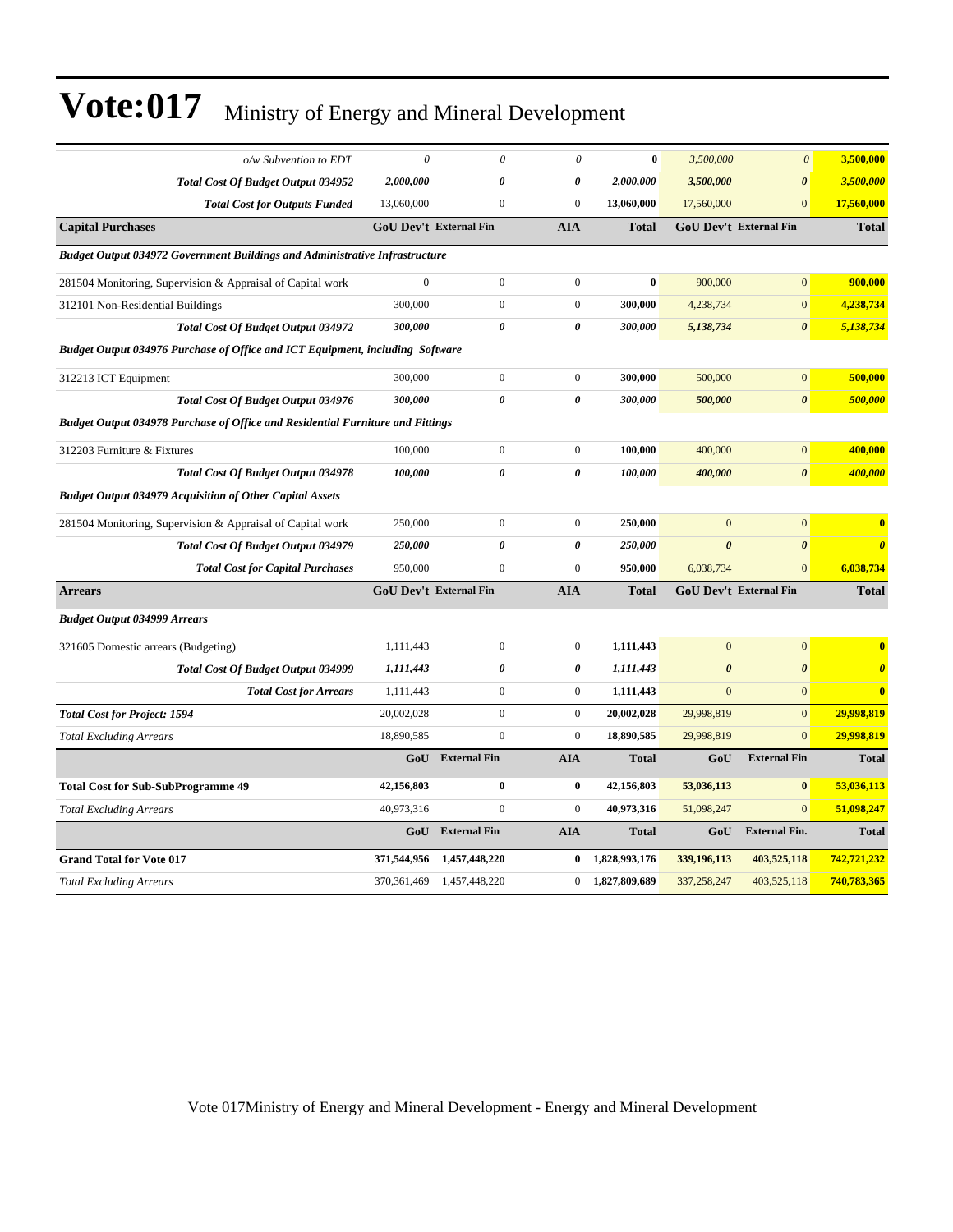| o/w Subvention to EDT                                                              | $\theta$                      | $\theta$            | $\theta$              | $\bf{0}$      | 3,500,000             | $\boldsymbol{\theta}$         | 3,500,000             |  |  |
|------------------------------------------------------------------------------------|-------------------------------|---------------------|-----------------------|---------------|-----------------------|-------------------------------|-----------------------|--|--|
| Total Cost Of Budget Output 034952                                                 | 2,000,000                     | 0                   | $\boldsymbol{\theta}$ | 2,000,000     | 3,500,000             | $\boldsymbol{\theta}$         | 3,500,000             |  |  |
| <b>Total Cost for Outputs Funded</b>                                               | 13,060,000                    | $\mathbf{0}$        | $\mathbf{0}$          | 13,060,000    | 17,560,000            | $\overline{0}$                | 17,560,000            |  |  |
| <b>Capital Purchases</b>                                                           | <b>GoU Dev't External Fin</b> |                     | <b>AIA</b>            | <b>Total</b>  |                       | <b>GoU Dev't External Fin</b> | <b>Total</b>          |  |  |
| <b>Budget Output 034972 Government Buildings and Administrative Infrastructure</b> |                               |                     |                       |               |                       |                               |                       |  |  |
| 281504 Monitoring, Supervision & Appraisal of Capital work                         | $\boldsymbol{0}$              | $\boldsymbol{0}$    | $\mathbf{0}$          | $\bf{0}$      | 900,000               | $\mathbf{0}$                  | 900,000               |  |  |
| 312101 Non-Residential Buildings                                                   | 300,000                       | $\boldsymbol{0}$    | $\mathbf{0}$          | 300,000       | 4,238,734             | $\boldsymbol{0}$              | 4,238,734             |  |  |
| Total Cost Of Budget Output 034972                                                 | 300,000                       | 0                   | $\boldsymbol{\theta}$ | 300,000       | 5,138,734             | $\boldsymbol{\theta}$         | 5,138,734             |  |  |
| Budget Output 034976 Purchase of Office and ICT Equipment, including Software      |                               |                     |                       |               |                       |                               |                       |  |  |
| 312213 ICT Equipment                                                               | 300,000                       | $\mathbf{0}$        | $\mathbf{0}$          | 300,000       | 500,000               | $\overline{0}$                | 500,000               |  |  |
| Total Cost Of Budget Output 034976                                                 | 300,000                       | 0                   | $\boldsymbol{\theta}$ | 300,000       | 500,000               | $\boldsymbol{\theta}$         | 500,000               |  |  |
| Budget Output 034978 Purchase of Office and Residential Furniture and Fittings     |                               |                     |                       |               |                       |                               |                       |  |  |
| 312203 Furniture & Fixtures                                                        | 100,000                       | $\mathbf{0}$        | $\boldsymbol{0}$      | 100,000       | 400,000               | $\overline{0}$                | 400,000               |  |  |
| <b>Total Cost Of Budget Output 034978</b>                                          | 100,000                       | $\pmb{\theta}$      | $\theta$              | 100,000       | 400,000               | $\boldsymbol{\theta}$         | 400,000               |  |  |
| <b>Budget Output 034979 Acquisition of Other Capital Assets</b>                    |                               |                     |                       |               |                       |                               |                       |  |  |
| 281504 Monitoring, Supervision & Appraisal of Capital work                         | 250,000                       | $\boldsymbol{0}$    | $\mathbf{0}$          | 250,000       | $\mathbf{0}$          | $\mathbf 0$                   | $\bf{0}$              |  |  |
| Total Cost Of Budget Output 034979                                                 | 250,000                       | $\theta$            | $\boldsymbol{\theta}$ | 250,000       | $\boldsymbol{\theta}$ | $\boldsymbol{\theta}$         | $\boldsymbol{\theta}$ |  |  |
| <b>Total Cost for Capital Purchases</b>                                            | 950,000                       | $\mathbf{0}$        | $\mathbf{0}$          | 950,000       | 6,038,734             | $\mathbf{0}$                  | 6,038,734             |  |  |
| <b>Arrears</b>                                                                     | <b>GoU Dev't External Fin</b> |                     | <b>AIA</b>            | <b>Total</b>  |                       | <b>GoU Dev't External Fin</b> | <b>Total</b>          |  |  |
| <b>Budget Output 034999 Arrears</b>                                                |                               |                     |                       |               |                       |                               |                       |  |  |
| 321605 Domestic arrears (Budgeting)                                                | 1,111,443                     | $\boldsymbol{0}$    | $\boldsymbol{0}$      | 1,111,443     | $\mathbf{0}$          | $\mathbf{0}$                  | $\bf{0}$              |  |  |
| Total Cost Of Budget Output 034999                                                 | 1,111,443                     | $\theta$            | $\boldsymbol{\theta}$ | 1,111,443     | $\boldsymbol{\theta}$ | $\boldsymbol{\theta}$         | $\boldsymbol{\theta}$ |  |  |
| <b>Total Cost for Arrears</b>                                                      | 1,111,443                     | $\mathbf{0}$        | $\boldsymbol{0}$      | 1,111,443     | $\mathbf{0}$          | $\overline{0}$                | $\bf{0}$              |  |  |
| <b>Total Cost for Project: 1594</b>                                                | 20,002,028                    | $\mathbf{0}$        | $\mathbf{0}$          | 20,002,028    | 29,998,819            | $\overline{0}$                | 29,998,819            |  |  |
| <b>Total Excluding Arrears</b>                                                     | 18,890,585                    | $\mathbf{0}$        | $\mathbf{0}$          | 18,890,585    | 29,998,819            | $\overline{0}$                | 29,998,819            |  |  |
|                                                                                    | GoU                           | <b>External Fin</b> | <b>AIA</b>            | <b>Total</b>  | GoU                   | <b>External Fin</b>           | <b>Total</b>          |  |  |
| <b>Total Cost for Sub-SubProgramme 49</b>                                          | 42,156,803                    | $\bf{0}$            | $\bf{0}$              | 42,156,803    | 53,036,113            | $\bf{0}$                      | 53,036,113            |  |  |
| <b>Total Excluding Arrears</b>                                                     | 40,973,316                    | $\mathbf{0}$        | $\boldsymbol{0}$      | 40,973,316    | 51,098,247            | $\overline{0}$                | 51,098,247            |  |  |
|                                                                                    | GoU                           | <b>External Fin</b> | <b>AIA</b>            | <b>Total</b>  | GoU                   | <b>External Fin.</b>          | <b>Total</b>          |  |  |
| <b>Grand Total for Vote 017</b>                                                    | 371,544,956                   | 1,457,448,220       | 0                     | 1,828,993,176 | 339,196,113           | 403,525,118                   | 742,721,232           |  |  |
| <b>Total Excluding Arrears</b>                                                     | 370,361,469                   | 1,457,448,220       | $\boldsymbol{0}$      | 1,827,809,689 | 337,258,247           | 403,525,118                   | 740,783,365           |  |  |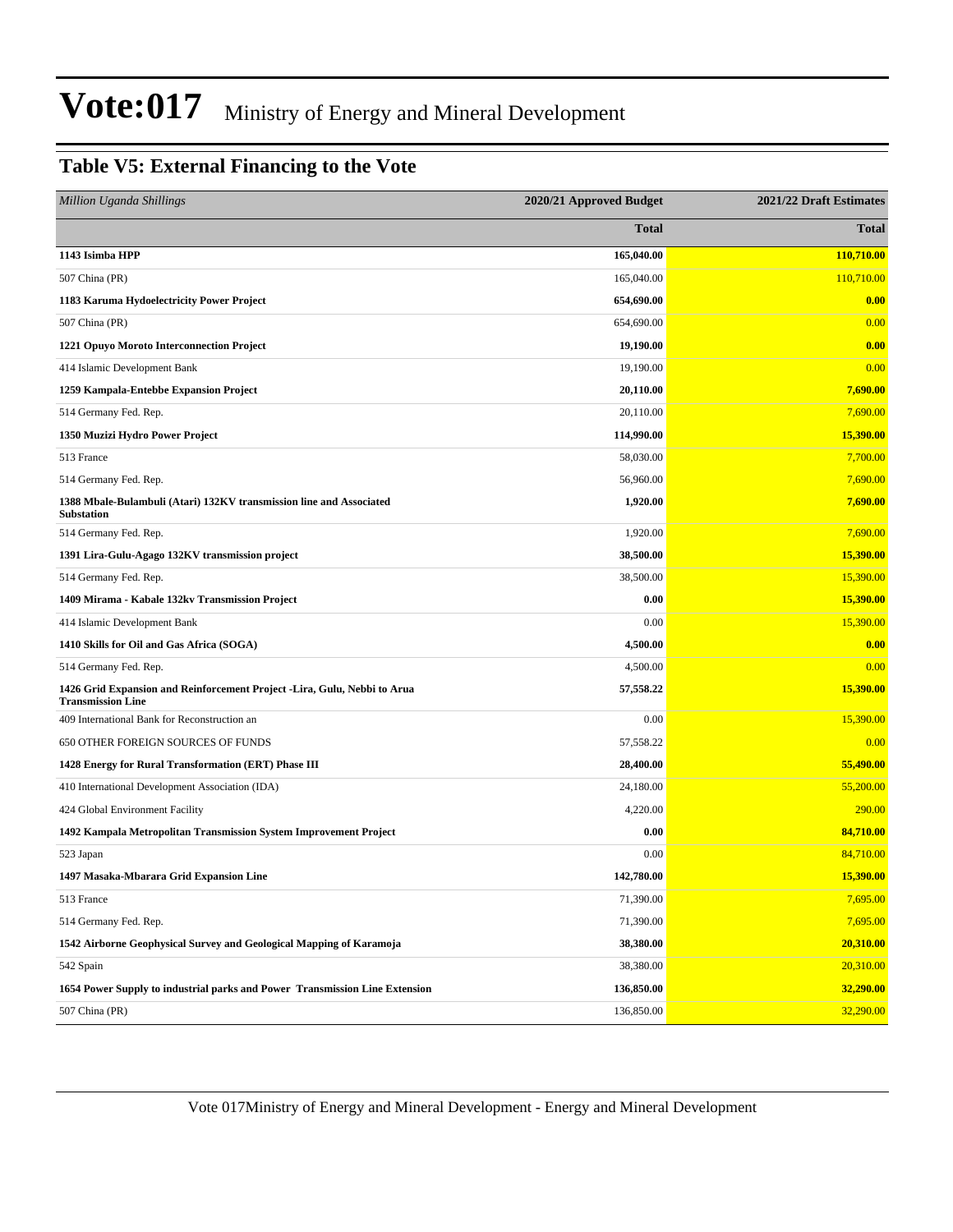#### **Table V5: External Financing to the Vote**

| Million Uganda Shillings                                                                             | 2020/21 Approved Budget | 2021/22 Draft Estimates |
|------------------------------------------------------------------------------------------------------|-------------------------|-------------------------|
|                                                                                                      | <b>Total</b>            | <b>Total</b>            |
| 1143 Isimba HPP                                                                                      | 165,040.00              | 110,710.00              |
| 507 China (PR)                                                                                       | 165,040.00              | 110,710.00              |
| 1183 Karuma Hydoelectricity Power Project                                                            | 654,690.00              | 0.00                    |
| 507 China (PR)                                                                                       | 654,690.00              | 0.00                    |
| 1221 Opuyo Moroto Interconnection Project                                                            | 19,190.00               | 0.00                    |
| 414 Islamic Development Bank                                                                         | 19,190.00               | 0.00                    |
| 1259 Kampala-Entebbe Expansion Project                                                               | 20,110.00               | 7,690.00                |
| 514 Germany Fed. Rep.                                                                                | 20,110.00               | 7,690.00                |
| 1350 Muzizi Hydro Power Project                                                                      | 114,990.00              | 15,390.00               |
| 513 France                                                                                           | 58,030.00               | 7,700.00                |
| 514 Germany Fed. Rep.                                                                                | 56,960.00               | 7,690.00                |
| 1388 Mbale-Bulambuli (Atari) 132KV transmission line and Associated<br><b>Substation</b>             | 1,920.00                | 7,690.00                |
| 514 Germany Fed. Rep.                                                                                | 1,920.00                | 7,690.00                |
| 1391 Lira-Gulu-Agago 132KV transmission project                                                      | 38,500.00               | 15,390.00               |
| 514 Germany Fed. Rep.                                                                                | 38,500.00               | 15,390.00               |
| 1409 Mirama - Kabale 132kv Transmission Project                                                      | 0.00                    | 15,390.00               |
| 414 Islamic Development Bank                                                                         | 0.00                    | 15,390.00               |
| 1410 Skills for Oil and Gas Africa (SOGA)                                                            | 4,500.00                | 0.00                    |
| 514 Germany Fed. Rep.                                                                                | 4,500.00                | 0.00                    |
| 1426 Grid Expansion and Reinforcement Project -Lira, Gulu, Nebbi to Arua<br><b>Transmission Line</b> | 57,558.22               | 15,390.00               |
| 409 International Bank for Reconstruction an                                                         | 0.00                    | 15,390.00               |
| 650 OTHER FOREIGN SOURCES OF FUNDS                                                                   | 57,558.22               | 0.00                    |
| 1428 Energy for Rural Transformation (ERT) Phase III                                                 | 28,400.00               | 55,490.00               |
| 410 International Development Association (IDA)                                                      | 24,180.00               | 55,200.00               |
| 424 Global Environment Facility                                                                      | 4,220.00                | 290.00                  |
| 1492 Kampala Metropolitan Transmission System Improvement Project                                    | 0.00                    | 84,710.00               |
| 523 Japan                                                                                            | 0.00                    | 84,710.00               |
| 1497 Masaka-Mbarara Grid Expansion Line                                                              | 142,780.00              | 15,390.00               |
| 513 France                                                                                           | 71,390.00               | 7,695.00                |
| 514 Germany Fed. Rep.                                                                                | 71,390.00               | 7,695.00                |
| 1542 Airborne Geophysical Survey and Geological Mapping of Karamoja                                  | 38,380.00               | 20,310.00               |
| 542 Spain                                                                                            | 38,380.00               | 20,310.00               |
| 1654 Power Supply to industrial parks and Power Transmission Line Extension                          | 136,850.00              | 32,290.00               |
| 507 China (PR)                                                                                       | 136,850.00              | 32,290.00               |